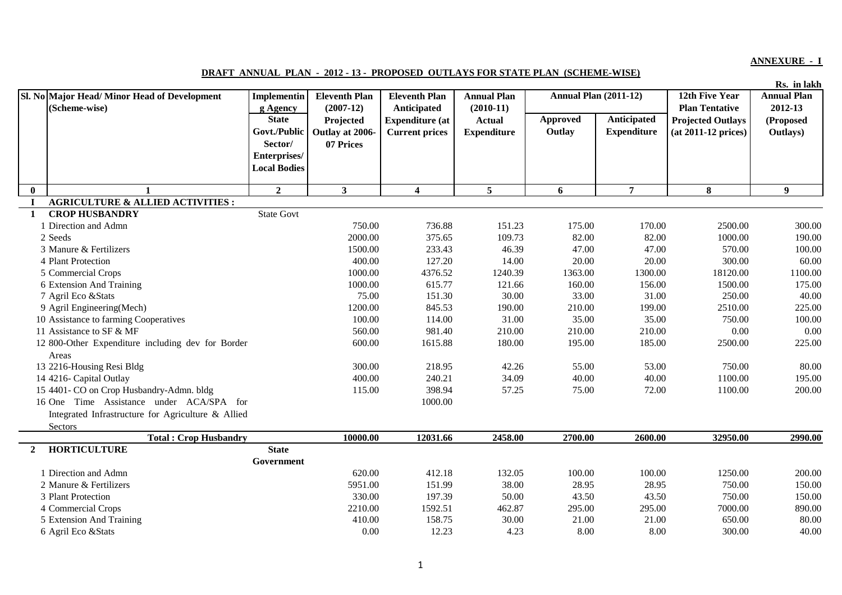## **ANNEXURE - I**

## **DRAFT ANNUAL PLAN - 2012 - 13 - PROPOSED OUTLAYS FOR STATE PLAN (SCHEME-WISE)**

**Rs. in lakh**

|              | Sl. No Major Head/ Minor Head of Development               | <b>Implementin</b>       | <b>Eleventh Plan</b>     | <b>Eleventh Plan</b>                  | <b>Annual Plan</b>           | <b>Annual Plan (2011-12)</b> |                    | 12th Five Year                                    | <b>Annual Plan</b>   |
|--------------|------------------------------------------------------------|--------------------------|--------------------------|---------------------------------------|------------------------------|------------------------------|--------------------|---------------------------------------------------|----------------------|
|              | (Scheme-wise)                                              | g Agency<br><b>State</b> | $(2007-12)$<br>Projected | Anticipated<br><b>Expenditure</b> (at | $(2010-11)$<br><b>Actual</b> | Approved                     | Anticipated        | <b>Plan Tentative</b><br><b>Projected Outlays</b> | 2012-13<br>(Proposed |
|              |                                                            | Govt./Public             | Outlay at 2006-          | <b>Current prices</b>                 | <b>Expenditure</b>           | Outlay                       | <b>Expenditure</b> | (at 2011-12 prices)                               | Outlays)             |
|              |                                                            | Sector/                  | 07 Prices                |                                       |                              |                              |                    |                                                   |                      |
|              |                                                            | Enterprises/             |                          |                                       |                              |                              |                    |                                                   |                      |
|              |                                                            | <b>Local Bodies</b>      |                          |                                       |                              |                              |                    |                                                   |                      |
|              |                                                            |                          |                          |                                       |                              |                              |                    |                                                   |                      |
| $\mathbf{0}$ | $\mathbf{1}$                                               | $\overline{2}$           | $\mathbf{3}$             | $\overline{\mathbf{4}}$               | $5^{\circ}$                  | 6                            | $\overline{7}$     | 8                                                 | $\boldsymbol{9}$     |
|              | <b>AGRICULTURE &amp; ALLIED ACTIVITIES:</b>                |                          |                          |                                       |                              |                              |                    |                                                   |                      |
| 1            | <b>CROP HUSBANDRY</b>                                      | <b>State Govt</b>        |                          |                                       |                              |                              |                    |                                                   |                      |
|              | 1 Direction and Admn                                       |                          | 750.00                   | 736.88                                | 151.23                       | 175.00                       | 170.00             | 2500.00                                           | 300.00               |
|              | 2 Seeds                                                    |                          | 2000.00                  | 375.65                                | 109.73                       | 82.00                        | 82.00              | 1000.00                                           | 190.00               |
|              | 3 Manure & Fertilizers                                     |                          | 1500.00                  | 233.43                                | 46.39                        | 47.00                        | 47.00              | 570.00                                            | 100.00               |
|              | 4 Plant Protection                                         |                          | 400.00                   | 127.20                                | 14.00                        | 20.00                        | 20.00              | 300.00                                            | 60.00                |
|              | 5 Commercial Crops                                         |                          | 1000.00                  | 4376.52                               | 1240.39                      | 1363.00                      | 1300.00            | 18120.00                                          | 1100.00              |
|              | 6 Extension And Training                                   |                          | 1000.00                  | 615.77                                | 121.66                       | 160.00                       | 156.00             | 1500.00                                           | 175.00               |
|              | 7 Agril Eco & Stats                                        |                          | 75.00                    | 151.30                                | 30.00                        | 33.00                        | 31.00              | 250.00                                            | 40.00                |
|              | 9 Agril Engineering(Mech)                                  |                          | 1200.00                  | 845.53                                | 190.00                       | 210.00                       | 199.00             | 2510.00                                           | 225.00               |
|              | 10 Assistance to farming Cooperatives                      |                          | 100.00                   | 114.00                                | 31.00                        | 35.00                        | 35.00              | 750.00                                            | 100.00               |
|              | 11 Assistance to SF & MF                                   |                          | 560.00                   | 981.40                                | 210.00                       | 210.00                       | 210.00             | 0.00                                              | 0.00                 |
|              | 12 800-Other Expenditure including dev for Border<br>Areas |                          | 600.00                   | 1615.88                               | 180.00                       | 195.00                       | 185.00             | 2500.00                                           | 225.00               |
|              | 13 2216-Housing Resi Bldg                                  |                          | 300.00                   | 218.95                                | 42.26                        | 55.00                        | 53.00              | 750.00                                            | 80.00                |
|              | 14 4216- Capital Outlay                                    |                          | 400.00                   | 240.21                                | 34.09                        | 40.00                        | 40.00              | 1100.00                                           | 195.00               |
|              | 15 4401- CO on Crop Husbandry-Admn. bldg                   |                          | 115.00                   | 398.94                                | 57.25                        | 75.00                        | 72.00              | 1100.00                                           | 200.00               |
|              | 16 One Time Assistance under ACA/SPA for                   |                          |                          | 1000.00                               |                              |                              |                    |                                                   |                      |
|              | Integrated Infrastructure for Agriculture & Allied         |                          |                          |                                       |                              |                              |                    |                                                   |                      |
|              | Sectors                                                    |                          |                          |                                       |                              |                              |                    |                                                   |                      |
|              | <b>Total: Crop Husbandry</b>                               |                          | 10000.00                 | 12031.66                              | 2458.00                      | 2700.00                      | 2600.00            | 32950.00                                          | 2990.00              |
| $\mathbf{2}$ | <b>HORTICULTURE</b>                                        | <b>State</b>             |                          |                                       |                              |                              |                    |                                                   |                      |
|              |                                                            | Government               |                          |                                       |                              |                              |                    |                                                   |                      |
|              | 1 Direction and Admn                                       |                          | 620.00                   | 412.18                                | 132.05                       | 100.00                       | 100.00             | 1250.00                                           | 200.00               |
|              | 2 Manure & Fertilizers                                     |                          | 5951.00                  | 151.99                                | 38.00                        | 28.95                        | 28.95              | 750.00                                            | 150.00               |
|              | 3 Plant Protection                                         |                          | 330.00                   | 197.39                                | 50.00                        | 43.50                        | 43.50              | 750.00                                            | 150.00               |
|              | 4 Commercial Crops                                         |                          | 2210.00                  | 1592.51                               | 462.87                       | 295.00                       | 295.00             | 7000.00                                           | 890.00               |
|              | 5 Extension And Training                                   |                          | 410.00                   | 158.75                                | 30.00                        | 21.00                        | 21.00              | 650.00                                            | 80.00                |
|              | 6 Agril Eco & Stats                                        |                          | 0.00                     | 12.23                                 | 4.23                         | 8.00                         | 8.00               | 300.00                                            | 40.00                |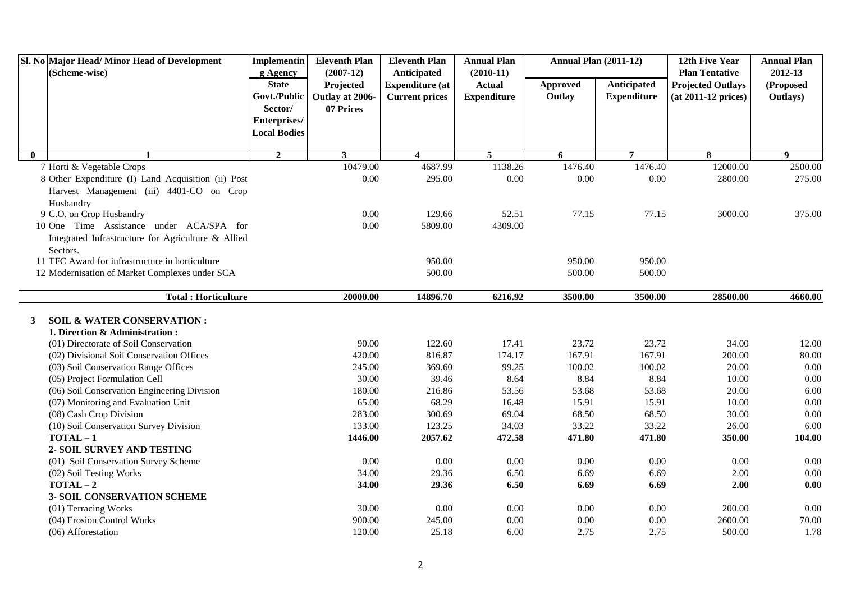| <b>State</b><br>Anticipated<br><b>Actual</b><br>Approved<br>(Proposed<br>Projected<br><b>Expenditure (at</b><br><b>Projected Outlays</b><br>Govt./Public<br>Outlay<br><b>Expenditure</b><br>Outlay at 2006-<br><b>Current prices</b><br><b>Expenditure</b><br>(at 2011-12 prices)<br>Outlays)<br>Sector/<br>07 Prices<br>Enterprises/<br><b>Local Bodies</b><br>$\overline{2}$<br>$5^{\circ}$<br>$\overline{7}$<br>$\mathbf{0}$<br>3 <sup>1</sup><br>6<br>8<br>$\boldsymbol{9}$<br>$\overline{\mathbf{4}}$<br>$\mathbf{1}$<br>7 Horti & Vegetable Crops<br>10479.00<br>4687.99<br>1138.26<br>1476.40<br>1476.40<br>12000.00<br>2500.00<br>8 Other Expenditure (I) Land Acquisition (ii) Post<br>0.00<br>295.00<br>0.00<br>0.00<br>0.00<br>2800.00<br>275.00<br>Harvest Management (iii) 4401-CO on Crop<br>Husbandry<br>9 C.O. on Crop Husbandry<br>0.00<br>77.15<br>129.66<br>52.51<br>77.15<br>3000.00<br>375.00<br>10 One Time Assistance under ACA/SPA for<br>0.00<br>5809.00<br>4309.00<br>Integrated Infrastructure for Agriculture & Allied<br>Sectors.<br>11 TFC Award for infrastructure in horticulture<br>950.00<br>950.00<br>950.00<br>500.00<br>500.00<br>500.00<br>12 Modernisation of Market Complexes under SCA<br>14896.70<br>6216.92<br>3500.00<br>28500.00<br><b>Total: Horticulture</b><br>20000.00<br>3500.00<br>4660.00<br><b>SOIL &amp; WATER CONSERVATION:</b><br>3<br>1. Direction & Administration:<br>90.00<br>122.60<br>17.41<br>23.72<br>23.72<br>34.00<br>12.00<br>(01) Directorate of Soil Conservation<br>167.91<br>167.91<br>80.00<br>(02) Divisional Soil Conservation Offices<br>420.00<br>816.87<br>174.17<br>200.00<br>245.00<br>369.60<br>99.25<br>100.02<br>100.02<br>20.00<br>0.00<br>(03) Soil Conservation Range Offices<br>8.84<br>0.00<br>(05) Project Formulation Cell<br>30.00<br>39.46<br>8.64<br>8.84<br>10.00<br>(06) Soil Conservation Engineering Division<br>180.00<br>216.86<br>53.56<br>53.68<br>20.00<br>6.00<br>53.68<br>(07) Monitoring and Evaluation Unit<br>65.00<br>68.29<br>16.48<br>15.91<br>10.00<br>0.00<br>15.91<br>(08) Cash Crop Division<br>283.00<br>300.69<br>69.04<br>68.50<br>68.50<br>30.00<br>0.00<br>133.00<br>33.22<br>(10) Soil Conservation Survey Division<br>123.25<br>34.03<br>33.22<br>26.00<br>6.00<br>$TOTAL-1$<br>1446.00<br>2057.62<br>471.80<br>471.80<br>104.00<br>472.58<br>350.00<br>2- SOIL SURVEY AND TESTING<br>0.00<br>(01) Soil Conservation Survey Scheme<br>0.00<br>0.00<br>0.00<br>0.00<br>0.00<br>$0.00\,$<br>34.00<br>29.36<br>6.50<br>6.69<br>6.69<br>2.00<br>0.00<br>(02) Soil Testing Works<br>$TOTAL-2$<br>2.00<br>0.00<br>34.00<br>29.36<br>6.50<br>6.69<br>6.69<br><b>3- SOIL CONSERVATION SCHEME</b><br>0.00<br>(01) Terracing Works<br>30.00<br>0.00<br>0.00<br>0.00<br>$0.00\,$<br>200.00<br>(04) Erosion Control Works<br>900.00<br>245.00<br>0.00<br>0.00<br>2600.00<br>70.00<br>0.00<br>2.75<br>(06) Afforestation<br>120.00 | Sl. No Major Head/ Minor Head of Development<br>(Scheme-wise) | <b>Implementin</b> | <b>Eleventh Plan</b><br>$(2007-12)$ | <b>Eleventh Plan</b><br>Anticipated | <b>Annual Plan</b> | <b>Annual Plan (2011-12)</b> | 12th Five Year<br><b>Plan Tentative</b> | <b>Annual Plan</b><br>2012-13 |
|-----------------------------------------------------------------------------------------------------------------------------------------------------------------------------------------------------------------------------------------------------------------------------------------------------------------------------------------------------------------------------------------------------------------------------------------------------------------------------------------------------------------------------------------------------------------------------------------------------------------------------------------------------------------------------------------------------------------------------------------------------------------------------------------------------------------------------------------------------------------------------------------------------------------------------------------------------------------------------------------------------------------------------------------------------------------------------------------------------------------------------------------------------------------------------------------------------------------------------------------------------------------------------------------------------------------------------------------------------------------------------------------------------------------------------------------------------------------------------------------------------------------------------------------------------------------------------------------------------------------------------------------------------------------------------------------------------------------------------------------------------------------------------------------------------------------------------------------------------------------------------------------------------------------------------------------------------------------------------------------------------------------------------------------------------------------------------------------------------------------------------------------------------------------------------------------------------------------------------------------------------------------------------------------------------------------------------------------------------------------------------------------------------------------------------------------------------------------------------------------------------------------------------------------------------------------------------------------------------------------------------------------------------------------------------------------------------------------------------------------------------------------------------------------------------------------------------------------------------------------------------------------------------------------------------------------------|---------------------------------------------------------------|--------------------|-------------------------------------|-------------------------------------|--------------------|------------------------------|-----------------------------------------|-------------------------------|
|                                                                                                                                                                                                                                                                                                                                                                                                                                                                                                                                                                                                                                                                                                                                                                                                                                                                                                                                                                                                                                                                                                                                                                                                                                                                                                                                                                                                                                                                                                                                                                                                                                                                                                                                                                                                                                                                                                                                                                                                                                                                                                                                                                                                                                                                                                                                                                                                                                                                                                                                                                                                                                                                                                                                                                                                                                                                                                                                               |                                                               | g Agency           |                                     |                                     | $(2010-11)$        |                              |                                         |                               |
|                                                                                                                                                                                                                                                                                                                                                                                                                                                                                                                                                                                                                                                                                                                                                                                                                                                                                                                                                                                                                                                                                                                                                                                                                                                                                                                                                                                                                                                                                                                                                                                                                                                                                                                                                                                                                                                                                                                                                                                                                                                                                                                                                                                                                                                                                                                                                                                                                                                                                                                                                                                                                                                                                                                                                                                                                                                                                                                                               |                                                               |                    |                                     |                                     |                    |                              |                                         |                               |
|                                                                                                                                                                                                                                                                                                                                                                                                                                                                                                                                                                                                                                                                                                                                                                                                                                                                                                                                                                                                                                                                                                                                                                                                                                                                                                                                                                                                                                                                                                                                                                                                                                                                                                                                                                                                                                                                                                                                                                                                                                                                                                                                                                                                                                                                                                                                                                                                                                                                                                                                                                                                                                                                                                                                                                                                                                                                                                                                               |                                                               |                    |                                     |                                     |                    |                              |                                         |                               |
|                                                                                                                                                                                                                                                                                                                                                                                                                                                                                                                                                                                                                                                                                                                                                                                                                                                                                                                                                                                                                                                                                                                                                                                                                                                                                                                                                                                                                                                                                                                                                                                                                                                                                                                                                                                                                                                                                                                                                                                                                                                                                                                                                                                                                                                                                                                                                                                                                                                                                                                                                                                                                                                                                                                                                                                                                                                                                                                                               |                                                               |                    |                                     |                                     |                    |                              |                                         |                               |
|                                                                                                                                                                                                                                                                                                                                                                                                                                                                                                                                                                                                                                                                                                                                                                                                                                                                                                                                                                                                                                                                                                                                                                                                                                                                                                                                                                                                                                                                                                                                                                                                                                                                                                                                                                                                                                                                                                                                                                                                                                                                                                                                                                                                                                                                                                                                                                                                                                                                                                                                                                                                                                                                                                                                                                                                                                                                                                                                               |                                                               |                    |                                     |                                     |                    |                              |                                         |                               |
|                                                                                                                                                                                                                                                                                                                                                                                                                                                                                                                                                                                                                                                                                                                                                                                                                                                                                                                                                                                                                                                                                                                                                                                                                                                                                                                                                                                                                                                                                                                                                                                                                                                                                                                                                                                                                                                                                                                                                                                                                                                                                                                                                                                                                                                                                                                                                                                                                                                                                                                                                                                                                                                                                                                                                                                                                                                                                                                                               |                                                               |                    |                                     |                                     |                    |                              |                                         |                               |
|                                                                                                                                                                                                                                                                                                                                                                                                                                                                                                                                                                                                                                                                                                                                                                                                                                                                                                                                                                                                                                                                                                                                                                                                                                                                                                                                                                                                                                                                                                                                                                                                                                                                                                                                                                                                                                                                                                                                                                                                                                                                                                                                                                                                                                                                                                                                                                                                                                                                                                                                                                                                                                                                                                                                                                                                                                                                                                                                               |                                                               |                    |                                     |                                     |                    |                              |                                         |                               |
|                                                                                                                                                                                                                                                                                                                                                                                                                                                                                                                                                                                                                                                                                                                                                                                                                                                                                                                                                                                                                                                                                                                                                                                                                                                                                                                                                                                                                                                                                                                                                                                                                                                                                                                                                                                                                                                                                                                                                                                                                                                                                                                                                                                                                                                                                                                                                                                                                                                                                                                                                                                                                                                                                                                                                                                                                                                                                                                                               |                                                               |                    |                                     |                                     |                    |                              |                                         |                               |
|                                                                                                                                                                                                                                                                                                                                                                                                                                                                                                                                                                                                                                                                                                                                                                                                                                                                                                                                                                                                                                                                                                                                                                                                                                                                                                                                                                                                                                                                                                                                                                                                                                                                                                                                                                                                                                                                                                                                                                                                                                                                                                                                                                                                                                                                                                                                                                                                                                                                                                                                                                                                                                                                                                                                                                                                                                                                                                                                               |                                                               |                    |                                     |                                     |                    |                              |                                         |                               |
|                                                                                                                                                                                                                                                                                                                                                                                                                                                                                                                                                                                                                                                                                                                                                                                                                                                                                                                                                                                                                                                                                                                                                                                                                                                                                                                                                                                                                                                                                                                                                                                                                                                                                                                                                                                                                                                                                                                                                                                                                                                                                                                                                                                                                                                                                                                                                                                                                                                                                                                                                                                                                                                                                                                                                                                                                                                                                                                                               |                                                               |                    |                                     |                                     |                    |                              |                                         |                               |
|                                                                                                                                                                                                                                                                                                                                                                                                                                                                                                                                                                                                                                                                                                                                                                                                                                                                                                                                                                                                                                                                                                                                                                                                                                                                                                                                                                                                                                                                                                                                                                                                                                                                                                                                                                                                                                                                                                                                                                                                                                                                                                                                                                                                                                                                                                                                                                                                                                                                                                                                                                                                                                                                                                                                                                                                                                                                                                                                               |                                                               |                    |                                     |                                     |                    |                              |                                         |                               |
|                                                                                                                                                                                                                                                                                                                                                                                                                                                                                                                                                                                                                                                                                                                                                                                                                                                                                                                                                                                                                                                                                                                                                                                                                                                                                                                                                                                                                                                                                                                                                                                                                                                                                                                                                                                                                                                                                                                                                                                                                                                                                                                                                                                                                                                                                                                                                                                                                                                                                                                                                                                                                                                                                                                                                                                                                                                                                                                                               |                                                               |                    |                                     |                                     |                    |                              |                                         |                               |
|                                                                                                                                                                                                                                                                                                                                                                                                                                                                                                                                                                                                                                                                                                                                                                                                                                                                                                                                                                                                                                                                                                                                                                                                                                                                                                                                                                                                                                                                                                                                                                                                                                                                                                                                                                                                                                                                                                                                                                                                                                                                                                                                                                                                                                                                                                                                                                                                                                                                                                                                                                                                                                                                                                                                                                                                                                                                                                                                               |                                                               |                    |                                     |                                     |                    |                              |                                         |                               |
|                                                                                                                                                                                                                                                                                                                                                                                                                                                                                                                                                                                                                                                                                                                                                                                                                                                                                                                                                                                                                                                                                                                                                                                                                                                                                                                                                                                                                                                                                                                                                                                                                                                                                                                                                                                                                                                                                                                                                                                                                                                                                                                                                                                                                                                                                                                                                                                                                                                                                                                                                                                                                                                                                                                                                                                                                                                                                                                                               |                                                               |                    |                                     |                                     |                    |                              |                                         |                               |
|                                                                                                                                                                                                                                                                                                                                                                                                                                                                                                                                                                                                                                                                                                                                                                                                                                                                                                                                                                                                                                                                                                                                                                                                                                                                                                                                                                                                                                                                                                                                                                                                                                                                                                                                                                                                                                                                                                                                                                                                                                                                                                                                                                                                                                                                                                                                                                                                                                                                                                                                                                                                                                                                                                                                                                                                                                                                                                                                               |                                                               |                    |                                     |                                     |                    |                              |                                         |                               |
|                                                                                                                                                                                                                                                                                                                                                                                                                                                                                                                                                                                                                                                                                                                                                                                                                                                                                                                                                                                                                                                                                                                                                                                                                                                                                                                                                                                                                                                                                                                                                                                                                                                                                                                                                                                                                                                                                                                                                                                                                                                                                                                                                                                                                                                                                                                                                                                                                                                                                                                                                                                                                                                                                                                                                                                                                                                                                                                                               |                                                               |                    |                                     |                                     |                    |                              |                                         |                               |
|                                                                                                                                                                                                                                                                                                                                                                                                                                                                                                                                                                                                                                                                                                                                                                                                                                                                                                                                                                                                                                                                                                                                                                                                                                                                                                                                                                                                                                                                                                                                                                                                                                                                                                                                                                                                                                                                                                                                                                                                                                                                                                                                                                                                                                                                                                                                                                                                                                                                                                                                                                                                                                                                                                                                                                                                                                                                                                                                               |                                                               |                    |                                     |                                     |                    |                              |                                         |                               |
|                                                                                                                                                                                                                                                                                                                                                                                                                                                                                                                                                                                                                                                                                                                                                                                                                                                                                                                                                                                                                                                                                                                                                                                                                                                                                                                                                                                                                                                                                                                                                                                                                                                                                                                                                                                                                                                                                                                                                                                                                                                                                                                                                                                                                                                                                                                                                                                                                                                                                                                                                                                                                                                                                                                                                                                                                                                                                                                                               |                                                               |                    |                                     |                                     |                    |                              |                                         |                               |
|                                                                                                                                                                                                                                                                                                                                                                                                                                                                                                                                                                                                                                                                                                                                                                                                                                                                                                                                                                                                                                                                                                                                                                                                                                                                                                                                                                                                                                                                                                                                                                                                                                                                                                                                                                                                                                                                                                                                                                                                                                                                                                                                                                                                                                                                                                                                                                                                                                                                                                                                                                                                                                                                                                                                                                                                                                                                                                                                               |                                                               |                    |                                     |                                     |                    |                              |                                         |                               |
|                                                                                                                                                                                                                                                                                                                                                                                                                                                                                                                                                                                                                                                                                                                                                                                                                                                                                                                                                                                                                                                                                                                                                                                                                                                                                                                                                                                                                                                                                                                                                                                                                                                                                                                                                                                                                                                                                                                                                                                                                                                                                                                                                                                                                                                                                                                                                                                                                                                                                                                                                                                                                                                                                                                                                                                                                                                                                                                                               |                                                               |                    |                                     |                                     |                    |                              |                                         |                               |
|                                                                                                                                                                                                                                                                                                                                                                                                                                                                                                                                                                                                                                                                                                                                                                                                                                                                                                                                                                                                                                                                                                                                                                                                                                                                                                                                                                                                                                                                                                                                                                                                                                                                                                                                                                                                                                                                                                                                                                                                                                                                                                                                                                                                                                                                                                                                                                                                                                                                                                                                                                                                                                                                                                                                                                                                                                                                                                                                               |                                                               |                    |                                     |                                     |                    |                              |                                         |                               |
|                                                                                                                                                                                                                                                                                                                                                                                                                                                                                                                                                                                                                                                                                                                                                                                                                                                                                                                                                                                                                                                                                                                                                                                                                                                                                                                                                                                                                                                                                                                                                                                                                                                                                                                                                                                                                                                                                                                                                                                                                                                                                                                                                                                                                                                                                                                                                                                                                                                                                                                                                                                                                                                                                                                                                                                                                                                                                                                                               |                                                               |                    |                                     |                                     |                    |                              |                                         |                               |
|                                                                                                                                                                                                                                                                                                                                                                                                                                                                                                                                                                                                                                                                                                                                                                                                                                                                                                                                                                                                                                                                                                                                                                                                                                                                                                                                                                                                                                                                                                                                                                                                                                                                                                                                                                                                                                                                                                                                                                                                                                                                                                                                                                                                                                                                                                                                                                                                                                                                                                                                                                                                                                                                                                                                                                                                                                                                                                                                               |                                                               |                    |                                     |                                     |                    |                              |                                         |                               |
|                                                                                                                                                                                                                                                                                                                                                                                                                                                                                                                                                                                                                                                                                                                                                                                                                                                                                                                                                                                                                                                                                                                                                                                                                                                                                                                                                                                                                                                                                                                                                                                                                                                                                                                                                                                                                                                                                                                                                                                                                                                                                                                                                                                                                                                                                                                                                                                                                                                                                                                                                                                                                                                                                                                                                                                                                                                                                                                                               |                                                               |                    |                                     |                                     |                    |                              |                                         |                               |
|                                                                                                                                                                                                                                                                                                                                                                                                                                                                                                                                                                                                                                                                                                                                                                                                                                                                                                                                                                                                                                                                                                                                                                                                                                                                                                                                                                                                                                                                                                                                                                                                                                                                                                                                                                                                                                                                                                                                                                                                                                                                                                                                                                                                                                                                                                                                                                                                                                                                                                                                                                                                                                                                                                                                                                                                                                                                                                                                               |                                                               |                    |                                     |                                     |                    |                              |                                         |                               |
|                                                                                                                                                                                                                                                                                                                                                                                                                                                                                                                                                                                                                                                                                                                                                                                                                                                                                                                                                                                                                                                                                                                                                                                                                                                                                                                                                                                                                                                                                                                                                                                                                                                                                                                                                                                                                                                                                                                                                                                                                                                                                                                                                                                                                                                                                                                                                                                                                                                                                                                                                                                                                                                                                                                                                                                                                                                                                                                                               |                                                               |                    |                                     |                                     |                    |                              |                                         |                               |
|                                                                                                                                                                                                                                                                                                                                                                                                                                                                                                                                                                                                                                                                                                                                                                                                                                                                                                                                                                                                                                                                                                                                                                                                                                                                                                                                                                                                                                                                                                                                                                                                                                                                                                                                                                                                                                                                                                                                                                                                                                                                                                                                                                                                                                                                                                                                                                                                                                                                                                                                                                                                                                                                                                                                                                                                                                                                                                                                               |                                                               |                    |                                     |                                     |                    |                              |                                         |                               |
|                                                                                                                                                                                                                                                                                                                                                                                                                                                                                                                                                                                                                                                                                                                                                                                                                                                                                                                                                                                                                                                                                                                                                                                                                                                                                                                                                                                                                                                                                                                                                                                                                                                                                                                                                                                                                                                                                                                                                                                                                                                                                                                                                                                                                                                                                                                                                                                                                                                                                                                                                                                                                                                                                                                                                                                                                                                                                                                                               |                                                               |                    |                                     |                                     |                    |                              |                                         |                               |
|                                                                                                                                                                                                                                                                                                                                                                                                                                                                                                                                                                                                                                                                                                                                                                                                                                                                                                                                                                                                                                                                                                                                                                                                                                                                                                                                                                                                                                                                                                                                                                                                                                                                                                                                                                                                                                                                                                                                                                                                                                                                                                                                                                                                                                                                                                                                                                                                                                                                                                                                                                                                                                                                                                                                                                                                                                                                                                                                               |                                                               |                    |                                     |                                     |                    |                              |                                         |                               |
|                                                                                                                                                                                                                                                                                                                                                                                                                                                                                                                                                                                                                                                                                                                                                                                                                                                                                                                                                                                                                                                                                                                                                                                                                                                                                                                                                                                                                                                                                                                                                                                                                                                                                                                                                                                                                                                                                                                                                                                                                                                                                                                                                                                                                                                                                                                                                                                                                                                                                                                                                                                                                                                                                                                                                                                                                                                                                                                                               |                                                               |                    |                                     |                                     |                    |                              |                                         |                               |
|                                                                                                                                                                                                                                                                                                                                                                                                                                                                                                                                                                                                                                                                                                                                                                                                                                                                                                                                                                                                                                                                                                                                                                                                                                                                                                                                                                                                                                                                                                                                                                                                                                                                                                                                                                                                                                                                                                                                                                                                                                                                                                                                                                                                                                                                                                                                                                                                                                                                                                                                                                                                                                                                                                                                                                                                                                                                                                                                               |                                                               |                    |                                     |                                     |                    |                              |                                         |                               |
|                                                                                                                                                                                                                                                                                                                                                                                                                                                                                                                                                                                                                                                                                                                                                                                                                                                                                                                                                                                                                                                                                                                                                                                                                                                                                                                                                                                                                                                                                                                                                                                                                                                                                                                                                                                                                                                                                                                                                                                                                                                                                                                                                                                                                                                                                                                                                                                                                                                                                                                                                                                                                                                                                                                                                                                                                                                                                                                                               |                                                               |                    |                                     |                                     |                    |                              |                                         |                               |
|                                                                                                                                                                                                                                                                                                                                                                                                                                                                                                                                                                                                                                                                                                                                                                                                                                                                                                                                                                                                                                                                                                                                                                                                                                                                                                                                                                                                                                                                                                                                                                                                                                                                                                                                                                                                                                                                                                                                                                                                                                                                                                                                                                                                                                                                                                                                                                                                                                                                                                                                                                                                                                                                                                                                                                                                                                                                                                                                               |                                                               |                    |                                     | 25.18                               | 6.00               | 2.75                         | 500.00                                  | 1.78                          |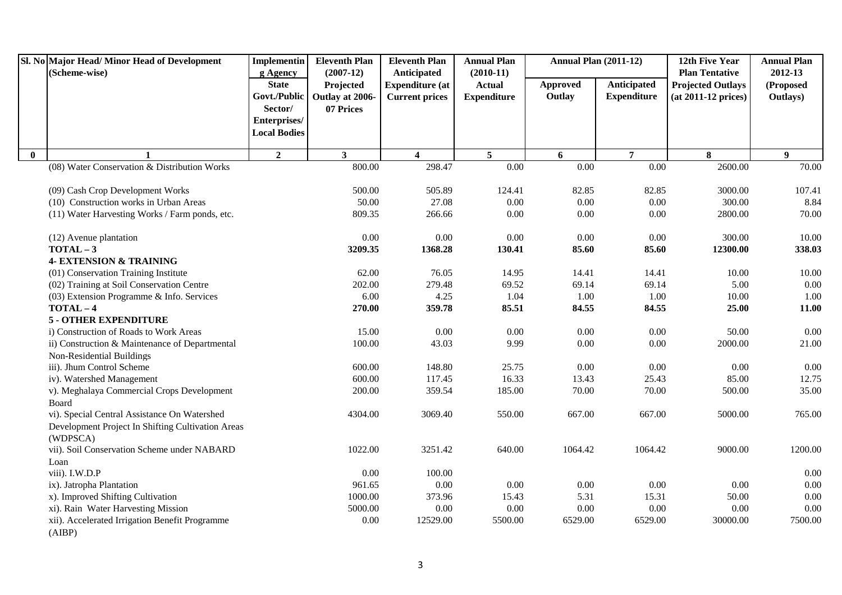|              | Sl. No Major Head/Minor Head of Development<br>(Scheme-wise) | <b>Implementin</b><br>g Agency          | <b>Eleventh Plan</b><br>$(2007-12)$       | <b>Eleventh Plan</b><br>Anticipated             | <b>Annual Plan</b><br>$(2010-11)$   | <b>Annual Plan (2011-12)</b> |                                   | 12th Five Year<br><b>Plan Tentative</b>           | <b>Annual Plan</b><br>2012-13 |
|--------------|--------------------------------------------------------------|-----------------------------------------|-------------------------------------------|-------------------------------------------------|-------------------------------------|------------------------------|-----------------------------------|---------------------------------------------------|-------------------------------|
|              |                                                              | <b>State</b><br>Govt./Public<br>Sector/ | Projected<br>Outlay at 2006-<br>07 Prices | <b>Expenditure (at</b><br><b>Current prices</b> | <b>Actual</b><br><b>Expenditure</b> | Approved<br>Outlay           | Anticipated<br><b>Expenditure</b> | <b>Projected Outlays</b><br>$(at 2011-12 prices)$ | (Proposed<br>Outlays)         |
|              |                                                              | Enterprises/<br><b>Local Bodies</b>     |                                           |                                                 |                                     |                              |                                   |                                                   |                               |
| $\mathbf{0}$ | $\mathbf{1}$                                                 | $\overline{2}$                          | $\mathbf{3}$                              | $\overline{\mathbf{4}}$                         | $5\overline{)}$                     | 6                            | $\overline{7}$                    | 8                                                 | 9 <sup>°</sup>                |
|              | (08) Water Conservation & Distribution Works                 |                                         | 800.00                                    | 298.47                                          | 0.00                                | 0.00                         | $\overline{0.00}$                 | 2600.00                                           | 70.00                         |
|              | (09) Cash Crop Development Works                             |                                         | 500.00                                    | 505.89                                          | 124.41                              | 82.85                        | 82.85                             | 3000.00                                           | 107.41                        |
|              | (10) Construction works in Urban Areas                       |                                         | 50.00                                     | 27.08                                           | $0.00\,$                            | 0.00                         | $0.00\,$                          | 300.00                                            | 8.84                          |
|              | (11) Water Harvesting Works / Farm ponds, etc.               |                                         | 809.35                                    | 266.66                                          | 0.00                                | 0.00                         | $0.00\,$                          | 2800.00                                           | 70.00                         |
|              | (12) Avenue plantation                                       |                                         | 0.00                                      | 0.00                                            | 0.00                                | 0.00                         | 0.00                              | 300.00                                            | 10.00                         |
|              | $TOTAL-3$                                                    |                                         | 3209.35                                   | 1368.28                                         | 130.41                              | 85.60                        | 85.60                             | 12300.00                                          | 338.03                        |
|              | <b>4- EXTENSION &amp; TRAINING</b>                           |                                         |                                           |                                                 |                                     |                              |                                   |                                                   |                               |
|              | (01) Conservation Training Institute                         |                                         | 62.00                                     | 76.05                                           | 14.95                               | 14.41                        | 14.41                             | 10.00                                             | 10.00                         |
|              | (02) Training at Soil Conservation Centre                    |                                         | 202.00                                    | 279.48                                          | 69.52                               | 69.14                        | 69.14                             | 5.00                                              | $0.00\,$                      |
|              | (03) Extension Programme & Info. Services                    |                                         | 6.00                                      | 4.25                                            | 1.04                                | 1.00                         | 1.00                              | 10.00                                             | 1.00                          |
|              | $TOTAL-4$                                                    |                                         | 270.00                                    | 359.78                                          | 85.51                               | 84.55                        | 84.55                             | 25.00                                             | 11.00                         |
|              | <b>5 - OTHER EXPENDITURE</b>                                 |                                         |                                           |                                                 |                                     |                              |                                   |                                                   |                               |
|              | i) Construction of Roads to Work Areas                       |                                         | 15.00                                     | 0.00                                            | 0.00                                | 0.00                         | 0.00                              | 50.00                                             | 0.00                          |
|              | ii) Construction & Maintenance of Departmental               |                                         | 100.00                                    | 43.03                                           | 9.99                                | 0.00                         | 0.00                              | 2000.00                                           | 21.00                         |
|              | Non-Residential Buildings                                    |                                         |                                           |                                                 |                                     |                              |                                   |                                                   |                               |
|              | iii). Jhum Control Scheme                                    |                                         | 600.00                                    | 148.80                                          | 25.75                               | 0.00                         | 0.00                              | 0.00                                              | 0.00                          |
|              | iv). Watershed Management                                    |                                         | 600.00                                    | 117.45                                          | 16.33                               | 13.43                        | 25.43                             | 85.00                                             | 12.75                         |
|              | v). Meghalaya Commercial Crops Development<br>Board          |                                         | 200.00                                    | 359.54                                          | 185.00                              | 70.00                        | 70.00                             | 500.00                                            | 35.00                         |
|              | vi). Special Central Assistance On Watershed                 |                                         | 4304.00                                   | 3069.40                                         | 550.00                              | 667.00                       | 667.00                            | 5000.00                                           | 765.00                        |
|              | Development Project In Shifting Cultivation Areas            |                                         |                                           |                                                 |                                     |                              |                                   |                                                   |                               |
|              | (WDPSCA)                                                     |                                         |                                           |                                                 |                                     |                              |                                   |                                                   |                               |
|              | vii). Soil Conservation Scheme under NABARD                  |                                         | 1022.00                                   | 3251.42                                         | 640.00                              | 1064.42                      | 1064.42                           | 9000.00                                           | 1200.00                       |
|              | Loan                                                         |                                         |                                           |                                                 |                                     |                              |                                   |                                                   |                               |
|              | viii). I.W.D.P                                               |                                         | $0.00\,$                                  | 100.00                                          |                                     |                              |                                   |                                                   | 0.00                          |
|              | ix). Jatropha Plantation                                     |                                         | 961.65                                    | 0.00                                            | 0.00                                | 0.00                         | 0.00                              | 0.00                                              | 0.00                          |
|              | x). Improved Shifting Cultivation                            |                                         | 1000.00                                   | 373.96                                          | 15.43                               | 5.31                         | 15.31                             | 50.00                                             | 0.00                          |
|              | xi). Rain Water Harvesting Mission                           |                                         | 5000.00                                   | 0.00                                            | 0.00                                | 0.00                         | 0.00                              | 0.00                                              | 0.00                          |
|              | xii). Accelerated Irrigation Benefit Programme               |                                         | 0.00                                      | 12529.00                                        | 5500.00                             | 6529.00                      | 6529.00                           | 30000.00                                          | 7500.00                       |
|              | (AIBP)                                                       |                                         |                                           |                                                 |                                     |                              |                                   |                                                   |                               |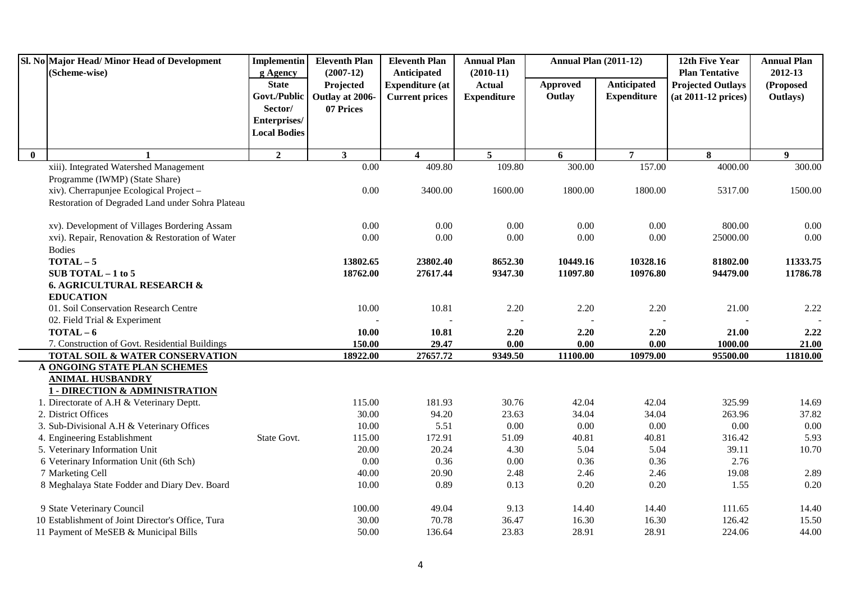|              | Sl. No Major Head/Minor Head of Development                      | <b>Implementin</b>  | <b>Eleventh Plan</b> | <b>Eleventh Plan</b>    | <b>Annual Plan</b> | <b>Annual Plan (2011-12)</b> |                    | 12th Five Year           | <b>Annual Plan</b> |
|--------------|------------------------------------------------------------------|---------------------|----------------------|-------------------------|--------------------|------------------------------|--------------------|--------------------------|--------------------|
|              | (Scheme-wise)                                                    | g Agency            | $(2007-12)$          | Anticipated             | $(2010-11)$        |                              |                    | <b>Plan Tentative</b>    | 2012-13            |
|              |                                                                  | <b>State</b>        | Projected            | <b>Expenditure</b> (at  | <b>Actual</b>      | <b>Approved</b>              | Anticipated        | <b>Projected Outlays</b> | (Proposed          |
|              |                                                                  | Govt./Public        | Outlay at 2006-      | <b>Current prices</b>   | <b>Expenditure</b> | Outlay                       | <b>Expenditure</b> | $(at 2011-12 prices)$    | Outlays)           |
|              |                                                                  | Sector/             | 07 Prices            |                         |                    |                              |                    |                          |                    |
|              |                                                                  | Enterprises/        |                      |                         |                    |                              |                    |                          |                    |
|              |                                                                  | <b>Local Bodies</b> |                      |                         |                    |                              |                    |                          |                    |
| $\mathbf{0}$ |                                                                  | $\overline{2}$      | $\mathbf{3}$         | $\overline{\mathbf{4}}$ | $5^{\circ}$        | 6                            | $\overline{7}$     | 8                        | $\mathbf{9}$       |
|              | xiii). Integrated Watershed Management                           |                     | 0.00                 | 409.80                  | 109.80             | 300.00                       | 157.00             | 4000.00                  | 300.00             |
|              | Programme (IWMP) (State Share)                                   |                     |                      |                         |                    |                              |                    |                          |                    |
|              | xiv). Cherrapunjee Ecological Project -                          |                     | 0.00                 | 3400.00                 | 1600.00            | 1800.00                      | 1800.00            | 5317.00                  | 1500.00            |
|              | Restoration of Degraded Land under Sohra Plateau                 |                     |                      |                         |                    |                              |                    |                          |                    |
|              | xv). Development of Villages Bordering Assam                     |                     | 0.00                 | 0.00                    | 0.00               | 0.00                         | 0.00               | 800.00                   | 0.00               |
|              | xvi). Repair, Renovation & Restoration of Water                  |                     | 0.00                 | 0.00                    | 0.00               | 0.00                         | 0.00               | 25000.00                 | 0.00               |
|              | <b>Bodies</b>                                                    |                     |                      |                         |                    |                              |                    |                          |                    |
|              | $TOTAL-5$                                                        |                     | 13802.65             | 23802.40                | 8652.30            | 10449.16                     | 10328.16           | 81802.00                 | 11333.75           |
|              | SUB TOTAL $-1$ to 5                                              |                     | 18762.00             | 27617.44                | 9347.30            | 11097.80                     | 10976.80           | 94479.00                 | 11786.78           |
|              | <b>6. AGRICULTURAL RESEARCH &amp;</b>                            |                     |                      |                         |                    |                              |                    |                          |                    |
|              | <b>EDUCATION</b>                                                 |                     |                      |                         |                    |                              |                    |                          |                    |
|              | 01. Soil Conservation Research Centre                            |                     | 10.00                | 10.81                   | 2.20               | 2.20                         | 2.20               | 21.00                    | 2.22               |
|              | 02. Field Trial & Experiment                                     |                     |                      |                         |                    |                              |                    |                          |                    |
|              | $TOTAL-6$                                                        |                     | 10.00                | 10.81                   | 2.20               | 2.20                         | 2.20               | 21.00                    | 2.22               |
|              | 7. Construction of Govt. Residential Buildings                   |                     | 150.00               | 29.47                   | 0.00               | 0.00                         | 0.00               | 1000.00                  | 21.00              |
|              | TOTAL SOIL & WATER CONSERVATION                                  |                     | 18922.00             | 27657.72                | 9349.50            | 11100.00                     | 10979.00           | 95500.00                 | 11810.00           |
|              | A ONGOING STATE PLAN SCHEMES                                     |                     |                      |                         |                    |                              |                    |                          |                    |
|              | <b>ANIMAL HUSBANDRY</b>                                          |                     |                      |                         |                    |                              |                    |                          |                    |
|              | <b>1 - DIRECTION &amp; ADMINISTRATION</b>                        |                     | 115.00               |                         |                    |                              |                    | 325.99                   |                    |
|              | 1. Directorate of A.H & Veterinary Deptt.<br>2. District Offices |                     | 30.00                | 181.93<br>94.20         | 30.76<br>23.63     | 42.04<br>34.04               | 42.04<br>34.04     |                          | 14.69<br>37.82     |
|              | 3. Sub-Divisional A.H & Veterinary Offices                       |                     | 10.00                | 5.51                    | 0.00               | 0.00                         | 0.00               | 263.96<br>0.00           | $0.00\,$           |
|              | 4. Engineering Establishment                                     | State Govt.         | 115.00               | 172.91                  | 51.09              | 40.81                        | 40.81              | 316.42                   | 5.93               |
|              | 5. Veterinary Information Unit                                   |                     | 20.00                | 20.24                   | 4.30               | 5.04                         | 5.04               | 39.11                    | 10.70              |
|              | 6 Veterinary Information Unit (6th Sch)                          |                     | 0.00                 | 0.36                    | 0.00               | 0.36                         | 0.36               | 2.76                     |                    |
|              | 7 Marketing Cell                                                 |                     | 40.00                | 20.90                   | 2.48               | 2.46                         | 2.46               | 19.08                    | 2.89               |
|              | 8 Meghalaya State Fodder and Diary Dev. Board                    |                     | 10.00                | 0.89                    | 0.13               | 0.20                         | $0.20\,$           | 1.55                     | 0.20               |
|              |                                                                  |                     |                      |                         |                    |                              |                    |                          |                    |
|              | 9 State Veterinary Council                                       |                     | 100.00               | 49.04                   | 9.13               | 14.40                        | 14.40              | 111.65                   | 14.40              |
|              | 10 Establishment of Joint Director's Office, Tura                |                     | 30.00                | 70.78                   | 36.47              | 16.30                        | 16.30              | 126.42                   | 15.50              |
|              | 11 Payment of MeSEB & Municipal Bills                            |                     | 50.00                | 136.64                  | 23.83              | 28.91                        | 28.91              | 224.06                   | 44.00              |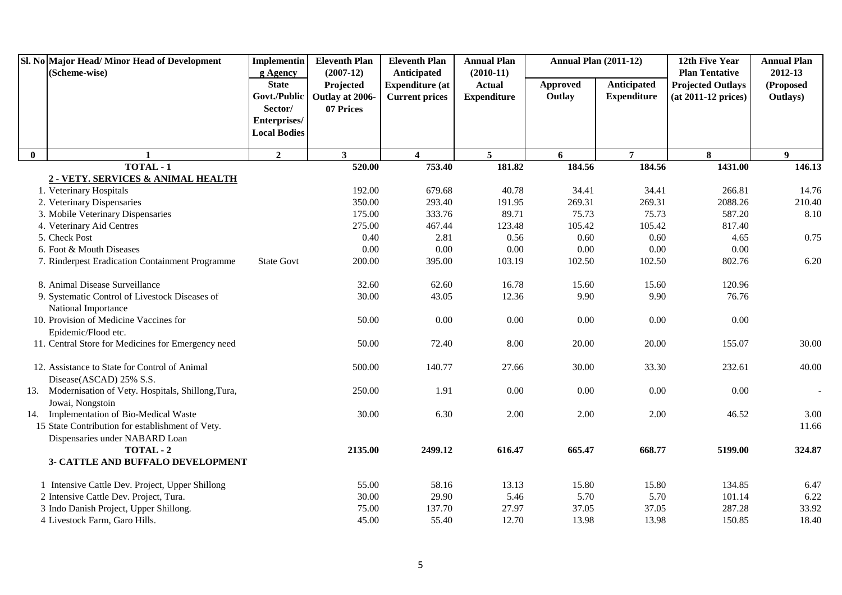|              | Sl. No Major Head/ Minor Head of Development<br>(Scheme-wise)                             | <b>Implementin</b>       | <b>Eleventh Plan</b><br>$(2007-12)$ | <b>Eleventh Plan</b><br>Anticipated | <b>Annual Plan</b><br>$(2010-11)$ | <b>Annual Plan (2011-12)</b> |                    | 12th Five Year<br><b>Plan Tentative</b> | <b>Annual Plan</b><br>2012-13 |
|--------------|-------------------------------------------------------------------------------------------|--------------------------|-------------------------------------|-------------------------------------|-----------------------------------|------------------------------|--------------------|-----------------------------------------|-------------------------------|
|              |                                                                                           | g Agency<br><b>State</b> | Projected                           | <b>Expenditure</b> (at              | <b>Actual</b>                     | <b>Approved</b>              | Anticipated        | <b>Projected Outlays</b>                | (Proposed                     |
|              |                                                                                           |                          | Govt./Public   Outlay at 2006-      | <b>Current prices</b>               | <b>Expenditure</b>                | Outlay                       | <b>Expenditure</b> | $(at 2011-12 prices)$                   | Outlays)                      |
|              |                                                                                           | Sector/                  | 07 Prices                           |                                     |                                   |                              |                    |                                         |                               |
|              |                                                                                           | Enterprises/             |                                     |                                     |                                   |                              |                    |                                         |                               |
|              |                                                                                           | <b>Local Bodies</b>      |                                     |                                     |                                   |                              |                    |                                         |                               |
| $\mathbf{0}$ | $\mathbf{1}$                                                                              | $\overline{2}$           | 3 <sup>1</sup>                      | $\overline{\mathbf{4}}$             | 5                                 | 6                            | $\overline{7}$     | 8                                       | 9 <sup>1</sup>                |
|              | TOTAL - 1                                                                                 |                          | 520.00                              | 753.40                              | 181.82                            | 184.56                       | 184.56             | 1431.00                                 | 146.13                        |
|              | 2 - VETY. SERVICES & ANIMAL HEALTH                                                        |                          |                                     |                                     |                                   |                              |                    |                                         |                               |
|              | 1. Veterinary Hospitals                                                                   |                          | 192.00                              | 679.68                              | 40.78                             | 34.41                        | 34.41              | 266.81                                  | 14.76                         |
|              | 2. Veterinary Dispensaries                                                                |                          | 350.00                              | 293.40                              | 191.95                            | 269.31                       | 269.31             | 2088.26                                 | 210.40                        |
|              | 3. Mobile Veterinary Dispensaries                                                         |                          | 175.00                              | 333.76                              | 89.71                             | 75.73                        | 75.73              | 587.20                                  | 8.10                          |
|              | 4. Veterinary Aid Centres                                                                 |                          | 275.00                              | 467.44                              | 123.48                            | 105.42                       | 105.42             | 817.40                                  |                               |
|              | 5. Check Post                                                                             |                          | 0.40                                | 2.81                                | 0.56                              | 0.60                         | 0.60               | 4.65                                    | 0.75                          |
|              | 6. Foot & Mouth Diseases                                                                  |                          | 0.00                                | 0.00                                | $0.00\,$                          | 0.00                         | $0.00\,$           | 0.00                                    |                               |
|              | 7. Rinderpest Eradication Containment Programme                                           | <b>State Govt</b>        | 200.00                              | 395.00                              | 103.19                            | 102.50                       | 102.50             | 802.76                                  | 6.20                          |
|              | 8. Animal Disease Surveillance                                                            |                          | 32.60                               | 62.60                               | 16.78                             | 15.60                        | 15.60              | 120.96                                  |                               |
|              | 9. Systematic Control of Livestock Diseases of                                            |                          | 30.00                               | 43.05                               | 12.36                             | 9.90                         | 9.90               | 76.76                                   |                               |
|              | National Importance                                                                       |                          |                                     |                                     |                                   |                              |                    |                                         |                               |
|              | 10. Provision of Medicine Vaccines for                                                    |                          | 50.00                               | 0.00                                | 0.00                              | 0.00                         | 0.00               | 0.00                                    |                               |
|              | Epidemic/Flood etc.                                                                       |                          |                                     |                                     |                                   |                              |                    |                                         |                               |
|              | 11. Central Store for Medicines for Emergency need                                        |                          | 50.00                               | 72.40                               | 8.00                              | 20.00                        | 20.00              | 155.07                                  | 30.00                         |
|              | 12. Assistance to State for Control of Animal                                             |                          | 500.00                              | 140.77                              | 27.66                             | 30.00                        | 33.30              | 232.61                                  | 40.00                         |
|              | Disease(ASCAD) 25% S.S.                                                                   |                          |                                     |                                     |                                   |                              |                    |                                         |                               |
|              | 13. Modernisation of Vety. Hospitals, Shillong, Tura,<br>Jowai, Nongstoin                 |                          | 250.00                              | 1.91                                | 0.00                              | 0.00                         | 0.00               | 0.00                                    |                               |
|              | 14. Implementation of Bio-Medical Waste                                                   |                          | 30.00                               | 6.30                                | 2.00                              | 2.00                         | 2.00               | 46.52                                   | 3.00                          |
|              | 15 State Contribution for establishment of Vety.                                          |                          |                                     |                                     |                                   |                              |                    |                                         | 11.66                         |
|              | Dispensaries under NABARD Loan                                                            |                          |                                     |                                     |                                   |                              |                    |                                         |                               |
|              | TOTAL - 2                                                                                 |                          | 2135.00                             | 2499.12                             | 616.47                            | 665.47                       | 668.77             | 5199.00                                 | 324.87                        |
|              | 3- CATTLE AND BUFFALO DEVELOPMENT                                                         |                          |                                     |                                     |                                   |                              |                    |                                         |                               |
|              |                                                                                           |                          | 55.00                               | 58.16                               | 13.13                             | 15.80                        | 15.80              | 134.85                                  | 6.47                          |
|              | 1 Intensive Cattle Dev. Project, Upper Shillong<br>2 Intensive Cattle Dev. Project, Tura. |                          | 30.00                               | 29.90                               | 5.46                              | 5.70                         | 5.70               | 101.14                                  | 6.22                          |
|              | 3 Indo Danish Project, Upper Shillong.                                                    |                          | 75.00                               | 137.70                              | 27.97                             | 37.05                        | 37.05              | 287.28                                  | 33.92                         |
|              | 4 Livestock Farm, Garo Hills.                                                             |                          | 45.00                               | 55.40                               | 12.70                             | 13.98                        | 13.98              | 150.85                                  | 18.40                         |
|              |                                                                                           |                          |                                     |                                     |                                   |                              |                    |                                         |                               |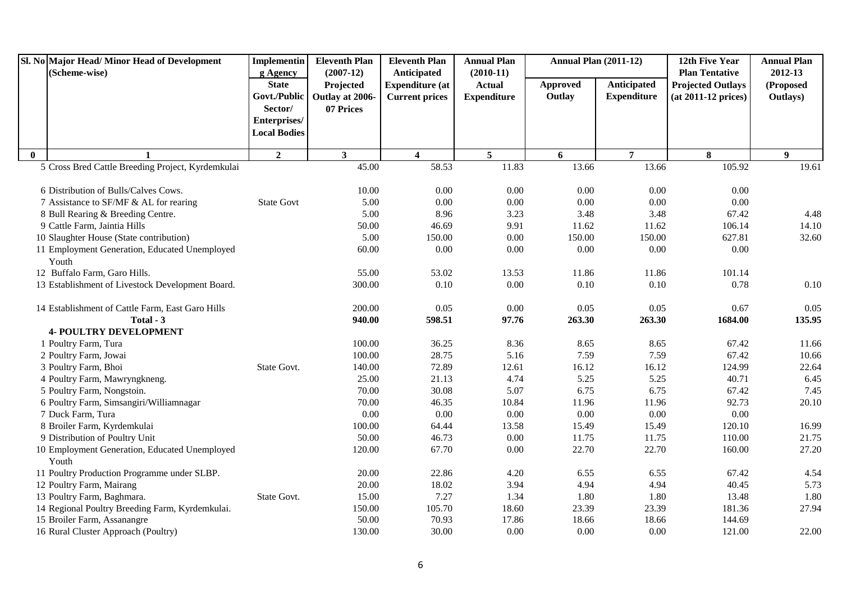|              | Sl. No Major Head/Minor Head of Development            | <b>Implementin</b>       | <b>Eleventh Plan</b>     | <b>Eleventh Plan</b>                  | <b>Annual Plan</b>           | <b>Annual Plan (2011-12)</b> |                    | 12th Five Year                                    | <b>Annual Plan</b>   |
|--------------|--------------------------------------------------------|--------------------------|--------------------------|---------------------------------------|------------------------------|------------------------------|--------------------|---------------------------------------------------|----------------------|
|              | (Scheme-wise)                                          | g Agency<br><b>State</b> | $(2007-12)$<br>Projected | Anticipated<br><b>Expenditure</b> (at | $(2010-11)$<br><b>Actual</b> | <b>Approved</b>              | Anticipated        | <b>Plan Tentative</b><br><b>Projected Outlays</b> | 2012-13<br>(Proposed |
|              |                                                        | Govt./Public             | Outlay at 2006-          | <b>Current prices</b>                 | <b>Expenditure</b>           | Outlay                       | <b>Expenditure</b> | $(at 2011-12 prices)$                             | Outlays)             |
|              |                                                        | Sector/                  | 07 Prices                |                                       |                              |                              |                    |                                                   |                      |
|              |                                                        | Enterprises/             |                          |                                       |                              |                              |                    |                                                   |                      |
|              |                                                        | <b>Local Bodies</b>      |                          |                                       |                              |                              |                    |                                                   |                      |
| $\mathbf{0}$ |                                                        | $\overline{2}$           | $\mathbf{3}$             | 4                                     | 5                            | 6                            | $\overline{7}$     | 8                                                 | 9                    |
|              | 5 Cross Bred Cattle Breeding Project, Kyrdemkulai      |                          | 45.00                    | 58.53                                 | 11.83                        | 13.66                        | 13.66              | 105.92                                            | 19.61                |
|              |                                                        |                          |                          |                                       |                              |                              |                    |                                                   |                      |
|              | 6 Distribution of Bulls/Calves Cows.                   |                          | 10.00                    | 0.00                                  | 0.00                         | 0.00                         | 0.00               | 0.00                                              |                      |
|              | 7 Assistance to SF/MF & AL for rearing                 | <b>State Govt</b>        | 5.00                     | $0.00\,$                              | $0.00\,$                     | $0.00\,$                     | 0.00               | $0.00\,$                                          |                      |
|              | 8 Bull Rearing & Breeding Centre.                      |                          | 5.00                     | 8.96                                  | 3.23                         | 3.48                         | 3.48               | 67.42                                             | 4.48                 |
|              | 9 Cattle Farm, Jaintia Hills                           |                          | 50.00                    | 46.69                                 | 9.91                         | 11.62                        | 11.62              | 106.14                                            | 14.10                |
|              | 10 Slaughter House (State contribution)                |                          | 5.00                     | 150.00                                | 0.00                         | 150.00                       | 150.00             | 627.81                                            | 32.60                |
|              | 11 Employment Generation, Educated Unemployed          |                          | 60.00                    | 0.00                                  | $0.00\,$                     | 0.00                         | 0.00               | 0.00                                              |                      |
|              | Youth                                                  |                          |                          |                                       |                              |                              |                    |                                                   |                      |
|              | 12 Buffalo Farm, Garo Hills.                           |                          | 55.00                    | 53.02                                 | 13.53                        | 11.86                        | 11.86              | 101.14                                            |                      |
|              | 13 Establishment of Livestock Development Board.       |                          | 300.00                   | 0.10                                  | 0.00                         | 0.10                         | 0.10               | 0.78                                              | $0.10\,$             |
|              | 14 Establishment of Cattle Farm, East Garo Hills       |                          | 200.00                   | 0.05                                  | 0.00                         | 0.05                         | 0.05               | 0.67                                              | 0.05                 |
|              | Total - 3                                              |                          | 940.00                   | 598.51                                | 97.76                        | 263.30                       | 263.30             | 1684.00                                           | 135.95               |
|              | <b>4- POULTRY DEVELOPMENT</b>                          |                          |                          |                                       |                              |                              |                    |                                                   |                      |
|              | 1 Poultry Farm, Tura                                   |                          | 100.00                   | 36.25                                 | 8.36                         | 8.65                         | 8.65               | 67.42                                             | 11.66                |
|              | 2 Poultry Farm, Jowai                                  |                          | 100.00                   | 28.75                                 | 5.16                         | 7.59                         | 7.59               | 67.42                                             | 10.66                |
|              | 3 Poultry Farm, Bhoi                                   | State Govt.              | 140.00                   | 72.89                                 | 12.61                        | 16.12                        | 16.12              | 124.99                                            | 22.64                |
|              | 4 Poultry Farm, Mawryngkneng.                          |                          | 25.00                    | 21.13                                 | 4.74                         | 5.25                         | 5.25               | 40.71                                             | 6.45                 |
|              | 5 Poultry Farm, Nongstoin.                             |                          | 70.00                    | 30.08                                 | 5.07                         | 6.75                         | 6.75               | 67.42                                             | 7.45                 |
|              | 6 Poultry Farm, Simsangiri/Williamnagar                |                          | 70.00                    | 46.35                                 | 10.84                        | 11.96                        | 11.96              | 92.73                                             | 20.10                |
|              | 7 Duck Farm, Tura                                      |                          | 0.00                     | 0.00                                  | 0.00                         | 0.00                         | 0.00               | 0.00                                              |                      |
|              | 8 Broiler Farm, Kyrdemkulai                            |                          | 100.00                   | 64.44                                 | 13.58                        | 15.49                        | 15.49              | 120.10                                            | 16.99                |
|              | 9 Distribution of Poultry Unit                         |                          | 50.00                    | 46.73                                 | 0.00                         | 11.75                        | 11.75              | 110.00                                            | 21.75                |
|              | 10 Employment Generation, Educated Unemployed<br>Youth |                          | 120.00                   | 67.70                                 | 0.00                         | 22.70                        | 22.70              | 160.00                                            | 27.20                |
|              | 11 Poultry Production Programme under SLBP.            |                          | 20.00                    | 22.86                                 | 4.20                         | 6.55                         | 6.55               | 67.42                                             | 4.54                 |
|              | 12 Poultry Farm, Mairang                               |                          | 20.00                    | 18.02                                 | 3.94                         | 4.94                         | 4.94               | 40.45                                             | 5.73                 |
|              | 13 Poultry Farm, Baghmara.                             | State Govt.              | 15.00                    | 7.27                                  | 1.34                         | 1.80                         | 1.80               | 13.48                                             | 1.80                 |
|              | 14 Regional Poultry Breeding Farm, Kyrdemkulai.        |                          | 150.00                   | 105.70                                | 18.60                        | 23.39                        | 23.39              | 181.36                                            | 27.94                |
|              | 15 Broiler Farm, Assanangre                            |                          | 50.00                    | 70.93                                 | 17.86                        | 18.66                        | 18.66              | 144.69                                            |                      |
|              | 16 Rural Cluster Approach (Poultry)                    |                          | 130.00                   | 30.00                                 | 0.00                         | 0.00                         | 0.00               | 121.00                                            | 22.00                |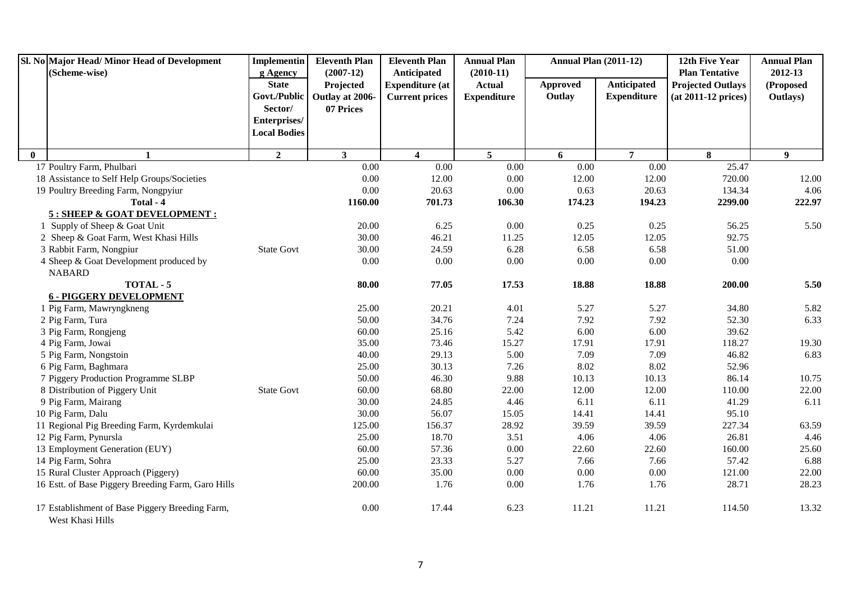|          | Sl. No Major Head/Minor Head of Development<br>(Scheme-wise)        | <b>Implementin</b>       | <b>Eleventh Plan</b><br>$(2007-12)$ | <b>Eleventh Plan</b>                  | <b>Annual Plan</b>           | <b>Annual Plan (2011-12)</b> |                    | 12th Five Year<br><b>Plan Tentative</b> | <b>Annual Plan</b><br>2012-13 |
|----------|---------------------------------------------------------------------|--------------------------|-------------------------------------|---------------------------------------|------------------------------|------------------------------|--------------------|-----------------------------------------|-------------------------------|
|          |                                                                     | g Agency<br><b>State</b> | Projected                           | Anticipated<br><b>Expenditure (at</b> | $(2010-11)$<br><b>Actual</b> | <b>Approved</b>              | Anticipated        | <b>Projected Outlays</b>                | (Proposed                     |
|          |                                                                     | Govt./Public             | Outlay at 2006-                     | <b>Current prices</b>                 | <b>Expenditure</b>           | Outlay                       | <b>Expenditure</b> | $(at 2011-12 prices)$                   | Outlays)                      |
|          |                                                                     | Sector/                  | 07 Prices                           |                                       |                              |                              |                    |                                         |                               |
|          |                                                                     | Enterprises/             |                                     |                                       |                              |                              |                    |                                         |                               |
|          |                                                                     | <b>Local Bodies</b>      |                                     |                                       |                              |                              |                    |                                         |                               |
|          |                                                                     |                          |                                     |                                       |                              |                              |                    |                                         |                               |
| $\bf{0}$ | $\mathbf{1}$                                                        | $\mathbf{2}$             | $\mathbf{3}$                        | $\overline{\mathbf{4}}$               | 5 <sup>5</sup>               | 6                            | $\overline{7}$     | 8                                       | 9                             |
|          | 17 Poultry Farm, Phulbari                                           |                          | 0.00                                | 0.00                                  | 0.00                         | 0.00                         | 0.00               | 25.47                                   |                               |
|          | 18 Assistance to Self Help Groups/Societies                         |                          | 0.00                                | 12.00                                 | $0.00\,$                     | 12.00                        | 12.00              | 720.00                                  | 12.00                         |
|          | 19 Poultry Breeding Farm, Nongpyiur                                 |                          | 0.00                                | 20.63                                 | 0.00                         | 0.63                         | 20.63              | 134.34                                  | 4.06                          |
|          | Total - 4<br>5 : SHEEP & GOAT DEVELOPMENT :                         |                          | 1160.00                             | 701.73                                | 106.30                       | 174.23                       | 194.23             | 2299.00                                 | 222.97                        |
|          | 1 Supply of Sheep & Goat Unit                                       |                          | 20.00                               | 6.25                                  | 0.00                         | 0.25                         | 0.25               | 56.25                                   | 5.50                          |
|          | 2 Sheep & Goat Farm, West Khasi Hills                               |                          | 30.00                               | 46.21                                 | 11.25                        | 12.05                        | 12.05              | 92.75                                   |                               |
|          | 3 Rabbit Farm, Nongpiur                                             | <b>State Govt</b>        | 30.00                               | 24.59                                 | 6.28                         | 6.58                         | 6.58               | 51.00                                   |                               |
|          | 4 Sheep & Goat Development produced by                              |                          | 0.00                                | 0.00                                  | $0.00\,$                     | $0.00\,$                     | $0.00\,$           | $0.00\,$                                |                               |
|          | <b>NABARD</b>                                                       |                          |                                     |                                       |                              |                              |                    |                                         |                               |
|          | TOTAL - 5                                                           |                          | 80.00                               | 77.05                                 | 17.53                        | 18.88                        | 18.88              | 200.00                                  | 5.50                          |
|          | <b>6 - PIGGERY DEVELOPMENT</b>                                      |                          |                                     |                                       |                              |                              |                    |                                         |                               |
|          | 1 Pig Farm, Mawryngkneng                                            |                          | 25.00                               | 20.21                                 | 4.01                         | 5.27                         | 5.27               | 34.80                                   | 5.82                          |
|          | 2 Pig Farm, Tura                                                    |                          | 50.00                               | 34.76                                 | 7.24                         | 7.92                         | 7.92               | 52.30                                   | 6.33                          |
|          | 3 Pig Farm, Rongjeng                                                |                          | 60.00                               | 25.16                                 | 5.42                         | 6.00                         | 6.00               | 39.62                                   |                               |
|          | 4 Pig Farm, Jowai                                                   |                          | 35.00                               | 73.46                                 | 15.27                        | 17.91                        | 17.91              | 118.27                                  | 19.30                         |
|          | 5 Pig Farm, Nongstoin                                               |                          | 40.00                               | 29.13                                 | 5.00                         | 7.09                         | 7.09               | 46.82                                   | 6.83                          |
|          | 6 Pig Farm, Baghmara                                                |                          | 25.00                               | 30.13                                 | 7.26                         | 8.02                         | 8.02               | 52.96                                   |                               |
|          | 7 Piggery Production Programme SLBP                                 |                          | 50.00                               | 46.30                                 | 9.88                         | 10.13                        | 10.13              | 86.14                                   | 10.75                         |
|          | 8 Distribution of Piggery Unit                                      | <b>State Govt</b>        | 60.00                               | 68.80                                 | 22.00                        | 12.00                        | 12.00              | 110.00                                  | 22.00                         |
|          | 9 Pig Farm, Mairang                                                 |                          | 30.00                               | 24.85                                 | 4.46                         | 6.11                         | 6.11               | 41.29                                   | 6.11                          |
|          | 10 Pig Farm, Dalu                                                   |                          | 30.00                               | 56.07                                 | 15.05                        | 14.41                        | 14.41              | 95.10                                   |                               |
|          | 11 Regional Pig Breeding Farm, Kyrdemkulai                          |                          | 125.00                              | 156.37                                | 28.92                        | 39.59                        | 39.59              | 227.34                                  | 63.59                         |
|          | 12 Pig Farm, Pynursla                                               |                          | 25.00                               | 18.70                                 | 3.51                         | 4.06                         | 4.06               | 26.81                                   | 4.46                          |
|          | 13 Employment Generation (EUY)                                      |                          | 60.00                               | 57.36                                 | $0.00\,$                     | 22.60                        | 22.60              | 160.00                                  | 25.60                         |
|          | 14 Pig Farm, Sohra                                                  |                          | 25.00                               | 23.33                                 | 5.27                         | 7.66                         | 7.66               | 57.42                                   | 6.88                          |
|          | 15 Rural Cluster Approach (Piggery)                                 |                          | 60.00                               | 35.00                                 | $0.00\,$                     | $0.00\,$                     | $0.00\,$           | 121.00                                  | 22.00                         |
|          | 16 Estt. of Base Piggery Breeding Farm, Garo Hills                  |                          | 200.00                              | 1.76                                  | 0.00                         | 1.76                         | 1.76               | 28.71                                   | 28.23                         |
|          | 17 Establishment of Base Piggery Breeding Farm,<br>West Khasi Hills |                          | 0.00                                | 17.44                                 | 6.23                         | 11.21                        | 11.21              | 114.50                                  | 13.32                         |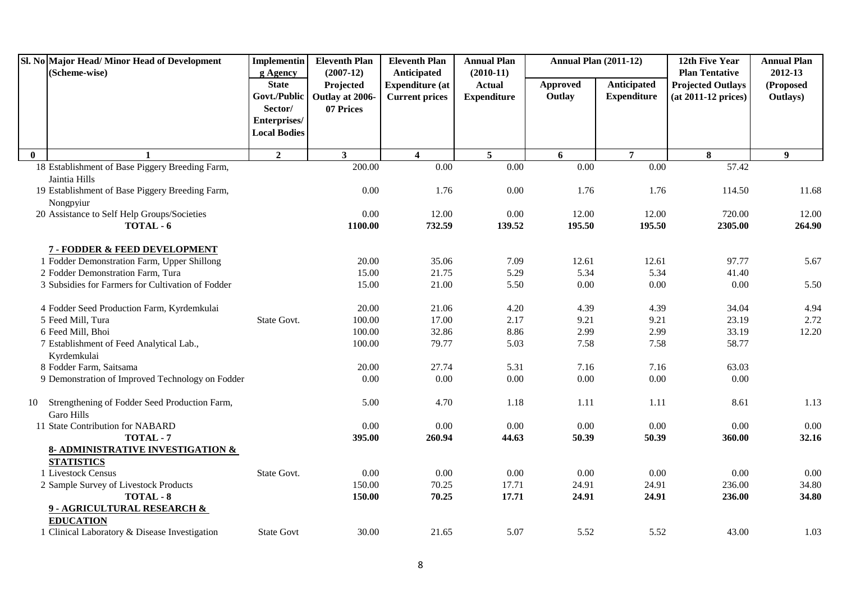|              | Sl. No Major Head/ Minor Head of Development<br>(Scheme-wise)      | <b>Implementin</b><br>g Agency                          | <b>Eleventh Plan</b><br>$(2007-12)$       | <b>Eleventh Plan</b><br>Anticipated             | <b>Annual Plan</b><br>$(2010-11)$   | <b>Annual Plan (2011-12)</b> |                                   | 12th Five Year<br><b>Plan Tentative</b>           | <b>Annual Plan</b><br>2012-13 |
|--------------|--------------------------------------------------------------------|---------------------------------------------------------|-------------------------------------------|-------------------------------------------------|-------------------------------------|------------------------------|-----------------------------------|---------------------------------------------------|-------------------------------|
|              |                                                                    | <b>State</b><br>Govt./Public<br>Sector/<br>Enterprises/ | Projected<br>Outlay at 2006-<br>07 Prices | <b>Expenditure (at</b><br><b>Current prices</b> | <b>Actual</b><br><b>Expenditure</b> | Approved<br>Outlay           | Anticipated<br><b>Expenditure</b> | <b>Projected Outlays</b><br>$(at 2011-12 prices)$ | (Proposed<br>Outlays)         |
|              |                                                                    | <b>Local Bodies</b>                                     |                                           |                                                 |                                     |                              |                                   |                                                   |                               |
| $\mathbf{0}$ | $\mathbf{1}$                                                       | $\overline{2}$                                          | $\overline{\mathbf{3}}$                   | $\overline{\mathbf{4}}$                         | $\overline{5}$                      | 6                            | $\overline{7}$                    | 8                                                 | 9 <sup>°</sup>                |
|              | 18 Establishment of Base Piggery Breeding Farm,                    |                                                         | 200.00                                    | $\overline{0.00}$                               | 0.00                                | $\overline{0.00}$            | $\overline{0.00}$                 | 57.42                                             |                               |
|              | Jaintia Hills                                                      |                                                         |                                           |                                                 |                                     |                              |                                   |                                                   |                               |
|              | 19 Establishment of Base Piggery Breeding Farm,                    |                                                         | 0.00                                      | 1.76                                            | 0.00                                | 1.76                         | 1.76                              | 114.50                                            | 11.68                         |
|              | Nongpyiur<br>20 Assistance to Self Help Groups/Societies           |                                                         | 0.00                                      | 12.00                                           | 0.00                                | 12.00                        | 12.00                             | 720.00                                            | 12.00                         |
|              | TOTAL - 6                                                          |                                                         | 1100.00                                   | 732.59                                          | 139.52                              | 195.50                       | 195.50                            | 2305.00                                           | 264.90                        |
|              |                                                                    |                                                         |                                           |                                                 |                                     |                              |                                   |                                                   |                               |
|              | 7 - FODDER & FEED DEVELOPMENT                                      |                                                         |                                           |                                                 |                                     |                              |                                   |                                                   |                               |
|              | 1 Fodder Demonstration Farm, Upper Shillong                        |                                                         | 20.00                                     | 35.06                                           | 7.09                                | 12.61                        | 12.61                             | 97.77                                             | 5.67                          |
|              | 2 Fodder Demonstration Farm, Tura                                  |                                                         | 15.00                                     | 21.75                                           | 5.29                                | 5.34                         | 5.34                              | 41.40                                             |                               |
|              | 3 Subsidies for Farmers for Cultivation of Fodder                  |                                                         | 15.00                                     | 21.00                                           | 5.50                                | 0.00                         | 0.00                              | 0.00                                              | 5.50                          |
|              | 4 Fodder Seed Production Farm, Kyrdemkulai                         |                                                         | 20.00                                     | 21.06                                           | 4.20                                | 4.39                         | 4.39                              | 34.04                                             | 4.94                          |
|              | 5 Feed Mill, Tura                                                  | State Govt.                                             | 100.00                                    | 17.00                                           | 2.17                                | 9.21                         | 9.21                              | 23.19                                             | 2.72                          |
|              | 6 Feed Mill, Bhoi                                                  |                                                         | 100.00                                    | 32.86                                           | 8.86                                | 2.99                         | 2.99                              | 33.19                                             | 12.20                         |
|              | 7 Establishment of Feed Analytical Lab.,<br>Kyrdemkulai            |                                                         | 100.00                                    | 79.77                                           | 5.03                                | 7.58                         | 7.58                              | 58.77                                             |                               |
|              | 8 Fodder Farm, Saitsama                                            |                                                         | 20.00                                     | 27.74                                           | 5.31                                | 7.16                         | 7.16                              | 63.03                                             |                               |
|              | 9 Demonstration of Improved Technology on Fodder                   |                                                         | 0.00                                      | 0.00                                            | $0.00\,$                            | 0.00                         | 0.00                              | 0.00                                              |                               |
|              |                                                                    |                                                         |                                           |                                                 |                                     |                              |                                   |                                                   |                               |
| 10           | Strengthening of Fodder Seed Production Farm,<br><b>Garo Hills</b> |                                                         | 5.00                                      | 4.70                                            | 1.18                                | 1.11                         | 1.11                              | 8.61                                              | 1.13                          |
|              | 11 State Contribution for NABARD                                   |                                                         | 0.00                                      | 0.00                                            | 0.00                                | 0.00                         | $0.00\,$                          | 0.00                                              | 0.00                          |
|              | TOTAL - 7                                                          |                                                         | 395.00                                    | 260.94                                          | 44.63                               | 50.39                        | 50.39                             | 360.00                                            | 32.16                         |
|              | <b>8- ADMINISTRATIVE INVESTIGATION &amp;</b><br><b>STATISTICS</b>  |                                                         |                                           |                                                 |                                     |                              |                                   |                                                   |                               |
|              | 1 Livestock Census                                                 | State Govt.                                             | 0.00                                      | 0.00                                            | 0.00                                | 0.00                         | 0.00                              | 0.00                                              | 0.00                          |
|              | 2 Sample Survey of Livestock Products                              |                                                         | 150.00                                    | 70.25                                           | 17.71                               | 24.91                        | 24.91                             | 236.00                                            | 34.80                         |
|              | TOTAL - 8                                                          |                                                         | 150.00                                    | 70.25                                           | 17.71                               | 24.91                        | 24.91                             | 236.00                                            | 34.80                         |
|              | 9 - AGRICULTURAL RESEARCH &                                        |                                                         |                                           |                                                 |                                     |                              |                                   |                                                   |                               |
|              | <b>EDUCATION</b><br>1 Clinical Laboratory & Disease Investigation  | <b>State Govt</b>                                       | 30.00                                     |                                                 | 5.07                                | 5.52                         | 5.52                              | 43.00                                             | 1.03                          |
|              |                                                                    |                                                         |                                           | 21.65                                           |                                     |                              |                                   |                                                   |                               |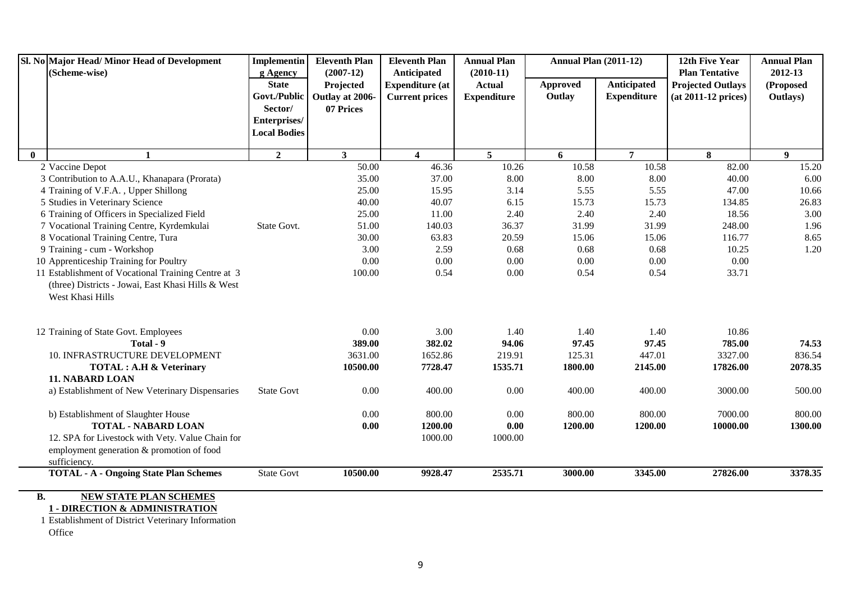| Sl. No Major Head/Minor Head of Development<br>(Scheme-wise)                                                                  | Implementin<br>g Agency | <b>Eleventh Plan</b><br>$(2007-12)$ | <b>Eleventh Plan</b><br>Anticipated | <b>Annual Plan</b><br>$(2010-11)$ | <b>Annual Plan (2011-12)</b> |                    | 12th Five Year<br><b>Plan Tentative</b> | <b>Annual Plan</b><br>2012-13 |
|-------------------------------------------------------------------------------------------------------------------------------|-------------------------|-------------------------------------|-------------------------------------|-----------------------------------|------------------------------|--------------------|-----------------------------------------|-------------------------------|
|                                                                                                                               | <b>State</b>            | Projected                           | <b>Expenditure (at</b>              | <b>Actual</b>                     | <b>Approved</b>              | Anticipated        | <b>Projected Outlays</b>                | (Proposed                     |
|                                                                                                                               | Govt./Public            | Outlay at 2006-                     | <b>Current prices</b>               | <b>Expenditure</b>                | Outlay                       | <b>Expenditure</b> | $(at 2011-12 prices)$                   | Outlays)                      |
|                                                                                                                               | Sector/                 | 07 Prices                           |                                     |                                   |                              |                    |                                         |                               |
|                                                                                                                               | Enterprises/            |                                     |                                     |                                   |                              |                    |                                         |                               |
|                                                                                                                               | <b>Local Bodies</b>     |                                     |                                     |                                   |                              |                    |                                         |                               |
| $\mathbf{0}$<br>$\mathbf{1}$                                                                                                  | $\mathbf{2}$            | $\mathbf{3}$                        | $\overline{4}$                      | 5 <sup>5</sup>                    | 6                            | $\overline{7}$     | 8                                       | 9                             |
| 2 Vaccine Depot                                                                                                               |                         | 50.00                               | 46.36                               | 10.26                             | 10.58                        | 10.58              | 82.00                                   | 15.20                         |
| 3 Contribution to A.A.U., Khanapara (Prorata)                                                                                 |                         | 35.00                               | 37.00                               | 8.00                              | 8.00                         | 8.00               | 40.00                                   | 6.00                          |
| 4 Training of V.F.A., Upper Shillong                                                                                          |                         | 25.00                               | 15.95                               | 3.14                              | 5.55                         | 5.55               | 47.00                                   | 10.66                         |
| 5 Studies in Veterinary Science                                                                                               |                         | 40.00                               | 40.07                               | 6.15                              | 15.73                        | 15.73              | 134.85                                  | 26.83                         |
| 6 Training of Officers in Specialized Field                                                                                   |                         | 25.00                               | 11.00                               | 2.40                              | 2.40                         | 2.40               | 18.56                                   | 3.00                          |
| 7 Vocational Training Centre, Kyrdemkulai                                                                                     | State Govt.             | 51.00                               | 140.03                              | 36.37                             | 31.99                        | 31.99              | 248.00                                  | 1.96                          |
| 8 Vocational Training Centre, Tura                                                                                            |                         | 30.00                               | 63.83                               | 20.59                             | 15.06                        | 15.06              | 116.77                                  | 8.65                          |
| 9 Training - cum - Workshop                                                                                                   |                         | 3.00                                | 2.59                                | 0.68                              | 0.68                         | 0.68               | 10.25                                   | 1.20                          |
| 10 Apprenticeship Training for Poultry                                                                                        |                         | 0.00                                | 0.00                                | 0.00                              | 0.00                         | 0.00               | 0.00                                    |                               |
| 11 Establishment of Vocational Training Centre at 3<br>(three) Districts - Jowai, East Khasi Hills & West<br>West Khasi Hills |                         | 100.00                              | 0.54                                | 0.00                              | 0.54                         | 0.54               | 33.71                                   |                               |
| 12 Training of State Govt. Employees                                                                                          |                         | 0.00                                | 3.00                                | 1.40                              | 1.40                         | 1.40               | 10.86                                   |                               |
| Total - 9                                                                                                                     |                         | 389.00                              | 382.02                              | 94.06                             | 97.45                        | 97.45              | 785.00                                  | 74.53                         |
| 10. INFRASTRUCTURE DEVELOPMENT                                                                                                |                         | 3631.00                             | 1652.86                             | 219.91                            | 125.31                       | 447.01             | 3327.00                                 | 836.54                        |
| <b>TOTAL: A.H &amp; Veterinary</b>                                                                                            |                         | 10500.00                            | 7728.47                             | 1535.71                           | 1800.00                      | 2145.00            | 17826.00                                | 2078.35                       |
| <b>11. NABARD LOAN</b><br>a) Establishment of New Veterinary Dispensaries                                                     | <b>State Govt</b>       | 0.00                                | 400.00                              | 0.00                              | 400.00                       | 400.00             | 3000.00                                 | 500.00                        |
| b) Establishment of Slaughter House<br><b>TOTAL - NABARD LOAN</b>                                                             |                         | 0.00<br>0.00                        | 800.00<br>1200.00                   | 0.00<br>0.00                      | 800.00<br>1200.00            | 800.00<br>1200.00  | 7000.00<br>10000.00                     | 800.00<br>1300.00             |
| 12. SPA for Livestock with Vety. Value Chain for<br>employment generation & promotion of food<br>sufficiency.                 |                         |                                     | 1000.00                             | 1000.00                           |                              |                    |                                         |                               |
| <b>TOTAL - A - Ongoing State Plan Schemes</b>                                                                                 | <b>State Govt</b>       | 10500.00                            | 9928.47                             | 2535.71                           | 3000.00                      | 3345.00            | 27826.00                                | 3378.35                       |
| <b>B.</b><br><b>NEW STATE PLAN SCHEMES</b>                                                                                    |                         |                                     |                                     |                                   |                              |                    |                                         |                               |

## **1 - DIRECTION & ADMINISTRATION**

1 Establishment of District Veterinary Information Office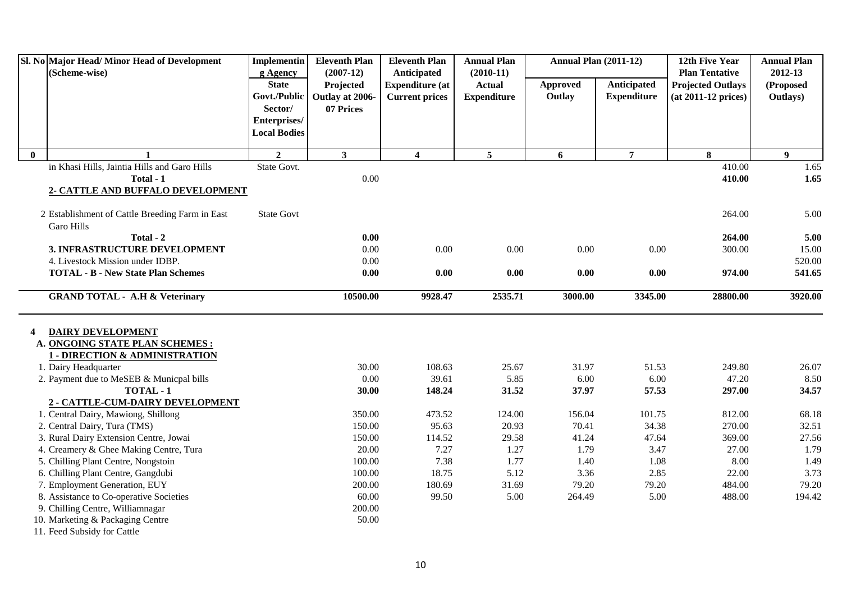|              | Sl. No Major Head/ Minor Head of Development    | <b>Implementin</b>  | <b>Eleventh Plan</b> | <b>Eleventh Plan</b>    | <b>Annual Plan</b> | <b>Annual Plan (2011-12)</b> |                    | 12th Five Year           | <b>Annual Plan</b> |
|--------------|-------------------------------------------------|---------------------|----------------------|-------------------------|--------------------|------------------------------|--------------------|--------------------------|--------------------|
|              | (Scheme-wise)                                   | g Agency            | $(2007-12)$          | Anticipated             | $(2010-11)$        |                              |                    | <b>Plan Tentative</b>    | 2012-13            |
|              |                                                 | <b>State</b>        | Projected            | <b>Expenditure</b> (at  | <b>Actual</b>      | Approved                     | <b>Anticipated</b> | <b>Projected Outlays</b> | (Proposed          |
|              |                                                 | Govt./Public        | Outlay at 2006-      | <b>Current prices</b>   | <b>Expenditure</b> | Outlay                       | <b>Expenditure</b> | $(at 2011-12 prices)$    | Outlays)           |
|              |                                                 | Sector/             | 07 Prices            |                         |                    |                              |                    |                          |                    |
|              |                                                 | Enterprises/        |                      |                         |                    |                              |                    |                          |                    |
|              |                                                 | <b>Local Bodies</b> |                      |                         |                    |                              |                    |                          |                    |
| $\mathbf{0}$ | $\mathbf{1}$                                    | $\overline{2}$      | $\mathbf{3}$         | $\overline{\mathbf{4}}$ | $5\phantom{.0}$    | 6                            | $\overline{7}$     | 8                        | $\boldsymbol{9}$   |
|              | in Khasi Hills, Jaintia Hills and Garo Hills    | State Govt.         |                      |                         |                    |                              |                    | 410.00                   | 1.65               |
|              | Total - 1                                       |                     | 0.00                 |                         |                    |                              |                    | 410.00                   | 1.65               |
|              | 2- CATTLE AND BUFFALO DEVELOPMENT               |                     |                      |                         |                    |                              |                    |                          |                    |
|              |                                                 |                     |                      |                         |                    |                              |                    |                          |                    |
|              | 2 Establishment of Cattle Breeding Farm in East | <b>State Govt</b>   |                      |                         |                    |                              |                    | 264.00                   | 5.00               |
|              | Garo Hills                                      |                     |                      |                         |                    |                              |                    |                          |                    |
|              | Total - 2                                       |                     | 0.00                 |                         |                    |                              |                    | 264.00                   | 5.00               |
|              | 3. INFRASTRUCTURE DEVELOPMENT                   |                     | 0.00                 | 0.00                    | 0.00               | 0.00                         | 0.00               | 300.00                   | 15.00              |
|              | 4. Livestock Mission under IDBP.                |                     | $0.00\,$             |                         |                    |                              |                    |                          | 520.00             |
|              | <b>TOTAL - B - New State Plan Schemes</b>       |                     | 0.00                 | 0.00                    | 0.00               | 0.00                         | 0.00               | 974.00                   | 541.65             |
|              |                                                 |                     |                      |                         |                    |                              |                    |                          |                    |
|              | <b>GRAND TOTAL - A.H &amp; Veterinary</b>       |                     | 10500.00             | 9928.47                 | 2535.71            | 3000.00                      | 3345.00            | 28800.00                 | 3920.00            |
|              |                                                 |                     |                      |                         |                    |                              |                    |                          |                    |
| 4            | <b>DAIRY DEVELOPMENT</b>                        |                     |                      |                         |                    |                              |                    |                          |                    |
|              | A. ONGOING STATE PLAN SCHEMES :                 |                     |                      |                         |                    |                              |                    |                          |                    |
|              | <b>1 - DIRECTION &amp; ADMINISTRATION</b>       |                     |                      |                         |                    |                              |                    |                          |                    |
|              | 1. Dairy Headquarter                            |                     | 30.00                | 108.63                  | 25.67              | 31.97                        | 51.53              | 249.80                   | 26.07              |
|              | 2. Payment due to MeSEB & Municpal bills        |                     | 0.00                 | 39.61                   | 5.85               | 6.00                         | 6.00               | 47.20                    | 8.50               |
|              | TOTAL - 1                                       |                     | 30.00                | 148.24                  | 31.52              | 37.97                        | 57.53              | 297.00                   | 34.57              |
|              | 2 - CATTLE-CUM-DAIRY DEVELOPMENT                |                     |                      |                         |                    |                              |                    |                          |                    |
|              | 1. Central Dairy, Mawiong, Shillong             |                     | 350.00               | 473.52                  | 124.00             | 156.04                       | 101.75             | 812.00                   | 68.18              |
|              | 2. Central Dairy, Tura (TMS)                    |                     | 150.00               | 95.63                   | 20.93              | 70.41                        | 34.38              | 270.00                   | 32.51              |
|              | 3. Rural Dairy Extension Centre, Jowai          |                     | 150.00               | 114.52                  | 29.58              | 41.24                        | 47.64              | 369.00                   | 27.56              |
|              | 4. Creamery & Ghee Making Centre, Tura          |                     | 20.00                | 7.27                    | 1.27               | 1.79                         | 3.47               | 27.00                    | 1.79               |
|              | 5. Chilling Plant Centre, Nongstoin             |                     | 100.00               | 7.38                    | 1.77               | 1.40                         | 1.08               | 8.00                     | 1.49               |
|              | 6. Chilling Plant Centre, Gangdubi              |                     | 100.00               | 18.75                   | 5.12               | 3.36                         | 2.85               | 22.00                    | 3.73               |
|              | 7. Employment Generation, EUY                   |                     | 200.00               | 180.69                  | 31.69              | 79.20                        | 79.20              | 484.00                   | 79.20              |
|              | 8. Assistance to Co-operative Societies         |                     | 60.00                | 99.50                   | 5.00               | 264.49                       | 5.00               | 488.00                   | 194.42             |
|              | 9. Chilling Centre, Williamnagar                |                     | 200.00               |                         |                    |                              |                    |                          |                    |
|              | 10. Marketing & Packaging Centre                |                     | 50.00                |                         |                    |                              |                    |                          |                    |
|              | 11. Feed Subsidy for Cattle                     |                     |                      |                         |                    |                              |                    |                          |                    |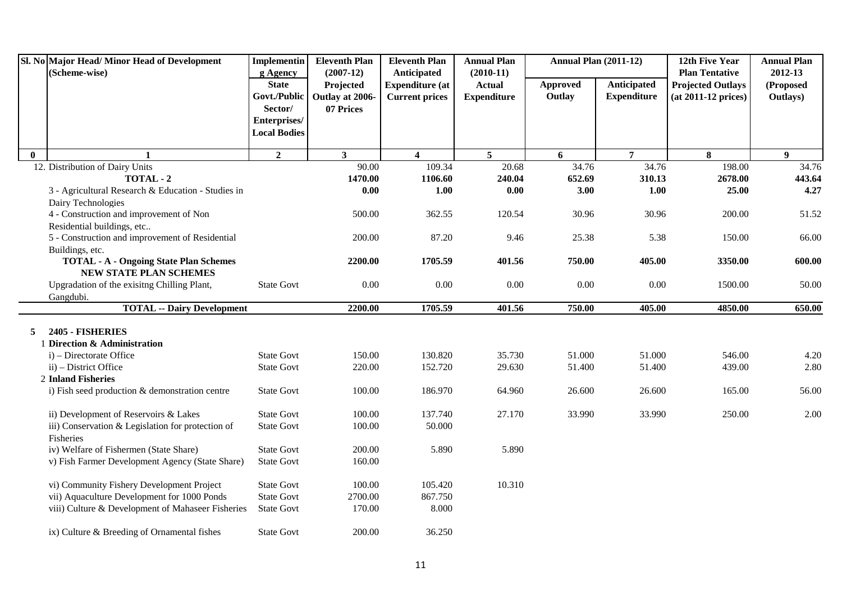|              | Sl. No Major Head/Minor Head of Development                      | <b>Implementin</b>                     | <b>Eleventh Plan</b>     | <b>Eleventh Plan</b>                  | <b>Annual Plan</b>           | <b>Annual Plan (2011-12)</b> |                    | 12th Five Year                                    | <b>Annual Plan</b>   |
|--------------|------------------------------------------------------------------|----------------------------------------|--------------------------|---------------------------------------|------------------------------|------------------------------|--------------------|---------------------------------------------------|----------------------|
|              | (Scheme-wise)                                                    | g Agency<br><b>State</b>               | $(2007-12)$<br>Projected | Anticipated<br><b>Expenditure (at</b> | $(2010-11)$<br><b>Actual</b> | Approved                     | Anticipated        | <b>Plan Tentative</b><br><b>Projected Outlays</b> | 2012-13<br>(Proposed |
|              |                                                                  | Govt./Public                           | Outlay at 2006-          | <b>Current prices</b>                 | <b>Expenditure</b>           | Outlay                       | <b>Expenditure</b> | (at 2011-12 prices)                               | Outlays)             |
|              |                                                                  | Sector/                                | 07 Prices                |                                       |                              |                              |                    |                                                   |                      |
|              |                                                                  | Enterprises/                           |                          |                                       |                              |                              |                    |                                                   |                      |
|              |                                                                  | <b>Local Bodies</b>                    |                          |                                       |                              |                              |                    |                                                   |                      |
| $\mathbf{0}$ |                                                                  | $\overline{2}$                         | $\mathbf{3}$             | $\overline{\mathbf{4}}$               | 5 <sup>5</sup>               | 6                            | $\overline{7}$     | 8                                                 | 9                    |
|              | 12. Distribution of Dairy Units                                  |                                        | 90.00                    | 109.34                                | 20.68                        | 34.76                        | 34.76              | 198.00                                            | 34.76                |
|              | TOTAL - 2                                                        |                                        | 1470.00                  | 1106.60                               | 240.04                       | 652.69                       | 310.13             | 2678.00                                           | 443.64               |
|              | 3 - Agricultural Research & Education - Studies in               |                                        | $0.00\,$                 | 1.00                                  | $0.00\,$                     | 3.00                         | 1.00               | 25.00                                             | 4.27                 |
|              | Dairy Technologies                                               |                                        |                          |                                       |                              |                              |                    |                                                   |                      |
|              | 4 - Construction and improvement of Non                          |                                        | 500.00                   | 362.55                                | 120.54                       | 30.96                        | 30.96              | 200.00                                            | 51.52                |
|              | Residential buildings, etc                                       |                                        |                          |                                       |                              |                              |                    |                                                   |                      |
|              | 5 - Construction and improvement of Residential                  |                                        | 200.00                   | 87.20                                 | 9.46                         | 25.38                        | 5.38               | 150.00                                            | 66.00                |
|              | Buildings, etc.<br><b>TOTAL - A - Ongoing State Plan Schemes</b> |                                        | 2200.00                  | 1705.59                               | 401.56                       | 750.00                       | 405.00             | 3350.00                                           | 600.00               |
|              | NEW STATE PLAN SCHEMES                                           |                                        |                          |                                       |                              |                              |                    |                                                   |                      |
|              | Upgradation of the exisitng Chilling Plant,                      | <b>State Govt</b>                      | 0.00                     | 0.00                                  | 0.00                         | 0.00                         | 0.00               | 1500.00                                           | 50.00                |
|              | Gangdubi.                                                        |                                        |                          |                                       |                              |                              |                    |                                                   |                      |
|              | <b>TOTAL -- Dairy Development</b>                                |                                        | 2200.00                  | 1705.59                               | 401.56                       | 750.00                       | 405.00             | 4850.00                                           | 650.00               |
|              | 2405 - FISHERIES                                                 |                                        |                          |                                       |                              |                              |                    |                                                   |                      |
| 5            | <b>Direction &amp; Administration</b>                            |                                        |                          |                                       |                              |                              |                    |                                                   |                      |
|              | $i$ ) – Directorate Office                                       | <b>State Govt</b>                      | 150.00                   | 130.820                               | 35.730                       | 51.000                       | 51.000             | 546.00                                            | 4.20                 |
|              | ii) – District Office                                            | <b>State Govt</b>                      | 220.00                   | 152.720                               | 29.630                       | 51.400                       | 51.400             | 439.00                                            | 2.80                 |
|              | 2 Inland Fisheries                                               |                                        |                          |                                       |                              |                              |                    |                                                   |                      |
|              | i) Fish seed production & demonstration centre                   | <b>State Govt</b>                      | 100.00                   | 186.970                               | 64.960                       | 26.600                       | 26.600             | 165.00                                            | 56.00                |
|              |                                                                  |                                        |                          |                                       |                              |                              |                    |                                                   |                      |
|              | ii) Development of Reservoirs & Lakes                            | <b>State Govt</b>                      | 100.00                   | 137.740                               | 27.170                       | 33.990                       | 33.990             | 250.00                                            | 2.00                 |
|              | iii) Conservation & Legislation for protection of                | <b>State Govt</b>                      | 100.00                   | 50.000                                |                              |                              |                    |                                                   |                      |
|              | Fisheries                                                        |                                        |                          |                                       |                              |                              |                    |                                                   |                      |
|              | iv) Welfare of Fishermen (State Share)                           | <b>State Govt</b>                      | 200.00                   | 5.890                                 | 5.890                        |                              |                    |                                                   |                      |
|              | v) Fish Farmer Development Agency (State Share)                  | <b>State Govt</b>                      | 160.00                   |                                       |                              |                              |                    |                                                   |                      |
|              |                                                                  |                                        |                          |                                       |                              |                              |                    |                                                   |                      |
|              | vi) Community Fishery Development Project                        | <b>State Govt</b>                      | 100.00                   | 105.420                               | 10.310                       |                              |                    |                                                   |                      |
|              | vii) Aquaculture Development for 1000 Ponds                      | <b>State Govt</b><br><b>State Govt</b> | 2700.00<br>170.00        | 867.750<br>8.000                      |                              |                              |                    |                                                   |                      |
|              | viii) Culture & Development of Mahaseer Fisheries                |                                        |                          |                                       |                              |                              |                    |                                                   |                      |
|              | ix) Culture & Breeding of Ornamental fishes                      | <b>State Govt</b>                      | 200.00                   | 36.250                                |                              |                              |                    |                                                   |                      |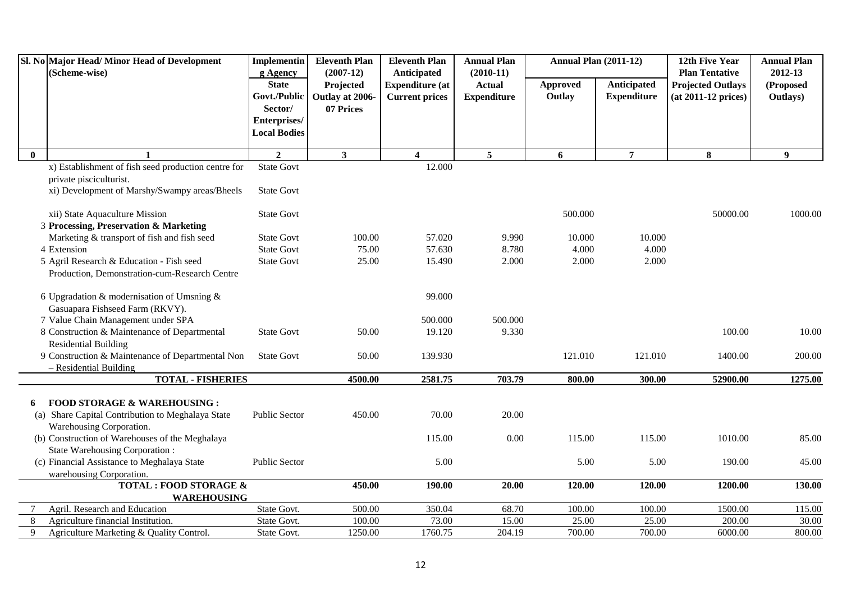|          | Sl. No Major Head/Minor Head of Development<br>(Scheme-wise)                     | Implementin<br>g Agency                 | <b>Eleventh Plan</b><br>$(2007-12)$                      | <b>Eleventh Plan</b><br>Anticipated             | <b>Annual Plan</b><br>$(2010-11)$   | <b>Annual Plan (2011-12)</b> |                                   | 12th Five Year<br><b>Plan Tentative</b>           | <b>Annual Plan</b><br>2012-13 |
|----------|----------------------------------------------------------------------------------|-----------------------------------------|----------------------------------------------------------|-------------------------------------------------|-------------------------------------|------------------------------|-----------------------------------|---------------------------------------------------|-------------------------------|
|          |                                                                                  | <b>State</b><br>Sector/<br>Enterprises/ | Projected<br>Govt./Public   Outlay at 2006-<br>07 Prices | <b>Expenditure</b> (at<br><b>Current prices</b> | <b>Actual</b><br><b>Expenditure</b> | <b>Approved</b><br>Outlay    | Anticipated<br><b>Expenditure</b> | <b>Projected Outlays</b><br>$(at 2011-12 prices)$ | (Proposed<br>Outlays)         |
|          |                                                                                  | <b>Local Bodies</b>                     |                                                          |                                                 |                                     |                              |                                   |                                                   |                               |
| $\bf{0}$ | $\mathbf{1}$                                                                     | $\mathbf{2}$                            | $\mathbf{3}$                                             | $\overline{4}$                                  | 5 <sup>5</sup>                      | 6                            | $\overline{7}$                    | 8                                                 | 9                             |
|          | x) Establishment of fish seed production centre for                              | <b>State Govt</b>                       |                                                          | 12.000                                          |                                     |                              |                                   |                                                   |                               |
|          | private pisciculturist.<br>xi) Development of Marshy/Swampy areas/Bheels         | <b>State Govt</b>                       |                                                          |                                                 |                                     |                              |                                   |                                                   |                               |
|          | xii) State Aquaculture Mission<br>3 Processing, Preservation & Marketing         | <b>State Govt</b>                       |                                                          |                                                 |                                     | 500.000                      |                                   | 50000.00                                          | 1000.00                       |
|          | Marketing & transport of fish and fish seed                                      | <b>State Govt</b>                       | 100.00                                                   | 57.020                                          | 9.990                               | 10.000                       | 10.000                            |                                                   |                               |
|          | 4 Extension                                                                      | <b>State Govt</b>                       | 75.00                                                    | 57.630                                          | 8.780                               | 4.000                        | 4.000                             |                                                   |                               |
|          | 5 Agril Research & Education - Fish seed                                         | <b>State Govt</b>                       | 25.00                                                    | 15.490                                          | 2.000                               | 2.000                        | 2.000                             |                                                   |                               |
|          | Production, Demonstration-cum-Research Centre                                    |                                         |                                                          |                                                 |                                     |                              |                                   |                                                   |                               |
|          | 6 Upgradation & modernisation of Umsning $\&$<br>Gasuapara Fishseed Farm (RKVY). |                                         |                                                          | 99.000                                          |                                     |                              |                                   |                                                   |                               |
|          | 7 Value Chain Management under SPA                                               |                                         |                                                          | 500.000                                         | 500.000                             |                              |                                   |                                                   |                               |
|          | 8 Construction & Maintenance of Departmental<br><b>Residential Building</b>      | <b>State Govt</b>                       | 50.00                                                    | 19.120                                          | 9.330                               |                              |                                   | 100.00                                            | 10.00                         |
|          | 9 Construction & Maintenance of Departmental Non                                 | <b>State Govt</b>                       | 50.00                                                    | 139.930                                         |                                     | 121.010                      | 121.010                           | 1400.00                                           | 200.00                        |
|          | - Residential Building<br><b>TOTAL - FISHERIES</b>                               |                                         | 4500.00                                                  | 2581.75                                         | 703.79                              | 800.00                       | 300.00                            | 52900.00                                          | 1275.00                       |
|          |                                                                                  |                                         |                                                          |                                                 |                                     |                              |                                   |                                                   |                               |
| 6        | <b>FOOD STORAGE &amp; WAREHOUSING:</b>                                           |                                         |                                                          |                                                 |                                     |                              |                                   |                                                   |                               |
|          | (a) Share Capital Contribution to Meghalaya State                                | Public Sector                           | 450.00                                                   | 70.00                                           | 20.00                               |                              |                                   |                                                   |                               |
|          | Warehousing Corporation.                                                         |                                         |                                                          |                                                 |                                     |                              |                                   |                                                   |                               |
|          | (b) Construction of Warehouses of the Meghalaya                                  |                                         |                                                          | 115.00                                          | 0.00                                | 115.00                       | 115.00                            | 1010.00                                           | 85.00                         |
|          | <b>State Warehousing Corporation:</b>                                            |                                         |                                                          |                                                 |                                     |                              |                                   |                                                   |                               |
|          | (c) Financial Assistance to Meghalaya State                                      | Public Sector                           |                                                          | 5.00                                            |                                     | 5.00                         | 5.00                              | 190.00                                            | 45.00                         |
|          | warehousing Corporation.<br><b>TOTAL: FOOD STORAGE &amp;</b>                     |                                         | 450.00                                                   | 190.00                                          | 20.00                               | 120.00                       | 120.00                            | 1200.00                                           | 130.00                        |
|          | <b>WAREHOUSING</b>                                                               |                                         |                                                          |                                                 |                                     |                              |                                   |                                                   |                               |
|          | Agril. Research and Education                                                    | State Govt.                             | 500.00                                                   | 350.04                                          | 68.70                               | 100.00                       | 100.00                            | 1500.00                                           | 115.00                        |
| 8        | Agriculture financial Institution.                                               | State Govt.                             | 100.00                                                   | 73.00                                           | 15.00                               | 25.00                        | 25.00                             | 200.00                                            | 30.00                         |
| 9        | Agriculture Marketing & Quality Control.                                         | State Govt.                             | 1250.00                                                  | 1760.75                                         | 204.19                              | 700.00                       | 700.00                            | 6000.00                                           | 800.00                        |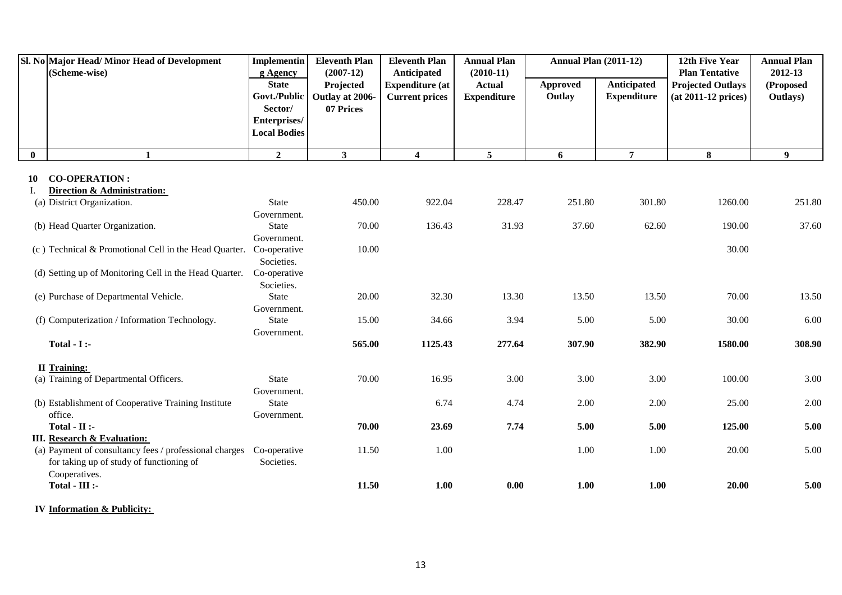|          | Sl. No Major Head/ Minor Head of Development<br>(Scheme-wise)                                | <b>Implementin</b><br>g Agency                                                 | <b>Eleventh Plan</b><br>$(2007-12)$       | <b>Eleventh Plan</b><br>Anticipated             | <b>Annual Plan</b><br>$(2010-11)$   | <b>Annual Plan (2011-12)</b> |                                   | 12th Five Year<br><b>Plan Tentative</b>           | <b>Annual Plan</b><br>2012-13 |
|----------|----------------------------------------------------------------------------------------------|--------------------------------------------------------------------------------|-------------------------------------------|-------------------------------------------------|-------------------------------------|------------------------------|-----------------------------------|---------------------------------------------------|-------------------------------|
|          |                                                                                              | <b>State</b><br>Govt./Public<br>Sector/<br>Enterprises/<br><b>Local Bodies</b> | Projected<br>Outlay at 2006-<br>07 Prices | <b>Expenditure (at</b><br><b>Current prices</b> | <b>Actual</b><br><b>Expenditure</b> | Approved<br>Outlay           | Anticipated<br><b>Expenditure</b> | <b>Projected Outlays</b><br>$(at 2011-12 prices)$ | (Proposed<br>Outlays)         |
| $\bf{0}$ | $\mathbf{1}$                                                                                 | $\overline{2}$                                                                 | 3                                         | $\boldsymbol{4}$                                | 5 <sup>5</sup>                      | 6                            | $\overline{7}$                    | 8                                                 | 9 <sup>°</sup>                |
| 10       | <b>CO-OPERATION:</b>                                                                         |                                                                                |                                           |                                                 |                                     |                              |                                   |                                                   |                               |
| Ι.       | Direction & Administration:                                                                  |                                                                                |                                           |                                                 |                                     |                              |                                   |                                                   |                               |
|          | (a) District Organization.                                                                   | <b>State</b>                                                                   | 450.00                                    | 922.04                                          | 228.47                              | 251.80                       | 301.80                            | 1260.00                                           | 251.80                        |
|          |                                                                                              | Government.                                                                    |                                           |                                                 |                                     |                              |                                   |                                                   |                               |
|          | (b) Head Quarter Organization.                                                               | <b>State</b>                                                                   | 70.00                                     | 136.43                                          | 31.93                               | 37.60                        | 62.60                             | 190.00                                            | 37.60                         |
|          |                                                                                              | Government.                                                                    |                                           |                                                 |                                     |                              |                                   |                                                   |                               |
|          | (c) Technical & Promotional Cell in the Head Quarter.                                        | Co-operative                                                                   | 10.00                                     |                                                 |                                     |                              |                                   | 30.00                                             |                               |
|          |                                                                                              | Societies.                                                                     |                                           |                                                 |                                     |                              |                                   |                                                   |                               |
|          | (d) Setting up of Monitoring Cell in the Head Quarter.                                       | Co-operative                                                                   |                                           |                                                 |                                     |                              |                                   |                                                   |                               |
|          | (e) Purchase of Departmental Vehicle.                                                        | Societies.<br><b>State</b>                                                     | 20.00                                     | 32.30                                           | 13.30                               | 13.50                        | 13.50                             | 70.00                                             | 13.50                         |
|          |                                                                                              | Government.                                                                    |                                           |                                                 |                                     |                              |                                   |                                                   |                               |
|          | (f) Computerization / Information Technology.                                                | <b>State</b>                                                                   | 15.00                                     | 34.66                                           | 3.94                                | 5.00                         | 5.00                              | 30.00                                             | 6.00                          |
|          |                                                                                              | Government.                                                                    |                                           |                                                 |                                     |                              |                                   |                                                   |                               |
|          | Total - $I$ :-                                                                               |                                                                                | 565.00                                    | 1125.43                                         | 277.64                              | 307.90                       | 382.90                            | 1580.00                                           | 308.90                        |
|          | <b>II</b> Training:                                                                          |                                                                                |                                           |                                                 |                                     |                              |                                   |                                                   |                               |
|          | (a) Training of Departmental Officers.                                                       | <b>State</b>                                                                   | 70.00                                     | 16.95                                           | 3.00                                | 3.00                         | 3.00                              | 100.00                                            | 3.00                          |
|          |                                                                                              | Government.                                                                    |                                           |                                                 |                                     |                              |                                   |                                                   |                               |
|          | (b) Establishment of Cooperative Training Institute                                          | <b>State</b>                                                                   |                                           | 6.74                                            | 4.74                                | 2.00                         | 2.00                              | 25.00                                             | 2.00                          |
|          | office.                                                                                      | Government.                                                                    |                                           |                                                 |                                     |                              |                                   |                                                   |                               |
|          | $Total - II$ :-                                                                              |                                                                                | 70.00                                     | 23.69                                           | 7.74                                | 5.00                         | 5.00                              | 125.00                                            | 5.00                          |
|          | <b>III.</b> Research & Evaluation:<br>(a) Payment of consultancy fees / professional charges | Co-operative                                                                   | 11.50                                     | 1.00                                            |                                     | 1.00                         | 1.00                              | 20.00                                             | 5.00                          |
|          | for taking up of study of functioning of                                                     | Societies.                                                                     |                                           |                                                 |                                     |                              |                                   |                                                   |                               |
|          | Cooperatives.                                                                                |                                                                                |                                           |                                                 |                                     |                              |                                   |                                                   |                               |
|          | Total - III :-                                                                               |                                                                                | 11.50                                     | 1.00                                            | 0.00                                | 1.00                         | 1.00                              | 20.00                                             | 5.00                          |
|          |                                                                                              |                                                                                |                                           |                                                 |                                     |                              |                                   |                                                   |                               |

**IV Information & Publicity:**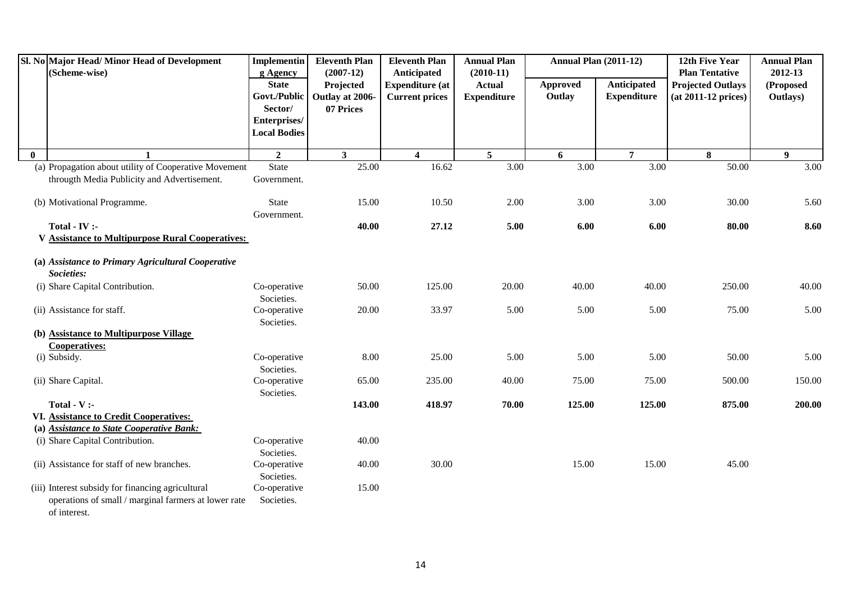|          | Sl. No Major Head/Minor Head of Development<br>(Scheme-wise)         | Implementin<br>g Agency    | <b>Eleventh Plan</b><br>$(2007-12)$ | <b>Eleventh Plan</b><br>Anticipated | <b>Annual Plan</b><br>$(2010-11)$ | <b>Annual Plan (2011-12)</b> |                    | 12th Five Year<br><b>Plan Tentative</b> | <b>Annual Plan</b><br>2012-13 |
|----------|----------------------------------------------------------------------|----------------------------|-------------------------------------|-------------------------------------|-----------------------------------|------------------------------|--------------------|-----------------------------------------|-------------------------------|
|          |                                                                      | <b>State</b>               | Projected                           | <b>Expenditure</b> (at              | <b>Actual</b>                     | Approved                     | Anticipated        | <b>Projected Outlays</b>                | (Proposed                     |
|          |                                                                      | Govt./Public               | Outlay at 2006-                     | <b>Current prices</b>               | <b>Expenditure</b>                | Outlay                       | <b>Expenditure</b> | (at 2011-12 prices)                     | Outlays)                      |
|          |                                                                      | Sector/                    | 07 Prices                           |                                     |                                   |                              |                    |                                         |                               |
|          |                                                                      | Enterprises/               |                                     |                                     |                                   |                              |                    |                                         |                               |
|          |                                                                      | <b>Local Bodies</b>        |                                     |                                     |                                   |                              |                    |                                         |                               |
| $\bf{0}$ |                                                                      | $\overline{2}$             | 3 <sup>1</sup>                      | $\overline{\mathbf{4}}$             | 5                                 | 6                            | $\overline{7}$     | 8                                       | 9 <sup>°</sup>                |
|          | (a) Propagation about utility of Cooperative Movement                | <b>State</b>               | 25.00                               | 16.62                               | 3.00                              | $\overline{3.00}$            | 3.00               | 50.00                                   | 3.00                          |
|          | througth Media Publicity and Advertisement.                          | Government.                |                                     |                                     |                                   |                              |                    |                                         |                               |
|          | (b) Motivational Programme.                                          | <b>State</b>               | 15.00                               | 10.50                               | 2.00                              | 3.00                         | 3.00               | 30.00                                   | 5.60                          |
|          |                                                                      | Government.                |                                     |                                     |                                   |                              |                    |                                         |                               |
|          | Total - $IV:$                                                        |                            | 40.00                               | 27.12                               | 5.00                              | 6.00                         | 6.00               | 80.00                                   | 8.60                          |
|          | <b>V Assistance to Multipurpose Rural Cooperatives:</b>              |                            |                                     |                                     |                                   |                              |                    |                                         |                               |
|          | (a) Assistance to Primary Agricultural Cooperative                   |                            |                                     |                                     |                                   |                              |                    |                                         |                               |
|          | Societies:                                                           |                            |                                     |                                     |                                   |                              |                    |                                         |                               |
|          | (i) Share Capital Contribution.                                      | Co-operative<br>Societies. | 50.00                               | 125.00                              | 20.00                             | 40.00                        | 40.00              | 250.00                                  | 40.00                         |
|          | (ii) Assistance for staff.                                           | Co-operative<br>Societies. | 20.00                               | 33.97                               | 5.00                              | 5.00                         | 5.00               | 75.00                                   | 5.00                          |
|          | (b) Assistance to Multipurpose Village                               |                            |                                     |                                     |                                   |                              |                    |                                         |                               |
|          | <b>Cooperatives:</b>                                                 |                            |                                     |                                     |                                   |                              |                    |                                         |                               |
|          | (i) Subsidy.                                                         | Co-operative<br>Societies. | 8.00                                | 25.00                               | 5.00                              | 5.00                         | 5.00               | 50.00                                   | 5.00                          |
|          | (ii) Share Capital.                                                  | Co-operative               | 65.00                               | 235.00                              | 40.00                             | 75.00                        | 75.00              | 500.00                                  | 150.00                        |
|          |                                                                      | Societies.                 |                                     |                                     |                                   |                              |                    |                                         |                               |
|          | Total - $V$ :-                                                       |                            | 143.00                              | 418.97                              | 70.00                             | 125.00                       | 125.00             | 875.00                                  | 200.00                        |
|          | VI. Assistance to Credit Cooperatives:                               |                            |                                     |                                     |                                   |                              |                    |                                         |                               |
|          | (a) Assistance to State Cooperative Bank:                            |                            |                                     |                                     |                                   |                              |                    |                                         |                               |
|          | (i) Share Capital Contribution.                                      | Co-operative<br>Societies. | 40.00                               |                                     |                                   |                              |                    |                                         |                               |
|          | (ii) Assistance for staff of new branches.                           | Co-operative<br>Societies. | 40.00                               | 30.00                               |                                   | 15.00                        | 15.00              | 45.00                                   |                               |
|          | (iii) Interest subsidy for financing agricultural                    | Co-operative               | 15.00                               |                                     |                                   |                              |                    |                                         |                               |
|          | operations of small / marginal farmers at lower rate<br>of interest. | Societies.                 |                                     |                                     |                                   |                              |                    |                                         |                               |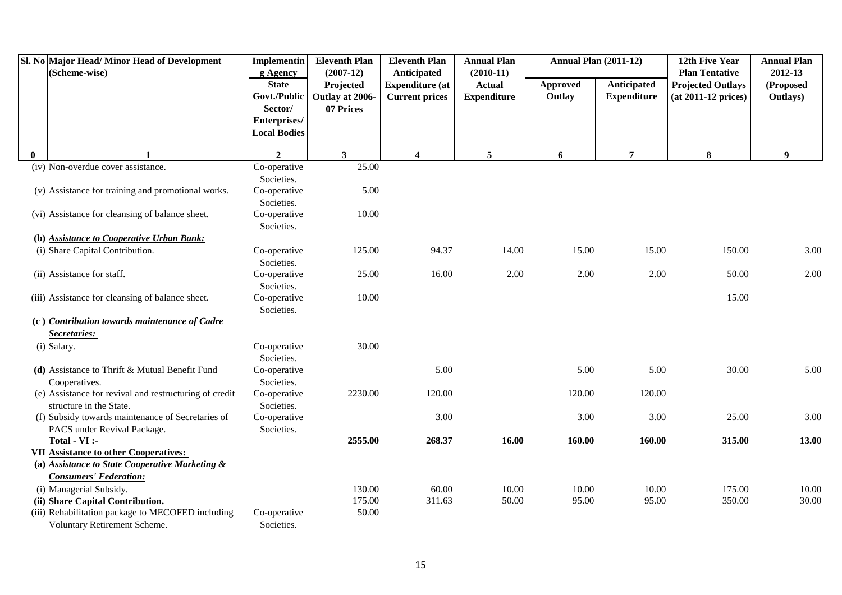|          | Sl. No Major Head/Minor Head of Development<br>(Scheme-wise)                                                                     | <b>Implementin</b><br>g Agency          | <b>Eleventh Plan</b><br>$(2007-12)$       | <b>Eleventh Plan</b><br>Anticipated             | <b>Annual Plan</b><br>$(2010-11)$   | <b>Annual Plan (2011-12)</b> |                                   | 12th Five Year<br><b>Plan Tentative</b>           | <b>Annual Plan</b><br>2012-13 |
|----------|----------------------------------------------------------------------------------------------------------------------------------|-----------------------------------------|-------------------------------------------|-------------------------------------------------|-------------------------------------|------------------------------|-----------------------------------|---------------------------------------------------|-------------------------------|
|          |                                                                                                                                  | <b>State</b><br>Govt./Public<br>Sector/ | Projected<br>Outlay at 2006-<br>07 Prices | <b>Expenditure</b> (at<br><b>Current prices</b> | <b>Actual</b><br><b>Expenditure</b> | <b>Approved</b><br>Outlay    | Anticipated<br><b>Expenditure</b> | <b>Projected Outlays</b><br>$(at 2011-12 prices)$ | (Proposed<br>Outlays)         |
|          |                                                                                                                                  | Enterprises/<br><b>Local Bodies</b>     |                                           |                                                 |                                     |                              |                                   |                                                   |                               |
| $\bf{0}$ |                                                                                                                                  | $\overline{2}$                          | 3 <sup>1</sup>                            | $\overline{\mathbf{4}}$                         | 5                                   | 6                            | $\overline{7}$                    | 8                                                 | 9                             |
|          | (iv) Non-overdue cover assistance.                                                                                               | Co-operative<br>Societies.              | 25.00                                     |                                                 |                                     |                              |                                   |                                                   |                               |
|          | (v) Assistance for training and promotional works.                                                                               | Co-operative<br>Societies.              | 5.00                                      |                                                 |                                     |                              |                                   |                                                   |                               |
|          | (vi) Assistance for cleansing of balance sheet.                                                                                  | Co-operative<br>Societies.              | 10.00                                     |                                                 |                                     |                              |                                   |                                                   |                               |
|          | (b) Assistance to Cooperative Urban Bank:                                                                                        |                                         |                                           |                                                 |                                     |                              |                                   |                                                   |                               |
|          | (i) Share Capital Contribution.                                                                                                  | Co-operative<br>Societies.              | 125.00                                    | 94.37                                           | 14.00                               | 15.00                        | 15.00                             | 150.00                                            | 3.00                          |
|          | (ii) Assistance for staff.                                                                                                       | Co-operative<br>Societies.              | 25.00                                     | 16.00                                           | 2.00                                | 2.00                         | 2.00                              | 50.00                                             | 2.00                          |
|          | (iii) Assistance for cleansing of balance sheet.                                                                                 | Co-operative<br>Societies.              | 10.00                                     |                                                 |                                     |                              |                                   | 15.00                                             |                               |
|          | (c) Contribution towards maintenance of Cadre<br>Secretaries:                                                                    |                                         |                                           |                                                 |                                     |                              |                                   |                                                   |                               |
|          | (i) Salary.                                                                                                                      | Co-operative<br>Societies.              | 30.00                                     |                                                 |                                     |                              |                                   |                                                   |                               |
|          | (d) Assistance to Thrift & Mutual Benefit Fund<br>Cooperatives.                                                                  | Co-operative<br>Societies.              |                                           | 5.00                                            |                                     | 5.00                         | 5.00                              | 30.00                                             | 5.00                          |
|          | (e) Assistance for revival and restructuring of credit<br>structure in the State.                                                | Co-operative<br>Societies.              | 2230.00                                   | 120.00                                          |                                     | 120.00                       | 120.00                            |                                                   |                               |
|          | (f) Subsidy towards maintenance of Secretaries of<br>PACS under Revival Package.                                                 | Co-operative<br>Societies.              |                                           | 3.00                                            |                                     | 3.00                         | 3.00                              | 25.00                                             | 3.00                          |
|          | Total - VI :-                                                                                                                    |                                         | 2555.00                                   | 268.37                                          | 16.00                               | 160.00                       | 160.00                            | 315.00                                            | 13.00                         |
|          | <b>VII Assistance to other Cooperatives:</b><br>(a) Assistance to State Cooperative Marketing &<br><b>Consumers' Federation:</b> |                                         |                                           |                                                 |                                     |                              |                                   |                                                   |                               |
|          | (i) Managerial Subsidy.                                                                                                          |                                         | 130.00                                    | 60.00                                           | 10.00                               | 10.00                        | 10.00                             | 175.00                                            | 10.00                         |
|          | (ii) Share Capital Contribution.                                                                                                 |                                         | 175.00                                    | 311.63                                          | 50.00                               | 95.00                        | 95.00                             | 350.00                                            | 30.00                         |
|          | (iii) Rehabilitation package to MECOFED including<br>Voluntary Retirement Scheme.                                                | Co-operative<br>Societies.              | 50.00                                     |                                                 |                                     |                              |                                   |                                                   |                               |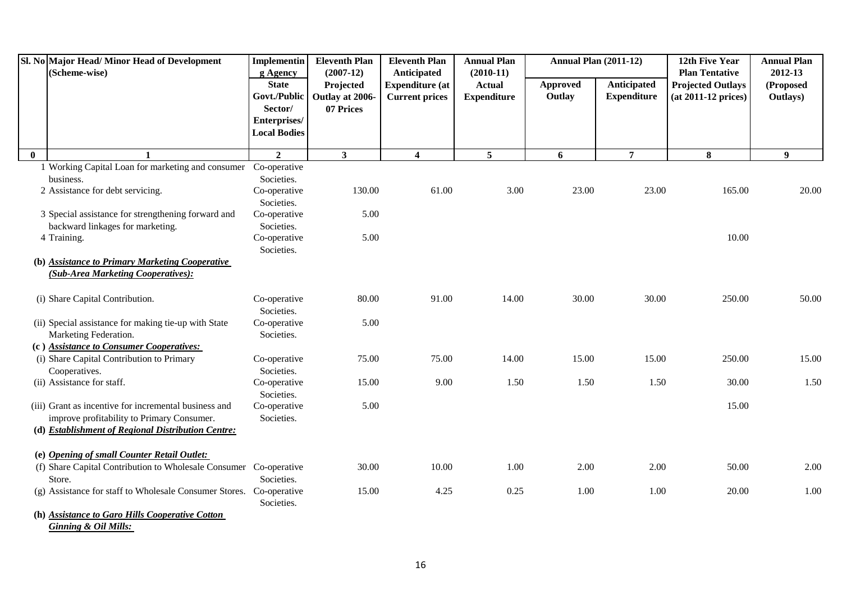|              | Sl. No Major Head/ Minor Head of Development<br>(Scheme-wise)                      | <b>Implementin</b><br>g Agency                 | <b>Eleventh Plan</b><br>$(2007-12)$ | <b>Eleventh Plan</b><br>Anticipated             | <b>Annual Plan</b><br>$(2010-11)$   | <b>Annual Plan (2011-12)</b> |                                   | 12th Five Year<br><b>Plan Tentative</b>         | <b>Annual Plan</b><br>2012-13 |
|--------------|------------------------------------------------------------------------------------|------------------------------------------------|-------------------------------------|-------------------------------------------------|-------------------------------------|------------------------------|-----------------------------------|-------------------------------------------------|-------------------------------|
|              |                                                                                    | <b>State</b><br>Govt./Public                   | Projected<br>Outlay at 2006-        | <b>Expenditure (at</b><br><b>Current prices</b> | <b>Actual</b><br><b>Expenditure</b> | Approved<br>Outlay           | Anticipated<br><b>Expenditure</b> | <b>Projected Outlays</b><br>(at 2011-12 prices) | (Proposed<br>Outlays)         |
|              |                                                                                    | Sector/<br>Enterprises/<br><b>Local Bodies</b> | 07 Prices                           |                                                 |                                     |                              |                                   |                                                 |                               |
| $\mathbf{0}$ |                                                                                    | $\overline{2}$                                 | $\mathbf{3}$                        | $\overline{\mathbf{4}}$                         | $\overline{5}$                      | 6                            | $\overline{7}$                    | 8                                               | 9                             |
|              | 1 Working Capital Loan for marketing and consumer Co-operative                     |                                                |                                     |                                                 |                                     |                              |                                   |                                                 |                               |
|              | business.                                                                          | Societies.                                     |                                     |                                                 |                                     |                              |                                   |                                                 |                               |
|              | 2 Assistance for debt servicing.                                                   | Co-operative                                   | 130.00                              | 61.00                                           | 3.00                                | 23.00                        | 23.00                             | 165.00                                          | 20.00                         |
|              |                                                                                    | Societies.                                     |                                     |                                                 |                                     |                              |                                   |                                                 |                               |
|              | 3 Special assistance for strengthening forward and                                 | Co-operative                                   | 5.00                                |                                                 |                                     |                              |                                   |                                                 |                               |
|              | backward linkages for marketing.                                                   | Societies.                                     |                                     |                                                 |                                     |                              |                                   |                                                 |                               |
|              | 4 Training.                                                                        | Co-operative                                   | 5.00                                |                                                 |                                     |                              |                                   | 10.00                                           |                               |
|              |                                                                                    | Societies.                                     |                                     |                                                 |                                     |                              |                                   |                                                 |                               |
|              | (b) Assistance to Primary Marketing Cooperative                                    |                                                |                                     |                                                 |                                     |                              |                                   |                                                 |                               |
|              | (Sub-Area Marketing Cooperatives):                                                 |                                                |                                     |                                                 |                                     |                              |                                   |                                                 |                               |
|              | (i) Share Capital Contribution.                                                    | Co-operative<br>Societies.                     | 80.00                               | 91.00                                           | 14.00                               | 30.00                        | 30.00                             | 250.00                                          | 50.00                         |
|              | (ii) Special assistance for making tie-up with State                               | Co-operative                                   | 5.00                                |                                                 |                                     |                              |                                   |                                                 |                               |
|              | Marketing Federation.                                                              | Societies.                                     |                                     |                                                 |                                     |                              |                                   |                                                 |                               |
|              | (c) Assistance to Consumer Cooperatives:                                           |                                                |                                     |                                                 |                                     |                              |                                   |                                                 |                               |
|              | (i) Share Capital Contribution to Primary                                          | Co-operative                                   | 75.00                               | 75.00                                           | 14.00                               | 15.00                        | 15.00                             | 250.00                                          | 15.00                         |
|              | Cooperatives.                                                                      | Societies.                                     |                                     |                                                 |                                     |                              |                                   |                                                 |                               |
|              | (ii) Assistance for staff.                                                         | Co-operative                                   | 15.00                               | 9.00                                            | 1.50                                | 1.50                         | 1.50                              | 30.00                                           | 1.50                          |
|              |                                                                                    | Societies.                                     |                                     |                                                 |                                     |                              |                                   |                                                 |                               |
|              | (iii) Grant as incentive for incremental business and                              | Co-operative                                   | 5.00                                |                                                 |                                     |                              |                                   | 15.00                                           |                               |
|              | improve profitability to Primary Consumer.                                         | Societies.                                     |                                     |                                                 |                                     |                              |                                   |                                                 |                               |
|              | (d) Establishment of Regional Distribution Centre:                                 |                                                |                                     |                                                 |                                     |                              |                                   |                                                 |                               |
|              |                                                                                    |                                                |                                     |                                                 |                                     |                              |                                   |                                                 |                               |
|              | (e) Opening of small Counter Retail Outlet:                                        |                                                |                                     |                                                 |                                     |                              |                                   |                                                 |                               |
|              | (f) Share Capital Contribution to Wholesale Consumer Co-operative                  |                                                | 30.00                               | 10.00                                           | 1.00                                | 2.00                         | 2.00                              | 50.00                                           | 2.00                          |
|              | Store.                                                                             | Societies.                                     |                                     |                                                 |                                     |                              |                                   |                                                 |                               |
|              | (g) Assistance for staff to Wholesale Consumer Stores.                             | Co-operative                                   | 15.00                               | 4.25                                            | 0.25                                | 1.00                         | 1.00                              | 20.00                                           | 1.00                          |
|              |                                                                                    | Societies.                                     |                                     |                                                 |                                     |                              |                                   |                                                 |                               |
|              | (h) Assistance to Garo Hills Cooperative Cotton<br><b>Ginning &amp; Oil Mills:</b> |                                                |                                     |                                                 |                                     |                              |                                   |                                                 |                               |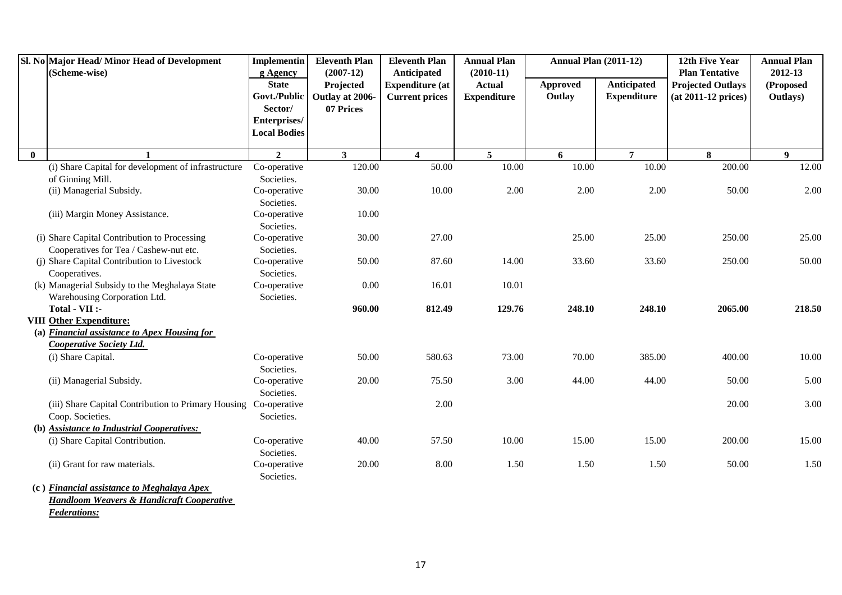| Sl. No Major Head/Minor Head of Development                      | <b>Implementin</b>         | <b>Eleventh Plan</b>     | <b>Eleventh Plan</b>                  | <b>Annual Plan</b>           | <b>Annual Plan (2011-12)</b> |                    | 12th Five Year                                    | <b>Annual Plan</b>   |
|------------------------------------------------------------------|----------------------------|--------------------------|---------------------------------------|------------------------------|------------------------------|--------------------|---------------------------------------------------|----------------------|
| (Scheme-wise)                                                    | g Agency<br><b>State</b>   | $(2007-12)$<br>Projected | Anticipated<br><b>Expenditure (at</b> | $(2010-11)$<br><b>Actual</b> | Approved                     | Anticipated        | <b>Plan Tentative</b><br><b>Projected Outlays</b> | 2012-13<br>(Proposed |
|                                                                  | Govt./Public               | Outlay at 2006-          | <b>Current prices</b>                 | <b>Expenditure</b>           | Outlay                       | <b>Expenditure</b> | (at 2011-12 prices)                               | Outlays)             |
|                                                                  | Sector/                    | 07 Prices                |                                       |                              |                              |                    |                                                   |                      |
|                                                                  | Enterprises/               |                          |                                       |                              |                              |                    |                                                   |                      |
|                                                                  | <b>Local Bodies</b>        |                          |                                       |                              |                              |                    |                                                   |                      |
| $\bf{0}$<br>$\mathbf{1}$                                         | $\overline{2}$             | 3 <sup>1</sup>           | $\overline{\mathbf{4}}$               | $5\overline{5}$              | 6                            | $\overline{7}$     | 8                                                 | 9                    |
| (i) Share Capital for development of infrastructure              | Co-operative               | 120.00                   | 50.00                                 | 10.00                        | 10.00                        | 10.00              | 200.00                                            | 12.00                |
| of Ginning Mill.                                                 | Societies.                 |                          |                                       |                              |                              |                    |                                                   |                      |
| (ii) Managerial Subsidy.                                         | Co-operative               | 30.00                    | 10.00                                 | 2.00                         | 2.00                         | 2.00               | 50.00                                             | 2.00                 |
|                                                                  | Societies.                 |                          |                                       |                              |                              |                    |                                                   |                      |
| (iii) Margin Money Assistance.                                   | Co-operative               | 10.00                    |                                       |                              |                              |                    |                                                   |                      |
|                                                                  | Societies.                 |                          |                                       |                              |                              |                    |                                                   |                      |
| (i) Share Capital Contribution to Processing                     | Co-operative               | 30.00                    | 27.00                                 |                              | 25.00                        | 25.00              | 250.00                                            | 25.00                |
| Cooperatives for Tea / Cashew-nut etc.                           | Societies.                 |                          |                                       |                              |                              |                    |                                                   |                      |
| (j) Share Capital Contribution to Livestock                      | Co-operative               | 50.00                    | 87.60                                 | 14.00                        | 33.60                        | 33.60              | 250.00                                            | 50.00                |
| Cooperatives.                                                    | Societies.                 |                          |                                       |                              |                              |                    |                                                   |                      |
| (k) Managerial Subsidy to the Meghalaya State                    | Co-operative               | 0.00                     | 16.01                                 | 10.01                        |                              |                    |                                                   |                      |
| Warehousing Corporation Ltd.                                     | Societies.                 |                          |                                       |                              |                              |                    |                                                   |                      |
| Total - VII :-                                                   |                            | 960.00                   | 812.49                                | 129.76                       | 248.10                       | 248.10             | 2065.00                                           | 218.50               |
| <b>VIII Other Expenditure:</b>                                   |                            |                          |                                       |                              |                              |                    |                                                   |                      |
| (a) Financial assistance to Apex Housing for                     |                            |                          |                                       |                              |                              |                    |                                                   |                      |
| <b>Cooperative Society Ltd.</b>                                  |                            |                          |                                       |                              |                              |                    |                                                   |                      |
| (i) Share Capital.                                               | Co-operative               | 50.00                    | 580.63                                | 73.00                        | 70.00                        | 385.00             | 400.00                                            | 10.00                |
|                                                                  | Societies.                 |                          |                                       |                              |                              |                    |                                                   |                      |
| (ii) Managerial Subsidy.                                         | Co-operative               | 20.00                    | 75.50                                 | 3.00                         | 44.00                        | 44.00              | 50.00                                             | 5.00                 |
|                                                                  | Societies.                 |                          |                                       |                              |                              |                    |                                                   |                      |
| (iii) Share Capital Contribution to Primary Housing Co-operative |                            |                          | 2.00                                  |                              |                              |                    | 20.00                                             | 3.00                 |
| Coop. Societies.                                                 | Societies.                 |                          |                                       |                              |                              |                    |                                                   |                      |
| (b) Assistance to Industrial Cooperatives:                       |                            |                          |                                       |                              |                              |                    |                                                   |                      |
| (i) Share Capital Contribution.                                  | Co-operative               | 40.00                    | 57.50                                 | 10.00                        | 15.00                        | 15.00              | 200.00                                            | 15.00                |
| (ii) Grant for raw materials.                                    | Societies.<br>Co-operative | 20.00                    | 8.00                                  | 1.50                         | 1.50                         | 1.50               | 50.00                                             | 1.50                 |
|                                                                  | Societies.                 |                          |                                       |                              |                              |                    |                                                   |                      |
| (c) Financial assistance to Meghalaya Apex                       |                            |                          |                                       |                              |                              |                    |                                                   |                      |
| <b>Handloom Weavers &amp; Handicraft Cooperative</b>             |                            |                          |                                       |                              |                              |                    |                                                   |                      |
| <b>Federations:</b>                                              |                            |                          |                                       |                              |                              |                    |                                                   |                      |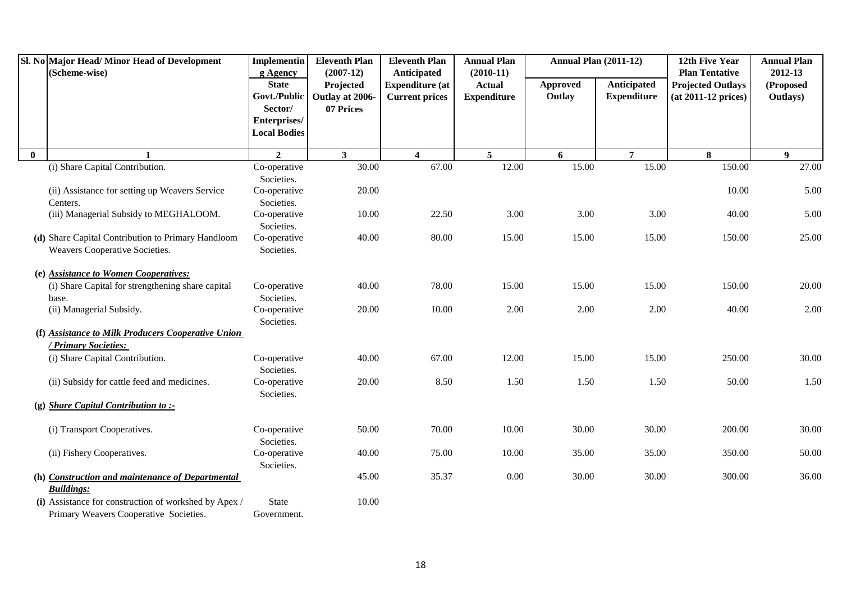|          | Sl. No Major Head/ Minor Head of Development<br>(Scheme-wise) | <b>Implementin</b><br>g Agency | <b>Eleventh Plan</b><br>$(2007-12)$ | <b>Eleventh Plan</b><br><b>Anticipated</b> | <b>Annual Plan</b><br>$(2010-11)$ | <b>Annual Plan (2011-12)</b> |                    | 12th Five Year<br><b>Plan Tentative</b> | <b>Annual Plan</b><br>2012-13 |
|----------|---------------------------------------------------------------|--------------------------------|-------------------------------------|--------------------------------------------|-----------------------------------|------------------------------|--------------------|-----------------------------------------|-------------------------------|
|          |                                                               | <b>State</b>                   | Projected                           | <b>Expenditure (at</b>                     | <b>Actual</b>                     | Approved                     | Anticipated        | <b>Projected Outlays</b>                | (Proposed                     |
|          |                                                               | Govt./Public                   | Outlay at 2006-                     | <b>Current prices</b>                      | <b>Expenditure</b>                | Outlay                       | <b>Expenditure</b> | $(at 2011-12 prices)$                   | Outlays)                      |
|          |                                                               | Sector/                        | 07 Prices                           |                                            |                                   |                              |                    |                                         |                               |
|          |                                                               | Enterprises/                   |                                     |                                            |                                   |                              |                    |                                         |                               |
|          |                                                               | <b>Local Bodies</b>            |                                     |                                            |                                   |                              |                    |                                         |                               |
| $\bf{0}$ | $\mathbf{1}$                                                  | $\overline{2}$                 | $\mathbf{3}$                        | $\overline{\mathbf{4}}$                    | $5\overline{)}$                   | 6                            | $\overline{7}$     | 8                                       | 9                             |
|          | (i) Share Capital Contribution.                               | Co-operative                   | 30.00                               | 67.00                                      | 12.00                             | 15.00                        | 15.00              | 150.00                                  | 27.00                         |
|          |                                                               | Societies.                     |                                     |                                            |                                   |                              |                    |                                         |                               |
|          | (ii) Assistance for setting up Weavers Service                | Co-operative                   | 20.00                               |                                            |                                   |                              |                    | 10.00                                   | 5.00                          |
|          | Centers.                                                      | Societies.                     |                                     |                                            |                                   |                              |                    |                                         |                               |
|          | (iii) Managerial Subsidy to MEGHALOOM.                        | Co-operative<br>Societies.     | 10.00                               | 22.50                                      | 3.00                              | 3.00                         | 3.00               | 40.00                                   | 5.00                          |
|          | (d) Share Capital Contribution to Primary Handloom            | Co-operative                   | 40.00                               | 80.00                                      | 15.00                             | 15.00                        | 15.00              | 150.00                                  | 25.00                         |
|          | Weavers Cooperative Societies.                                | Societies.                     |                                     |                                            |                                   |                              |                    |                                         |                               |
|          |                                                               |                                |                                     |                                            |                                   |                              |                    |                                         |                               |
|          | (e) Assistance to Women Cooperatives:                         |                                |                                     |                                            |                                   |                              |                    |                                         |                               |
|          | (i) Share Capital for strengthening share capital             | Co-operative                   | 40.00                               | 78.00                                      | 15.00                             | 15.00                        | 15.00              | 150.00                                  | 20.00                         |
|          | base.                                                         | Societies.                     |                                     |                                            |                                   |                              |                    |                                         |                               |
|          | (ii) Managerial Subsidy.                                      | Co-operative<br>Societies.     | 20.00                               | 10.00                                      | 2.00                              | 2.00                         | 2.00               | 40.00                                   | 2.00                          |
|          | (f) Assistance to Milk Producers Cooperative Union            |                                |                                     |                                            |                                   |                              |                    |                                         |                               |
|          | / Primary Societies:                                          |                                |                                     |                                            |                                   |                              |                    |                                         |                               |
|          | (i) Share Capital Contribution.                               | Co-operative<br>Societies.     | 40.00                               | 67.00                                      | 12.00                             | 15.00                        | 15.00              | 250.00                                  | 30.00                         |
|          | (ii) Subsidy for cattle feed and medicines.                   | Co-operative                   | 20.00                               | 8.50                                       | 1.50                              | 1.50                         | 1.50               | 50.00                                   | 1.50                          |
|          |                                                               | Societies.                     |                                     |                                            |                                   |                              |                    |                                         |                               |
|          | (g) Share Capital Contribution to :-                          |                                |                                     |                                            |                                   |                              |                    |                                         |                               |
|          | (i) Transport Cooperatives.                                   | Co-operative<br>Societies.     | 50.00                               | 70.00                                      | 10.00                             | 30.00                        | 30.00              | 200.00                                  | 30.00                         |
|          | (ii) Fishery Cooperatives.                                    | Co-operative<br>Societies.     | 40.00                               | 75.00                                      | 10.00                             | 35.00                        | 35.00              | 350.00                                  | 50.00                         |
|          | (h) Construction and maintenance of Departmental              |                                | 45.00                               | 35.37                                      | 0.00                              | 30.00                        | 30.00              | 300.00                                  | 36.00                         |
|          | <b>Buildings:</b>                                             |                                |                                     |                                            |                                   |                              |                    |                                         |                               |
|          | (i) Assistance for construction of workshed by Apex /         | <b>State</b>                   | 10.00                               |                                            |                                   |                              |                    |                                         |                               |
|          | Primary Weavers Cooperative Societies.                        | Government.                    |                                     |                                            |                                   |                              |                    |                                         |                               |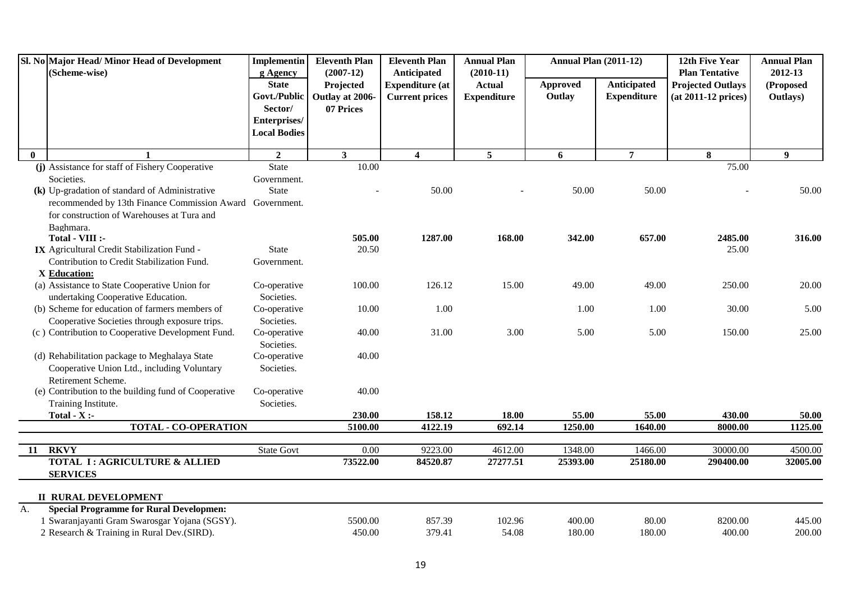|              | Sl. No Major Head/Minor Head of Development<br>(Scheme-wise)                                 | <b>Implementin</b>                                  | <b>Eleventh Plan</b><br>$(2007-12)$       | <b>Eleventh Plan</b>                                           | <b>Annual Plan</b><br>$(2010-11)$   | <b>Annual Plan (2011-12)</b> |                                   | 12th Five Year<br><b>Plan Tentative</b>           | <b>Annual Plan</b><br>2012-13 |
|--------------|----------------------------------------------------------------------------------------------|-----------------------------------------------------|-------------------------------------------|----------------------------------------------------------------|-------------------------------------|------------------------------|-----------------------------------|---------------------------------------------------|-------------------------------|
|              |                                                                                              | g Agency<br><b>State</b><br>Govt./Public<br>Sector/ | Projected<br>Outlay at 2006-<br>07 Prices | Anticipated<br><b>Expenditure (at</b><br><b>Current prices</b> | <b>Actual</b><br><b>Expenditure</b> | Approved<br>Outlay           | Anticipated<br><b>Expenditure</b> | <b>Projected Outlays</b><br>$(at 2011-12 prices)$ | (Proposed<br>Outlays)         |
|              |                                                                                              | Enterprises/<br><b>Local Bodies</b>                 |                                           |                                                                |                                     |                              |                                   |                                                   |                               |
| $\mathbf{0}$ | $\mathbf{1}$                                                                                 | $\overline{2}$                                      | $\mathbf{3}$                              | $\overline{\mathbf{4}}$                                        | $5\overline{)}$                     | 6                            | $\overline{7}$                    | 8                                                 | 9                             |
|              | (j) Assistance for staff of Fishery Cooperative                                              | State                                               | 10.00                                     |                                                                |                                     |                              |                                   | 75.00                                             |                               |
|              | Societies.                                                                                   | Government.                                         |                                           |                                                                |                                     |                              |                                   |                                                   |                               |
|              | (k) Up-gradation of standard of Administrative                                               | <b>State</b>                                        |                                           | 50.00                                                          |                                     | 50.00                        | 50.00                             |                                                   | 50.00                         |
|              | recommended by 13th Finance Commission Award Government.                                     |                                                     |                                           |                                                                |                                     |                              |                                   |                                                   |                               |
|              | for construction of Warehouses at Tura and                                                   |                                                     |                                           |                                                                |                                     |                              |                                   |                                                   |                               |
|              | Baghmara.                                                                                    |                                                     |                                           |                                                                |                                     |                              |                                   |                                                   |                               |
|              | Total - VIII :-                                                                              |                                                     | 505.00                                    | 1287.00                                                        | 168.00                              | 342.00                       | 657.00                            | 2485.00                                           | 316.00                        |
|              | IX Agricultural Credit Stabilization Fund -                                                  | <b>State</b>                                        | 20.50                                     |                                                                |                                     |                              |                                   | 25.00                                             |                               |
|              | Contribution to Credit Stabilization Fund.                                                   | Government.                                         |                                           |                                                                |                                     |                              |                                   |                                                   |                               |
|              | X Education:                                                                                 |                                                     |                                           |                                                                |                                     |                              |                                   |                                                   |                               |
|              | (a) Assistance to State Cooperative Union for                                                | Co-operative                                        | 100.00                                    | 126.12                                                         | 15.00                               | 49.00                        | 49.00                             | 250.00                                            | 20.00                         |
|              | undertaking Cooperative Education.                                                           | Societies.                                          |                                           |                                                                |                                     |                              |                                   |                                                   |                               |
|              | (b) Scheme for education of farmers members of                                               | Co-operative                                        | 10.00                                     | 1.00                                                           |                                     | 1.00                         | 1.00                              | 30.00                                             | 5.00                          |
|              | Cooperative Societies through exposure trips.                                                | Societies.                                          |                                           |                                                                |                                     |                              |                                   |                                                   |                               |
|              | (c) Contribution to Cooperative Development Fund.                                            | Co-operative                                        | 40.00                                     | 31.00                                                          | 3.00                                | 5.00                         | 5.00                              | 150.00                                            | 25.00                         |
|              |                                                                                              | Societies.                                          | 40.00                                     |                                                                |                                     |                              |                                   |                                                   |                               |
|              | (d) Rehabilitation package to Meghalaya State<br>Cooperative Union Ltd., including Voluntary | Co-operative<br>Societies.                          |                                           |                                                                |                                     |                              |                                   |                                                   |                               |
|              | Retirement Scheme.                                                                           |                                                     |                                           |                                                                |                                     |                              |                                   |                                                   |                               |
|              | (e) Contribution to the building fund of Cooperative                                         | Co-operative                                        | 40.00                                     |                                                                |                                     |                              |                                   |                                                   |                               |
|              | Training Institute.                                                                          | Societies.                                          |                                           |                                                                |                                     |                              |                                   |                                                   |                               |
|              | Total - $X$ :-                                                                               |                                                     | 230.00                                    | 158.12                                                         | 18.00                               | 55.00                        | 55.00                             | 430.00                                            | 50.00                         |
|              | <b>TOTAL - CO-OPERATION</b>                                                                  |                                                     | 5100.00                                   | 4122.19                                                        | 692.14                              | 1250.00                      | 1640.00                           | 8000.00                                           | 1125.00                       |
|              |                                                                                              |                                                     |                                           |                                                                |                                     |                              |                                   |                                                   |                               |
| 11           | <b>RKVY</b>                                                                                  | <b>State Govt</b>                                   | 0.00                                      | 9223.00                                                        | 4612.00                             | 1348.00                      | 1466.00                           | 30000.00                                          | 4500.00                       |
|              | <b>TOTAL I: AGRICULTURE &amp; ALLIED</b>                                                     |                                                     | 73522.00                                  | 84520.87                                                       | 27277.51                            | 25393.00                     | 25180.00                          | 290400.00                                         | 32005.00                      |
|              | <b>SERVICES</b>                                                                              |                                                     |                                           |                                                                |                                     |                              |                                   |                                                   |                               |
|              | <b>II RURAL DEVELOPMENT</b>                                                                  |                                                     |                                           |                                                                |                                     |                              |                                   |                                                   |                               |
| А.           | <b>Special Programme for Rural Developmen:</b>                                               |                                                     |                                           |                                                                |                                     |                              |                                   |                                                   |                               |
|              | 1 Swaranjayanti Gram Swarosgar Yojana (SGSY).                                                |                                                     | 5500.00                                   | 857.39                                                         | 102.96                              | 400.00                       | 80.00                             | 8200.00                                           | 445.00                        |
|              | 2 Research & Training in Rural Dev.(SIRD).                                                   |                                                     | 450.00                                    | 379.41                                                         | 54.08                               | 180.00                       | 180.00                            | 400.00                                            | 200.00                        |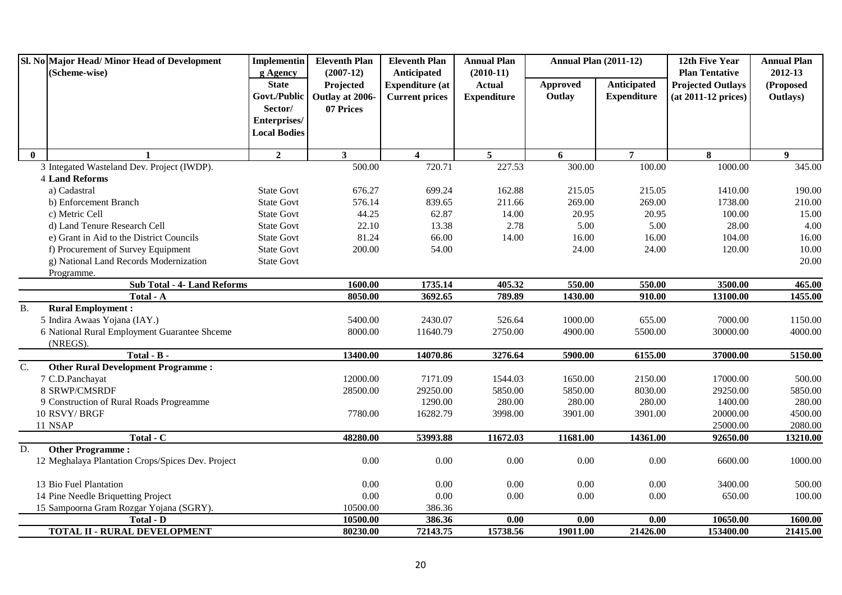|                  | Sl. No Major Head/Minor Head of Development<br>(Scheme-wise) | Implementin              | <b>Eleventh Plan</b>     | <b>Eleventh Plan</b>                  | <b>Annual Plan</b>           | <b>Annual Plan (2011-12)</b> |                    | 12th Five Year<br><b>Plan Tentative</b> | <b>Annual Plan</b>   |
|------------------|--------------------------------------------------------------|--------------------------|--------------------------|---------------------------------------|------------------------------|------------------------------|--------------------|-----------------------------------------|----------------------|
|                  |                                                              | g Agency<br><b>State</b> | $(2007-12)$<br>Projected | Anticipated<br><b>Expenditure</b> (at | $(2010-11)$<br><b>Actual</b> | <b>Approved</b>              | Anticipated        | <b>Projected Outlays</b>                | 2012-13<br>(Proposed |
|                  |                                                              | Govt./Public             | Outlay at 2006-          | <b>Current prices</b>                 | <b>Expenditure</b>           | Outlay                       | <b>Expenditure</b> | $(at 2011-12 prices)$                   | Outlays)             |
|                  |                                                              | Sector/                  | 07 Prices                |                                       |                              |                              |                    |                                         |                      |
|                  |                                                              | Enterprises/             |                          |                                       |                              |                              |                    |                                         |                      |
|                  |                                                              | <b>Local Bodies</b>      |                          |                                       |                              |                              |                    |                                         |                      |
| $\mathbf{0}$     | $\mathbf{1}$                                                 | $\overline{2}$           | 3 <sup>1</sup>           | $\overline{\mathbf{4}}$               | $5^{\circ}$                  | 6                            | $\overline{7}$     | 8                                       | 9 <sup>°</sup>       |
|                  | 3 Integated Wasteland Dev. Project (IWDP).                   |                          | 500.00                   | 720.71                                | 227.53                       | 300.00                       | 100.00             | 1000.00                                 | 345.00               |
|                  | 4 Land Reforms                                               |                          |                          |                                       |                              |                              |                    |                                         |                      |
|                  | a) Cadastral                                                 | <b>State Govt</b>        | 676.27                   | 699.24                                | 162.88                       | 215.05                       | 215.05             | 1410.00                                 | 190.00               |
|                  | b) Enforcement Branch                                        | <b>State Govt</b>        | 576.14                   | 839.65                                | 211.66                       | 269.00                       | 269.00             | 1738.00                                 | 210.00               |
|                  | c) Metric Cell                                               | <b>State Govt</b>        | 44.25                    | 62.87                                 | 14.00                        | 20.95                        | 20.95              | 100.00                                  | 15.00                |
|                  | d) Land Tenure Research Cell                                 | <b>State Govt</b>        | 22.10                    | 13.38                                 | 2.78                         | 5.00                         | 5.00               | 28.00                                   | 4.00                 |
|                  | e) Grant in Aid to the District Councils                     | <b>State Govt</b>        | 81.24                    | 66.00                                 | 14.00                        | 16.00                        | 16.00              | 104.00                                  | 16.00                |
|                  | f) Procurement of Survey Equipment                           | <b>State Govt</b>        | 200.00                   | 54.00                                 |                              | 24.00                        | 24.00              | 120.00                                  | 10.00                |
|                  | g) National Land Records Modernization                       | <b>State Govt</b>        |                          |                                       |                              |                              |                    |                                         | 20.00                |
|                  | Programme.                                                   |                          |                          |                                       |                              |                              |                    |                                         |                      |
|                  | <b>Sub Total - 4- Land Reforms</b>                           |                          | 1600.00                  | 1735.14                               | 405.32                       | 550.00                       | 550.00             | 3500.00                                 | 465.00               |
|                  | Total - A                                                    |                          | 8050.00                  | 3692.65                               | 789.89                       | 1430.00                      | 910.00             | 13100.00                                | 1455.00              |
| <b>B.</b>        | <b>Rural Employment:</b>                                     |                          |                          |                                       |                              |                              |                    |                                         |                      |
|                  | 5 Indira Awaas Yojana (IAY.)                                 |                          | 5400.00                  | 2430.07                               | 526.64                       | 1000.00                      | 655.00             | 7000.00                                 | 1150.00              |
|                  | 6 National Rural Employment Guarantee Shceme                 |                          | 8000.00                  | 11640.79                              | 2750.00                      | 4900.00                      | 5500.00            | 30000.00                                | 4000.00              |
|                  | (NREGS).                                                     |                          |                          |                                       |                              |                              |                    |                                         |                      |
|                  | Total - B -                                                  |                          | 13400.00                 | 14070.86                              | 3276.64                      | 5900.00                      | 6155.00            | 37000.00                                | 5150.00              |
| $\overline{C}$ . | <b>Other Rural Development Programme:</b>                    |                          |                          |                                       |                              |                              |                    |                                         |                      |
|                  | 7 C.D.Panchayat                                              |                          | 12000.00                 | 7171.09                               | 1544.03                      | 1650.00                      | 2150.00            | 17000.00                                | 500.00               |
|                  | 8 SRWP/CMSRDF                                                |                          | 28500.00                 | 29250.00                              | 5850.00                      | 5850.00                      | 8030.00            | 29250.00                                | 5850.00              |
|                  | 9 Construction of Rural Roads Progreamme                     |                          |                          | 1290.00                               | 280.00                       | 280.00                       | 280.00             | 1400.00                                 | 280.00               |
|                  | 10 RSVY/BRGF                                                 |                          | 7780.00                  | 16282.79                              | 3998.00                      | 3901.00                      | 3901.00            | 20000.00                                | 4500.00              |
|                  | 11 NSAP                                                      |                          |                          |                                       |                              |                              |                    | 25000.00                                | 2080.00              |
| D.               | Total - C<br><b>Other Programme:</b>                         |                          | 48280.00                 | 53993.88                              | 11672.03                     | 11681.00                     | 14361.00           | 92650.00                                | 13210.00             |
|                  | 12 Meghalaya Plantation Crops/Spices Dev. Project            |                          | 0.00                     | 0.00                                  | 0.00                         | 0.00                         | 0.00               | 6600.00                                 | 1000.00              |
|                  |                                                              |                          |                          |                                       |                              |                              |                    |                                         |                      |
|                  | 13 Bio Fuel Plantation                                       |                          | 0.00                     | 0.00                                  | 0.00                         | 0.00                         | 0.00               | 3400.00                                 | 500.00               |
|                  | 14 Pine Needle Briquetting Project                           |                          | 0.00                     | 0.00                                  | $0.00\,$                     | 0.00                         | 0.00               | 650.00                                  | 100.00               |
|                  | 15 Sampoorna Gram Rozgar Yojana (SGRY).                      |                          | 10500.00                 | 386.36                                |                              |                              |                    |                                         |                      |
|                  | <b>Total - D</b>                                             |                          | 10500.00                 | 386.36                                | 0.00                         | 0.00                         | 0.00               | 10650.00                                | 1600.00              |
|                  | <b>TOTAL II - RURAL DEVELOPMENT</b>                          |                          | 80230.00                 | 72143.75                              | 15738.56                     | 19011.00                     | 21426.00           | 153400.00                               | 21415.00             |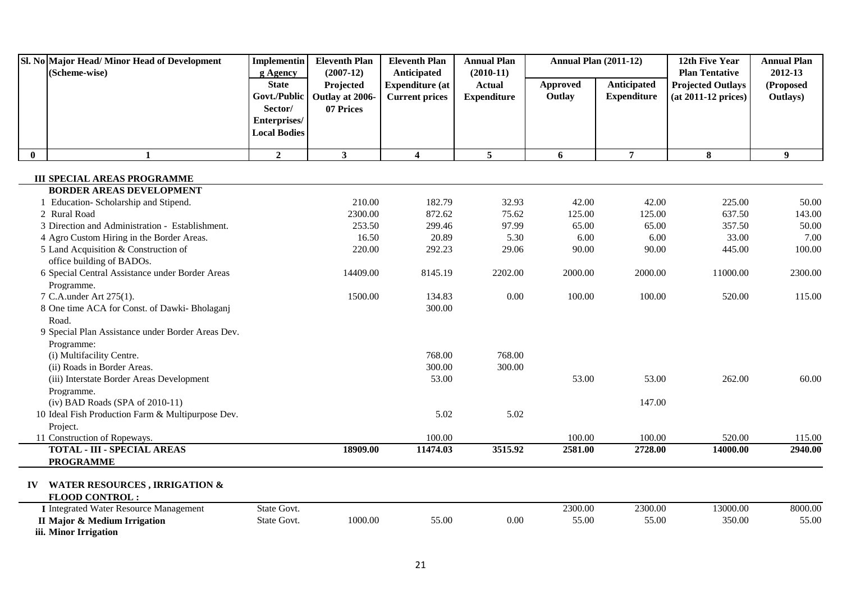|          | Sl. No Major Head/Minor Head of Development<br>(Scheme-wise)          | <b>Implementin</b>                                  | <b>Eleventh Plan</b><br>$(2007-12)$       | <b>Eleventh Plan</b>                                           | <b>Annual Plan</b><br>$(2010-11)$   | <b>Annual Plan (2011-12)</b> |                                   | 12th Five Year<br><b>Plan Tentative</b>           | <b>Annual Plan</b><br>2012-13 |
|----------|-----------------------------------------------------------------------|-----------------------------------------------------|-------------------------------------------|----------------------------------------------------------------|-------------------------------------|------------------------------|-----------------------------------|---------------------------------------------------|-------------------------------|
|          |                                                                       | g Agency<br><b>State</b><br>Govt./Public<br>Sector/ | Projected<br>Outlay at 2006-<br>07 Prices | Anticipated<br><b>Expenditure (at</b><br><b>Current prices</b> | <b>Actual</b><br><b>Expenditure</b> | <b>Approved</b><br>Outlay    | Anticipated<br><b>Expenditure</b> | <b>Projected Outlays</b><br>$(at 2011-12 prices)$ | (Proposed<br>Outlays)         |
|          |                                                                       | Enterprises/<br><b>Local Bodies</b>                 |                                           |                                                                |                                     |                              |                                   |                                                   |                               |
| $\bf{0}$ | $\mathbf{1}$                                                          | $\overline{2}$                                      | $\mathbf{3}$                              | $\overline{\mathbf{4}}$                                        | $5\overline{5}$                     | 6                            | $\overline{7}$                    | 8                                                 | 9                             |
|          |                                                                       |                                                     |                                           |                                                                |                                     |                              |                                   |                                                   |                               |
|          | <b>III SPECIAL AREAS PROGRAMME</b><br><b>BORDER AREAS DEVELOPMENT</b> |                                                     |                                           |                                                                |                                     |                              |                                   |                                                   |                               |
|          | 1 Education-Scholarship and Stipend.                                  |                                                     | 210.00                                    | 182.79                                                         | 32.93                               | 42.00                        | 42.00                             | 225.00                                            | 50.00                         |
|          | 2 Rural Road                                                          |                                                     | 2300.00                                   | 872.62                                                         | 75.62                               | 125.00                       | 125.00                            | 637.50                                            | 143.00                        |
|          | 3 Direction and Administration - Establishment.                       |                                                     | 253.50                                    | 299.46                                                         | 97.99                               | 65.00                        | 65.00                             | 357.50                                            | 50.00                         |
|          | 4 Agro Custom Hiring in the Border Areas.                             |                                                     | 16.50                                     | 20.89                                                          | 5.30                                | 6.00                         | 6.00                              | 33.00                                             | 7.00                          |
|          | 5 Land Acquisition & Construction of                                  |                                                     | 220.00                                    | 292.23                                                         | 29.06                               | 90.00                        | 90.00                             | 445.00                                            | 100.00                        |
|          | office building of BADOs.                                             |                                                     |                                           |                                                                |                                     |                              |                                   |                                                   |                               |
|          | 6 Special Central Assistance under Border Areas                       |                                                     | 14409.00                                  | 8145.19                                                        | 2202.00                             | 2000.00                      | 2000.00                           | 11000.00                                          | 2300.00                       |
|          | Programme.                                                            |                                                     |                                           |                                                                |                                     |                              |                                   |                                                   |                               |
|          | 7 C.A.under Art 275(1).                                               |                                                     | 1500.00                                   | 134.83                                                         | 0.00                                | 100.00                       | 100.00                            | 520.00                                            | 115.00                        |
|          | 8 One time ACA for Const. of Dawki- Bholaganj                         |                                                     |                                           | 300.00                                                         |                                     |                              |                                   |                                                   |                               |
|          | Road.                                                                 |                                                     |                                           |                                                                |                                     |                              |                                   |                                                   |                               |
|          | 9 Special Plan Assistance under Border Areas Dev.                     |                                                     |                                           |                                                                |                                     |                              |                                   |                                                   |                               |
|          | Programme:                                                            |                                                     |                                           |                                                                |                                     |                              |                                   |                                                   |                               |
|          | (i) Multifacility Centre.                                             |                                                     |                                           | 768.00                                                         | 768.00                              |                              |                                   |                                                   |                               |
|          | (ii) Roads in Border Areas.                                           |                                                     |                                           | 300.00                                                         | 300.00                              |                              |                                   |                                                   |                               |
|          | (iii) Interstate Border Areas Development                             |                                                     |                                           | 53.00                                                          |                                     | 53.00                        | 53.00                             | 262.00                                            | 60.00                         |
|          | Programme.                                                            |                                                     |                                           |                                                                |                                     |                              |                                   |                                                   |                               |
|          | (iv) BAD Roads (SPA of 2010-11)                                       |                                                     |                                           |                                                                |                                     |                              | 147.00                            |                                                   |                               |
|          | 10 Ideal Fish Production Farm & Multipurpose Dev.                     |                                                     |                                           | 5.02                                                           | 5.02                                |                              |                                   |                                                   |                               |
|          | Project.                                                              |                                                     |                                           |                                                                |                                     |                              |                                   |                                                   |                               |
|          | 11 Construction of Ropeways.                                          |                                                     |                                           | 100.00                                                         |                                     | 100.00                       | 100.00                            | 520.00                                            | 115.00                        |
|          | <b>TOTAL - III - SPECIAL AREAS</b><br><b>PROGRAMME</b>                |                                                     | 18909.00                                  | 11474.03                                                       | 3515.92                             | 2581.00                      | 2728.00                           | 14000.00                                          | 2940.00                       |
|          |                                                                       |                                                     |                                           |                                                                |                                     |                              |                                   |                                                   |                               |
|          | IV WATER RESOURCES, IRRIGATION &                                      |                                                     |                                           |                                                                |                                     |                              |                                   |                                                   |                               |
|          | <b>FLOOD CONTROL:</b>                                                 |                                                     |                                           |                                                                |                                     |                              |                                   |                                                   |                               |
|          | <b>I</b> Integrated Water Resource Management                         | State Govt.                                         |                                           |                                                                |                                     | 2300.00                      | 2300.00                           | 13000.00                                          | 8000.00                       |
|          | II Major & Medium Irrigation                                          | State Govt.                                         | 1000.00                                   | 55.00                                                          | 0.00                                | 55.00                        | 55.00                             | 350.00                                            | 55.00                         |
|          | iii. Minor Irrigation                                                 |                                                     |                                           |                                                                |                                     |                              |                                   |                                                   |                               |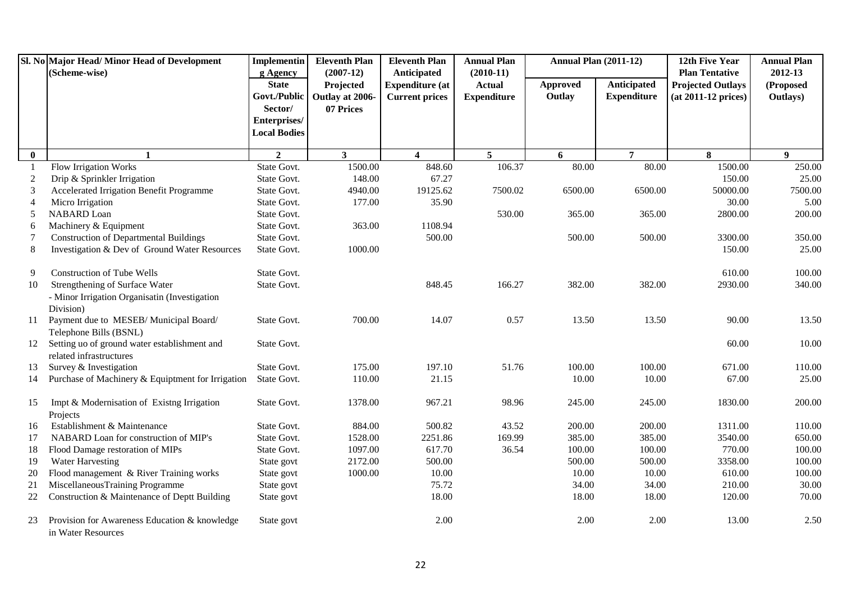|                | Sl. No Major Head/ Minor Head of Development<br>(Scheme-wise)       | <b>Implementin</b><br>g Agency | <b>Eleventh Plan</b><br>$(2007-12)$ | <b>Eleventh Plan</b><br>Anticipated | <b>Annual Plan</b><br>$(2010-11)$ | <b>Annual Plan (2011-12)</b> |                    | 12th Five Year<br><b>Plan Tentative</b> | <b>Annual Plan</b><br>2012-13 |
|----------------|---------------------------------------------------------------------|--------------------------------|-------------------------------------|-------------------------------------|-----------------------------------|------------------------------|--------------------|-----------------------------------------|-------------------------------|
|                |                                                                     | <b>State</b>                   | Projected                           | <b>Expenditure</b> (at              | <b>Actual</b>                     | <b>Approved</b>              | Anticipated        | <b>Projected Outlays</b>                | (Proposed                     |
|                |                                                                     | Govt./Public                   | Outlay at 2006-                     | <b>Current prices</b>               | <b>Expenditure</b>                | Outlay                       | <b>Expenditure</b> | $(at 2011-12 prices)$                   | Outlays)                      |
|                |                                                                     | Sector/                        | 07 Prices                           |                                     |                                   |                              |                    |                                         |                               |
|                |                                                                     | Enterprises/                   |                                     |                                     |                                   |                              |                    |                                         |                               |
|                |                                                                     | <b>Local Bodies</b>            |                                     |                                     |                                   |                              |                    |                                         |                               |
| $\bf{0}$       | $\mathbf{1}$                                                        | $\overline{2}$                 | 3 <sup>1</sup>                      | $\overline{\mathbf{4}}$             | 5 <sup>5</sup>                    | 6                            | $\overline{7}$     | 8                                       | 9 <sup>1</sup>                |
| -1             | Flow Irrigation Works                                               | State Govt.                    | 1500.00                             | 848.60                              | 106.37                            | 80.00                        | 80.00              | 1500.00                                 | 250.00                        |
| $\overline{2}$ | Drip & Sprinkler Irrigation                                         | State Govt.                    | 148.00                              | 67.27                               |                                   |                              |                    | 150.00                                  | 25.00                         |
| 3              | Accelerated Irrigation Benefit Programme                            | State Govt.                    | 4940.00                             | 19125.62                            | 7500.02                           | 6500.00                      | 6500.00            | 50000.00                                | 7500.00                       |
| 4              | Micro Irrigation                                                    | State Govt.                    | 177.00                              | 35.90                               |                                   |                              |                    | 30.00                                   | 5.00                          |
| 5              | NABARD Loan                                                         | State Govt.                    |                                     |                                     | 530.00                            | 365.00                       | 365.00             | 2800.00                                 | 200.00                        |
| 6              | Machinery & Equipment                                               | State Govt.                    | 363.00                              | 1108.94                             |                                   |                              |                    |                                         |                               |
| 7              | <b>Construction of Departmental Buildings</b>                       | State Govt.                    |                                     | 500.00                              |                                   | 500.00                       | 500.00             | 3300.00                                 | 350.00                        |
| 8              | Investigation & Dev of Ground Water Resources                       | State Govt.                    | 1000.00                             |                                     |                                   |                              |                    | 150.00                                  | 25.00                         |
| 9              | <b>Construction of Tube Wells</b>                                   | State Govt.                    |                                     |                                     |                                   |                              |                    | 610.00                                  | 100.00                        |
| 10             | Strengthening of Surface Water                                      | State Govt.                    |                                     | 848.45                              | 166.27                            | 382.00                       | 382.00             | 2930.00                                 | 340.00                        |
|                | - Minor Irrigation Organisatin (Investigation                       |                                |                                     |                                     |                                   |                              |                    |                                         |                               |
|                | Division)                                                           |                                |                                     |                                     |                                   |                              |                    |                                         |                               |
| 11             | Payment due to MESEB/Municipal Board/<br>Telephone Bills (BSNL)     | State Govt.                    | 700.00                              | 14.07                               | 0.57                              | 13.50                        | 13.50              | 90.00                                   | 13.50                         |
| 12             | Setting uo of ground water establishment and                        | State Govt.                    |                                     |                                     |                                   |                              |                    | 60.00                                   | 10.00                         |
|                | related infrastructures                                             |                                |                                     |                                     |                                   |                              |                    |                                         |                               |
| 13             | Survey & Investigation                                              | State Govt.                    | 175.00                              | 197.10                              | 51.76                             | 100.00                       | 100.00             | 671.00                                  | 110.00                        |
| 14             | Purchase of Machinery & Equiptment for Irrigation                   | State Govt.                    | 110.00                              | 21.15                               |                                   | 10.00                        | 10.00              | 67.00                                   | 25.00                         |
|                |                                                                     |                                |                                     |                                     |                                   |                              |                    |                                         |                               |
| 15             | Impt & Modernisation of Existng Irrigation                          | State Govt.                    | 1378.00                             | 967.21                              | 98.96                             | 245.00                       | 245.00             | 1830.00                                 | 200.00                        |
|                | Projects                                                            |                                |                                     |                                     |                                   |                              |                    |                                         |                               |
| 16             | Establishment & Maintenance                                         | State Govt.                    | 884.00                              | 500.82                              | 43.52                             | 200.00                       | 200.00             | 1311.00                                 | 110.00                        |
| 17             | NABARD Loan for construction of MIP's                               | State Govt.                    | 1528.00                             | 2251.86                             | 169.99                            | 385.00                       | 385.00             | 3540.00                                 | 650.00                        |
| 18             | Flood Damage restoration of MIPs                                    | State Govt.                    | 1097.00                             | 617.70                              | 36.54                             | 100.00                       | 100.00             | 770.00                                  | 100.00                        |
| 19             | Water Harvesting                                                    | State govt                     | 2172.00                             | 500.00                              |                                   | 500.00                       | 500.00             | 3358.00                                 | 100.00                        |
| 20             | Flood management & River Training works                             | State govt                     | 1000.00                             | 10.00                               |                                   | 10.00                        | $10.00\,$          | 610.00                                  | 100.00                        |
| 21             | MiscellaneousTraining Programme                                     | State govt                     |                                     | 75.72                               |                                   | 34.00                        | 34.00              | 210.00                                  | 30.00                         |
| 22             | Construction & Maintenance of Deptt Building                        | State govt                     |                                     | 18.00                               |                                   | 18.00                        | 18.00              | 120.00                                  | 70.00                         |
| 23             | Provision for Awareness Education & knowledge<br>in Water Resources | State govt                     |                                     | 2.00                                |                                   | 2.00                         | 2.00               | 13.00                                   | 2.50                          |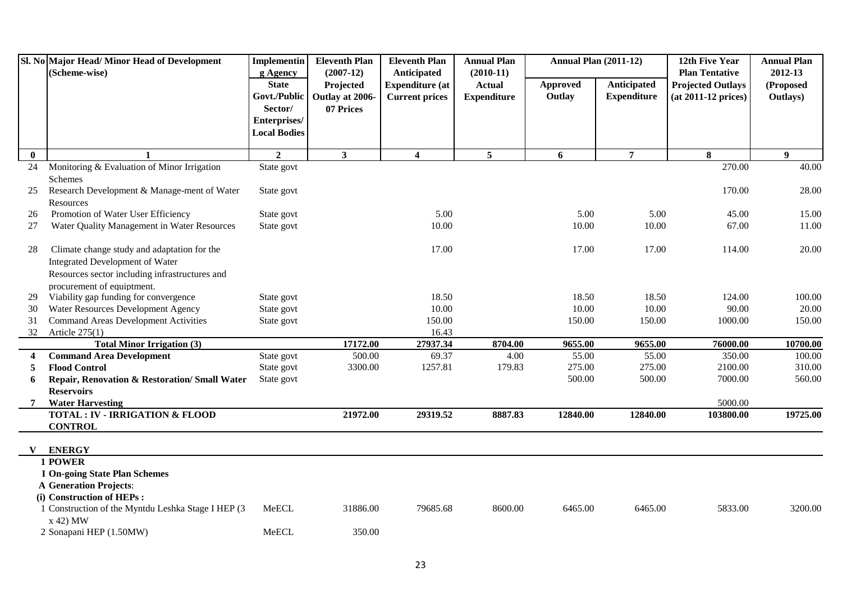|          | Sl. No Major Head/ Minor Head of Development<br>(Scheme-wise)   | Implementin<br>g Agency | <b>Eleventh Plan</b><br>$(2007-12)$ | <b>Eleventh Plan</b><br>Anticipated | <b>Annual Plan</b><br>$(2010-11)$ | <b>Annual Plan (2011-12)</b> |                    | 12th Five Year<br><b>Plan Tentative</b> | <b>Annual Plan</b><br>2012-13 |
|----------|-----------------------------------------------------------------|-------------------------|-------------------------------------|-------------------------------------|-----------------------------------|------------------------------|--------------------|-----------------------------------------|-------------------------------|
|          |                                                                 | <b>State</b>            | Projected                           | <b>Expenditure</b> (at              | <b>Actual</b>                     | Approved                     | Anticipated        | <b>Projected Outlays</b>                | (Proposed                     |
|          |                                                                 | Govt./Public            | Outlay at 2006-                     | <b>Current prices</b>               | <b>Expenditure</b>                | Outlay                       | <b>Expenditure</b> | $(at 2011-12 prices)$                   | Outlays)                      |
|          |                                                                 | Sector/                 | 07 Prices                           |                                     |                                   |                              |                    |                                         |                               |
|          |                                                                 | Enterprises/            |                                     |                                     |                                   |                              |                    |                                         |                               |
|          |                                                                 | <b>Local Bodies</b>     |                                     |                                     |                                   |                              |                    |                                         |                               |
| $\bf{0}$ |                                                                 | $\overline{2}$          | $\mathbf{3}$                        | $\overline{\mathbf{4}}$             | 5 <sup>5</sup>                    | 6                            | $\overline{7}$     | 8                                       | 9                             |
| 24       | Monitoring & Evaluation of Minor Irrigation                     | State govt              |                                     |                                     |                                   |                              |                    | 270.00                                  | 40.00                         |
|          | Schemes                                                         |                         |                                     |                                     |                                   |                              |                    |                                         |                               |
| 25       | Research Development & Manage-ment of Water                     | State govt              |                                     |                                     |                                   |                              |                    | 170.00                                  | 28.00                         |
|          | Resources                                                       |                         |                                     |                                     |                                   |                              |                    |                                         |                               |
| 26       | Promotion of Water User Efficiency                              | State govt              |                                     | 5.00                                |                                   | 5.00                         | 5.00               | 45.00                                   | 15.00                         |
| 27       | Water Quality Management in Water Resources                     | State govt              |                                     | 10.00                               |                                   | 10.00                        | 10.00              | 67.00                                   | 11.00                         |
| 28       | Climate change study and adaptation for the                     |                         |                                     | 17.00                               |                                   | 17.00                        | 17.00              | 114.00                                  | 20.00                         |
|          | Integrated Development of Water                                 |                         |                                     |                                     |                                   |                              |                    |                                         |                               |
|          | Resources sector including infrastructures and                  |                         |                                     |                                     |                                   |                              |                    |                                         |                               |
|          | procurement of equiptment.                                      |                         |                                     |                                     |                                   |                              |                    |                                         |                               |
| 29       | Viability gap funding for convergence                           | State govt              |                                     | 18.50                               |                                   | 18.50                        | 18.50              | 124.00                                  | 100.00                        |
| 30       | Water Resources Development Agency                              | State govt              |                                     | 10.00                               |                                   | 10.00                        | 10.00              | 90.00                                   | 20.00                         |
| 31       | <b>Command Areas Development Activities</b>                     | State govt              |                                     | 150.00                              |                                   | 150.00                       | 150.00             | 1000.00                                 | 150.00                        |
| 32       | Article $275(1)$                                                |                         |                                     | 16.43                               |                                   |                              |                    |                                         |                               |
|          | <b>Total Minor Irrigation (3)</b>                               |                         | 17172.00                            | 27937.34                            | 8704.00                           | 9655.00                      | 9655.00            | 76000.00                                | 10700.00                      |
| 4        | <b>Command Area Development</b>                                 | State govt              | 500.00                              | 69.37                               | 4.00                              | 55.00                        | 55.00              | 350.00                                  | 100.00                        |
| 5        | <b>Flood Control</b>                                            | State govt              | 3300.00                             | 1257.81                             | 179.83                            | 275.00                       | 275.00             | 2100.00                                 | 310.00                        |
| 6        | Repair, Renovation & Restoration/ Small Water                   | State govt              |                                     |                                     |                                   | 500.00                       | 500.00             | 7000.00                                 | 560.00                        |
|          | <b>Reservoirs</b>                                               |                         |                                     |                                     |                                   |                              |                    |                                         |                               |
|          | <b>Water Harvesting</b>                                         |                         |                                     |                                     |                                   |                              |                    | 5000.00                                 |                               |
|          | <b>TOTAL: IV - IRRIGATION &amp; FLOOD</b>                       |                         | 21972.00                            | 29319.52                            | 8887.83                           | 12840.00                     | 12840.00           | 103800.00                               | 19725.00                      |
|          | <b>CONTROL</b>                                                  |                         |                                     |                                     |                                   |                              |                    |                                         |                               |
|          | <b>ENERGY</b>                                                   |                         |                                     |                                     |                                   |                              |                    |                                         |                               |
|          | 1 POWER                                                         |                         |                                     |                                     |                                   |                              |                    |                                         |                               |
|          | <b>I On-going State Plan Schemes</b>                            |                         |                                     |                                     |                                   |                              |                    |                                         |                               |
|          | <b>A Generation Projects:</b>                                   |                         |                                     |                                     |                                   |                              |                    |                                         |                               |
|          | (i) Construction of HEPs :                                      |                         |                                     |                                     |                                   |                              |                    |                                         |                               |
|          | 1 Construction of the Myntdu Leshka Stage I HEP (3)<br>x 42) MW | MeECL                   | 31886.00                            | 79685.68                            | 8600.00                           | 6465.00                      | 6465.00            | 5833.00                                 | 3200.00                       |
|          | 2 Sonapani HEP (1.50MW)                                         | MeECL                   | 350.00                              |                                     |                                   |                              |                    |                                         |                               |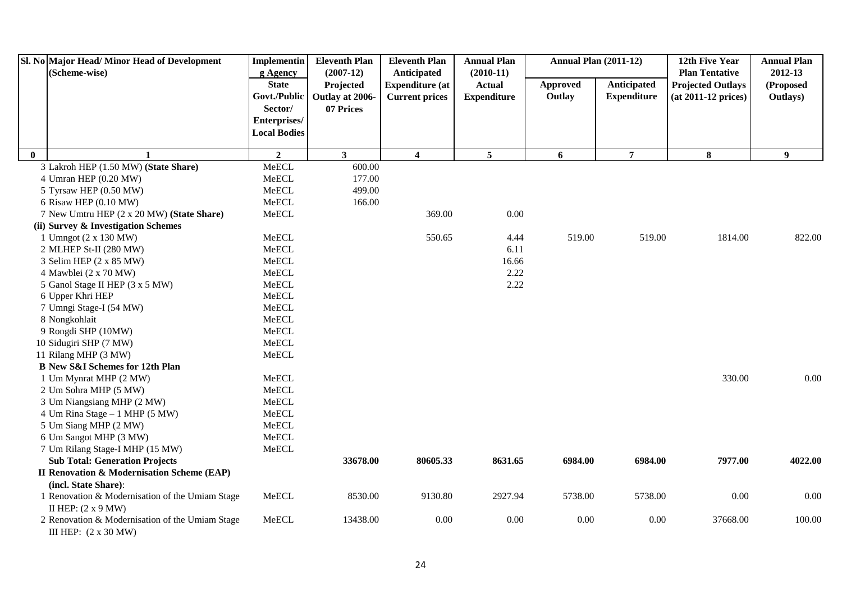|              | Sl. No Major Head/ Minor Head of Development          | Implementin              | <b>Eleventh Plan</b>     | <b>Eleventh Plan</b>                            | <b>Annual Plan</b>           | <b>Annual Plan (2011-12)</b> |                    | 12th Five Year                                    | <b>Annual Plan</b><br>2012-13 |
|--------------|-------------------------------------------------------|--------------------------|--------------------------|-------------------------------------------------|------------------------------|------------------------------|--------------------|---------------------------------------------------|-------------------------------|
|              | (Scheme-wise)                                         | g Agency<br><b>State</b> | $(2007-12)$<br>Projected | Anticipated                                     | $(2010-11)$<br><b>Actual</b> | <b>Approved</b>              | Anticipated        | <b>Plan Tentative</b>                             | (Proposed                     |
|              |                                                       | Govt./Public             | Outlay at 2006-          | <b>Expenditure (at</b><br><b>Current prices</b> | <b>Expenditure</b>           | Outlay                       | <b>Expenditure</b> | <b>Projected Outlays</b><br>$(at 2011-12 prices)$ | Outlays)                      |
|              |                                                       | Sector/                  | 07 Prices                |                                                 |                              |                              |                    |                                                   |                               |
|              |                                                       | Enterprises/             |                          |                                                 |                              |                              |                    |                                                   |                               |
|              |                                                       | <b>Local Bodies</b>      |                          |                                                 |                              |                              |                    |                                                   |                               |
|              |                                                       |                          |                          |                                                 |                              |                              |                    |                                                   |                               |
| $\mathbf{0}$ |                                                       | $\overline{2}$           | 3 <sup>1</sup>           | $\overline{\mathbf{4}}$                         | 5 <sup>5</sup>               | 6                            | $\overline{7}$     | 8                                                 | $\boldsymbol{9}$              |
|              | 3 Lakroh HEP (1.50 MW) (State Share)                  | MeECL                    | 600.00                   |                                                 |                              |                              |                    |                                                   |                               |
|              | 4 Umran HEP (0.20 MW)                                 | MeECL                    | 177.00                   |                                                 |                              |                              |                    |                                                   |                               |
|              | 5 Tyrsaw HEP (0.50 MW)                                | MeECL                    | 499.00                   |                                                 |                              |                              |                    |                                                   |                               |
|              | 6 Risaw HEP (0.10 MW)                                 | MeECL                    | 166.00                   |                                                 |                              |                              |                    |                                                   |                               |
|              | 7 New Umtru HEP (2 x 20 MW) (State Share)             | MeECL                    |                          | 369.00                                          | 0.00                         |                              |                    |                                                   |                               |
|              | (ii) Survey & Investigation Schemes                   |                          |                          |                                                 |                              |                              |                    |                                                   |                               |
|              | 1 Umngot (2 x 130 MW)                                 | MeECL                    |                          | 550.65                                          | 4.44                         | 519.00                       | 519.00             | 1814.00                                           | 822.00                        |
|              | 2 MLHEP St-II (280 MW)                                | MeECL                    |                          |                                                 | 6.11                         |                              |                    |                                                   |                               |
|              | 3 Selim HEP (2 x 85 MW)                               | MeECL                    |                          |                                                 | 16.66                        |                              |                    |                                                   |                               |
|              | 4 Mawblei (2 x 70 MW)                                 | MeECL                    |                          |                                                 | 2.22                         |                              |                    |                                                   |                               |
|              | 5 Ganol Stage II HEP (3 x 5 MW)                       | MeECL                    |                          |                                                 | 2.22                         |                              |                    |                                                   |                               |
|              | 6 Upper Khri HEP                                      | MeECL                    |                          |                                                 |                              |                              |                    |                                                   |                               |
|              | 7 Umngi Stage-I (54 MW)                               | MeECL                    |                          |                                                 |                              |                              |                    |                                                   |                               |
|              | 8 Nongkohlait                                         | MeECL                    |                          |                                                 |                              |                              |                    |                                                   |                               |
|              | 9 Rongdi SHP (10MW)                                   | MeECL                    |                          |                                                 |                              |                              |                    |                                                   |                               |
|              | 10 Sidugiri SHP (7 MW)                                | MeECL                    |                          |                                                 |                              |                              |                    |                                                   |                               |
|              | 11 Rilang MHP (3 MW)                                  | MeECL                    |                          |                                                 |                              |                              |                    |                                                   |                               |
|              | <b>B New S&amp;I Schemes for 12th Plan</b>            |                          |                          |                                                 |                              |                              |                    |                                                   |                               |
|              | 1 Um Mynrat MHP (2 MW)                                | MeECL                    |                          |                                                 |                              |                              |                    | 330.00                                            | 0.00                          |
|              | 2 Um Sohra MHP (5 MW)                                 | MeECL                    |                          |                                                 |                              |                              |                    |                                                   |                               |
|              | 3 Um Niangsiang MHP (2 MW)                            | MeECL                    |                          |                                                 |                              |                              |                    |                                                   |                               |
|              | 4 Um Rina Stage - 1 MHP (5 MW)                        | MeECL                    |                          |                                                 |                              |                              |                    |                                                   |                               |
|              | 5 Um Siang MHP (2 MW)                                 | MeECL                    |                          |                                                 |                              |                              |                    |                                                   |                               |
|              | 6 Um Sangot MHP (3 MW)                                | MeECL                    |                          |                                                 |                              |                              |                    |                                                   |                               |
|              | 7 Um Rilang Stage-I MHP (15 MW)                       | MeECL                    |                          |                                                 |                              |                              |                    |                                                   |                               |
|              | <b>Sub Total: Generation Projects</b>                 |                          | 33678.00                 | 80605.33                                        | 8631.65                      | 6984.00                      | 6984.00            | 7977.00                                           | 4022.00                       |
|              | <b>II Renovation &amp; Modernisation Scheme (EAP)</b> |                          |                          |                                                 |                              |                              |                    |                                                   |                               |
|              | (incl. State Share):                                  |                          |                          |                                                 |                              |                              |                    |                                                   |                               |
|              | 1 Renovation & Modernisation of the Umiam Stage       | MeECL                    | 8530.00                  | 9130.80                                         | 2927.94                      | 5738.00                      | 5738.00            | 0.00                                              | $0.00\,$                      |
|              | II HEP: $(2 x 9 MW)$                                  |                          |                          |                                                 |                              |                              |                    |                                                   |                               |
|              | 2 Renovation & Modernisation of the Umiam Stage       | MeECL                    | 13438.00                 | 0.00                                            | $0.00\,$                     | 0.00                         | 0.00               | 37668.00                                          | 100.00                        |
|              | III HEP: $(2 \times 30 \text{ MW})$                   |                          |                          |                                                 |                              |                              |                    |                                                   |                               |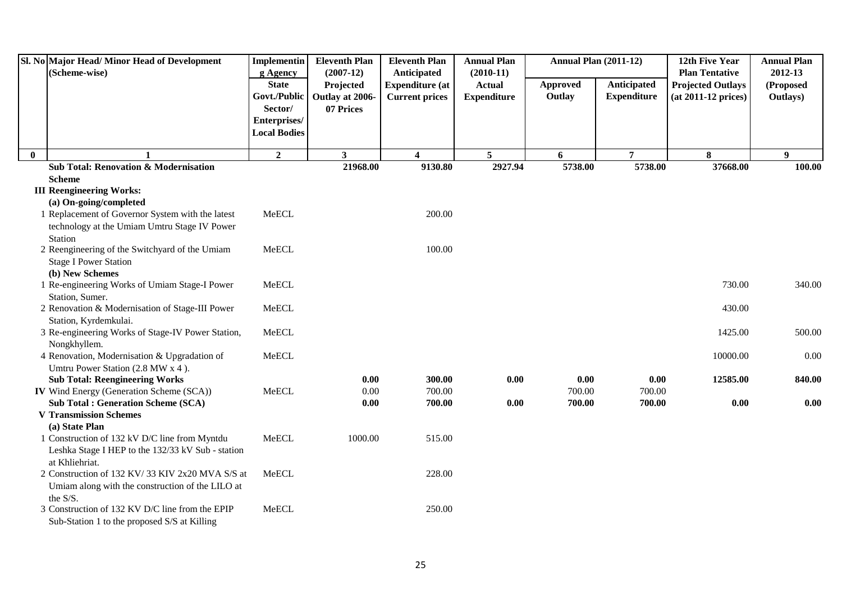|          | Sl. No Major Head/Minor Head of Development<br>(Scheme-wise)       | <b>Implementin</b><br>g Agency | <b>Eleventh Plan</b><br>$(2007-12)$ | <b>Eleventh Plan</b><br>Anticipated | <b>Annual Plan</b><br>$(2010-11)$ | <b>Annual Plan (2011-12)</b> |                    | 12th Five Year<br><b>Plan Tentative</b> | <b>Annual Plan</b><br>2012-13 |
|----------|--------------------------------------------------------------------|--------------------------------|-------------------------------------|-------------------------------------|-----------------------------------|------------------------------|--------------------|-----------------------------------------|-------------------------------|
|          |                                                                    | <b>State</b>                   | Projected                           | <b>Expenditure (at</b>              | <b>Actual</b>                     | Approved                     | Anticipated        | <b>Projected Outlays</b>                | (Proposed                     |
|          |                                                                    | Govt./Public                   | Outlay at 2006-                     | <b>Current prices</b>               | <b>Expenditure</b>                | Outlay                       | <b>Expenditure</b> | (at 2011-12 prices)                     | Outlays)                      |
|          |                                                                    | Sector/                        | 07 Prices                           |                                     |                                   |                              |                    |                                         |                               |
|          |                                                                    | Enterprises/                   |                                     |                                     |                                   |                              |                    |                                         |                               |
|          |                                                                    | <b>Local Bodies</b>            |                                     |                                     |                                   |                              |                    |                                         |                               |
| $\bf{0}$ |                                                                    | $\boldsymbol{2}$               | $\mathbf{3}$                        | $\overline{\mathbf{4}}$             | $5\phantom{.0}$                   | 6                            | $\overline{7}$     | 8                                       | 9                             |
|          | <b>Sub Total: Renovation &amp; Modernisation</b>                   |                                | 21968.00                            | 9130.80                             | 2927.94                           | 5738.00                      | 5738.00            | 37668.00                                | 100.00                        |
|          | <b>Scheme</b>                                                      |                                |                                     |                                     |                                   |                              |                    |                                         |                               |
|          | <b>III Reengineering Works:</b>                                    |                                |                                     |                                     |                                   |                              |                    |                                         |                               |
|          | (a) On-going/completed                                             |                                |                                     |                                     |                                   |                              |                    |                                         |                               |
|          | 1 Replacement of Governor System with the latest                   | MeECL                          |                                     | 200.00                              |                                   |                              |                    |                                         |                               |
|          | technology at the Umiam Umtru Stage IV Power                       |                                |                                     |                                     |                                   |                              |                    |                                         |                               |
|          | Station                                                            |                                |                                     |                                     |                                   |                              |                    |                                         |                               |
|          | 2 Reengineering of the Switchyard of the Umiam                     | MeECL                          |                                     | 100.00                              |                                   |                              |                    |                                         |                               |
|          | <b>Stage I Power Station</b>                                       |                                |                                     |                                     |                                   |                              |                    |                                         |                               |
|          | (b) New Schemes                                                    |                                |                                     |                                     |                                   |                              |                    |                                         |                               |
|          | 1 Re-engineering Works of Umiam Stage-I Power                      | MeECL                          |                                     |                                     |                                   |                              |                    | 730.00                                  | 340.00                        |
|          | Station, Sumer.<br>2 Renovation & Modernisation of Stage-III Power | MeECL                          |                                     |                                     |                                   |                              |                    | 430.00                                  |                               |
|          | Station, Kyrdemkulai.                                              |                                |                                     |                                     |                                   |                              |                    |                                         |                               |
|          | 3 Re-engineering Works of Stage-IV Power Station,                  | MeECL                          |                                     |                                     |                                   |                              |                    | 1425.00                                 | 500.00                        |
|          | Nongkhyllem.                                                       |                                |                                     |                                     |                                   |                              |                    |                                         |                               |
|          | 4 Renovation, Modernisation & Upgradation of                       | MeECL                          |                                     |                                     |                                   |                              |                    | 10000.00                                | 0.00                          |
|          | Umtru Power Station (2.8 MW x 4).                                  |                                |                                     |                                     |                                   |                              |                    |                                         |                               |
|          | <b>Sub Total: Reengineering Works</b>                              |                                | 0.00                                | 300.00                              | 0.00                              | 0.00                         | 0.00               | 12585.00                                | 840.00                        |
|          | IV Wind Energy (Generation Scheme (SCA))                           | MeECL                          | 0.00                                | 700.00                              |                                   | 700.00                       | 700.00             |                                         |                               |
|          | <b>Sub Total: Generation Scheme (SCA)</b>                          |                                | 0.00                                | 700.00                              | 0.00                              | 700.00                       | 700.00             | 0.00                                    | 0.00                          |
|          | <b>V Transmission Schemes</b>                                      |                                |                                     |                                     |                                   |                              |                    |                                         |                               |
|          | (a) State Plan                                                     |                                |                                     |                                     |                                   |                              |                    |                                         |                               |
|          | 1 Construction of 132 kV D/C line from Myntdu                      | MeECL                          | 1000.00                             | 515.00                              |                                   |                              |                    |                                         |                               |
|          | Leshka Stage I HEP to the 132/33 kV Sub - station                  |                                |                                     |                                     |                                   |                              |                    |                                         |                               |
|          | at Khliehriat.                                                     |                                |                                     |                                     |                                   |                              |                    |                                         |                               |
|          | 2 Construction of 132 KV/33 KIV 2x20 MVA S/S at                    | MeECL                          |                                     | 228.00                              |                                   |                              |                    |                                         |                               |
|          | Umiam along with the construction of the LILO at<br>the S/S.       |                                |                                     |                                     |                                   |                              |                    |                                         |                               |
|          | 3 Construction of 132 KV D/C line from the EPIP                    | MeECL                          |                                     | 250.00                              |                                   |                              |                    |                                         |                               |
|          | Sub-Station 1 to the proposed S/S at Killing                       |                                |                                     |                                     |                                   |                              |                    |                                         |                               |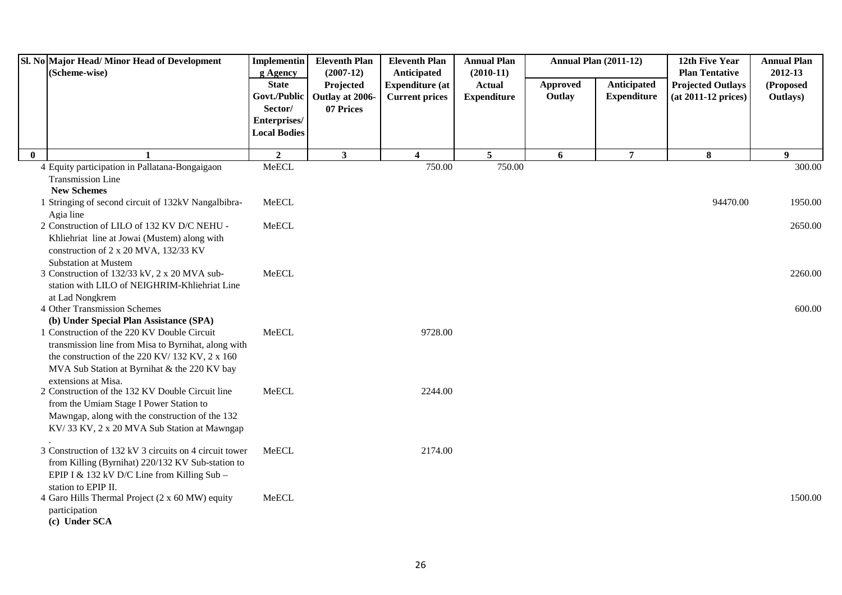|              | Sl. No Major Head/ Minor Head of Development<br>(Scheme-wise)                                                                                                                                                               | Implementin<br>g Agency             | <b>Eleventh Plan</b><br>$(2007-12)$ | <b>Eleventh Plan</b><br>Anticipated             | <b>Annual Plan</b><br>$(2010-11)$   | <b>Annual Plan (2011-12)</b> |                                   | 12th Five Year<br><b>Plan Tentative</b>           | <b>Annual Plan</b><br>2012-13 |
|--------------|-----------------------------------------------------------------------------------------------------------------------------------------------------------------------------------------------------------------------------|-------------------------------------|-------------------------------------|-------------------------------------------------|-------------------------------------|------------------------------|-----------------------------------|---------------------------------------------------|-------------------------------|
|              |                                                                                                                                                                                                                             | <b>State</b><br>Govt./Public        | Projected<br>Outlay at 2006-        | <b>Expenditure (at</b><br><b>Current prices</b> | <b>Actual</b><br><b>Expenditure</b> | Approved<br>Outlay           | Anticipated<br><b>Expenditure</b> | <b>Projected Outlays</b><br>$(at 2011-12 prices)$ | (Proposed<br>Outlays)         |
|              |                                                                                                                                                                                                                             | Sector/                             | 07 Prices                           |                                                 |                                     |                              |                                   |                                                   |                               |
|              |                                                                                                                                                                                                                             | Enterprises/<br><b>Local Bodies</b> |                                     |                                                 |                                     |                              |                                   |                                                   |                               |
| $\mathbf{0}$ |                                                                                                                                                                                                                             | $\overline{2}$                      | $\mathbf{3}$                        | $\overline{\mathbf{4}}$                         | 5                                   | 6                            | $\overline{7}$                    | $\bf 8$                                           | 9                             |
|              | 4 Equity participation in Pallatana-Bongaigaon                                                                                                                                                                              | MeECL                               |                                     | 750.00                                          | 750.00                              |                              |                                   |                                                   | 300.00                        |
|              | <b>Transmission Line</b><br><b>New Schemes</b>                                                                                                                                                                              |                                     |                                     |                                                 |                                     |                              |                                   |                                                   |                               |
|              | 1 Stringing of second circuit of 132kV Nangalbibra-<br>Agia line                                                                                                                                                            | MeECL                               |                                     |                                                 |                                     |                              |                                   | 94470.00                                          | 1950.00                       |
|              | 2 Construction of LILO of 132 KV D/C NEHU -<br>Khliehriat line at Jowai (Mustem) along with<br>construction of 2 x 20 MVA, 132/33 KV<br><b>Substation at Mustem</b>                                                         | MeECL                               |                                     |                                                 |                                     |                              |                                   |                                                   | 2650.00                       |
|              | 3 Construction of 132/33 kV, 2 x 20 MVA sub-<br>station with LILO of NEIGHRIM-Khliehriat Line<br>at Lad Nongkrem                                                                                                            | MeECL                               |                                     |                                                 |                                     |                              |                                   |                                                   | 2260.00                       |
|              | 4 Other Transmission Schemes<br>(b) Under Special Plan Assistance (SPA)                                                                                                                                                     |                                     |                                     |                                                 |                                     |                              |                                   |                                                   | 600.00                        |
|              | 1 Construction of the 220 KV Double Circuit<br>transmission line from Misa to Byrnihat, along with<br>the construction of the 220 KV/132 KV, 2 x 160<br>MVA Sub Station at Byrnihat & the 220 KV bay<br>extensions at Misa. | MeECL                               |                                     | 9728.00                                         |                                     |                              |                                   |                                                   |                               |
|              | 2 Construction of the 132 KV Double Circuit line<br>from the Umiam Stage I Power Station to<br>Mawngap, along with the construction of the 132<br>KV/33 KV, 2 x 20 MVA Sub Station at Mawngap                               | MeECL                               |                                     | 2244.00                                         |                                     |                              |                                   |                                                   |                               |
|              | 3 Construction of 132 kV 3 circuits on 4 circuit tower<br>from Killing (Byrnihat) 220/132 KV Sub-station to<br>EPIP I & 132 kV D/C Line from Killing Sub -<br>station to EPIP II.                                           | MeECL                               |                                     | 2174.00                                         |                                     |                              |                                   |                                                   |                               |
|              | 4 Garo Hills Thermal Project (2 x 60 MW) equity<br>participation<br>(c) Under SCA                                                                                                                                           | MeECL                               |                                     |                                                 |                                     |                              |                                   |                                                   | 1500.00                       |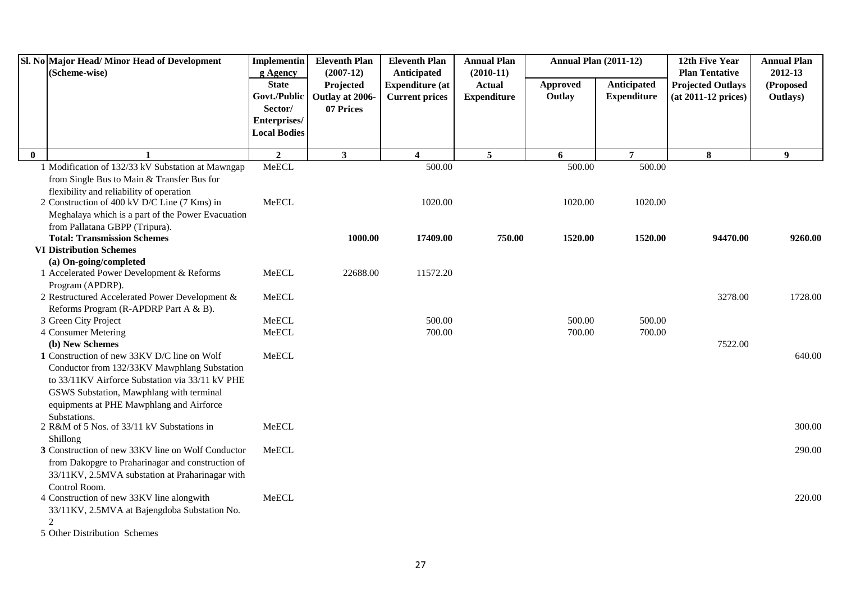|              | Sl. No Major Head/ Minor Head of Development<br>(Scheme-wise)        | <b>Implementin</b><br>g Agency                          | <b>Eleventh Plan</b><br>$(2007-12)$       | <b>Eleventh Plan</b><br>Anticipated             | <b>Annual Plan</b><br>$(2010-11)$   | <b>Annual Plan (2011-12)</b> |                                   | 12th Five Year<br><b>Plan Tentative</b>           | <b>Annual Plan</b><br>2012-13 |
|--------------|----------------------------------------------------------------------|---------------------------------------------------------|-------------------------------------------|-------------------------------------------------|-------------------------------------|------------------------------|-----------------------------------|---------------------------------------------------|-------------------------------|
|              |                                                                      | <b>State</b><br>Govt./Public<br>Sector/<br>Enterprises/ | Projected<br>Outlay at 2006-<br>07 Prices | <b>Expenditure</b> (at<br><b>Current prices</b> | <b>Actual</b><br><b>Expenditure</b> | Approved<br>Outlay           | Anticipated<br><b>Expenditure</b> | <b>Projected Outlays</b><br>$(at 2011-12 prices)$ | (Proposed<br>Outlays)         |
|              |                                                                      | <b>Local Bodies</b>                                     |                                           |                                                 |                                     |                              |                                   |                                                   |                               |
| $\mathbf{0}$ |                                                                      | $\overline{2}$                                          | $\mathbf{3}$                              | $\overline{\mathbf{4}}$                         | $5\phantom{.0}$                     | 6                            | $\overline{7}$                    | 8                                                 | 9 <sup>°</sup>                |
|              | 1 Modification of 132/33 kV Substation at Mawngap                    | MeECL                                                   |                                           | 500.00                                          |                                     | 500.00                       | 500.00                            |                                                   |                               |
|              | from Single Bus to Main & Transfer Bus for                           |                                                         |                                           |                                                 |                                     |                              |                                   |                                                   |                               |
|              | flexibility and reliability of operation                             |                                                         |                                           |                                                 |                                     |                              |                                   |                                                   |                               |
|              | 2 Construction of 400 kV D/C Line (7 Kms) in                         | MeECL                                                   |                                           | 1020.00                                         |                                     | 1020.00                      | 1020.00                           |                                                   |                               |
|              | Meghalaya which is a part of the Power Evacuation                    |                                                         |                                           |                                                 |                                     |                              |                                   |                                                   |                               |
|              | from Pallatana GBPP (Tripura).<br><b>Total: Transmission Schemes</b> |                                                         | 1000.00                                   | 17409.00                                        | 750.00                              | 1520.00                      | 1520.00                           | 94470.00                                          | 9260.00                       |
|              | <b>VI Distribution Schemes</b>                                       |                                                         |                                           |                                                 |                                     |                              |                                   |                                                   |                               |
|              | (a) On-going/completed                                               |                                                         |                                           |                                                 |                                     |                              |                                   |                                                   |                               |
|              | 1 Accelerated Power Development & Reforms                            | MeECL                                                   | 22688.00                                  | 11572.20                                        |                                     |                              |                                   |                                                   |                               |
|              | Program (APDRP).                                                     |                                                         |                                           |                                                 |                                     |                              |                                   |                                                   |                               |
|              | 2 Restructured Accelerated Power Development &                       | MeECL                                                   |                                           |                                                 |                                     |                              |                                   | 3278.00                                           | 1728.00                       |
|              | Reforms Program (R-APDRP Part A & B).                                |                                                         |                                           |                                                 |                                     |                              |                                   |                                                   |                               |
|              | 3 Green City Project                                                 | MeECL                                                   |                                           | 500.00                                          |                                     | 500.00                       | 500.00                            |                                                   |                               |
|              | 4 Consumer Metering                                                  | MeECL                                                   |                                           | 700.00                                          |                                     | 700.00                       | 700.00                            |                                                   |                               |
|              | (b) New Schemes                                                      |                                                         |                                           |                                                 |                                     |                              |                                   | 7522.00                                           |                               |
|              | 1 Construction of new 33KV D/C line on Wolf                          | MeECL                                                   |                                           |                                                 |                                     |                              |                                   |                                                   | 640.00                        |
|              | Conductor from 132/33KV Mawphlang Substation                         |                                                         |                                           |                                                 |                                     |                              |                                   |                                                   |                               |
|              | to 33/11KV Airforce Substation via 33/11 kV PHE                      |                                                         |                                           |                                                 |                                     |                              |                                   |                                                   |                               |
|              | GSWS Substation, Mawphlang with terminal                             |                                                         |                                           |                                                 |                                     |                              |                                   |                                                   |                               |
|              | equipments at PHE Mawphlang and Airforce<br>Substations.             |                                                         |                                           |                                                 |                                     |                              |                                   |                                                   |                               |
|              | 2 R&M of 5 Nos. of 33/11 kV Substations in                           | MeECL                                                   |                                           |                                                 |                                     |                              |                                   |                                                   | 300.00                        |
|              | Shillong                                                             |                                                         |                                           |                                                 |                                     |                              |                                   |                                                   |                               |
|              | 3 Construction of new 33KV line on Wolf Conductor                    | MeECL                                                   |                                           |                                                 |                                     |                              |                                   |                                                   | 290.00                        |
|              | from Dakopgre to Praharinagar and construction of                    |                                                         |                                           |                                                 |                                     |                              |                                   |                                                   |                               |
|              | 33/11KV, 2.5MVA substation at Praharinagar with                      |                                                         |                                           |                                                 |                                     |                              |                                   |                                                   |                               |
|              | Control Room.                                                        |                                                         |                                           |                                                 |                                     |                              |                                   |                                                   |                               |
|              | 4 Construction of new 33KV line alongwith                            | MeECL                                                   |                                           |                                                 |                                     |                              |                                   |                                                   | 220.00                        |
|              | 33/11KV, 2.5MVA at Bajengdoba Substation No.                         |                                                         |                                           |                                                 |                                     |                              |                                   |                                                   |                               |
|              | 2                                                                    |                                                         |                                           |                                                 |                                     |                              |                                   |                                                   |                               |
|              | 5 Other Distribution Schemes                                         |                                                         |                                           |                                                 |                                     |                              |                                   |                                                   |                               |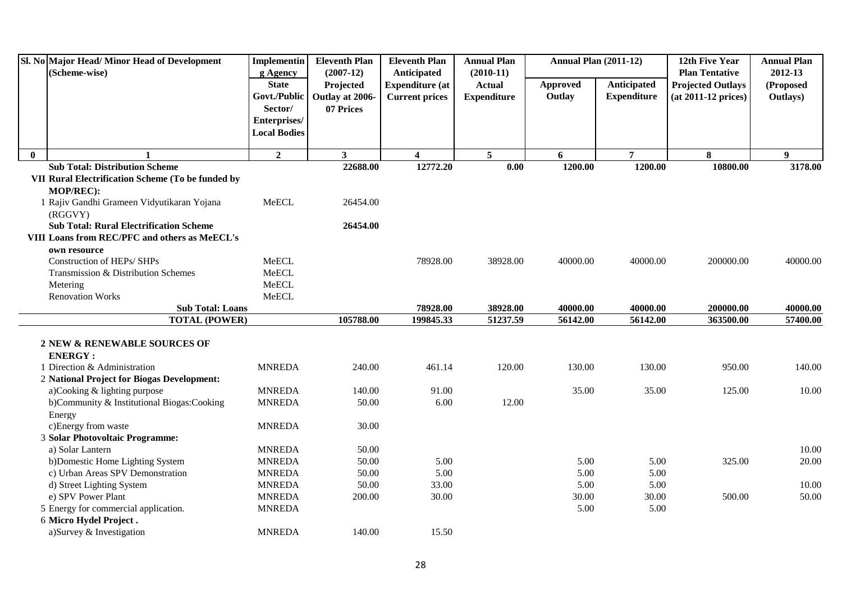|              | Sl. No Major Head/Minor Head of Development<br>(Scheme-wise) | Implementin<br>g Agency                 | <b>Eleventh Plan</b><br>$(2007-12)$       | <b>Eleventh Plan</b><br>Anticipated             | <b>Annual Plan</b><br>$(2010-11)$   | <b>Annual Plan (2011-12)</b> |                                   | 12th Five Year<br><b>Plan Tentative</b>           | <b>Annual Plan</b><br>2012-13 |
|--------------|--------------------------------------------------------------|-----------------------------------------|-------------------------------------------|-------------------------------------------------|-------------------------------------|------------------------------|-----------------------------------|---------------------------------------------------|-------------------------------|
|              |                                                              | <b>State</b><br>Govt./Public<br>Sector/ | Projected<br>Outlay at 2006-<br>07 Prices | <b>Expenditure (at</b><br><b>Current prices</b> | <b>Actual</b><br><b>Expenditure</b> | Approved<br>Outlay           | Anticipated<br><b>Expenditure</b> | <b>Projected Outlays</b><br>$(at 2011-12 prices)$ | (Proposed<br>Outlays)         |
|              |                                                              | Enterprises/<br><b>Local Bodies</b>     |                                           |                                                 |                                     |                              |                                   |                                                   |                               |
| $\mathbf{0}$ | $\mathbf{1}$                                                 | $\mathbf{2}$                            | $\mathbf{3}$                              | 4                                               | $\overline{5}$                      | 6                            | $\overline{7}$                    | 8                                                 | $\boldsymbol{9}$              |
|              | <b>Sub Total: Distribution Scheme</b>                        |                                         | 22688.00                                  | 12772.20                                        | 0.00                                | 1200.00                      | 1200.00                           | 10800.00                                          | 3178.00                       |
|              | VII Rural Electrification Scheme (To be funded by            |                                         |                                           |                                                 |                                     |                              |                                   |                                                   |                               |
|              | MOP/REC):                                                    |                                         |                                           |                                                 |                                     |                              |                                   |                                                   |                               |
|              | 1 Rajiv Gandhi Grameen Vidyutikaran Yojana<br>(RGGVY)        | MeECL                                   | 26454.00                                  |                                                 |                                     |                              |                                   |                                                   |                               |
|              | <b>Sub Total: Rural Electrification Scheme</b>               |                                         | 26454.00                                  |                                                 |                                     |                              |                                   |                                                   |                               |
|              | VIII Loans from REC/PFC and others as MeECL's                |                                         |                                           |                                                 |                                     |                              |                                   |                                                   |                               |
|              | own resource                                                 |                                         |                                           |                                                 |                                     |                              |                                   |                                                   |                               |
|              | Construction of HEPs/ SHPs                                   | MeECL                                   |                                           | 78928.00                                        | 38928.00                            | 40000.00                     | 40000.00                          | 200000.00                                         | 40000.00                      |
|              | Transmission & Distribution Schemes                          | <b>MeECL</b>                            |                                           |                                                 |                                     |                              |                                   |                                                   |                               |
|              | Metering                                                     | MeECL                                   |                                           |                                                 |                                     |                              |                                   |                                                   |                               |
|              | <b>Renovation Works</b>                                      | MeECL                                   |                                           |                                                 |                                     |                              |                                   |                                                   |                               |
|              | <b>Sub Total: Loans</b>                                      |                                         |                                           | 78928.00                                        | 38928.00                            | 40000.00                     | 40000.00                          | 200000.00                                         | 40000.00                      |
|              | <b>TOTAL (POWER)</b>                                         |                                         | 105788.00                                 | 199845.33                                       | 51237.59                            | 56142.00                     | 56142.00                          | 363500.00                                         | 57400.00                      |
|              | 2 NEW & RENEWABLE SOURCES OF                                 |                                         |                                           |                                                 |                                     |                              |                                   |                                                   |                               |
|              | <b>ENERGY:</b>                                               |                                         |                                           |                                                 |                                     |                              |                                   |                                                   |                               |
|              | 1 Direction & Administration                                 | <b>MNREDA</b>                           | 240.00                                    | 461.14                                          | 120.00                              | 130.00                       | 130.00                            | 950.00                                            | 140.00                        |
|              | 2 National Project for Biogas Development:                   |                                         |                                           |                                                 |                                     |                              |                                   |                                                   |                               |
|              | a)Cooking & lighting purpose                                 | <b>MNREDA</b>                           | 140.00                                    | 91.00                                           |                                     | 35.00                        | 35.00                             | 125.00                                            | 10.00                         |
|              | b)Community & Institutional Biogas:Cooking                   | <b>MNREDA</b>                           | 50.00                                     | 6.00                                            | 12.00                               |                              |                                   |                                                   |                               |
|              | Energy                                                       |                                         |                                           |                                                 |                                     |                              |                                   |                                                   |                               |
|              | c)Energy from waste                                          | <b>MNREDA</b>                           | 30.00                                     |                                                 |                                     |                              |                                   |                                                   |                               |
|              | 3 Solar Photovoltaic Programme:                              |                                         |                                           |                                                 |                                     |                              |                                   |                                                   |                               |
|              | a) Solar Lantern                                             | <b>MNREDA</b>                           | 50.00                                     |                                                 |                                     |                              |                                   |                                                   | 10.00                         |
|              | b)Domestic Home Lighting System                              | <b>MNREDA</b>                           | 50.00                                     | 5.00                                            |                                     | 5.00                         | 5.00                              | 325.00                                            | 20.00                         |
|              | c) Urban Areas SPV Demonstration                             | <b>MNREDA</b>                           | 50.00                                     | 5.00                                            |                                     | 5.00                         | 5.00                              |                                                   |                               |
|              | d) Street Lighting System                                    | <b>MNREDA</b>                           | 50.00                                     | 33.00                                           |                                     | 5.00                         | 5.00                              |                                                   | 10.00                         |
|              | e) SPV Power Plant                                           | <b>MNREDA</b>                           | 200.00                                    | 30.00                                           |                                     | 30.00                        | 30.00                             | 500.00                                            | 50.00                         |
|              | 5 Energy for commercial application.                         | <b>MNREDA</b>                           |                                           |                                                 |                                     | 5.00                         | 5.00                              |                                                   |                               |
|              | 6 Micro Hydel Project.                                       |                                         |                                           |                                                 |                                     |                              |                                   |                                                   |                               |
|              | a)Survey & Investigation                                     | <b>MNREDA</b>                           | 140.00                                    | 15.50                                           |                                     |                              |                                   |                                                   |                               |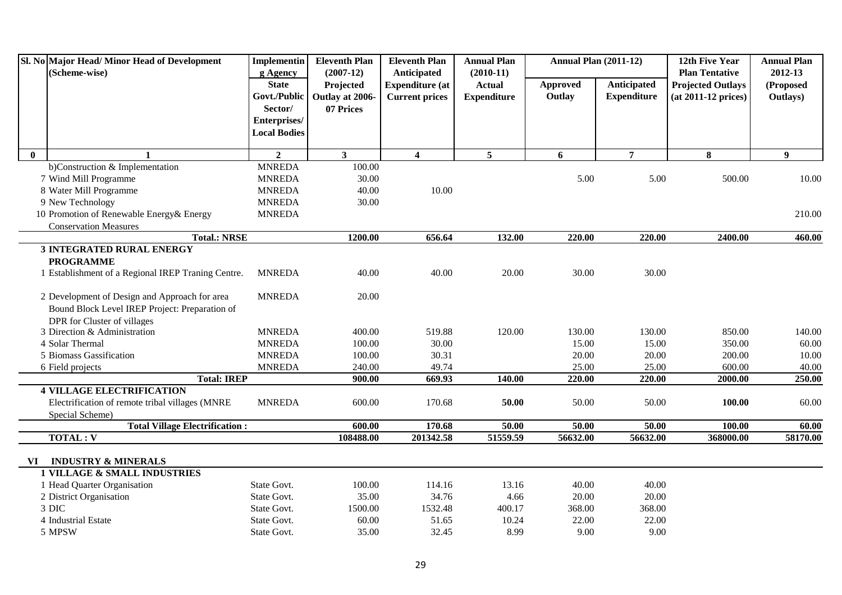|              | Sl. No Major Head/ Minor Head of Development<br>(Scheme-wise) | Implementin<br>g Agency | <b>Eleventh Plan</b><br>$(2007-12)$ | <b>Eleventh Plan</b><br>Anticipated | <b>Annual Plan</b><br>$(2010-11)$ | <b>Annual Plan (2011-12)</b> |                    | 12th Five Year<br><b>Plan Tentative</b> | <b>Annual Plan</b><br>2012-13 |
|--------------|---------------------------------------------------------------|-------------------------|-------------------------------------|-------------------------------------|-----------------------------------|------------------------------|--------------------|-----------------------------------------|-------------------------------|
|              |                                                               | <b>State</b>            | Projected                           | <b>Expenditure</b> (at              | <b>Actual</b>                     | Approved                     | <b>Anticipated</b> | <b>Projected Outlays</b>                | (Proposed                     |
|              |                                                               | Govt./Public            | Outlay at 2006-                     | <b>Current prices</b>               | <b>Expenditure</b>                | Outlay                       | <b>Expenditure</b> | (at 2011-12 prices)                     | Outlays)                      |
|              |                                                               | Sector/                 | 07 Prices                           |                                     |                                   |                              |                    |                                         |                               |
|              |                                                               | Enterprises/            |                                     |                                     |                                   |                              |                    |                                         |                               |
|              |                                                               | <b>Local Bodies</b>     |                                     |                                     |                                   |                              |                    |                                         |                               |
| $\mathbf{0}$ |                                                               | $\overline{2}$          | 3 <sup>1</sup>                      | $\overline{\mathbf{4}}$             | 5                                 | 6                            | $\overline{7}$     | 8                                       | $\boldsymbol{9}$              |
|              | b)Construction & Implementation                               | <b>MNREDA</b>           | 100.00                              |                                     |                                   |                              |                    |                                         |                               |
|              | 7 Wind Mill Programme                                         | <b>MNREDA</b>           | 30.00                               |                                     |                                   | 5.00                         | 5.00               | 500.00                                  | 10.00                         |
|              | 8 Water Mill Programme                                        | <b>MNREDA</b>           | 40.00                               | 10.00                               |                                   |                              |                    |                                         |                               |
|              | 9 New Technology                                              | <b>MNREDA</b>           | 30.00                               |                                     |                                   |                              |                    |                                         |                               |
|              | 10 Promotion of Renewable Energy& Energy                      | <b>MNREDA</b>           |                                     |                                     |                                   |                              |                    |                                         | 210.00                        |
|              | <b>Conservation Measures</b>                                  |                         |                                     |                                     |                                   |                              |                    |                                         |                               |
|              | <b>Total.: NRSE</b>                                           |                         | 1200.00                             | 656.64                              | 132.00                            | 220.00                       | 220.00             | 2400.00                                 | 460.00                        |
|              | <b>3 INTEGRATED RURAL ENERGY</b>                              |                         |                                     |                                     |                                   |                              |                    |                                         |                               |
|              | <b>PROGRAMME</b>                                              |                         |                                     |                                     |                                   |                              |                    |                                         |                               |
|              | 1 Establishment of a Regional IREP Traning Centre.            | <b>MNREDA</b>           | 40.00                               | 40.00                               | 20.00                             | 30.00                        | 30.00              |                                         |                               |
|              | 2 Development of Design and Approach for area                 | <b>MNREDA</b>           | 20.00                               |                                     |                                   |                              |                    |                                         |                               |
|              | Bound Block Level IREP Project: Preparation of                |                         |                                     |                                     |                                   |                              |                    |                                         |                               |
|              | DPR for Cluster of villages                                   |                         |                                     |                                     |                                   |                              |                    |                                         |                               |
|              | 3 Direction & Administration                                  | <b>MNREDA</b>           | 400.00                              | 519.88                              | 120.00                            | 130.00                       | 130.00             | 850.00                                  | 140.00                        |
|              | 4 Solar Thermal                                               | <b>MNREDA</b>           | 100.00                              | 30.00                               |                                   | 15.00                        | 15.00              | 350.00                                  | 60.00                         |
|              | 5 Biomass Gassification                                       | <b>MNREDA</b>           | 100.00                              | 30.31                               |                                   | 20.00                        | 20.00              | 200.00                                  | 10.00                         |
|              | 6 Field projects                                              | <b>MNREDA</b>           | 240.00                              | 49.74                               |                                   | 25.00                        | 25.00              | 600.00                                  | 40.00                         |
|              | <b>Total: IREP</b>                                            |                         | 900.00                              | 669.93                              | 140.00                            | 220.00                       | 220.00             | 2000.00                                 | 250.00                        |
|              | <b>4 VILLAGE ELECTRIFICATION</b>                              |                         |                                     |                                     |                                   |                              |                    |                                         |                               |
|              | Electrification of remote tribal villages (MNRE               | <b>MNREDA</b>           | 600.00                              | 170.68                              | 50.00                             | 50.00                        | 50.00              | 100.00                                  | 60.00                         |
|              | Special Scheme)                                               |                         |                                     |                                     |                                   |                              |                    |                                         |                               |
|              | <b>Total Village Electrification:</b>                         |                         | 600.00                              | 170.68                              | 50.00                             | 50.00                        | 50.00              | 100.00                                  | 60.00                         |
|              | <b>TOTAL: V</b>                                               |                         | 108488.00                           | 201342.58                           | 51559.59                          | 56632.00                     | 56632.00           | 368000.00                               | 58170.00                      |
|              |                                                               |                         |                                     |                                     |                                   |                              |                    |                                         |                               |
| VI.          | <b>INDUSTRY &amp; MINERALS</b>                                |                         |                                     |                                     |                                   |                              |                    |                                         |                               |
|              | <b>1 VILLAGE &amp; SMALL INDUSTRIES</b>                       |                         |                                     |                                     |                                   |                              |                    |                                         |                               |
|              | 1 Head Quarter Organisation                                   | State Govt.             | 100.00                              | 114.16                              | 13.16                             | 40.00                        | 40.00              |                                         |                               |
|              | 2 District Organisation                                       | State Govt.             | 35.00                               | 34.76                               | 4.66                              | 20.00                        | 20.00              |                                         |                               |
|              | 3 DIC                                                         | State Govt.             | 1500.00                             | 1532.48                             | 400.17                            | 368.00                       | 368.00             |                                         |                               |
|              | 4 Industrial Estate                                           | State Govt.             | 60.00                               | 51.65                               | 10.24                             | 22.00                        | 22.00              |                                         |                               |
|              | 5 MPSW                                                        | State Govt.             | 35.00                               | 32.45                               | 8.99                              | 9.00                         | 9.00               |                                         |                               |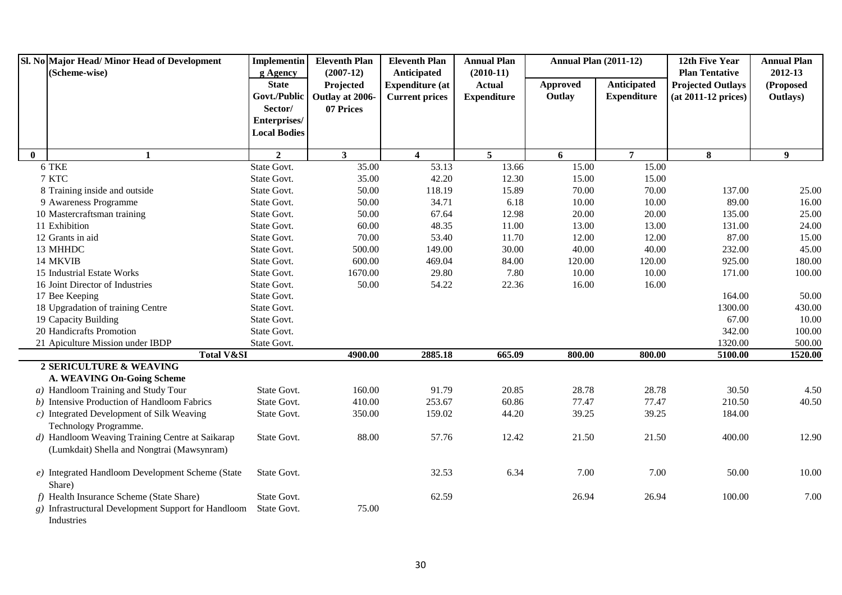|              | Sl. No Major Head/Minor Head of Development<br>(Scheme-wise)                  | <b>Implementin</b><br>g Agency | <b>Eleventh Plan</b><br>$(2007-12)$ | <b>Eleventh Plan</b><br>Anticipated | <b>Annual Plan</b><br>$(2010-11)$ | <b>Annual Plan (2011-12)</b> |                    | 12th Five Year<br><b>Plan Tentative</b> | <b>Annual Plan</b><br>2012-13 |
|--------------|-------------------------------------------------------------------------------|--------------------------------|-------------------------------------|-------------------------------------|-----------------------------------|------------------------------|--------------------|-----------------------------------------|-------------------------------|
|              |                                                                               | <b>State</b>                   | Projected                           | <b>Expenditure (at</b>              | <b>Actual</b>                     | <b>Approved</b>              | Anticipated        | <b>Projected Outlays</b>                | (Proposed                     |
|              |                                                                               | Govt./Public                   | Outlay at 2006-                     | <b>Current prices</b>               | <b>Expenditure</b>                | Outlay                       | <b>Expenditure</b> | $(at 2011-12 prices)$                   | Outlays)                      |
|              |                                                                               | Sector/                        | 07 Prices                           |                                     |                                   |                              |                    |                                         |                               |
|              |                                                                               | Enterprises/                   |                                     |                                     |                                   |                              |                    |                                         |                               |
|              |                                                                               | <b>Local Bodies</b>            |                                     |                                     |                                   |                              |                    |                                         |                               |
|              |                                                                               |                                |                                     |                                     |                                   |                              |                    |                                         |                               |
| $\mathbf{0}$ | $\mathbf{1}$                                                                  | $\overline{2}$                 | $\mathbf{3}$                        | $\overline{\mathbf{4}}$             | $5^{\circ}$                       | 6                            | $\overline{7}$     | 8                                       | $\boldsymbol{9}$              |
|              | 6 TKE                                                                         | State Govt.                    | 35.00                               | 53.13                               | 13.66                             | 15.00                        | 15.00              |                                         |                               |
|              | 7 KTC                                                                         | State Govt.                    | 35.00                               | 42.20                               | 12.30                             | 15.00                        | 15.00              |                                         |                               |
|              | 8 Training inside and outside                                                 | State Govt.                    | 50.00                               | 118.19                              | 15.89                             | 70.00                        | 70.00              | 137.00                                  | 25.00                         |
|              | 9 Awareness Programme                                                         | State Govt.                    | 50.00                               | 34.71                               | 6.18                              | 10.00                        | 10.00              | 89.00                                   | 16.00                         |
|              | 10 Mastercraftsman training                                                   | State Govt.                    | 50.00                               | 67.64                               | 12.98                             | 20.00                        | 20.00              | 135.00                                  | 25.00                         |
|              | 11 Exhibition                                                                 | State Govt.                    | 60.00                               | 48.35                               | 11.00                             | 13.00                        | 13.00              | 131.00                                  | 24.00                         |
|              | 12 Grants in aid                                                              | State Govt.                    | 70.00                               | 53.40                               | 11.70                             | 12.00                        | 12.00              | 87.00                                   | 15.00                         |
|              | 13 MHHDC                                                                      | State Govt.                    | 500.00                              | 149.00                              | 30.00                             | 40.00                        | 40.00              | 232.00                                  | 45.00                         |
|              | 14 MKVIB                                                                      | State Govt.                    | 600.00                              | 469.04                              | 84.00                             | 120.00                       | 120.00             | 925.00                                  | 180.00                        |
|              | 15 Industrial Estate Works                                                    | State Govt.                    | 1670.00                             | 29.80                               | 7.80                              | 10.00                        | 10.00              | 171.00                                  | 100.00                        |
|              | 16 Joint Director of Industries                                               | State Govt.                    | 50.00                               | 54.22                               | 22.36                             | 16.00                        | 16.00              |                                         |                               |
|              | 17 Bee Keeping                                                                | State Govt.                    |                                     |                                     |                                   |                              |                    | 164.00                                  | 50.00                         |
|              | 18 Upgradation of training Centre                                             | State Govt.                    |                                     |                                     |                                   |                              |                    | 1300.00                                 | 430.00                        |
|              | 19 Capacity Building                                                          | State Govt.                    |                                     |                                     |                                   |                              |                    | 67.00                                   | 10.00                         |
|              | 20 Handicrafts Promotion                                                      | State Govt.                    |                                     |                                     |                                   |                              |                    | 342.00                                  | 100.00                        |
|              | 21 Apiculture Mission under IBDP                                              | State Govt.                    |                                     |                                     |                                   |                              |                    | 1320.00                                 | 500.00                        |
|              | <b>Total V&amp;SI</b>                                                         |                                | 4900.00                             | 2885.18                             | 665.09                            | 800.00                       | 800.00             | 5100.00                                 | 1520.00                       |
|              | 2 SERICULTURE & WEAVING                                                       |                                |                                     |                                     |                                   |                              |                    |                                         |                               |
|              | A. WEAVING On-Going Scheme                                                    |                                |                                     |                                     |                                   |                              |                    |                                         |                               |
|              | a) Handloom Training and Study Tour                                           | State Govt.                    | 160.00                              | 91.79                               | 20.85                             | 28.78                        | 28.78              | 30.50                                   | 4.50                          |
|              | b) Intensive Production of Handloom Fabrics                                   | State Govt.                    | 410.00                              | 253.67                              | 60.86                             | 77.47                        | 77.47              | 210.50                                  | 40.50                         |
|              | $c)$ Integrated Development of Silk Weaving                                   | State Govt.                    | 350.00                              | 159.02                              | 44.20                             | 39.25                        | 39.25              | 184.00                                  |                               |
|              | Technology Programme.                                                         |                                |                                     |                                     |                                   |                              |                    |                                         |                               |
|              | d) Handloom Weaving Training Centre at Saikarap                               | State Govt.                    | 88.00                               | 57.76                               | 12.42                             | 21.50                        | 21.50              | 400.00                                  | 12.90                         |
|              | (Lumkdait) Shella and Nongtrai (Mawsynram)                                    |                                |                                     |                                     |                                   |                              |                    |                                         |                               |
|              | e) Integrated Handloom Development Scheme (State<br>Share)                    | State Govt.                    |                                     | 32.53                               | 6.34                              | 7.00                         | 7.00               | 50.00                                   | 10.00                         |
|              | f) Health Insurance Scheme (State Share)                                      | State Govt.                    |                                     | 62.59                               |                                   | 26.94                        | 26.94              | 100.00                                  | 7.00                          |
|              | g) Infrastructural Development Support for Handloom State Govt.<br>Industries |                                | 75.00                               |                                     |                                   |                              |                    |                                         |                               |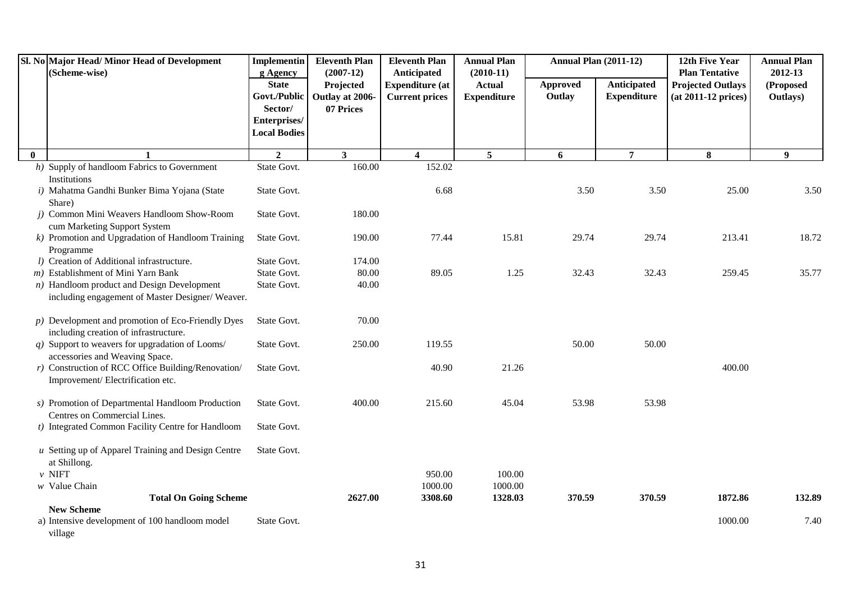|          | Sl. No Major Head/Minor Head of Development<br>(Scheme-wise)                                     | Implementin<br>g Agency                                                        | <b>Eleventh Plan</b><br>$(2007-12)$       | <b>Eleventh Plan</b><br>Anticipated             | <b>Annual Plan</b><br>$(2010-11)$   | <b>Annual Plan (2011-12)</b> |                                   | 12th Five Year<br><b>Plan Tentative</b>           | <b>Annual Plan</b><br>2012-13 |
|----------|--------------------------------------------------------------------------------------------------|--------------------------------------------------------------------------------|-------------------------------------------|-------------------------------------------------|-------------------------------------|------------------------------|-----------------------------------|---------------------------------------------------|-------------------------------|
|          |                                                                                                  | <b>State</b><br>Govt./Public<br>Sector/<br>Enterprises/<br><b>Local Bodies</b> | Projected<br>Outlay at 2006-<br>07 Prices | <b>Expenditure (at</b><br><b>Current prices</b> | <b>Actual</b><br><b>Expenditure</b> | Approved<br>Outlay           | Anticipated<br><b>Expenditure</b> | <b>Projected Outlays</b><br>$(at 2011-12 prices)$ | (Proposed<br>Outlays)         |
| $\bf{0}$ | $\mathbf{1}$                                                                                     | $\overline{2}$                                                                 | 3 <sup>1</sup>                            | $\overline{\mathbf{4}}$                         | 5 <sup>5</sup>                      | 6                            | $\overline{7}$                    | 8                                                 | 9 <sup>°</sup>                |
|          | h) Supply of handloom Fabrics to Government<br>Institutions                                      | State Govt.                                                                    | 160.00                                    | 152.02                                          |                                     |                              |                                   |                                                   |                               |
|          | i) Mahatma Gandhi Bunker Bima Yojana (State<br>Share)                                            | State Govt.                                                                    |                                           | 6.68                                            |                                     | 3.50                         | 3.50                              | 25.00                                             | 3.50                          |
|          | j) Common Mini Weavers Handloom Show-Room<br>cum Marketing Support System                        | State Govt.                                                                    | 180.00                                    |                                                 |                                     |                              |                                   |                                                   |                               |
|          | $k$ ) Promotion and Upgradation of Handloom Training<br>Programme                                | State Govt.                                                                    | 190.00                                    | 77.44                                           | 15.81                               | 29.74                        | 29.74                             | 213.41                                            | 18.72                         |
|          | l) Creation of Additional infrastructure.                                                        | State Govt.                                                                    | 174.00                                    |                                                 |                                     |                              |                                   |                                                   |                               |
|          | m) Establishment of Mini Yarn Bank                                                               | State Govt.                                                                    | 80.00                                     | 89.05                                           | 1.25                                | 32.43                        | 32.43                             | 259.45                                            | 35.77                         |
|          | $n)$ Handloom product and Design Development<br>including engagement of Master Designer/ Weaver. | State Govt.                                                                    | 40.00                                     |                                                 |                                     |                              |                                   |                                                   |                               |
|          | $p)$ Development and promotion of Eco-Friendly Dyes<br>including creation of infrastructure.     | State Govt.                                                                    | 70.00                                     |                                                 |                                     |                              |                                   |                                                   |                               |
|          | $q$ ) Support to weavers for upgradation of Looms/<br>accessories and Weaving Space.             | State Govt.                                                                    | 250.00                                    | 119.55                                          |                                     | 50.00                        | 50.00                             |                                                   |                               |
|          | $r$ ) Construction of RCC Office Building/Renovation/<br>Improvement/Electrification etc.        | State Govt.                                                                    |                                           | 40.90                                           | 21.26                               |                              |                                   | 400.00                                            |                               |
|          | s) Promotion of Departmental Handloom Production<br>Centres on Commercial Lines.                 | State Govt.                                                                    | 400.00                                    | 215.60                                          | 45.04                               | 53.98                        | 53.98                             |                                                   |                               |
|          | t) Integrated Common Facility Centre for Handloom                                                | State Govt.                                                                    |                                           |                                                 |                                     |                              |                                   |                                                   |                               |
|          | $u$ Setting up of Apparel Training and Design Centre<br>at Shillong.                             | State Govt.                                                                    |                                           |                                                 |                                     |                              |                                   |                                                   |                               |
|          | $\nu$ NIFT                                                                                       |                                                                                |                                           | 950.00                                          | 100.00                              |                              |                                   |                                                   |                               |
|          | $w$ Value Chain                                                                                  |                                                                                | 2627.00                                   | 1000.00<br>3308.60                              | 1000.00<br>1328.03                  | 370.59                       | 370.59                            | 1872.86                                           | 132.89                        |
|          | <b>Total On Going Scheme</b><br><b>New Scheme</b>                                                |                                                                                |                                           |                                                 |                                     |                              |                                   |                                                   |                               |
|          | a) Intensive development of 100 handloom model<br>village                                        | State Govt.                                                                    |                                           |                                                 |                                     |                              |                                   | 1000.00                                           | 7.40                          |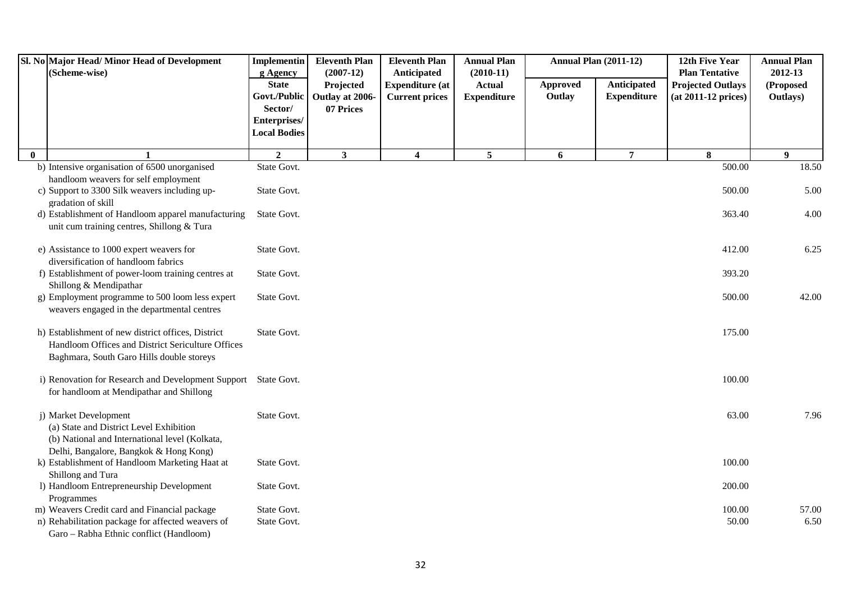|              | Sl. No Major Head/Minor Head of Development<br>(Scheme-wise)                                                                                                 | <b>Implementin</b><br>g Agency                                                 | <b>Eleventh Plan</b><br>$(2007-12)$       | <b>Eleventh Plan</b><br>Anticipated             | <b>Annual Plan</b><br>$(2010-11)$   |                    | <b>Annual Plan (2011-12)</b>      | 12th Five Year<br><b>Plan Tentative</b>           | <b>Annual Plan</b><br>2012-13 |
|--------------|--------------------------------------------------------------------------------------------------------------------------------------------------------------|--------------------------------------------------------------------------------|-------------------------------------------|-------------------------------------------------|-------------------------------------|--------------------|-----------------------------------|---------------------------------------------------|-------------------------------|
|              |                                                                                                                                                              | <b>State</b><br>Govt./Public<br>Sector/<br>Enterprises/<br><b>Local Bodies</b> | Projected<br>Outlay at 2006-<br>07 Prices | <b>Expenditure (at</b><br><b>Current prices</b> | <b>Actual</b><br><b>Expenditure</b> | Approved<br>Outlay | Anticipated<br><b>Expenditure</b> | <b>Projected Outlays</b><br>$(at 2011-12 prices)$ | (Proposed<br>Outlays)         |
| $\mathbf{0}$ |                                                                                                                                                              | $\overline{2}$                                                                 | $\mathbf{3}$                              | 4                                               | 5                                   | 6                  | $\overline{7}$                    | 8                                                 | $\boldsymbol{9}$              |
|              | b) Intensive organisation of 6500 unorganised                                                                                                                | State Govt.                                                                    |                                           |                                                 |                                     |                    |                                   | 500.00                                            | 18.50                         |
|              | handloom weavers for self employment<br>c) Support to 3300 Silk weavers including up-<br>gradation of skill                                                  | State Govt.                                                                    |                                           |                                                 |                                     |                    |                                   | 500.00                                            | 5.00                          |
|              | d) Establishment of Handloom apparel manufacturing<br>unit cum training centres, Shillong & Tura                                                             | State Govt.                                                                    |                                           |                                                 |                                     |                    |                                   | 363.40                                            | 4.00                          |
|              | e) Assistance to 1000 expert weavers for<br>diversification of handloom fabrics                                                                              | State Govt.                                                                    |                                           |                                                 |                                     |                    |                                   | 412.00                                            | 6.25                          |
|              | f) Establishment of power-loom training centres at<br>Shillong & Mendipathar                                                                                 | State Govt.                                                                    |                                           |                                                 |                                     |                    |                                   | 393.20                                            |                               |
|              | g) Employment programme to 500 loom less expert<br>weavers engaged in the departmental centres                                                               | State Govt.                                                                    |                                           |                                                 |                                     |                    |                                   | 500.00                                            | 42.00                         |
|              | h) Establishment of new district offices, District<br>Handloom Offices and District Sericulture Offices<br>Baghmara, South Garo Hills double storeys         | State Govt.                                                                    |                                           |                                                 |                                     |                    |                                   | 175.00                                            |                               |
|              | i) Renovation for Research and Development Support State Govt.<br>for handloom at Mendipathar and Shillong                                                   |                                                                                |                                           |                                                 |                                     |                    |                                   | 100.00                                            |                               |
|              | j) Market Development<br>(a) State and District Level Exhibition<br>(b) National and International level (Kolkata,<br>Delhi, Bangalore, Bangkok & Hong Kong) | State Govt.                                                                    |                                           |                                                 |                                     |                    |                                   | 63.00                                             | 7.96                          |
|              | k) Establishment of Handloom Marketing Haat at<br>Shillong and Tura                                                                                          | State Govt.                                                                    |                                           |                                                 |                                     |                    |                                   | 100.00                                            |                               |
|              | 1) Handloom Entrepreneurship Development<br>Programmes                                                                                                       | State Govt.                                                                    |                                           |                                                 |                                     |                    |                                   | 200.00                                            |                               |
|              | m) Weavers Credit card and Financial package                                                                                                                 | State Govt.                                                                    |                                           |                                                 |                                     |                    |                                   | 100.00                                            | 57.00                         |
|              | n) Rehabilitation package for affected weavers of<br>Garo - Rabha Ethnic conflict (Handloom)                                                                 | State Govt.                                                                    |                                           |                                                 |                                     |                    |                                   | 50.00                                             | 6.50                          |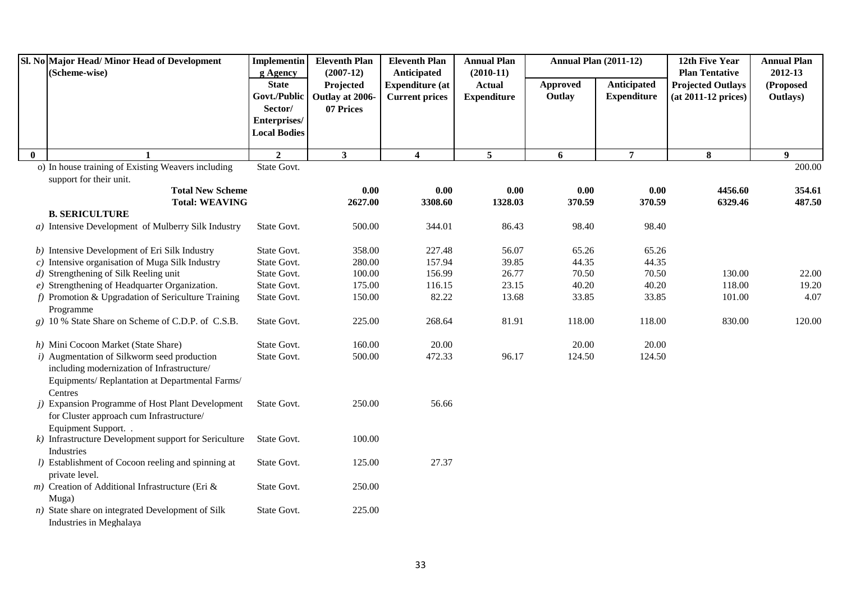|          | Sl. No Major Head/Minor Head of Development<br>(Scheme-wise)                                                                                           | <b>Implementin</b><br>g Agency                 | <b>Eleventh Plan</b><br>$(2007-12)$ | <b>Eleventh Plan</b><br>Anticipated             | <b>Annual Plan</b><br>$(2010-11)$   | <b>Annual Plan (2011-12)</b> |                                   | 12th Five Year<br><b>Plan Tentative</b>           | <b>Annual Plan</b><br>2012-13 |
|----------|--------------------------------------------------------------------------------------------------------------------------------------------------------|------------------------------------------------|-------------------------------------|-------------------------------------------------|-------------------------------------|------------------------------|-----------------------------------|---------------------------------------------------|-------------------------------|
|          |                                                                                                                                                        | <b>State</b><br>Govt./Public                   | Projected<br>Outlay at 2006-        | <b>Expenditure</b> (at<br><b>Current prices</b> | <b>Actual</b><br><b>Expenditure</b> | Approved<br>Outlay           | Anticipated<br><b>Expenditure</b> | <b>Projected Outlays</b><br>$(at 2011-12 prices)$ | (Proposed<br>Outlays)         |
|          |                                                                                                                                                        | Sector/<br>Enterprises/<br><b>Local Bodies</b> | 07 Prices                           |                                                 |                                     |                              |                                   |                                                   |                               |
| $\bf{0}$ | 1                                                                                                                                                      | $\mathbf{2}$                                   | $\mathbf{3}$                        | 4                                               | $\overline{5}$                      | 6                            | $\overline{7}$                    | 8                                                 | 9                             |
|          | o) In house training of Existing Weavers including                                                                                                     | State Govt.                                    |                                     |                                                 |                                     |                              |                                   |                                                   | 200.00                        |
|          | support for their unit.                                                                                                                                |                                                |                                     |                                                 |                                     |                              |                                   |                                                   |                               |
|          | <b>Total New Scheme</b>                                                                                                                                |                                                | 0.00                                | 0.00                                            | 0.00                                | 0.00                         | 0.00                              | 4456.60                                           | 354.61                        |
|          | <b>Total: WEAVING</b>                                                                                                                                  |                                                | 2627.00                             | 3308.60                                         | 1328.03                             | 370.59                       | 370.59                            | 6329.46                                           | 487.50                        |
|          | <b>B. SERICULTURE</b><br>a) Intensive Development of Mulberry Silk Industry                                                                            | State Govt.                                    | 500.00                              | 344.01                                          | 86.43                               | 98.40                        | 98.40                             |                                                   |                               |
|          |                                                                                                                                                        |                                                |                                     |                                                 |                                     |                              |                                   |                                                   |                               |
|          | b) Intensive Development of Eri Silk Industry                                                                                                          | State Govt.                                    | 358.00                              | 227.48                                          | 56.07                               | 65.26                        | 65.26                             |                                                   |                               |
|          | $c)$ Intensive organisation of Muga Silk Industry                                                                                                      | State Govt.                                    | 280.00                              | 157.94                                          | 39.85                               | 44.35                        | 44.35                             |                                                   |                               |
|          | d) Strengthening of Silk Reeling unit                                                                                                                  | State Govt.                                    | 100.00                              | 156.99                                          | 26.77                               | 70.50                        | 70.50                             | 130.00                                            | 22.00                         |
|          | $e)$ Strengthening of Headquarter Organization.                                                                                                        | State Govt.                                    | 175.00                              | 116.15                                          | 23.15                               | 40.20                        | 40.20                             | 118.00                                            | 19.20                         |
|          | $f$ ) Promotion & Upgradation of Sericulture Training<br>Programme                                                                                     | State Govt.                                    | 150.00                              | 82.22                                           | 13.68                               | 33.85                        | 33.85                             | 101.00                                            | 4.07                          |
|          | g) 10 % State Share on Scheme of C.D.P. of C.S.B.                                                                                                      | State Govt.                                    | 225.00                              | 268.64                                          | 81.91                               | 118.00                       | 118.00                            | 830.00                                            | 120.00                        |
|          | h) Mini Cocoon Market (State Share)                                                                                                                    | State Govt.                                    | 160.00                              | 20.00                                           |                                     | 20.00                        | 20.00                             |                                                   |                               |
|          | i) Augmentation of Silkworm seed production<br>including modernization of Infrastructure/<br>Equipments/Replantation at Departmental Farms/<br>Centres | State Govt.                                    | 500.00                              | 472.33                                          | 96.17                               | 124.50                       | 124.50                            |                                                   |                               |
|          | j) Expansion Programme of Host Plant Development<br>for Cluster approach cum Infrastructure/<br>Equipment Support. .                                   | State Govt.                                    | 250.00                              | 56.66                                           |                                     |                              |                                   |                                                   |                               |
|          | $k$ ) Infrastructure Development support for Sericulture<br>Industries                                                                                 | State Govt.                                    | 100.00                              |                                                 |                                     |                              |                                   |                                                   |                               |
|          | l) Establishment of Cocoon reeling and spinning at<br>private level.                                                                                   | State Govt.                                    | 125.00                              | 27.37                                           |                                     |                              |                                   |                                                   |                               |
|          | $m)$ Creation of Additional Infrastructure (Eri &<br>Muga)                                                                                             | State Govt.                                    | 250.00                              |                                                 |                                     |                              |                                   |                                                   |                               |
|          | $n)$ State share on integrated Development of Silk<br>Industries in Meghalaya                                                                          | State Govt.                                    | 225.00                              |                                                 |                                     |                              |                                   |                                                   |                               |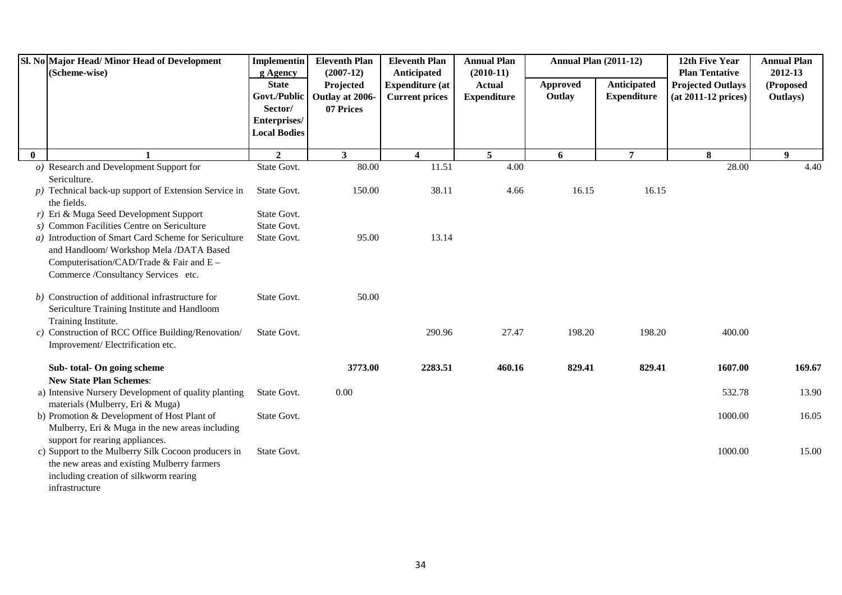|          | Sl. No Major Head/ Minor Head of Development<br>(Scheme-wise)                                                                                                                                                                          | Implementin<br>g Agency                                                        | <b>Eleventh Plan</b><br>$(2007-12)$       | <b>Eleventh Plan</b><br>Anticipated             | <b>Annual Plan</b><br>$(2010-11)$   | <b>Annual Plan (2011-12)</b> |                                   | 12th Five Year<br><b>Plan Tentative</b>         | <b>Annual Plan</b><br>2012-13 |
|----------|----------------------------------------------------------------------------------------------------------------------------------------------------------------------------------------------------------------------------------------|--------------------------------------------------------------------------------|-------------------------------------------|-------------------------------------------------|-------------------------------------|------------------------------|-----------------------------------|-------------------------------------------------|-------------------------------|
|          |                                                                                                                                                                                                                                        | <b>State</b><br>Govt./Public<br>Sector/<br>Enterprises/<br><b>Local Bodies</b> | Projected<br>Outlay at 2006-<br>07 Prices | <b>Expenditure (at</b><br><b>Current prices</b> | <b>Actual</b><br><b>Expenditure</b> | Approved<br>Outlay           | Anticipated<br><b>Expenditure</b> | <b>Projected Outlays</b><br>(at 2011-12 prices) | (Proposed<br>Outlays)         |
| $\bf{0}$ |                                                                                                                                                                                                                                        | $\overline{2}$                                                                 | $\mathbf{3}$                              | $\overline{\mathbf{4}}$                         | $5\overline{)}$                     | 6                            | $\overline{7}$                    | 8                                               | 9                             |
|          | $o)$ Research and Development Support for<br>Sericulture.                                                                                                                                                                              | State Govt.                                                                    | 80.00                                     | 11.51                                           | 4.00                                |                              |                                   | 28.00                                           | 4.40                          |
|          | $p$ ) Technical back-up support of Extension Service in<br>the fields.                                                                                                                                                                 | State Govt.                                                                    | 150.00                                    | 38.11                                           | 4.66                                | 16.15                        | 16.15                             |                                                 |                               |
|          | $r$ ) Eri & Muga Seed Development Support<br>s) Common Facilities Centre on Sericulture<br>a) Introduction of Smart Card Scheme for Sericulture<br>and Handloom/ Workshop Mela /DATA Based<br>Computerisation/CAD/Trade & Fair and E - | State Govt.<br>State Govt.<br>State Govt.                                      | 95.00                                     | 13.14                                           |                                     |                              |                                   |                                                 |                               |
|          | Commerce /Consultancy Services etc.                                                                                                                                                                                                    |                                                                                |                                           |                                                 |                                     |                              |                                   |                                                 |                               |
|          | b) Construction of additional infrastructure for<br>Sericulture Training Institute and Handloom<br>Training Institute.                                                                                                                 | State Govt.                                                                    | 50.00                                     |                                                 |                                     |                              |                                   |                                                 |                               |
|          | c) Construction of RCC Office Building/Renovation/<br>Improvement/Electrification etc.                                                                                                                                                 | State Govt.                                                                    |                                           | 290.96                                          | 27.47                               | 198.20                       | 198.20                            | 400.00                                          |                               |
|          | Sub-total-On going scheme<br><b>New State Plan Schemes:</b>                                                                                                                                                                            |                                                                                | 3773.00                                   | 2283.51                                         | 460.16                              | 829.41                       | 829.41                            | 1607.00                                         | 169.67                        |
|          | a) Intensive Nursery Development of quality planting<br>materials (Mulberry, Eri & Muga)                                                                                                                                               | State Govt.                                                                    | 0.00                                      |                                                 |                                     |                              |                                   | 532.78                                          | 13.90                         |
|          | b) Promotion & Development of Host Plant of<br>Mulberry, Eri & Muga in the new areas including                                                                                                                                         | State Govt.                                                                    |                                           |                                                 |                                     |                              |                                   | 1000.00                                         | 16.05                         |
|          | support for rearing appliances.<br>c) Support to the Mulberry Silk Cocoon producers in<br>the new areas and existing Mulberry farmers<br>including creation of silkworm rearing<br>infrastructure                                      | State Govt.                                                                    |                                           |                                                 |                                     |                              |                                   | 1000.00                                         | 15.00                         |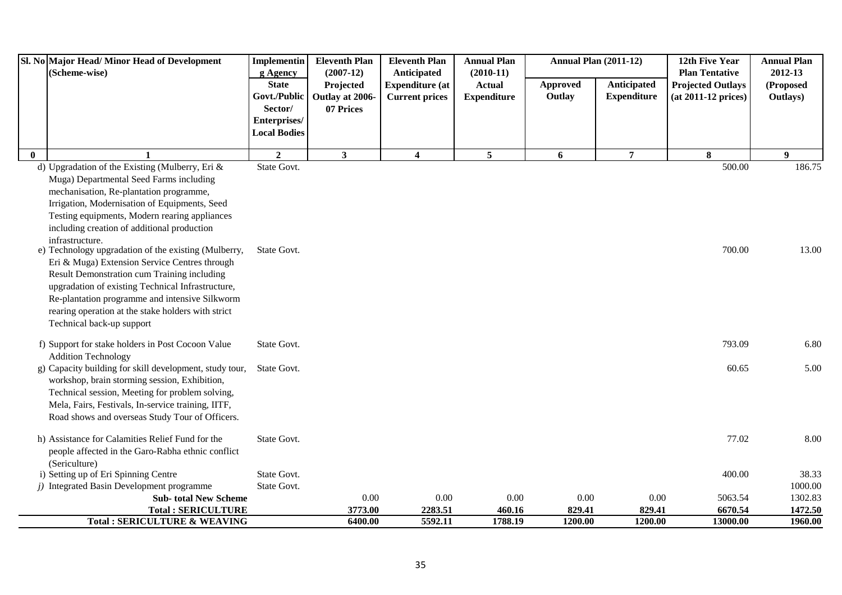|              | Sl. No Major Head/Minor Head of Development<br>(Scheme-wise)                                                                                                                                                                                                                                                                                                                                                                                                                                                                                                                                                                                                   | <b>Implementin</b><br>g Agency          | <b>Eleventh Plan</b><br>$(2007-12)$       | <b>Eleventh Plan</b><br>Anticipated             | <b>Annual Plan</b><br>$(2010-11)$   |                    | <b>Annual Plan (2011-12)</b>      | 12th Five Year<br><b>Plan Tentative</b>           | <b>Annual Plan</b><br>2012-13 |
|--------------|----------------------------------------------------------------------------------------------------------------------------------------------------------------------------------------------------------------------------------------------------------------------------------------------------------------------------------------------------------------------------------------------------------------------------------------------------------------------------------------------------------------------------------------------------------------------------------------------------------------------------------------------------------------|-----------------------------------------|-------------------------------------------|-------------------------------------------------|-------------------------------------|--------------------|-----------------------------------|---------------------------------------------------|-------------------------------|
|              |                                                                                                                                                                                                                                                                                                                                                                                                                                                                                                                                                                                                                                                                | <b>State</b><br>Govt./Public<br>Sector/ | Projected<br>Outlay at 2006-<br>07 Prices | <b>Expenditure (at</b><br><b>Current prices</b> | <b>Actual</b><br><b>Expenditure</b> | Approved<br>Outlay | Anticipated<br><b>Expenditure</b> | <b>Projected Outlays</b><br>$(at 2011-12 prices)$ | (Proposed<br>Outlays)         |
|              |                                                                                                                                                                                                                                                                                                                                                                                                                                                                                                                                                                                                                                                                | Enterprises/<br><b>Local Bodies</b>     |                                           |                                                 |                                     |                    |                                   |                                                   |                               |
| $\mathbf{0}$ | 1                                                                                                                                                                                                                                                                                                                                                                                                                                                                                                                                                                                                                                                              | $\overline{2}$                          | $\mathbf{3}$                              | $\overline{\mathbf{4}}$                         | $5\phantom{.0}$                     | $\boldsymbol{6}$   | $\overline{7}$                    | 8                                                 | 9                             |
|              | d) Upgradation of the Existing (Mulberry, Eri $\&$<br>Muga) Departmental Seed Farms including<br>mechanisation, Re-plantation programme,<br>Irrigation, Modernisation of Equipments, Seed<br>Testing equipments, Modern rearing appliances<br>including creation of additional production<br>infrastructure.<br>e) Technology upgradation of the existing (Mulberry,<br>Eri & Muga) Extension Service Centres through<br>Result Demonstration cum Training including<br>upgradation of existing Technical Infrastructure,<br>Re-plantation programme and intensive Silkworm<br>rearing operation at the stake holders with strict<br>Technical back-up support | State Govt.<br>State Govt.              |                                           |                                                 |                                     |                    |                                   | 500.00<br>700.00                                  | 186.75<br>13.00               |
|              | f) Support for stake holders in Post Cocoon Value<br><b>Addition Technology</b>                                                                                                                                                                                                                                                                                                                                                                                                                                                                                                                                                                                | State Govt.                             |                                           |                                                 |                                     |                    |                                   | 793.09                                            | 6.80                          |
|              | g) Capacity building for skill development, study tour,<br>workshop, brain storming session, Exhibition,<br>Technical session, Meeting for problem solving,<br>Mela, Fairs, Festivals, In-service training, IITF,<br>Road shows and overseas Study Tour of Officers.                                                                                                                                                                                                                                                                                                                                                                                           | State Govt.                             |                                           |                                                 |                                     |                    |                                   | 60.65                                             | 5.00                          |
|              | h) Assistance for Calamities Relief Fund for the<br>people affected in the Garo-Rabha ethnic conflict<br>(Sericulture)                                                                                                                                                                                                                                                                                                                                                                                                                                                                                                                                         | State Govt.                             |                                           |                                                 |                                     |                    |                                   | 77.02                                             | 8.00                          |
|              | i) Setting up of Eri Spinning Centre                                                                                                                                                                                                                                                                                                                                                                                                                                                                                                                                                                                                                           | State Govt.                             |                                           |                                                 |                                     |                    |                                   | 400.00                                            | 38.33                         |
|              | j) Integrated Basin Development programme                                                                                                                                                                                                                                                                                                                                                                                                                                                                                                                                                                                                                      | State Govt.                             |                                           |                                                 |                                     |                    |                                   |                                                   | 1000.00                       |
|              | <b>Sub-total New Scheme</b>                                                                                                                                                                                                                                                                                                                                                                                                                                                                                                                                                                                                                                    |                                         | 0.00<br>3773.00                           | 0.00                                            | 0.00                                | 0.00<br>829.41     | 0.00<br>829.41                    | 5063.54                                           | 1302.83                       |
|              | <b>Total: SERICULTURE</b><br><b>Total: SERICULTURE &amp; WEAVING</b>                                                                                                                                                                                                                                                                                                                                                                                                                                                                                                                                                                                           |                                         | 6400.00                                   | 2283.51<br>5592.11                              | 460.16<br>1788.19                   | 1200.00            | 1200.00                           | 6670.54<br>13000.00                               | 1472.50<br>1960.00            |
|              |                                                                                                                                                                                                                                                                                                                                                                                                                                                                                                                                                                                                                                                                |                                         |                                           |                                                 |                                     |                    |                                   |                                                   |                               |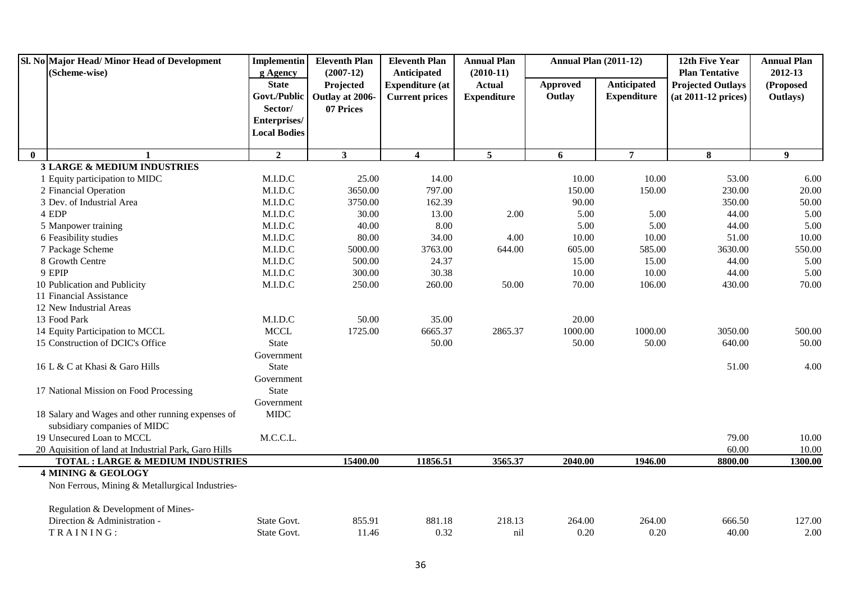|              | Sl. No Major Head/Minor Head of Development          | <b>Implementin</b>           | <b>Eleventh Plan</b>         | <b>Eleventh Plan</b>    | <b>Annual Plan</b> | <b>Annual Plan (2011-12)</b> |                                   | 12th Five Year           | <b>Annual Plan</b>    |
|--------------|------------------------------------------------------|------------------------------|------------------------------|-------------------------|--------------------|------------------------------|-----------------------------------|--------------------------|-----------------------|
|              | (Scheme-wise)                                        | g Agency                     | $(2007-12)$                  | Anticipated             | $(2010-11)$        |                              |                                   | <b>Plan Tentative</b>    | 2012-13               |
|              |                                                      | <b>State</b><br>Govt./Public | Projected                    | <b>Expenditure (at</b>  | <b>Actual</b>      | <b>Approved</b><br>Outlay    | Anticipated<br><b>Expenditure</b> | <b>Projected Outlays</b> | (Proposed<br>Outlays) |
|              |                                                      | Sector/                      | Outlay at 2006-<br>07 Prices | <b>Current prices</b>   | <b>Expenditure</b> |                              |                                   | (at 2011-12 prices)      |                       |
|              |                                                      | Enterprises/                 |                              |                         |                    |                              |                                   |                          |                       |
|              |                                                      | <b>Local Bodies</b>          |                              |                         |                    |                              |                                   |                          |                       |
|              |                                                      |                              |                              |                         |                    |                              |                                   |                          |                       |
| $\mathbf{0}$ | $\mathbf{1}$                                         | $\overline{2}$               | $\mathbf{3}$                 | $\overline{\mathbf{4}}$ | 5 <sup>5</sup>     | 6                            | $\overline{7}$                    | 8                        | 9 <sup>°</sup>        |
|              | <b>3 LARGE &amp; MEDIUM INDUSTRIES</b>               |                              |                              |                         |                    |                              |                                   |                          |                       |
|              | 1 Equity participation to MIDC                       | M.I.D.C                      | 25.00                        | 14.00                   |                    | 10.00                        | 10.00                             | 53.00                    | 6.00                  |
|              | 2 Financial Operation                                | M.I.D.C                      | 3650.00                      | 797.00                  |                    | 150.00                       | 150.00                            | 230.00                   | 20.00                 |
|              | 3 Dev. of Industrial Area                            | M.I.D.C                      | 3750.00                      | 162.39                  |                    | 90.00                        |                                   | 350.00                   | 50.00                 |
|              | 4 EDP                                                | M.I.D.C                      | 30.00                        | 13.00                   | 2.00               | 5.00                         | 5.00                              | 44.00                    | 5.00                  |
|              | 5 Manpower training                                  | M.I.D.C                      | 40.00                        | 8.00                    |                    | 5.00                         | 5.00                              | 44.00                    | 5.00                  |
|              | 6 Feasibility studies                                | M.I.D.C                      | 80.00                        | 34.00                   | 4.00               | 10.00                        | 10.00                             | 51.00                    | 10.00                 |
|              | 7 Package Scheme                                     | M.I.D.C                      | 5000.00                      | 3763.00                 | 644.00             | 605.00                       | 585.00                            | 3630.00                  | 550.00                |
|              | 8 Growth Centre                                      | M.I.D.C                      | 500.00                       | 24.37                   |                    | 15.00                        | 15.00                             | 44.00                    | 5.00                  |
|              | 9 EPIP                                               | M.I.D.C                      | 300.00                       | 30.38                   |                    | 10.00                        | 10.00                             | 44.00                    | 5.00                  |
|              | 10 Publication and Publicity                         | M.I.D.C                      | 250.00                       | 260.00                  | 50.00              | 70.00                        | 106.00                            | 430.00                   | 70.00                 |
|              | 11 Financial Assistance                              |                              |                              |                         |                    |                              |                                   |                          |                       |
|              | 12 New Industrial Areas                              |                              |                              |                         |                    |                              |                                   |                          |                       |
|              | 13 Food Park                                         | M.I.D.C                      | 50.00                        | 35.00                   |                    | 20.00                        |                                   |                          |                       |
|              | 14 Equity Participation to MCCL                      | <b>MCCL</b>                  | 1725.00                      | 6665.37                 | 2865.37            | 1000.00                      | 1000.00                           | 3050.00                  | 500.00                |
|              | 15 Construction of DCIC's Office                     | <b>State</b>                 |                              | 50.00                   |                    | 50.00                        | 50.00                             | 640.00                   | 50.00                 |
|              |                                                      | Government                   |                              |                         |                    |                              |                                   |                          |                       |
|              | 16 L & C at Khasi & Garo Hills                       | <b>State</b>                 |                              |                         |                    |                              |                                   | 51.00                    | 4.00                  |
|              |                                                      | Government                   |                              |                         |                    |                              |                                   |                          |                       |
|              | 17 National Mission on Food Processing               | <b>State</b>                 |                              |                         |                    |                              |                                   |                          |                       |
|              |                                                      | Government                   |                              |                         |                    |                              |                                   |                          |                       |
|              | 18 Salary and Wages and other running expenses of    | <b>MIDC</b>                  |                              |                         |                    |                              |                                   |                          |                       |
|              | subsidiary companies of MIDC                         |                              |                              |                         |                    |                              |                                   |                          |                       |
|              | 19 Unsecured Loan to MCCL                            | M.C.C.L.                     |                              |                         |                    |                              |                                   | 79.00                    | 10.00                 |
|              | 20 Aquisition of land at Industrial Park, Garo Hills |                              |                              |                         |                    |                              |                                   | 60.00                    | 10.00                 |
|              | <b>TOTAL : LARGE &amp; MEDIUM INDUSTRIES</b>         |                              | 15400.00                     | 11856.51                | 3565.37            | 2040.00                      | 1946.00                           | 8800.00                  | 1300.00               |
|              | <b>4 MINING &amp; GEOLOGY</b>                        |                              |                              |                         |                    |                              |                                   |                          |                       |
|              | Non Ferrous, Mining & Metallurgical Industries-      |                              |                              |                         |                    |                              |                                   |                          |                       |
|              | Regulation & Development of Mines-                   |                              |                              |                         |                    |                              |                                   |                          |                       |
|              | Direction & Administration -                         | State Govt.                  | 855.91                       | 881.18                  | 218.13             | 264.00                       | 264.00                            | 666.50                   | 127.00                |
|              | TRAINING:                                            | State Govt.                  | 11.46                        | 0.32                    | nil                | 0.20                         | 0.20                              | 40.00                    | 2.00                  |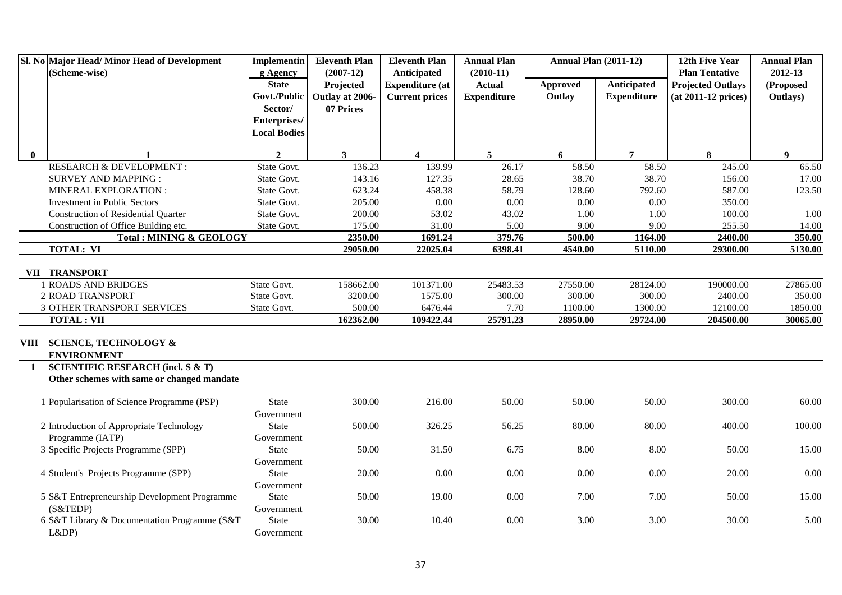|              | Sl. No Major Head/ Minor Head of Development<br>(Scheme-wise)                              | <b>Implementin</b><br>g Agency | <b>Eleventh Plan</b><br>$(2007-12)$ | <b>Eleventh Plan</b><br>Anticipated | <b>Annual Plan</b><br>$(2010-11)$ | <b>Annual Plan (2011-12)</b> |                    | 12th Five Year<br><b>Plan Tentative</b> | <b>Annual Plan</b><br>2012-13 |
|--------------|--------------------------------------------------------------------------------------------|--------------------------------|-------------------------------------|-------------------------------------|-----------------------------------|------------------------------|--------------------|-----------------------------------------|-------------------------------|
|              |                                                                                            | <b>State</b>                   | Projected                           | <b>Expenditure (at</b>              | <b>Actual</b>                     | <b>Approved</b>              | <b>Anticipated</b> | <b>Projected Outlays</b>                | (Proposed                     |
|              |                                                                                            | Govt./Public                   | Outlay at 2006-                     | <b>Current prices</b>               | <b>Expenditure</b>                | Outlay                       | <b>Expenditure</b> | $(at 2011-12 prices)$                   | Outlays)                      |
|              |                                                                                            | Sector/                        | 07 Prices                           |                                     |                                   |                              |                    |                                         |                               |
|              |                                                                                            | Enterprises/                   |                                     |                                     |                                   |                              |                    |                                         |                               |
|              |                                                                                            | <b>Local Bodies</b>            |                                     |                                     |                                   |                              |                    |                                         |                               |
| $\mathbf{0}$ | 1                                                                                          | $\overline{2}$                 | 3 <sup>1</sup>                      | $\overline{4}$                      | 5 <sup>5</sup>                    | 6                            | $\overline{7}$     | 8                                       | 9                             |
|              | RESEARCH & DEVELOPMENT :                                                                   | State Govt.                    | 136.23                              | 139.99                              | 26.17                             | 58.50                        | 58.50              | 245.00                                  | 65.50                         |
|              | <b>SURVEY AND MAPPING:</b>                                                                 | State Govt.                    | 143.16                              | 127.35                              | 28.65                             | 38.70                        | 38.70              | 156.00                                  | 17.00                         |
|              | MINERAL EXPLORATION :                                                                      | State Govt.                    | 623.24                              | 458.38                              | 58.79                             | 128.60                       | 792.60             | 587.00                                  | 123.50                        |
|              | <b>Investment in Public Sectors</b>                                                        | State Govt.                    | 205.00                              | $0.00\,$                            | 0.00                              | 0.00                         | 0.00               | 350.00                                  |                               |
|              | <b>Construction of Residential Quarter</b>                                                 | State Govt.                    | 200.00                              | 53.02                               | 43.02                             | 1.00                         | 1.00               | 100.00                                  | 1.00                          |
|              | Construction of Office Building etc.                                                       | State Govt.                    | 175.00                              | 31.00                               | 5.00                              | 9.00                         | 9.00               | 255.50                                  | 14.00                         |
|              | <b>Total: MINING &amp; GEOLOGY</b>                                                         |                                | 2350.00                             | 1691.24                             | 379.76                            | 500.00                       | 1164.00            | 2400.00                                 | 350.00                        |
|              | <b>TOTAL: VI</b>                                                                           |                                | 29050.00                            | 22025.04                            | 6398.41                           | 4540.00                      | 5110.00            | 29300.00                                | 5130.00                       |
|              | VII TRANSPORT                                                                              |                                |                                     |                                     |                                   |                              |                    |                                         |                               |
|              | <b>1 ROADS AND BRIDGES</b>                                                                 | State Govt.                    | 158662.00                           | 101371.00                           | 25483.53                          | 27550.00                     | 28124.00           | 190000.00                               | 27865.00                      |
|              | 2 ROAD TRANSPORT                                                                           | State Govt.                    | 3200.00                             | 1575.00                             | 300.00                            | 300.00                       | 300.00             | 2400.00                                 | 350.00                        |
|              | 3 OTHER TRANSPORT SERVICES                                                                 | State Govt.                    | 500.00                              | 6476.44                             | 7.70                              | 1100.00                      | 1300.00            | 12100.00                                | 1850.00                       |
|              | <b>TOTAL: VII</b>                                                                          |                                | 162362.00                           | 109422.44                           | 25791.23                          | 28950.00                     | 29724.00           | 204500.00                               | 30065.00                      |
|              | VIII SCIENCE, TECHNOLOGY &<br><b>ENVIRONMENT</b>                                           |                                |                                     |                                     |                                   |                              |                    |                                         |                               |
| $\mathbf{1}$ | <b>SCIENTIFIC RESEARCH (incl. S &amp; T)</b><br>Other schemes with same or changed mandate |                                |                                     |                                     |                                   |                              |                    |                                         |                               |
|              |                                                                                            |                                |                                     |                                     |                                   |                              |                    |                                         |                               |
|              | 1 Popularisation of Science Programme (PSP)                                                | <b>State</b><br>Government     | 300.00                              | 216.00                              | 50.00                             | 50.00                        | 50.00              | 300.00                                  | 60.00                         |
|              | 2 Introduction of Appropriate Technology                                                   | <b>State</b>                   | 500.00                              | 326.25                              | 56.25                             | 80.00                        | 80.00              | 400.00                                  | 100.00                        |
|              | Programme (IATP)                                                                           | Government                     |                                     |                                     |                                   |                              |                    |                                         |                               |
|              | 3 Specific Projects Programme (SPP)                                                        | <b>State</b>                   | 50.00                               | 31.50                               | 6.75                              | 8.00                         | 8.00               | 50.00                                   | 15.00                         |
|              |                                                                                            | Government                     |                                     |                                     |                                   |                              |                    |                                         |                               |
|              | 4 Student's Projects Programme (SPP)                                                       | <b>State</b>                   | 20.00                               | 0.00                                | 0.00                              | 0.00                         | 0.00               | 20.00                                   | 0.00                          |
|              |                                                                                            | Government                     |                                     |                                     |                                   |                              |                    |                                         |                               |
|              | 5 S&T Entrepreneurship Development Programme                                               | <b>State</b>                   | 50.00                               | 19.00                               | 0.00                              | 7.00                         | 7.00               | 50.00                                   | 15.00                         |
|              | (S&TEDP)                                                                                   | Government                     |                                     |                                     |                                   |                              |                    |                                         |                               |
|              | 6 S&T Library & Documentation Programme (S&T                                               | <b>State</b>                   | 30.00                               | 10.40                               | 0.00                              | 3.00                         | 3.00               | 30.00                                   | 5.00                          |
|              | L&DP                                                                                       | Government                     |                                     |                                     |                                   |                              |                    |                                         |                               |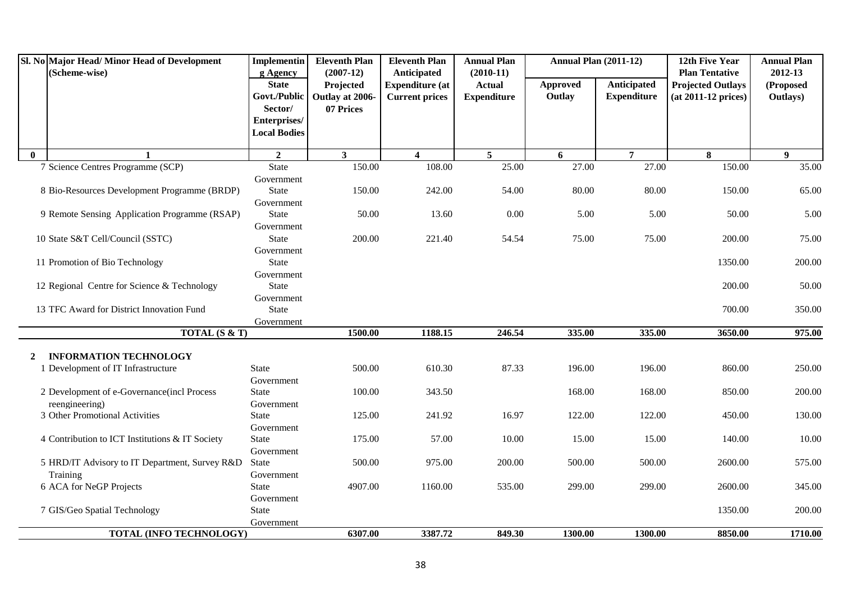|              | Sl. No Major Head/Minor Head of Development<br>(Scheme-wise) | <b>Implementin</b><br>g Agency      | <b>Eleventh Plan</b><br>$(2007-12)$ | <b>Eleventh Plan</b><br>Anticipated | <b>Annual Plan</b><br>$(2010-11)$ | <b>Annual Plan (2011-12)</b> |                    | 12th Five Year<br><b>Plan Tentative</b> | <b>Annual Plan</b><br>2012-13 |
|--------------|--------------------------------------------------------------|-------------------------------------|-------------------------------------|-------------------------------------|-----------------------------------|------------------------------|--------------------|-----------------------------------------|-------------------------------|
|              |                                                              | <b>State</b>                        | Projected                           | <b>Expenditure (at</b>              | <b>Actual</b>                     | Approved                     | Anticipated        | <b>Projected Outlays</b>                | (Proposed                     |
|              |                                                              | Govt./Public                        | Outlay at 2006-                     | <b>Current prices</b>               | <b>Expenditure</b>                | Outlay                       | <b>Expenditure</b> | $(at 2011-12 prices)$                   | Outlays)                      |
|              |                                                              | Sector/                             | 07 Prices                           |                                     |                                   |                              |                    |                                         |                               |
|              |                                                              | Enterprises/<br><b>Local Bodies</b> |                                     |                                     |                                   |                              |                    |                                         |                               |
|              |                                                              |                                     |                                     |                                     |                                   |                              |                    |                                         |                               |
| $\mathbf{0}$ | $\mathbf{1}$                                                 | $\overline{2}$                      | $\overline{\mathbf{3}}$             | $\overline{\mathbf{4}}$             | 5 <sup>5</sup>                    | 6                            | $\overline{7}$     | 8                                       | $\boldsymbol{9}$              |
|              | 7 Science Centres Programme (SCP)                            | <b>State</b>                        | 150.00                              | 108.00                              | 25.00                             | 27.00                        | 27.00              | 150.00                                  | 35.00                         |
|              |                                                              | Government                          |                                     |                                     |                                   |                              |                    |                                         |                               |
|              | 8 Bio-Resources Development Programme (BRDP)                 | <b>State</b>                        | 150.00                              | 242.00                              | 54.00                             | 80.00                        | 80.00              | 150.00                                  | 65.00                         |
|              |                                                              | Government                          |                                     |                                     |                                   |                              |                    |                                         |                               |
|              | 9 Remote Sensing Application Programme (RSAP)                | <b>State</b>                        | 50.00                               | 13.60                               | 0.00                              | 5.00                         | 5.00               | 50.00                                   | 5.00                          |
|              | 10 State S&T Cell/Council (SSTC)                             | Government<br><b>State</b>          | 200.00                              | 221.40                              | 54.54                             | 75.00                        | 75.00              | 200.00                                  | 75.00                         |
|              |                                                              | Government                          |                                     |                                     |                                   |                              |                    |                                         |                               |
|              | 11 Promotion of Bio Technology                               | <b>State</b>                        |                                     |                                     |                                   |                              |                    | 1350.00                                 | 200.00                        |
|              |                                                              | Government                          |                                     |                                     |                                   |                              |                    |                                         |                               |
|              | 12 Regional Centre for Science & Technology                  | <b>State</b>                        |                                     |                                     |                                   |                              |                    | 200.00                                  | 50.00                         |
|              |                                                              | Government                          |                                     |                                     |                                   |                              |                    |                                         |                               |
|              | 13 TFC Award for District Innovation Fund                    | <b>State</b>                        |                                     |                                     |                                   |                              |                    | 700.00                                  | 350.00                        |
|              |                                                              | Government                          |                                     |                                     |                                   |                              |                    |                                         |                               |
|              | <b>TOTAL (S &amp; T)</b>                                     |                                     | 1500.00                             | 1188.15                             | 246.54                            | 335.00                       | 335.00             | 3650.00                                 | 975.00                        |
|              |                                                              |                                     |                                     |                                     |                                   |                              |                    |                                         |                               |
| $\mathbf{2}$ | <b>INFORMATION TECHNOLOGY</b>                                |                                     |                                     |                                     |                                   |                              |                    |                                         |                               |
|              | 1 Development of IT Infrastructure                           | <b>State</b>                        | 500.00                              | 610.30                              | 87.33                             | 196.00                       | 196.00             | 860.00                                  | 250.00                        |
|              |                                                              | Government                          | 100.00                              |                                     |                                   | 168.00                       |                    |                                         | 200.00                        |
|              | 2 Development of e-Governance(incl Process<br>reengineering) | State                               |                                     | 343.50                              |                                   |                              | 168.00             | 850.00                                  |                               |
|              | 3 Other Promotional Activities                               | Government<br>State                 | 125.00                              | 241.92                              | 16.97                             | 122.00                       | 122.00             | 450.00                                  | 130.00                        |
|              |                                                              | Government                          |                                     |                                     |                                   |                              |                    |                                         |                               |
|              | 4 Contribution to ICT Institutions & IT Society              | <b>State</b>                        | 175.00                              | 57.00                               | 10.00                             | 15.00                        | 15.00              | 140.00                                  | 10.00                         |
|              |                                                              | Government                          |                                     |                                     |                                   |                              |                    |                                         |                               |
|              | 5 HRD/IT Advisory to IT Department, Survey R&D               | <b>State</b>                        | 500.00                              | 975.00                              | 200.00                            | 500.00                       | 500.00             | 2600.00                                 | 575.00                        |
|              | Training                                                     | Government                          |                                     |                                     |                                   |                              |                    |                                         |                               |
|              | 6 ACA for NeGP Projects                                      | <b>State</b>                        | 4907.00                             | 1160.00                             | 535.00                            | 299.00                       | 299.00             | 2600.00                                 | 345.00                        |
|              |                                                              | Government                          |                                     |                                     |                                   |                              |                    |                                         |                               |
|              | 7 GIS/Geo Spatial Technology                                 | <b>State</b>                        |                                     |                                     |                                   |                              |                    | 1350.00                                 | 200.00                        |
|              |                                                              | Government                          |                                     |                                     |                                   |                              |                    |                                         |                               |
|              | TOTAL (INFO TECHNOLOGY)                                      |                                     | 6307.00                             | 3387.72                             | 849.30                            | 1300.00                      | 1300.00            | 8850.00                                 | 1710.00                       |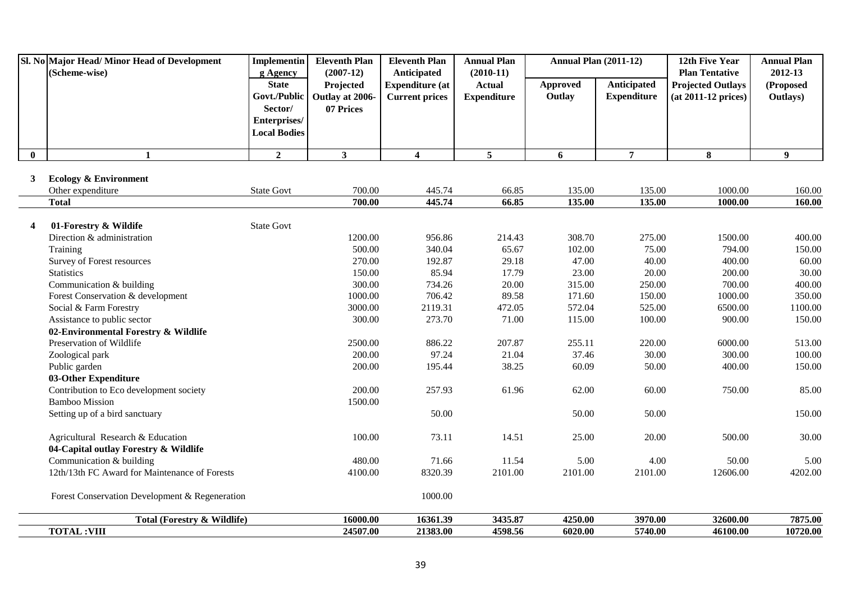|                         | Sl. No Major Head/Minor Head of Development<br>(Scheme-wise) | <b>Implementin</b><br>g Agency | <b>Eleventh Plan</b><br>$(2007-12)$ | <b>Eleventh Plan</b><br>Anticipated | <b>Annual Plan</b><br>$(2010-11)$ | <b>Annual Plan (2011-12)</b> |                    | 12th Five Year<br><b>Plan Tentative</b> | <b>Annual Plan</b><br>2012-13 |
|-------------------------|--------------------------------------------------------------|--------------------------------|-------------------------------------|-------------------------------------|-----------------------------------|------------------------------|--------------------|-----------------------------------------|-------------------------------|
|                         |                                                              | <b>State</b>                   | Projected                           | <b>Expenditure</b> (at              | <b>Actual</b>                     | <b>Approved</b>              | <b>Anticipated</b> | <b>Projected Outlays</b>                | (Proposed                     |
|                         |                                                              | Govt./Public                   | Outlay at 2006-                     | <b>Current prices</b>               | <b>Expenditure</b>                | Outlay                       | <b>Expenditure</b> | (at 2011-12 prices)                     | Outlays)                      |
|                         |                                                              | Sector/                        | 07 Prices                           |                                     |                                   |                              |                    |                                         |                               |
|                         |                                                              | Enterprises/                   |                                     |                                     |                                   |                              |                    |                                         |                               |
|                         |                                                              | <b>Local Bodies</b>            |                                     |                                     |                                   |                              |                    |                                         |                               |
| $\bf{0}$                | $\mathbf{1}$                                                 | $\overline{2}$                 | $\mathbf{3}$                        | $\overline{\mathbf{4}}$             | $\overline{5}$                    | 6                            | $\overline{7}$     | 8                                       | $\boldsymbol{9}$              |
|                         |                                                              |                                |                                     |                                     |                                   |                              |                    |                                         |                               |
| 3                       | <b>Ecology &amp; Environment</b>                             |                                |                                     |                                     |                                   |                              |                    |                                         |                               |
|                         | Other expenditure                                            | <b>State Govt</b>              | 700.00                              | 445.74                              | 66.85                             | 135.00                       | 135.00             | 1000.00                                 | 160.00                        |
|                         | <b>Total</b>                                                 |                                | 700.00                              | 445.74                              | 66.85                             | 135.00                       | 135.00             | 1000.00                                 | 160.00                        |
|                         |                                                              |                                |                                     |                                     |                                   |                              |                    |                                         |                               |
| $\overline{\mathbf{4}}$ | 01-Forestry & Wildife                                        | <b>State Govt</b>              |                                     |                                     |                                   |                              |                    |                                         |                               |
|                         | Direction & administration                                   |                                | 1200.00                             | 956.86                              | 214.43                            | 308.70                       | 275.00             | 1500.00                                 | 400.00                        |
|                         | Training                                                     |                                | 500.00                              | 340.04                              | 65.67                             | 102.00                       | 75.00              | 794.00                                  | 150.00                        |
|                         | Survey of Forest resources                                   |                                | 270.00                              | 192.87                              | 29.18                             | 47.00                        | 40.00              | 400.00                                  | 60.00                         |
|                         | <b>Statistics</b>                                            |                                | 150.00                              | 85.94                               | 17.79                             | 23.00                        | 20.00              | 200.00                                  | 30.00                         |
|                         | Communication & building                                     |                                | 300.00                              | 734.26                              | 20.00                             | 315.00                       | 250.00             | 700.00                                  | 400.00                        |
|                         | Forest Conservation & development                            |                                | 1000.00                             | 706.42                              | 89.58                             | 171.60                       | 150.00             | 1000.00                                 | 350.00                        |
|                         | Social & Farm Forestry                                       |                                | 3000.00                             | 2119.31                             | 472.05                            | 572.04                       | 525.00             | 6500.00                                 | 1100.00                       |
|                         | Assistance to public sector                                  |                                | 300.00                              | 273.70                              | 71.00                             | 115.00                       | 100.00             | 900.00                                  | 150.00                        |
|                         | 02-Environmental Forestry & Wildlife                         |                                |                                     |                                     |                                   |                              |                    |                                         |                               |
|                         | Preservation of Wildlife                                     |                                | 2500.00<br>200.00                   | 886.22<br>97.24                     | 207.87<br>21.04                   | 255.11<br>37.46              | 220.00<br>30.00    | 6000.00<br>300.00                       | 513.00<br>100.00              |
|                         | Zoological park                                              |                                | 200.00                              |                                     | 38.25                             |                              |                    | 400.00                                  | 150.00                        |
|                         | Public garden<br>03-Other Expenditure                        |                                |                                     | 195.44                              |                                   | 60.09                        | 50.00              |                                         |                               |
|                         | Contribution to Eco development society                      |                                | 200.00                              | 257.93                              | 61.96                             | 62.00                        | 60.00              | 750.00                                  | 85.00                         |
|                         | <b>Bamboo Mission</b>                                        |                                | 1500.00                             |                                     |                                   |                              |                    |                                         |                               |
|                         | Setting up of a bird sanctuary                               |                                |                                     | 50.00                               |                                   | 50.00                        | 50.00              |                                         | 150.00                        |
|                         |                                                              |                                |                                     |                                     |                                   |                              |                    |                                         |                               |
|                         | Agricultural Research & Education                            |                                | 100.00                              | 73.11                               | 14.51                             | 25.00                        | 20.00              | 500.00                                  | 30.00                         |
|                         | 04-Capital outlay Forestry & Wildlife                        |                                |                                     |                                     |                                   |                              |                    |                                         |                               |
|                         | Communication & building                                     |                                | 480.00                              | 71.66                               | 11.54                             | 5.00                         | 4.00               | 50.00                                   | 5.00                          |
|                         | 12th/13th FC Award for Maintenance of Forests                |                                | 4100.00                             | 8320.39                             | 2101.00                           | 2101.00                      | 2101.00            | 12606.00                                | 4202.00                       |
|                         | Forest Conservation Development & Regeneration               |                                |                                     | 1000.00                             |                                   |                              |                    |                                         |                               |
|                         | <b>Total (Forestry &amp; Wildlife)</b>                       |                                | 16000.00                            | 16361.39                            | 3435.87                           | 4250.00                      | 3970.00            | 32600.00                                | 7875.00                       |
|                         | <b>TOTAL:VIII</b>                                            |                                | 24507.00                            | 21383.00                            | 4598.56                           | 6020.00                      | 5740.00            | 46100.00                                | 10720.00                      |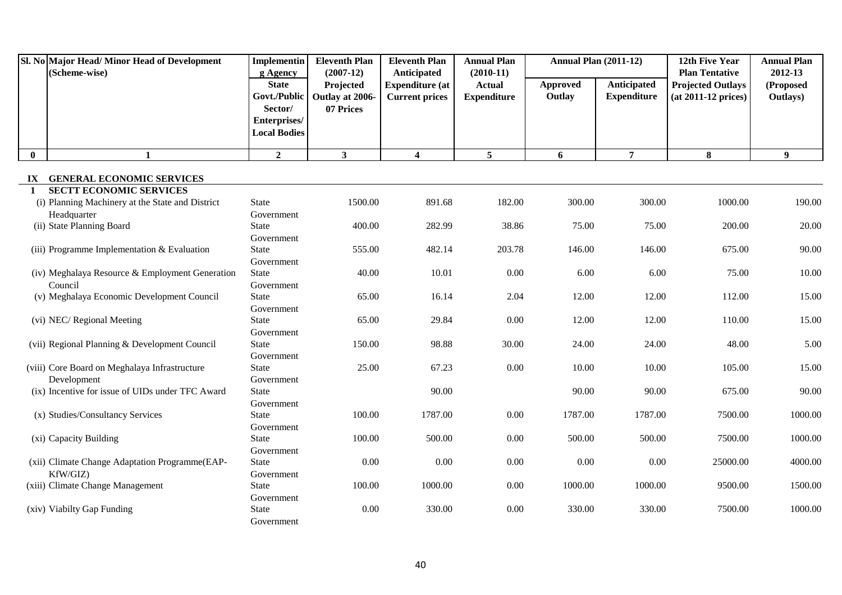|                                   | Sl. No Major Head/ Minor Head of Development<br>(Scheme-wise)      | <b>Implementin</b><br>g Agency | <b>Eleventh Plan</b><br>$(2007-12)$ | <b>Eleventh Plan</b><br>Anticipated             | <b>Annual Plan</b><br>$(2010-11)$   | <b>Annual Plan (2011-12)</b> |                                          | 12th Five Year<br><b>Plan Tentative</b>         | <b>Annual Plan</b><br>2012-13 |
|-----------------------------------|--------------------------------------------------------------------|--------------------------------|-------------------------------------|-------------------------------------------------|-------------------------------------|------------------------------|------------------------------------------|-------------------------------------------------|-------------------------------|
|                                   |                                                                    | <b>State</b><br>Govt./Public   | Projected<br>Outlay at 2006-        | <b>Expenditure</b> (at<br><b>Current prices</b> | <b>Actual</b><br><b>Expenditure</b> | <b>Approved</b><br>Outlay    | <b>Anticipated</b><br><b>Expenditure</b> | <b>Projected Outlays</b><br>(at 2011-12 prices) | (Proposed<br>Outlays)         |
|                                   |                                                                    | Sector/                        | 07 Prices                           |                                                 |                                     |                              |                                          |                                                 |                               |
|                                   |                                                                    | Enterprises/                   |                                     |                                                 |                                     |                              |                                          |                                                 |                               |
|                                   |                                                                    | <b>Local Bodies</b>            |                                     |                                                 |                                     |                              |                                          |                                                 |                               |
| $\bf{0}$                          | $\mathbf{1}$                                                       | $\overline{2}$                 | 3                                   | $\overline{\mathbf{4}}$                         | $5\overline{5}$                     | 6                            | $\overline{7}$                           | 8                                               | 9                             |
|                                   |                                                                    |                                |                                     |                                                 |                                     |                              |                                          |                                                 |                               |
| ${\bf I} {\bf X}$<br>$\mathbf{1}$ | <b>GENERAL ECONOMIC SERVICES</b><br><b>SECTT ECONOMIC SERVICES</b> |                                |                                     |                                                 |                                     |                              |                                          |                                                 |                               |
|                                   | (i) Planning Machinery at the State and District                   | <b>State</b>                   | 1500.00                             | 891.68                                          | 182.00                              | 300.00                       | 300.00                                   | 1000.00                                         | 190.00                        |
|                                   | Headquarter                                                        | Government                     |                                     |                                                 |                                     |                              |                                          |                                                 |                               |
|                                   | (ii) State Planning Board                                          | <b>State</b>                   | 400.00                              | 282.99                                          | 38.86                               | 75.00                        | 75.00                                    | 200.00                                          | 20.00                         |
|                                   |                                                                    | Government                     |                                     |                                                 |                                     |                              |                                          |                                                 |                               |
|                                   | (iii) Programme Implementation & Evaluation                        | <b>State</b>                   | 555.00                              | 482.14                                          | 203.78                              | 146.00                       | 146.00                                   | 675.00                                          | 90.00                         |
|                                   |                                                                    | Government                     |                                     |                                                 |                                     |                              |                                          |                                                 |                               |
|                                   | (iv) Meghalaya Resource & Employment Generation                    | State                          | 40.00                               | 10.01                                           | 0.00                                | 6.00                         | 6.00                                     | 75.00                                           | 10.00                         |
|                                   | Council                                                            | Government                     |                                     |                                                 |                                     |                              |                                          |                                                 |                               |
|                                   | (v) Meghalaya Economic Development Council                         | <b>State</b>                   | 65.00                               | 16.14                                           | 2.04                                | 12.00                        | 12.00                                    | 112.00                                          | 15.00                         |
|                                   |                                                                    | Government                     |                                     |                                                 |                                     |                              |                                          |                                                 |                               |
|                                   | (vi) NEC/Regional Meeting                                          | <b>State</b>                   | 65.00                               | 29.84                                           | 0.00                                | 12.00                        | 12.00                                    | 110.00                                          | 15.00                         |
|                                   |                                                                    | Government                     |                                     |                                                 |                                     |                              |                                          |                                                 |                               |
|                                   | (vii) Regional Planning & Development Council                      | State                          | 150.00                              | 98.88                                           | 30.00                               | 24.00                        | 24.00                                    | 48.00                                           | 5.00                          |
|                                   |                                                                    | Government                     |                                     |                                                 |                                     |                              |                                          |                                                 |                               |
|                                   | (viii) Core Board on Meghalaya Infrastructure                      | <b>State</b>                   | 25.00                               | 67.23                                           | 0.00                                | 10.00                        | 10.00                                    | 105.00                                          | 15.00                         |
|                                   | Development                                                        | Government                     |                                     |                                                 |                                     |                              |                                          |                                                 |                               |
|                                   | (ix) Incentive for issue of UIDs under TFC Award                   | State                          |                                     | 90.00                                           |                                     | 90.00                        | 90.00                                    | 675.00                                          | 90.00                         |
|                                   |                                                                    | Government                     |                                     |                                                 |                                     |                              |                                          |                                                 |                               |
|                                   | (x) Studies/Consultancy Services                                   | <b>State</b>                   | 100.00                              | 1787.00                                         | 0.00                                | 1787.00                      | 1787.00                                  | 7500.00                                         | 1000.00                       |
|                                   |                                                                    | Government                     |                                     |                                                 |                                     |                              |                                          |                                                 |                               |
|                                   | (xi) Capacity Building                                             | <b>State</b>                   | 100.00                              | 500.00                                          | 0.00                                | 500.00                       | 500.00                                   | 7500.00                                         | 1000.00                       |
|                                   |                                                                    | Government                     |                                     |                                                 |                                     |                              |                                          |                                                 |                               |
|                                   | (xii) Climate Change Adaptation Programme(EAP-                     | <b>State</b>                   | 0.00                                | $0.00\,$                                        | 0.00                                | 0.00                         | 0.00                                     | 25000.00                                        | 4000.00                       |
|                                   | KfW/GIZ)                                                           | Government                     |                                     |                                                 |                                     |                              |                                          |                                                 |                               |
|                                   | (xiii) Climate Change Management                                   | <b>State</b>                   | 100.00                              | 1000.00                                         | 0.00                                | 1000.00                      | 1000.00                                  | 9500.00                                         | 1500.00                       |
|                                   |                                                                    | Government                     |                                     |                                                 |                                     |                              |                                          |                                                 |                               |
|                                   | (xiv) Viabilty Gap Funding                                         | <b>State</b>                   | 0.00                                | 330.00                                          | 0.00                                | 330.00                       | 330.00                                   | 7500.00                                         | 1000.00                       |
|                                   |                                                                    | Government                     |                                     |                                                 |                                     |                              |                                          |                                                 |                               |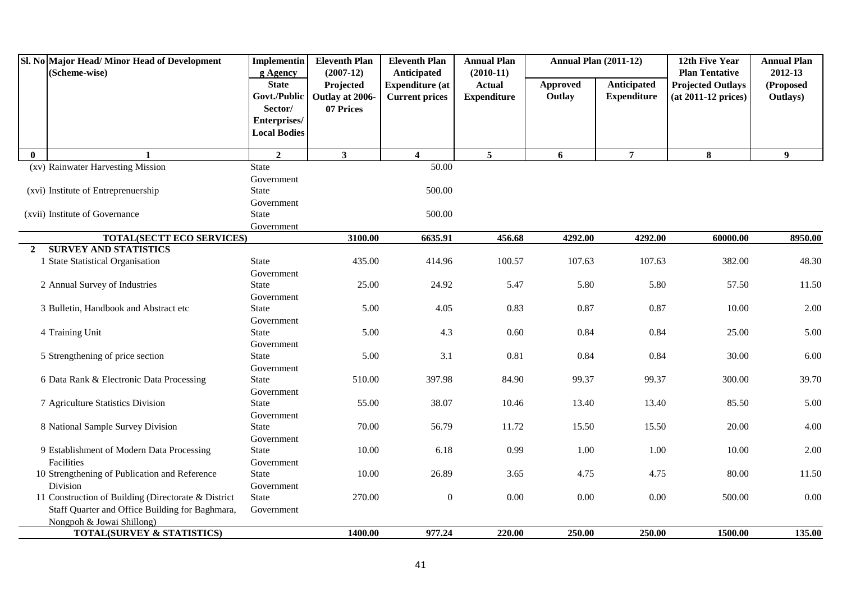|              | Sl. No Major Head/Minor Head of Development<br>(Scheme-wise) | <b>Implementin</b><br>g Agency | <b>Eleventh Plan</b><br>$(2007-12)$ | <b>Eleventh Plan</b><br>Anticipated | <b>Annual Plan</b><br>$(2010-11)$ | <b>Annual Plan (2011-12)</b> |                    | 12th Five Year<br><b>Plan Tentative</b> | <b>Annual Plan</b><br>2012-13 |
|--------------|--------------------------------------------------------------|--------------------------------|-------------------------------------|-------------------------------------|-----------------------------------|------------------------------|--------------------|-----------------------------------------|-------------------------------|
|              |                                                              | <b>State</b>                   | Projected                           | <b>Expenditure</b> (at              | <b>Actual</b>                     | Approved                     | Anticipated        | <b>Projected Outlays</b>                | (Proposed                     |
|              |                                                              | Govt./Public                   | Outlay at 2006-                     | <b>Current prices</b>               | <b>Expenditure</b>                | Outlay                       | <b>Expenditure</b> | (at 2011-12 prices)                     | Outlays)                      |
|              |                                                              | Sector/                        | 07 Prices                           |                                     |                                   |                              |                    |                                         |                               |
|              |                                                              | Enterprises/                   |                                     |                                     |                                   |                              |                    |                                         |                               |
|              |                                                              | <b>Local Bodies</b>            |                                     |                                     |                                   |                              |                    |                                         |                               |
| $\mathbf{0}$ |                                                              | $\overline{2}$                 | $\mathbf{3}$                        | $\overline{\mathbf{4}}$             | $\overline{5}$                    | 6                            | $\overline{7}$     | 8                                       | 9 <sup>°</sup>                |
|              | (xv) Rainwater Harvesting Mission                            | <b>State</b>                   |                                     | 50.00                               |                                   |                              |                    |                                         |                               |
|              |                                                              | Government                     |                                     |                                     |                                   |                              |                    |                                         |                               |
|              | (xvi) Institute of Entreprenuership                          | State                          |                                     | 500.00                              |                                   |                              |                    |                                         |                               |
|              |                                                              | Government                     |                                     |                                     |                                   |                              |                    |                                         |                               |
|              | (xvii) Institute of Governance                               | <b>State</b>                   |                                     | 500.00                              |                                   |                              |                    |                                         |                               |
|              |                                                              | Government                     |                                     |                                     |                                   |                              |                    |                                         |                               |
|              | <b>TOTAL(SECTT ECO SERVICES)</b>                             |                                | 3100.00                             | 6635.91                             | 456.68                            | 4292.00                      | 4292.00            | 60000.00                                | 8950.00                       |
| $\mathbf{2}$ | <b>SURVEY AND STATISTICS</b>                                 |                                |                                     |                                     |                                   |                              |                    |                                         |                               |
|              | 1 State Statistical Organisation                             | <b>State</b>                   | 435.00                              | 414.96                              | 100.57                            | 107.63                       | 107.63             | 382.00                                  | 48.30                         |
|              | 2 Annual Survey of Industries                                | Government<br><b>State</b>     | 25.00                               | 24.92                               | 5.47                              | 5.80                         | 5.80               | 57.50                                   | 11.50                         |
|              |                                                              |                                |                                     |                                     |                                   |                              |                    |                                         |                               |
|              | 3 Bulletin, Handbook and Abstract etc                        | Government<br><b>State</b>     | 5.00                                | 4.05                                | 0.83                              | 0.87                         | 0.87               | 10.00                                   | 2.00                          |
|              |                                                              | Government                     |                                     |                                     |                                   |                              |                    |                                         |                               |
|              | 4 Training Unit                                              | <b>State</b>                   | 5.00                                | 4.3                                 | 0.60                              | 0.84                         | 0.84               | 25.00                                   | 5.00                          |
|              |                                                              | Government                     |                                     |                                     |                                   |                              |                    |                                         |                               |
|              | 5 Strengthening of price section                             | <b>State</b>                   | 5.00                                | 3.1                                 | 0.81                              | 0.84                         | 0.84               | 30.00                                   | 6.00                          |
|              |                                                              | Government                     |                                     |                                     |                                   |                              |                    |                                         |                               |
|              | 6 Data Rank & Electronic Data Processing                     | <b>State</b>                   | 510.00                              | 397.98                              | 84.90                             | 99.37                        | 99.37              | 300.00                                  | 39.70                         |
|              |                                                              | Government                     |                                     |                                     |                                   |                              |                    |                                         |                               |
|              | 7 Agriculture Statistics Division                            | State                          | 55.00                               | 38.07                               | 10.46                             | 13.40                        | 13.40              | 85.50                                   | 5.00                          |
|              |                                                              | Government                     |                                     |                                     |                                   |                              |                    |                                         |                               |
|              | 8 National Sample Survey Division                            | <b>State</b>                   | 70.00                               | 56.79                               | 11.72                             | 15.50                        | 15.50              | 20.00                                   | 4.00                          |
|              |                                                              | Government                     |                                     |                                     |                                   |                              |                    |                                         |                               |
|              | 9 Establishment of Modern Data Processing                    | <b>State</b>                   | 10.00                               | 6.18                                | 0.99                              | 1.00                         | 1.00               | 10.00                                   | 2.00                          |
|              | Facilities                                                   | Government                     |                                     |                                     |                                   |                              |                    |                                         |                               |
|              | 10 Strengthening of Publication and Reference                | <b>State</b>                   | 10.00                               | 26.89                               | 3.65                              | 4.75                         | 4.75               | 80.00                                   | 11.50                         |
|              | Division                                                     | Government                     |                                     |                                     |                                   |                              |                    |                                         |                               |
|              | 11 Construction of Building (Directorate & District          | State                          | 270.00                              | $\boldsymbol{0}$                    | 0.00                              | $0.00\,$                     | 0.00               | 500.00                                  | 0.00                          |
|              | Staff Quarter and Office Building for Baghmara,              | Government                     |                                     |                                     |                                   |                              |                    |                                         |                               |
|              | Nongpoh & Jowai Shillong)                                    |                                |                                     |                                     |                                   |                              |                    |                                         |                               |
|              | <b>TOTAL(SURVEY &amp; STATISTICS)</b>                        |                                | 1400.00                             | 977.24                              | 220.00                            | 250.00                       | 250.00             | 1500.00                                 | 135.00                        |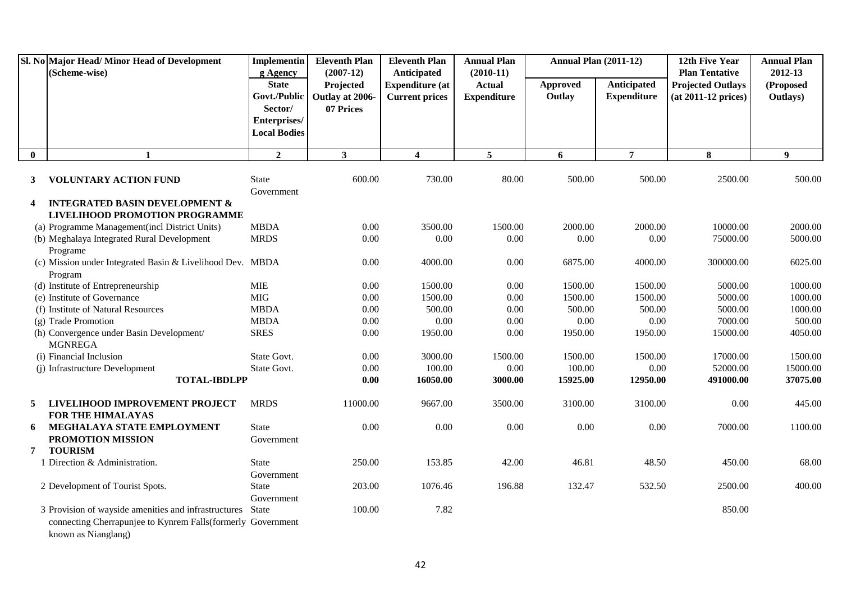|              | Sl. No Major Head/Minor Head of Development<br>(Scheme-wise)                        | <b>Implementin</b><br>g Agency                                                 | <b>Eleventh Plan</b><br>$(2007-12)$       | <b>Eleventh Plan</b><br>Anticipated             | <b>Annual Plan</b><br>$(2010-11)$   | <b>Annual Plan (2011-12)</b> |                                          | 12th Five Year<br><b>Plan Tentative</b>         | <b>Annual Plan</b><br>2012-13 |
|--------------|-------------------------------------------------------------------------------------|--------------------------------------------------------------------------------|-------------------------------------------|-------------------------------------------------|-------------------------------------|------------------------------|------------------------------------------|-------------------------------------------------|-------------------------------|
|              |                                                                                     | <b>State</b><br>Govt./Public<br>Sector/<br>Enterprises/<br><b>Local Bodies</b> | Projected<br>Outlay at 2006-<br>07 Prices | <b>Expenditure</b> (at<br><b>Current prices</b> | <b>Actual</b><br><b>Expenditure</b> | Approved<br>Outlay           | <b>Anticipated</b><br><b>Expenditure</b> | <b>Projected Outlays</b><br>(at 2011-12 prices) | (Proposed<br>Outlays)         |
| $\mathbf{0}$ | $\mathbf{1}$                                                                        | $\overline{2}$                                                                 | 3 <sup>1</sup>                            | $\overline{\mathbf{4}}$                         | $5\overline{5}$                     | 6                            | $\overline{7}$                           | 8                                               | $\boldsymbol{9}$              |
| $\mathbf{3}$ | <b>VOLUNTARY ACTION FUND</b>                                                        | <b>State</b><br>Government                                                     | 600.00                                    | 730.00                                          | 80.00                               | 500.00                       | 500.00                                   | 2500.00                                         | 500.00                        |
| 4            | <b>INTEGRATED BASIN DEVELOPMENT &amp;</b>                                           |                                                                                |                                           |                                                 |                                     |                              |                                          |                                                 |                               |
|              | LIVELIHOOD PROMOTION PROGRAMME                                                      |                                                                                |                                           |                                                 |                                     |                              |                                          |                                                 |                               |
|              | (a) Programme Management(incl District Units)                                       | <b>MBDA</b>                                                                    | 0.00                                      | 3500.00                                         | 1500.00                             | 2000.00                      | 2000.00                                  | 10000.00                                        | 2000.00                       |
|              | (b) Meghalaya Integrated Rural Development                                          | <b>MRDS</b>                                                                    | 0.00                                      | 0.00                                            | 0.00                                | 0.00                         | 0.00                                     | 75000.00                                        | 5000.00                       |
|              | Programe                                                                            |                                                                                |                                           |                                                 |                                     |                              |                                          |                                                 |                               |
|              | (c) Mission under Integrated Basin & Livelihood Dev. MBDA                           |                                                                                | 0.00                                      | 4000.00                                         | 0.00                                | 6875.00                      | 4000.00                                  | 300000.00                                       | 6025.00                       |
|              | Program                                                                             |                                                                                |                                           |                                                 |                                     |                              |                                          |                                                 |                               |
|              | (d) Institute of Entrepreneurship                                                   | <b>MIE</b>                                                                     | 0.00                                      | 1500.00                                         | 0.00                                | 1500.00                      | 1500.00                                  | 5000.00                                         | 1000.00                       |
|              | (e) Institute of Governance                                                         | <b>MIG</b>                                                                     | 0.00                                      | 1500.00                                         | 0.00                                | 1500.00                      | 1500.00                                  | 5000.00                                         | 1000.00                       |
|              | (f) Institute of Natural Resources                                                  | <b>MBDA</b>                                                                    | 0.00                                      | 500.00                                          | 0.00                                | 500.00                       | 500.00                                   | 5000.00                                         | 1000.00                       |
|              | (g) Trade Promotion                                                                 | <b>MBDA</b>                                                                    | 0.00                                      | $0.00\,$                                        | 0.00                                | $0.00\,$                     | 0.00                                     | 7000.00                                         | 500.00                        |
|              | (h) Convergence under Basin Development/<br><b>MGNREGA</b>                          | <b>SRES</b>                                                                    | 0.00                                      | 1950.00                                         | 0.00                                | 1950.00                      | 1950.00                                  | 15000.00                                        | 4050.00                       |
|              | (i) Financial Inclusion                                                             | State Govt.                                                                    | 0.00                                      | 3000.00                                         | 1500.00                             | 1500.00                      | 1500.00                                  | 17000.00                                        | 1500.00                       |
|              | (j) Infrastructure Development                                                      | State Govt.                                                                    | 0.00                                      | 100.00                                          | 0.00                                | 100.00                       | 0.00                                     | 52000.00                                        | 15000.00                      |
|              | <b>TOTAL-IBDLPP</b>                                                                 |                                                                                | 0.00                                      | 16050.00                                        | 3000.00                             | 15925.00                     | 12950.00                                 | 491000.00                                       | 37075.00                      |
| $5^{\circ}$  | LIVELIHOOD IMPROVEMENT PROJECT<br><b>FOR THE HIMALAYAS</b>                          | <b>MRDS</b>                                                                    | 11000.00                                  | 9667.00                                         | 3500.00                             | 3100.00                      | 3100.00                                  | 0.00                                            | 445.00                        |
| 6            | MEGHALAYA STATE EMPLOYMENT                                                          | State                                                                          | 0.00                                      | 0.00                                            | 0.00                                | 0.00                         | 0.00                                     | 7000.00                                         | 1100.00                       |
|              | PROMOTION MISSION                                                                   | Government                                                                     |                                           |                                                 |                                     |                              |                                          |                                                 |                               |
| 7            | <b>TOURISM</b>                                                                      |                                                                                |                                           |                                                 |                                     |                              |                                          |                                                 |                               |
|              | 1 Direction & Administration.                                                       | <b>State</b>                                                                   | 250.00                                    | 153.85                                          | 42.00                               | 46.81                        | 48.50                                    | 450.00                                          | 68.00                         |
|              |                                                                                     | Government                                                                     |                                           |                                                 |                                     |                              |                                          |                                                 |                               |
|              | 2 Development of Tourist Spots.                                                     | <b>State</b>                                                                   | 203.00                                    | 1076.46                                         | 196.88                              | 132.47                       | 532.50                                   | 2500.00                                         | 400.00                        |
|              |                                                                                     | Government                                                                     |                                           |                                                 |                                     |                              |                                          |                                                 |                               |
|              | 3 Provision of wayside amenities and infrastructures                                | State                                                                          | 100.00                                    | 7.82                                            |                                     |                              |                                          | 850.00                                          |                               |
|              | connecting Cherrapunjee to Kynrem Falls (formerly Government<br>known as Nianglang) |                                                                                |                                           |                                                 |                                     |                              |                                          |                                                 |                               |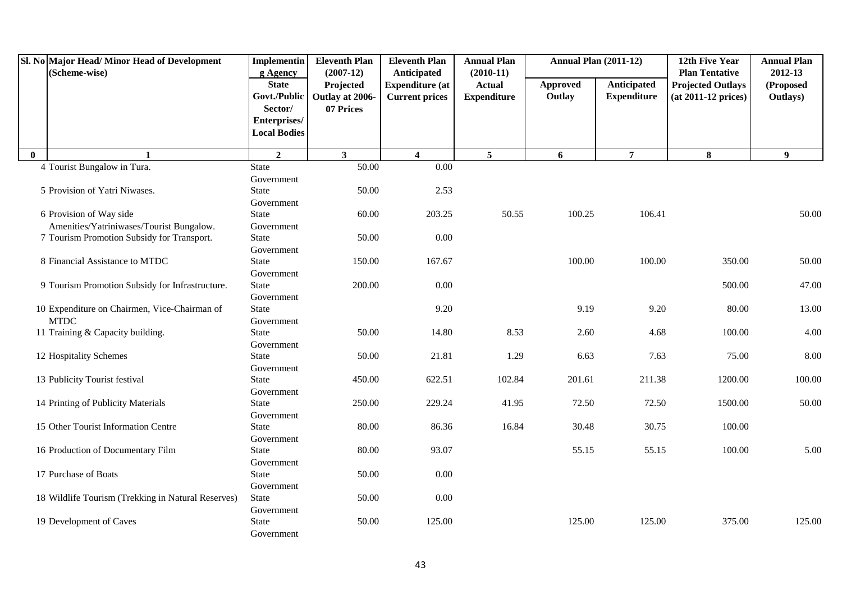|              | Sl. No Major Head/ Minor Head of Development<br>(Scheme-wise) | <b>Implementin</b><br>g Agency                                                 | <b>Eleventh Plan</b><br>$(2007-12)$       | <b>Eleventh Plan</b><br>Anticipated             | <b>Annual Plan</b><br>$(2010-11)$   | <b>Annual Plan (2011-12)</b> |                                   | 12th Five Year<br><b>Plan Tentative</b>         | <b>Annual Plan</b><br>2012-13 |
|--------------|---------------------------------------------------------------|--------------------------------------------------------------------------------|-------------------------------------------|-------------------------------------------------|-------------------------------------|------------------------------|-----------------------------------|-------------------------------------------------|-------------------------------|
|              |                                                               | <b>State</b><br>Govt./Public<br>Sector/<br>Enterprises/<br><b>Local Bodies</b> | Projected<br>Outlay at 2006-<br>07 Prices | <b>Expenditure</b> (at<br><b>Current prices</b> | <b>Actual</b><br><b>Expenditure</b> | <b>Approved</b><br>Outlay    | Anticipated<br><b>Expenditure</b> | <b>Projected Outlays</b><br>(at 2011-12 prices) | (Proposed<br>Outlays)         |
| $\mathbf{0}$ | $\mathbf{1}$                                                  | $\overline{2}$                                                                 | $\mathbf{3}$                              | $\overline{\mathbf{4}}$                         | $\overline{5}$                      | 6                            | $\overline{7}$                    | 8                                               | 9                             |
|              | 4 Tourist Bungalow in Tura.                                   | <b>State</b>                                                                   | 50.00                                     | $\overline{0.00}$                               |                                     |                              |                                   |                                                 |                               |
|              |                                                               | Government                                                                     |                                           |                                                 |                                     |                              |                                   |                                                 |                               |
|              | 5 Provision of Yatri Niwases.                                 | State                                                                          | 50.00                                     | 2.53                                            |                                     |                              |                                   |                                                 |                               |
|              |                                                               | Government                                                                     |                                           |                                                 |                                     |                              |                                   |                                                 |                               |
|              | 6 Provision of Way side                                       | State                                                                          | 60.00                                     | 203.25                                          | 50.55                               | 100.25                       | 106.41                            |                                                 | 50.00                         |
|              | Amenities/Yatriniwases/Tourist Bungalow.                      | Government                                                                     |                                           |                                                 |                                     |                              |                                   |                                                 |                               |
|              | 7 Tourism Promotion Subsidy for Transport.                    | <b>State</b>                                                                   | 50.00                                     | $0.00\,$                                        |                                     |                              |                                   |                                                 |                               |
|              |                                                               | Government                                                                     |                                           |                                                 |                                     |                              |                                   |                                                 |                               |
|              | 8 Financial Assistance to MTDC                                | <b>State</b>                                                                   | 150.00                                    | 167.67                                          |                                     | 100.00                       | 100.00                            | 350.00                                          | 50.00                         |
|              |                                                               | Government                                                                     |                                           |                                                 |                                     |                              |                                   |                                                 |                               |
|              | 9 Tourism Promotion Subsidy for Infrastructure.               | <b>State</b>                                                                   | 200.00                                    | 0.00                                            |                                     |                              |                                   | 500.00                                          | 47.00                         |
|              |                                                               | Government                                                                     |                                           |                                                 |                                     |                              |                                   |                                                 |                               |
|              | 10 Expenditure on Chairmen, Vice-Chairman of<br><b>MTDC</b>   | <b>State</b><br>Government                                                     |                                           | 9.20                                            |                                     | 9.19                         | 9.20                              | 80.00                                           | 13.00                         |
|              | 11 Training & Capacity building.                              | <b>State</b>                                                                   | 50.00                                     | 14.80                                           | 8.53                                | 2.60                         | 4.68                              | 100.00                                          | 4.00                          |
|              |                                                               | Government                                                                     |                                           |                                                 |                                     |                              |                                   |                                                 |                               |
|              | 12 Hospitality Schemes                                        | <b>State</b>                                                                   | 50.00                                     | 21.81                                           | 1.29                                | 6.63                         | 7.63                              | 75.00                                           | 8.00                          |
|              |                                                               | Government                                                                     |                                           |                                                 |                                     |                              |                                   |                                                 |                               |
|              | 13 Publicity Tourist festival                                 | State                                                                          | 450.00                                    | 622.51                                          | 102.84                              | 201.61                       | 211.38                            | 1200.00                                         | 100.00                        |
|              |                                                               | Government                                                                     |                                           |                                                 |                                     |                              |                                   |                                                 |                               |
|              | 14 Printing of Publicity Materials                            | <b>State</b>                                                                   | 250.00                                    | 229.24                                          | 41.95                               | 72.50                        | 72.50                             | 1500.00                                         | 50.00                         |
|              |                                                               | Government                                                                     |                                           |                                                 |                                     |                              |                                   |                                                 |                               |
|              | 15 Other Tourist Information Centre                           | <b>State</b>                                                                   | 80.00                                     | 86.36                                           | 16.84                               | 30.48                        | 30.75                             | 100.00                                          |                               |
|              |                                                               | Government                                                                     |                                           |                                                 |                                     |                              |                                   |                                                 |                               |
|              | 16 Production of Documentary Film                             | <b>State</b>                                                                   | 80.00                                     | 93.07                                           |                                     | 55.15                        | 55.15                             | 100.00                                          | 5.00                          |
|              |                                                               | Government                                                                     |                                           |                                                 |                                     |                              |                                   |                                                 |                               |
|              | 17 Purchase of Boats                                          | <b>State</b>                                                                   | 50.00                                     | 0.00                                            |                                     |                              |                                   |                                                 |                               |
|              |                                                               | Government                                                                     |                                           |                                                 |                                     |                              |                                   |                                                 |                               |
|              | 18 Wildlife Tourism (Trekking in Natural Reserves)            | State                                                                          | 50.00                                     | $0.00\,$                                        |                                     |                              |                                   |                                                 |                               |
|              |                                                               | Government                                                                     |                                           |                                                 |                                     |                              |                                   |                                                 |                               |
|              | 19 Development of Caves                                       | <b>State</b>                                                                   | 50.00                                     | 125.00                                          |                                     | 125.00                       | 125.00                            | 375.00                                          | 125.00                        |
|              |                                                               | Government                                                                     |                                           |                                                 |                                     |                              |                                   |                                                 |                               |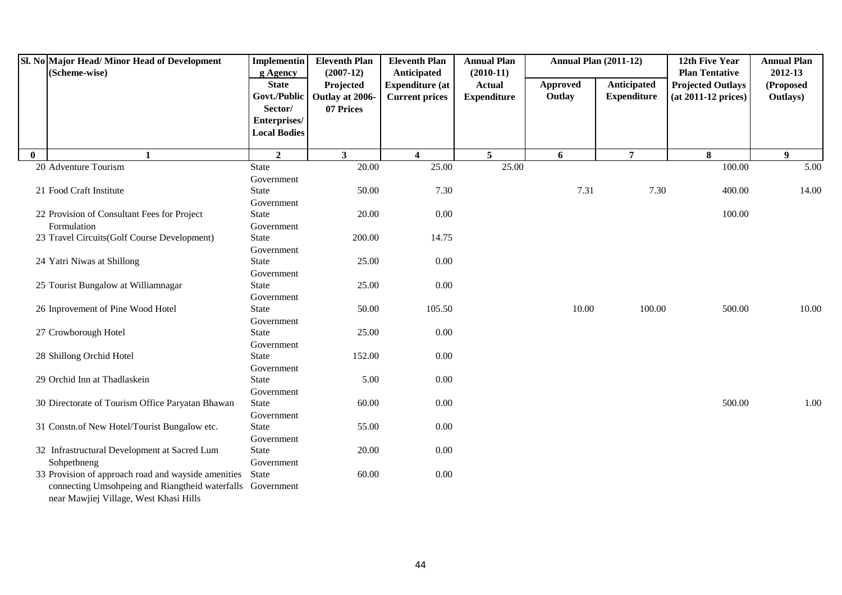|              | Sl. No Major Head/Minor Head of Development<br>(Scheme-wise)                                         | <b>Implementin</b><br>g Agency          | <b>Eleventh Plan</b><br>$(2007-12)$       | <b>Eleventh Plan</b><br>Anticipated             | <b>Annual Plan</b><br>$(2010-11)$   | <b>Annual Plan (2011-12)</b> |                                   | 12th Five Year<br><b>Plan Tentative</b>           | <b>Annual Plan</b><br>2012-13 |
|--------------|------------------------------------------------------------------------------------------------------|-----------------------------------------|-------------------------------------------|-------------------------------------------------|-------------------------------------|------------------------------|-----------------------------------|---------------------------------------------------|-------------------------------|
|              |                                                                                                      | <b>State</b><br>Govt./Public<br>Sector/ | Projected<br>Outlay at 2006-<br>07 Prices | <b>Expenditure (at</b><br><b>Current prices</b> | <b>Actual</b><br><b>Expenditure</b> | Approved<br>Outlay           | Anticipated<br><b>Expenditure</b> | <b>Projected Outlays</b><br>$(at 2011-12 prices)$ | (Proposed<br>Outlays)         |
|              |                                                                                                      | Enterprises/<br><b>Local Bodies</b>     |                                           |                                                 |                                     |                              |                                   |                                                   |                               |
| $\mathbf{0}$ |                                                                                                      | $\overline{2}$                          | $\mathbf{3}$                              | $\overline{\mathbf{4}}$                         | $\overline{5}$                      | 6                            | $\overline{7}$                    | 8                                                 | $\boldsymbol{9}$              |
|              | 20 Adventure Tourism                                                                                 | <b>State</b>                            | 20.00                                     | 25.00                                           | 25.00                               |                              |                                   | 100.00                                            | 5.00                          |
|              |                                                                                                      | Government                              |                                           |                                                 |                                     |                              |                                   |                                                   |                               |
|              | 21 Food Craft Institute                                                                              | State                                   | 50.00                                     | 7.30                                            |                                     | 7.31                         | 7.30                              | 400.00                                            | 14.00                         |
|              |                                                                                                      | Government                              |                                           |                                                 |                                     |                              |                                   |                                                   |                               |
|              | 22 Provision of Consultant Fees for Project                                                          | State                                   | 20.00                                     | 0.00                                            |                                     |                              |                                   | 100.00                                            |                               |
|              | Formulation                                                                                          | Government                              |                                           |                                                 |                                     |                              |                                   |                                                   |                               |
|              | 23 Travel Circuits(Golf Course Development)                                                          | State                                   | 200.00                                    | 14.75                                           |                                     |                              |                                   |                                                   |                               |
|              |                                                                                                      | Government                              |                                           |                                                 |                                     |                              |                                   |                                                   |                               |
|              | 24 Yatri Niwas at Shillong                                                                           | <b>State</b>                            | 25.00                                     | 0.00                                            |                                     |                              |                                   |                                                   |                               |
|              |                                                                                                      | Government                              |                                           |                                                 |                                     |                              |                                   |                                                   |                               |
|              | 25 Tourist Bungalow at Williamnagar                                                                  | <b>State</b>                            | 25.00                                     | 0.00                                            |                                     |                              |                                   |                                                   |                               |
|              |                                                                                                      | Government                              |                                           |                                                 |                                     |                              |                                   |                                                   |                               |
|              | 26 Inprovement of Pine Wood Hotel                                                                    | <b>State</b>                            | 50.00                                     | 105.50                                          |                                     | 10.00                        | 100.00                            | 500.00                                            | 10.00                         |
|              |                                                                                                      | Government                              |                                           |                                                 |                                     |                              |                                   |                                                   |                               |
|              | 27 Crowborough Hotel                                                                                 | State                                   | 25.00                                     | 0.00                                            |                                     |                              |                                   |                                                   |                               |
|              |                                                                                                      | Government                              |                                           |                                                 |                                     |                              |                                   |                                                   |                               |
|              | 28 Shillong Orchid Hotel                                                                             | State                                   | 152.00                                    | 0.00                                            |                                     |                              |                                   |                                                   |                               |
|              |                                                                                                      | Government                              |                                           |                                                 |                                     |                              |                                   |                                                   |                               |
|              | 29 Orchid Inn at Thadlaskein                                                                         | State                                   | 5.00                                      | 0.00                                            |                                     |                              |                                   |                                                   |                               |
|              |                                                                                                      | Government                              |                                           |                                                 |                                     |                              |                                   |                                                   |                               |
|              | 30 Directorate of Tourism Office Paryatan Bhawan                                                     | State                                   | 60.00                                     | 0.00                                            |                                     |                              |                                   | 500.00                                            | 1.00                          |
|              |                                                                                                      | Government                              |                                           |                                                 |                                     |                              |                                   |                                                   |                               |
|              | 31 Constn.of New Hotel/Tourist Bungalow etc.                                                         | State                                   | 55.00                                     | 0.00                                            |                                     |                              |                                   |                                                   |                               |
|              |                                                                                                      | Government                              |                                           |                                                 |                                     |                              |                                   |                                                   |                               |
|              | 32 Infrastructural Development at Sacred Lum                                                         | State                                   | 20.00                                     | 0.00                                            |                                     |                              |                                   |                                                   |                               |
|              | Sohpetbneng                                                                                          | Government                              |                                           |                                                 |                                     |                              |                                   |                                                   |                               |
|              | 33 Provision of approach road and wayside amenities                                                  | <b>State</b>                            | 60.00                                     | 0.00                                            |                                     |                              |                                   |                                                   |                               |
|              | connecting Umsohpeing and Riangtheid waterfalls Government<br>near Mawjiej Village, West Khasi Hills |                                         |                                           |                                                 |                                     |                              |                                   |                                                   |                               |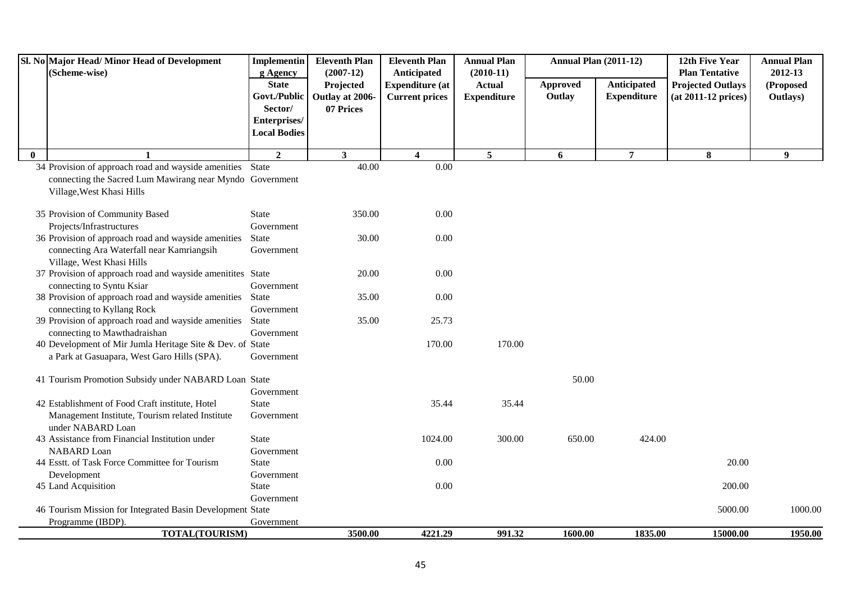|          | Sl. No Major Head/ Minor Head of Development<br>(Scheme-wise)                                                                                      | <b>Implementin</b><br>g Agency | <b>Eleventh Plan</b><br>$(2007-12)$ | <b>Eleventh Plan</b><br>Anticipated             | <b>Annual Plan</b><br>$(2010-11)$   | <b>Annual Plan (2011-12)</b> |                                   | 12th Five Year<br><b>Plan Tentative</b>         | <b>Annual Plan</b><br>2012-13 |
|----------|----------------------------------------------------------------------------------------------------------------------------------------------------|--------------------------------|-------------------------------------|-------------------------------------------------|-------------------------------------|------------------------------|-----------------------------------|-------------------------------------------------|-------------------------------|
|          |                                                                                                                                                    | <b>State</b><br>Govt./Public   | Projected<br>Outlay at 2006-        | <b>Expenditure (at</b><br><b>Current prices</b> | <b>Actual</b><br><b>Expenditure</b> | <b>Approved</b><br>Outlay    | Anticipated<br><b>Expenditure</b> | <b>Projected Outlays</b><br>(at 2011-12 prices) | (Proposed<br>Outlays)         |
|          |                                                                                                                                                    | Sector/<br>Enterprises/        | 07 Prices                           |                                                 |                                     |                              |                                   |                                                 |                               |
|          |                                                                                                                                                    | <b>Local Bodies</b>            |                                     |                                                 |                                     |                              |                                   |                                                 |                               |
| $\bf{0}$ | $\mathbf{1}$                                                                                                                                       | $\overline{2}$                 | 3 <sup>1</sup>                      | $\overline{\mathbf{4}}$                         | 5 <sup>5</sup>                      | 6                            | $\overline{7}$                    | 8                                               | 9 <sup>°</sup>                |
|          | 34 Provision of approach road and wayside amenities State<br>connecting the Sacred Lum Mawirang near Myndo Government<br>Village, West Khasi Hills |                                | 40.00                               | $\overline{0.00}$                               |                                     |                              |                                   |                                                 |                               |
|          | 35 Provision of Community Based                                                                                                                    | <b>State</b>                   | 350.00                              | 0.00                                            |                                     |                              |                                   |                                                 |                               |
|          | Projects/Infrastructures                                                                                                                           | Government                     |                                     |                                                 |                                     |                              |                                   |                                                 |                               |
|          | 36 Provision of approach road and wayside amenities<br>connecting Ara Waterfall near Kamriangsih<br>Village, West Khasi Hills                      | <b>State</b><br>Government     | 30.00                               | 0.00                                            |                                     |                              |                                   |                                                 |                               |
|          | 37 Provision of approach road and wayside amenitites State<br>connecting to Syntu Ksiar                                                            | Government                     | 20.00                               | 0.00                                            |                                     |                              |                                   |                                                 |                               |
|          | 38 Provision of approach road and wayside amenities<br>connecting to Kyllang Rock                                                                  | State<br>Government            | 35.00                               | $0.00\,$                                        |                                     |                              |                                   |                                                 |                               |
|          | 39 Provision of approach road and wayside amenities<br>connecting to Mawthadraishan                                                                | State<br>Government            | 35.00                               | 25.73                                           |                                     |                              |                                   |                                                 |                               |
|          | 40 Development of Mir Jumla Heritage Site & Dev. of State<br>a Park at Gasuapara, West Garo Hills (SPA).                                           | Government                     |                                     | 170.00                                          | 170.00                              |                              |                                   |                                                 |                               |
|          | 41 Tourism Promotion Subsidy under NABARD Loan State                                                                                               | Government                     |                                     |                                                 |                                     | 50.00                        |                                   |                                                 |                               |
|          | 42 Establishment of Food Craft institute, Hotel<br>Management Institute, Tourism related Institute<br>under NABARD Loan                            | <b>State</b><br>Government     |                                     | 35.44                                           | 35.44                               |                              |                                   |                                                 |                               |
|          | 43 Assistance from Financial Institution under<br>NABARD Loan                                                                                      | <b>State</b><br>Government     |                                     | 1024.00                                         | 300.00                              | 650.00                       | 424.00                            |                                                 |                               |
|          | 44 Esstt. of Task Force Committee for Tourism                                                                                                      | State                          |                                     | 0.00                                            |                                     |                              |                                   | 20.00                                           |                               |
|          | Development<br>45 Land Acquisition                                                                                                                 | Government<br><b>State</b>     |                                     | $0.00\,$                                        |                                     |                              |                                   | 200.00                                          |                               |
|          |                                                                                                                                                    | Government                     |                                     |                                                 |                                     |                              |                                   |                                                 |                               |
|          | 46 Tourism Mission for Integrated Basin Development State                                                                                          |                                |                                     |                                                 |                                     |                              |                                   | 5000.00                                         | 1000.00                       |
|          | Programme (IBDP).<br><b>TOTAL(TOURISM)</b>                                                                                                         | Government                     | 3500.00                             | 4221.29                                         |                                     |                              |                                   |                                                 |                               |
|          |                                                                                                                                                    |                                |                                     |                                                 | 991.32                              | 1600.00                      | 1835.00                           | 15000.00                                        | 1950.00                       |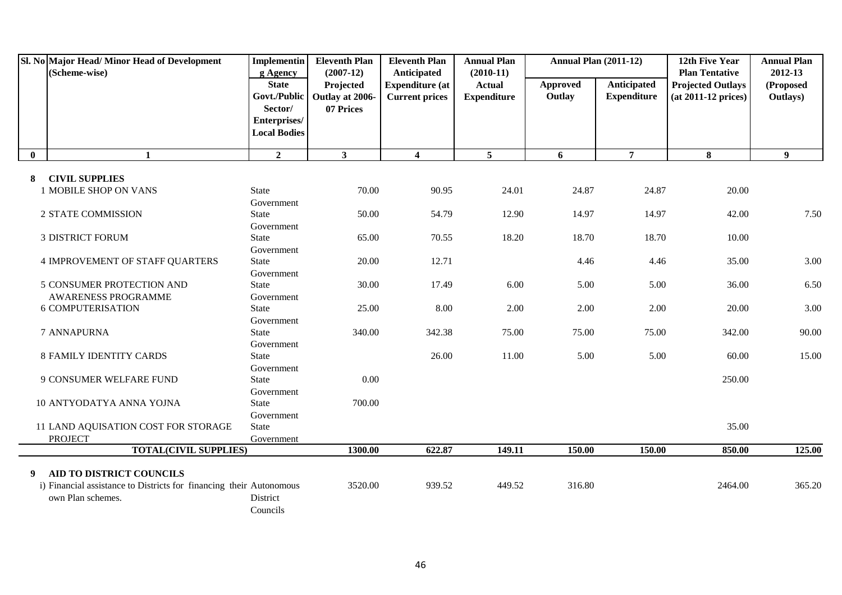|              | Sl. No Major Head/Minor Head of Development<br>(Scheme-wise)        | <b>Implementin</b><br>g Agency          | <b>Eleventh Plan</b><br>$(2007-12)$                      | <b>Eleventh Plan</b><br>Anticipated             | <b>Annual Plan</b><br>$(2010-11)$   | <b>Annual Plan (2011-12)</b> |                                   | 12th Five Year<br><b>Plan Tentative</b>         | <b>Annual Plan</b><br>2012-13 |
|--------------|---------------------------------------------------------------------|-----------------------------------------|----------------------------------------------------------|-------------------------------------------------|-------------------------------------|------------------------------|-----------------------------------|-------------------------------------------------|-------------------------------|
|              |                                                                     | <b>State</b><br>Sector/<br>Enterprises/ | Projected<br>Govt./Public   Outlay at 2006-<br>07 Prices | <b>Expenditure (at</b><br><b>Current prices</b> | <b>Actual</b><br><b>Expenditure</b> | <b>Approved</b><br>Outlay    | Anticipated<br><b>Expenditure</b> | <b>Projected Outlays</b><br>(at 2011-12 prices) | (Proposed<br>Outlays)         |
|              |                                                                     | <b>Local Bodies</b>                     |                                                          |                                                 |                                     |                              |                                   |                                                 |                               |
| $\mathbf{0}$ | $\mathbf{1}$                                                        | $\overline{2}$                          | 3 <sup>1</sup>                                           | $\overline{\mathbf{4}}$                         | $\overline{5}$                      | 6                            | $\overline{7}$                    | 8                                               | 9                             |
| 8            | <b>CIVIL SUPPLIES</b>                                               |                                         |                                                          |                                                 |                                     |                              |                                   |                                                 |                               |
|              | 1 MOBILE SHOP ON VANS                                               | <b>State</b>                            | 70.00                                                    | 90.95                                           | 24.01                               | 24.87                        | 24.87                             | 20.00                                           |                               |
|              |                                                                     | Government                              |                                                          |                                                 |                                     |                              |                                   |                                                 |                               |
|              | 2 STATE COMMISSION                                                  | State                                   | 50.00                                                    | 54.79                                           | 12.90                               | 14.97                        | 14.97                             | 42.00                                           | 7.50                          |
|              |                                                                     | Government                              |                                                          |                                                 |                                     |                              |                                   |                                                 |                               |
|              | <b>3 DISTRICT FORUM</b>                                             | State                                   | 65.00                                                    | 70.55                                           | 18.20                               | 18.70                        | 18.70                             | 10.00                                           |                               |
|              |                                                                     | Government                              |                                                          |                                                 |                                     |                              |                                   |                                                 |                               |
|              | 4 IMPROVEMENT OF STAFF QUARTERS                                     | State                                   | 20.00                                                    | 12.71                                           |                                     | 4.46                         | 4.46                              | 35.00                                           | 3.00                          |
|              |                                                                     | Government                              |                                                          |                                                 |                                     |                              |                                   |                                                 |                               |
|              | 5 CONSUMER PROTECTION AND                                           | <b>State</b>                            | 30.00                                                    | 17.49                                           | 6.00                                | 5.00                         | 5.00                              | 36.00                                           | 6.50                          |
|              | AWARENESS PROGRAMME                                                 | Government                              |                                                          |                                                 |                                     |                              |                                   |                                                 |                               |
|              | <b>6 COMPUTERISATION</b>                                            | State                                   | 25.00                                                    | 8.00                                            | 2.00                                | 2.00                         | 2.00                              | 20.00                                           | 3.00                          |
|              |                                                                     | Government                              |                                                          |                                                 |                                     |                              |                                   |                                                 |                               |
|              | 7 ANNAPURNA                                                         | State                                   | 340.00                                                   | 342.38                                          | 75.00                               | 75.00                        | 75.00                             | 342.00                                          | 90.00                         |
|              |                                                                     | Government                              |                                                          |                                                 |                                     |                              |                                   |                                                 |                               |
|              | <b>8 FAMILY IDENTITY CARDS</b>                                      | State                                   |                                                          | 26.00                                           | 11.00                               | 5.00                         | 5.00                              | 60.00                                           | 15.00                         |
|              |                                                                     | Government                              |                                                          |                                                 |                                     |                              |                                   |                                                 |                               |
|              | 9 CONSUMER WELFARE FUND                                             | State                                   | 0.00                                                     |                                                 |                                     |                              |                                   | 250.00                                          |                               |
|              |                                                                     | Government                              |                                                          |                                                 |                                     |                              |                                   |                                                 |                               |
|              | 10 ANTYODATYA ANNA YOJNA                                            | State                                   | 700.00                                                   |                                                 |                                     |                              |                                   |                                                 |                               |
|              |                                                                     | Government                              |                                                          |                                                 |                                     |                              |                                   |                                                 |                               |
|              | 11 LAND AQUISATION COST FOR STORAGE                                 | <b>State</b>                            |                                                          |                                                 |                                     |                              |                                   | 35.00                                           |                               |
|              | <b>PROJECT</b>                                                      | Government                              |                                                          |                                                 |                                     |                              |                                   |                                                 |                               |
|              | <b>TOTAL(CIVIL SUPPLIES)</b>                                        |                                         | 1300.00                                                  | 622.87                                          | 149.11                              | 150.00                       | 150.00                            | 850.00                                          | 125.00                        |
|              |                                                                     |                                         |                                                          |                                                 |                                     |                              |                                   |                                                 |                               |
| 9            | AID TO DISTRICT COUNCILS                                            |                                         |                                                          |                                                 |                                     |                              |                                   |                                                 |                               |
|              | i) Financial assistance to Districts for financing their Autonomous |                                         | 3520.00                                                  | 939.52                                          | 449.52                              | 316.80                       |                                   | 2464.00                                         | 365.20                        |
|              | own Plan schemes.                                                   | District                                |                                                          |                                                 |                                     |                              |                                   |                                                 |                               |
|              |                                                                     | Councils                                |                                                          |                                                 |                                     |                              |                                   |                                                 |                               |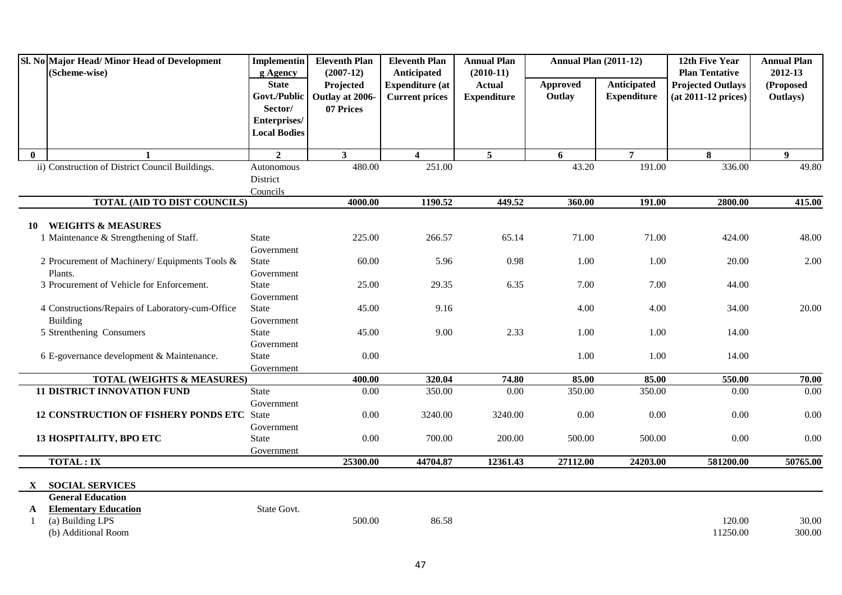|              | Sl. No Major Head/Minor Head of Development<br>(Scheme-wise)             | <b>Implementin</b><br>g Agency                                                 | <b>Eleventh Plan</b><br>$(2007-12)$       | <b>Eleventh Plan</b><br>Anticipated             | <b>Annual Plan</b><br>$(2010-11)$   | <b>Annual Plan (2011-12)</b> |                                          | 12th Five Year<br><b>Plan Tentative</b>         | <b>Annual Plan</b><br>2012-13 |
|--------------|--------------------------------------------------------------------------|--------------------------------------------------------------------------------|-------------------------------------------|-------------------------------------------------|-------------------------------------|------------------------------|------------------------------------------|-------------------------------------------------|-------------------------------|
|              |                                                                          | <b>State</b><br>Govt./Public<br>Sector/<br>Enterprises/<br><b>Local Bodies</b> | Projected<br>Outlay at 2006-<br>07 Prices | <b>Expenditure</b> (at<br><b>Current prices</b> | <b>Actual</b><br><b>Expenditure</b> | <b>Approved</b><br>Outlay    | <b>Anticipated</b><br><b>Expenditure</b> | <b>Projected Outlays</b><br>(at 2011-12 prices) | (Proposed<br>Outlays)         |
| $\mathbf{0}$ |                                                                          | $\overline{2}$                                                                 | 3 <sup>1</sup>                            | $\overline{\mathbf{4}}$                         | 5                                   | 6                            | $\overline{7}$                           | 8                                               | $\boldsymbol{9}$              |
|              | ii) Construction of District Council Buildings.                          | Autonomous<br>District<br>Councils                                             | 480.00                                    | 251.00                                          |                                     | 43.20                        | 191.00                                   | 336.00                                          | 49.80                         |
|              | <b>TOTAL (AID TO DIST COUNCILS)</b>                                      |                                                                                | 4000.00                                   | 1190.52                                         | 449.52                              | 360.00                       | 191.00                                   | 2800.00                                         | 415.00                        |
|              |                                                                          |                                                                                |                                           |                                                 |                                     |                              |                                          |                                                 |                               |
| 10           | <b>WEIGHTS &amp; MEASURES</b><br>1 Maintenance & Strengthening of Staff. | State<br>Government                                                            | 225.00                                    | 266.57                                          | 65.14                               | 71.00                        | 71.00                                    | 424.00                                          | 48.00                         |
|              | 2 Procurement of Machinery/ Equipments Tools &                           | <b>State</b>                                                                   | 60.00                                     | 5.96                                            | 0.98                                | 1.00                         | 1.00                                     | 20.00                                           | 2.00                          |
|              | Plants.                                                                  | Government                                                                     |                                           |                                                 |                                     |                              |                                          |                                                 |                               |
|              | 3 Procurement of Vehicle for Enforcement.                                | <b>State</b>                                                                   | 25.00                                     | 29.35                                           | 6.35                                | 7.00                         | 7.00                                     | 44.00                                           |                               |
|              |                                                                          | Government                                                                     |                                           |                                                 |                                     |                              |                                          |                                                 |                               |
|              | 4 Constructions/Repairs of Laboratory-cum-Office                         | <b>State</b>                                                                   | 45.00                                     | 9.16                                            |                                     | 4.00                         | 4.00                                     | 34.00                                           | 20.00                         |
|              | Building<br>5 Strenthening Consumers                                     | Government<br>State                                                            | 45.00                                     | 9.00                                            | 2.33                                | 1.00                         | 1.00                                     | 14.00                                           |                               |
|              |                                                                          | Government                                                                     |                                           |                                                 |                                     |                              |                                          |                                                 |                               |
|              | 6 E-governance development & Maintenance.                                | <b>State</b>                                                                   | 0.00                                      |                                                 |                                     | 1.00                         | 1.00                                     | 14.00                                           |                               |
|              |                                                                          | Government                                                                     |                                           |                                                 |                                     |                              |                                          |                                                 |                               |
|              | <b>TOTAL (WEIGHTS &amp; MEASURES)</b>                                    |                                                                                | 400.00                                    | 320.04                                          | 74.80                               | 85.00                        | 85.00                                    | 550.00                                          | 70.00                         |
|              | <b>11 DISTRICT INNOVATION FUND</b>                                       | <b>State</b>                                                                   | 0.00                                      | 350.00                                          | 0.00                                | 350.00                       | 350.00                                   | 0.00                                            | 0.00                          |
|              | 12 CONSTRUCTION OF FISHERY PONDS ETC State                               | Government                                                                     | 0.00                                      | 3240.00                                         | 3240.00                             | 0.00                         | 0.00                                     | 0.00                                            | 0.00                          |
|              |                                                                          | Government                                                                     |                                           |                                                 |                                     |                              |                                          |                                                 |                               |
|              | 13 HOSPITALITY, BPO ETC                                                  | State                                                                          | 0.00                                      | 700.00                                          | 200.00                              | 500.00                       | 500.00                                   | 0.00                                            | 0.00                          |
|              |                                                                          | Government                                                                     |                                           |                                                 |                                     |                              |                                          |                                                 |                               |
|              | <b>TOTAL: IX</b>                                                         |                                                                                | 25300.00                                  | 44704.87                                        | 12361.43                            | 27112.00                     | 24203.00                                 | 581200.00                                       | 50765.00                      |
|              |                                                                          |                                                                                |                                           |                                                 |                                     |                              |                                          |                                                 |                               |
| $\mathbf{X}$ | <b>SOCIAL SERVICES</b>                                                   |                                                                                |                                           |                                                 |                                     |                              |                                          |                                                 |                               |
|              | <b>General Education</b>                                                 |                                                                                |                                           |                                                 |                                     |                              |                                          |                                                 |                               |
| A            | <b>Elementary Education</b>                                              | State Govt.                                                                    |                                           |                                                 |                                     |                              |                                          |                                                 |                               |
|              | (a) Building LPS                                                         |                                                                                | 500.00                                    | 86.58                                           |                                     |                              |                                          | 120.00                                          | 30.00                         |
|              | (b) Additional Room                                                      |                                                                                |                                           |                                                 |                                     |                              |                                          | 11250.00                                        | 300.00                        |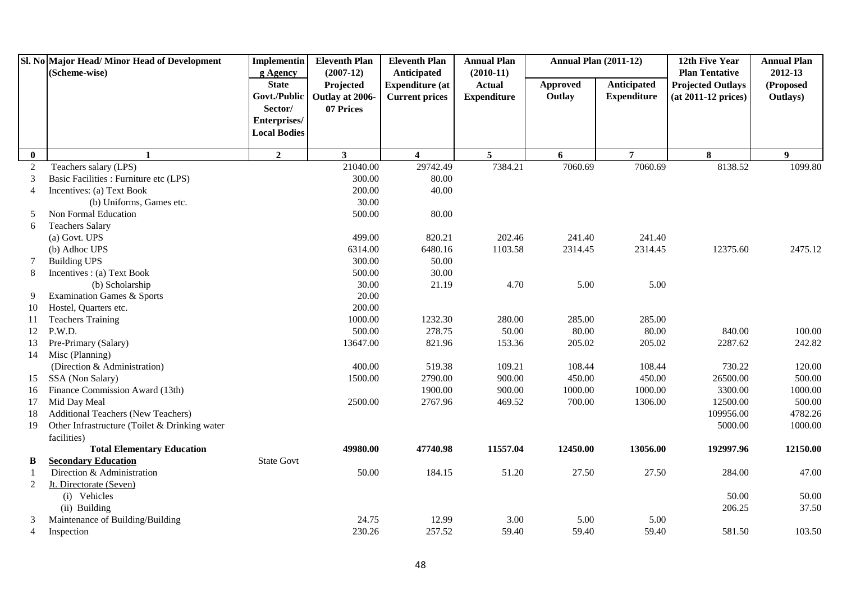|                | Sl. No Major Head/ Minor Head of Development<br>(Scheme-wise) | <b>Implementin</b><br>g Agency                                                 | <b>Eleventh Plan</b><br>$(2007-12)$       | <b>Eleventh Plan</b><br>Anticipated             | <b>Annual Plan</b><br>$(2010-11)$   | <b>Annual Plan (2011-12)</b> |                                   | 12th Five Year<br><b>Plan Tentative</b>           | <b>Annual Plan</b><br>2012-13 |
|----------------|---------------------------------------------------------------|--------------------------------------------------------------------------------|-------------------------------------------|-------------------------------------------------|-------------------------------------|------------------------------|-----------------------------------|---------------------------------------------------|-------------------------------|
|                |                                                               | <b>State</b><br>Govt./Public<br>Sector/<br>Enterprises/<br><b>Local Bodies</b> | Projected<br>Outlay at 2006-<br>07 Prices | <b>Expenditure (at</b><br><b>Current prices</b> | <b>Actual</b><br><b>Expenditure</b> | Approved<br>Outlay           | Anticipated<br><b>Expenditure</b> | <b>Projected Outlays</b><br>$(at 2011-12 prices)$ | (Proposed<br>Outlays)         |
| $\bf{0}$       | $\mathbf{1}$                                                  | $\overline{2}$                                                                 | $\mathbf{3}$                              | $\overline{\mathbf{4}}$                         | $\overline{5}$                      | 6                            | $\overline{7}$                    | 8                                                 | 9 <sup>°</sup>                |
| $\overline{c}$ | Teachers salary (LPS)                                         |                                                                                | 21040.00                                  | 29742.49                                        | 7384.21                             | 7060.69                      | 7060.69                           | 8138.52                                           | 1099.80                       |
| 3              | Basic Facilities : Furniture etc (LPS)                        |                                                                                | 300.00                                    | 80.00                                           |                                     |                              |                                   |                                                   |                               |
| $\overline{4}$ | Incentives: (a) Text Book                                     |                                                                                | 200.00                                    | 40.00                                           |                                     |                              |                                   |                                                   |                               |
|                | (b) Uniforms, Games etc.                                      |                                                                                | 30.00                                     |                                                 |                                     |                              |                                   |                                                   |                               |
| 5              | Non Formal Education                                          |                                                                                | 500.00                                    | 80.00                                           |                                     |                              |                                   |                                                   |                               |
| 6              | <b>Teachers Salary</b>                                        |                                                                                |                                           |                                                 |                                     |                              |                                   |                                                   |                               |
|                | (a) Govt. UPS                                                 |                                                                                | 499.00                                    | 820.21                                          | 202.46                              | 241.40                       | 241.40                            |                                                   |                               |
|                | (b) Adhoc UPS                                                 |                                                                                | 6314.00                                   | 6480.16                                         | 1103.58                             | 2314.45                      | 2314.45                           | 12375.60                                          | 2475.12                       |
| 7              | <b>Building UPS</b>                                           |                                                                                | 300.00                                    | 50.00                                           |                                     |                              |                                   |                                                   |                               |
| 8              | Incentives : (a) Text Book                                    |                                                                                | 500.00                                    | 30.00                                           |                                     |                              |                                   |                                                   |                               |
|                | (b) Scholarship                                               |                                                                                | 30.00                                     | 21.19                                           | 4.70                                | 5.00                         | 5.00                              |                                                   |                               |
| 9              | <b>Examination Games &amp; Sports</b>                         |                                                                                | 20.00                                     |                                                 |                                     |                              |                                   |                                                   |                               |
| 10             | Hostel, Quarters etc.                                         |                                                                                | 200.00                                    |                                                 |                                     |                              |                                   |                                                   |                               |
| 11             | <b>Teachers Training</b>                                      |                                                                                | 1000.00                                   | 1232.30                                         | 280.00                              | 285.00                       | 285.00                            |                                                   |                               |
| 12             | P.W.D.                                                        |                                                                                | 500.00                                    | 278.75                                          | 50.00                               | 80.00                        | 80.00                             | 840.00                                            | 100.00                        |
| 13             | Pre-Primary (Salary)                                          |                                                                                | 13647.00                                  | 821.96                                          | 153.36                              | 205.02                       | 205.02                            | 2287.62                                           | 242.82                        |
| 14             | Misc (Planning)                                               |                                                                                |                                           |                                                 |                                     |                              |                                   |                                                   |                               |
|                | (Direction & Administration)                                  |                                                                                | 400.00                                    | 519.38                                          | 109.21                              | 108.44                       | 108.44                            | 730.22                                            | 120.00                        |
| 15             | SSA (Non Salary)                                              |                                                                                | 1500.00                                   | 2790.00                                         | 900.00                              | 450.00                       | 450.00                            | 26500.00                                          | 500.00                        |
| 16             | Finance Commission Award (13th)                               |                                                                                |                                           | 1900.00                                         | 900.00                              | 1000.00                      | 1000.00                           | 3300.00                                           | 1000.00                       |
| 17             | Mid Day Meal                                                  |                                                                                | 2500.00                                   | 2767.96                                         | 469.52                              | 700.00                       | 1306.00                           | 12500.00                                          | 500.00                        |
| 18             | Additional Teachers (New Teachers)                            |                                                                                |                                           |                                                 |                                     |                              |                                   | 109956.00                                         | 4782.26                       |
| 19             | Other Infrastructure (Toilet & Drinking water                 |                                                                                |                                           |                                                 |                                     |                              |                                   | 5000.00                                           | 1000.00                       |
|                | facilities)                                                   |                                                                                |                                           |                                                 |                                     |                              |                                   |                                                   |                               |
|                | <b>Total Elementary Education</b>                             |                                                                                | 49980.00                                  | 47740.98                                        | 11557.04                            | 12450.00                     | 13056.00                          | 192997.96                                         | 12150.00                      |
| В              | <b>Secondary Education</b>                                    | <b>State Govt</b>                                                              |                                           |                                                 |                                     |                              |                                   |                                                   |                               |
|                | Direction & Administration                                    |                                                                                | 50.00                                     | 184.15                                          | 51.20                               | 27.50                        | 27.50                             | 284.00                                            | 47.00                         |
| 2              | Jt. Directorate (Seven)                                       |                                                                                |                                           |                                                 |                                     |                              |                                   |                                                   |                               |
|                | (i) Vehicles                                                  |                                                                                |                                           |                                                 |                                     |                              |                                   | 50.00                                             | 50.00                         |
|                | (ii) Building                                                 |                                                                                |                                           |                                                 |                                     |                              |                                   | 206.25                                            | 37.50                         |
| 3              | Maintenance of Building/Building                              |                                                                                | 24.75                                     | 12.99                                           | 3.00                                | 5.00                         | 5.00                              |                                                   |                               |
| 4              | Inspection                                                    |                                                                                | 230.26                                    | 257.52                                          | 59.40                               | 59.40                        | 59.40                             | 581.50                                            | 103.50                        |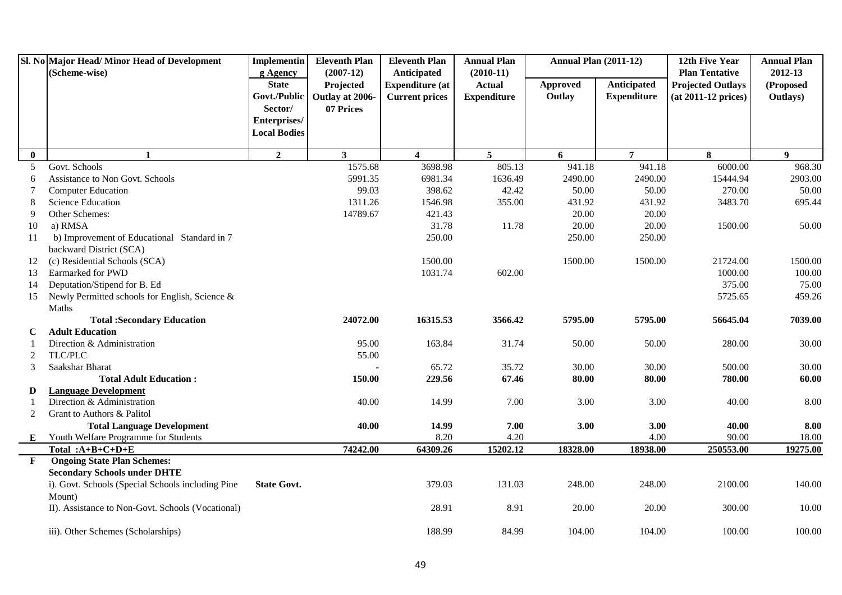|              | Sl. No Major Head/ Minor Head of Development             | <b>Implementin</b>       | <b>Eleventh Plan</b>     | <b>Eleventh Plan</b>                  | <b>Annual Plan</b>           | <b>Annual Plan (2011-12)</b> |                    | 12th Five Year                                    | <b>Annual Plan</b>   |
|--------------|----------------------------------------------------------|--------------------------|--------------------------|---------------------------------------|------------------------------|------------------------------|--------------------|---------------------------------------------------|----------------------|
|              | (Scheme-wise)                                            | g Agency<br><b>State</b> | $(2007-12)$<br>Projected | Anticipated<br><b>Expenditure (at</b> | $(2010-11)$<br><b>Actual</b> | <b>Approved</b>              | Anticipated        | <b>Plan Tentative</b><br><b>Projected Outlays</b> | 2012-13<br>(Proposed |
|              |                                                          | Govt./Public             | Outlay at 2006-          | <b>Current prices</b>                 | <b>Expenditure</b>           | Outlay                       | <b>Expenditure</b> | (at 2011-12 prices)                               | Outlays)             |
|              |                                                          | Sector/                  | 07 Prices                |                                       |                              |                              |                    |                                                   |                      |
|              |                                                          | Enterprises/             |                          |                                       |                              |                              |                    |                                                   |                      |
|              |                                                          | <b>Local Bodies</b>      |                          |                                       |                              |                              |                    |                                                   |                      |
|              |                                                          |                          |                          |                                       |                              |                              |                    |                                                   |                      |
| $\bf{0}$     | $\mathbf{1}$                                             | $\overline{2}$           | 3 <sup>1</sup>           | $\overline{\mathbf{4}}$               | $5^{\circ}$                  | 6                            | $\overline{7}$     | 8                                                 | $\boldsymbol{9}$     |
| 5            | Govt. Schools                                            |                          | 1575.68                  | 3698.98                               | 805.13                       | 941.18                       | 941.18             | 6000.00                                           | 968.30               |
| 6            | Assistance to Non Govt. Schools                          |                          | 5991.35                  | 6981.34                               | 1636.49                      | 2490.00                      | 2490.00            | 15444.94                                          | 2903.00              |
| 7            | <b>Computer Education</b>                                |                          | 99.03<br>1311.26         | 398.62                                | 42.42                        | 50.00<br>431.92              | 50.00              | 270.00<br>3483.70                                 | 50.00<br>695.44      |
| 8<br>9       | <b>Science Education</b><br>Other Schemes:               |                          |                          | 1546.98                               | 355.00                       |                              | 431.92             |                                                   |                      |
|              | a) RMSA                                                  |                          | 14789.67                 | 421.43<br>31.78                       | 11.78                        | 20.00<br>20.00               | 20.00<br>20.00     | 1500.00                                           | 50.00                |
| 10           |                                                          |                          |                          |                                       |                              |                              |                    |                                                   |                      |
| 11           | b) Improvement of Educational Standard in 7              |                          |                          | 250.00                                |                              | 250.00                       | 250.00             |                                                   |                      |
| 12           | backward District (SCA)<br>(c) Residential Schools (SCA) |                          |                          | 1500.00                               |                              | 1500.00                      | 1500.00            | 21724.00                                          | 1500.00              |
| 13           | Earmarked for PWD                                        |                          |                          | 1031.74                               | 602.00                       |                              |                    | 1000.00                                           | 100.00               |
| 14           | Deputation/Stipend for B. Ed                             |                          |                          |                                       |                              |                              |                    | 375.00                                            | 75.00                |
| 15           | Newly Permitted schools for English, Science &           |                          |                          |                                       |                              |                              |                    | 5725.65                                           | 459.26               |
|              | Maths                                                    |                          |                          |                                       |                              |                              |                    |                                                   |                      |
|              | <b>Total :Secondary Education</b>                        |                          | 24072.00                 | 16315.53                              | 3566.42                      | 5795.00                      | 5795.00            | 56645.04                                          | 7039.00              |
| C            | <b>Adult Education</b>                                   |                          |                          |                                       |                              |                              |                    |                                                   |                      |
|              | Direction & Administration                               |                          | 95.00                    | 163.84                                | 31.74                        | 50.00                        | 50.00              | 280.00                                            | 30.00                |
| 2            | TLC/PLC                                                  |                          | 55.00                    |                                       |                              |                              |                    |                                                   |                      |
| 3            | Saakshar Bharat                                          |                          |                          | 65.72                                 | 35.72                        | 30.00                        | 30.00              | 500.00                                            | 30.00                |
|              | <b>Total Adult Education:</b>                            |                          | 150.00                   | 229.56                                | 67.46                        | 80.00                        | 80.00              | 780.00                                            | 60.00                |
| D            | <b>Language Development</b>                              |                          |                          |                                       |                              |                              |                    |                                                   |                      |
|              | Direction & Administration                               |                          | 40.00                    | 14.99                                 | 7.00                         | 3.00                         | 3.00               | 40.00                                             | 8.00                 |
| 2            | Grant to Authors & Palitol                               |                          |                          |                                       |                              |                              |                    |                                                   |                      |
|              | <b>Total Language Development</b>                        |                          | 40.00                    | 14.99                                 | 7.00                         | 3.00                         | 3.00               | 40.00                                             | 8.00                 |
| E            | <b>Youth Welfare Programme for Students</b>              |                          |                          | 8.20                                  | 4.20                         |                              | 4.00               | 90.00                                             | 18.00                |
|              | Total: $A+B+C+D+E$                                       |                          | 74242.00                 | 64309.26                              | 15202.12                     | 18328.00                     | 18938.00           | 250553.00                                         | 19275.00             |
| $\mathbf{F}$ | <b>Ongoing State Plan Schemes:</b>                       |                          |                          |                                       |                              |                              |                    |                                                   |                      |
|              | <b>Secondary Schools under DHTE</b>                      |                          |                          |                                       |                              |                              |                    |                                                   |                      |
|              | i). Govt. Schools (Special Schools including Pine        | <b>State Govt.</b>       |                          | 379.03                                | 131.03                       | 248.00                       | 248.00             | 2100.00                                           | 140.00               |
|              | Mount)                                                   |                          |                          |                                       |                              |                              |                    |                                                   |                      |
|              | II). Assistance to Non-Govt. Schools (Vocational)        |                          |                          | 28.91                                 | 8.91                         | 20.00                        | 20.00              | 300.00                                            | 10.00                |
|              | iii). Other Schemes (Scholarships)                       |                          |                          | 188.99                                | 84.99                        | 104.00                       | 104.00             | 100.00                                            | 100.00               |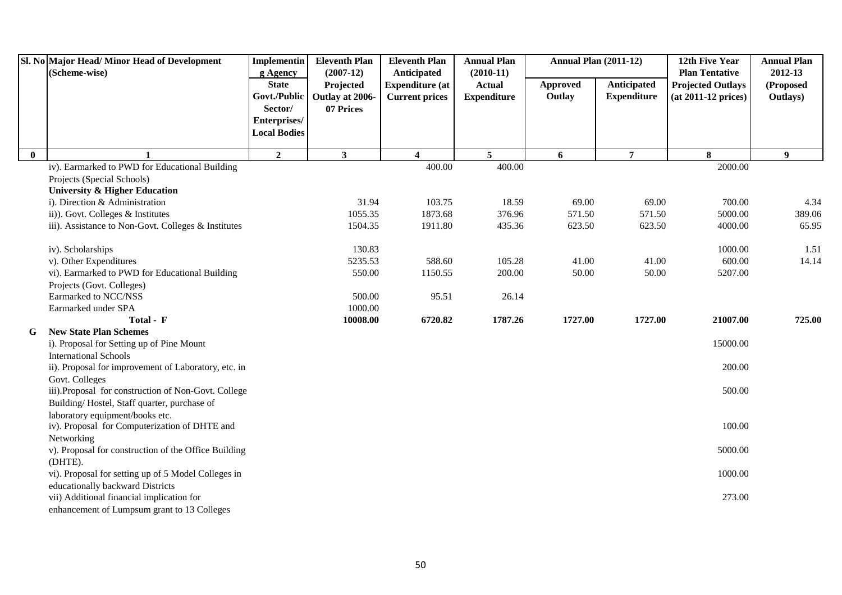|              | Sl. No Major Head/Minor Head of Development<br>(Scheme-wise)          | <b>Implementin</b><br>g Agency                 | <b>Eleventh Plan</b><br>$(2007-12)$ | <b>Eleventh Plan</b><br>Anticipated             | <b>Annual Plan</b><br>$(2010-11)$   | <b>Annual Plan (2011-12)</b> |                                   | 12th Five Year<br><b>Plan Tentative</b>         | <b>Annual Plan</b><br>2012-13 |
|--------------|-----------------------------------------------------------------------|------------------------------------------------|-------------------------------------|-------------------------------------------------|-------------------------------------|------------------------------|-----------------------------------|-------------------------------------------------|-------------------------------|
|              |                                                                       | <b>State</b><br>Govt./Public                   | Projected<br>Outlay at 2006-        | <b>Expenditure (at</b><br><b>Current prices</b> | <b>Actual</b><br><b>Expenditure</b> | Approved<br>Outlay           | Anticipated<br><b>Expenditure</b> | <b>Projected Outlays</b><br>(at 2011-12 prices) | (Proposed<br>Outlays)         |
|              |                                                                       | Sector/<br>Enterprises/<br><b>Local Bodies</b> | 07 Prices                           |                                                 |                                     |                              |                                   |                                                 |                               |
| $\mathbf{0}$ | $\mathbf{1}$                                                          | $\overline{2}$                                 | $\mathbf{3}$                        | $\overline{\mathbf{4}}$                         | 5 <sup>5</sup>                      | 6                            | $\overline{7}$                    | 8                                               | 9                             |
|              | iv). Earmarked to PWD for Educational Building                        |                                                |                                     | 400.00                                          | 400.00                              |                              |                                   | 2000.00                                         |                               |
|              | Projects (Special Schools)                                            |                                                |                                     |                                                 |                                     |                              |                                   |                                                 |                               |
|              | University & Higher Education                                         |                                                |                                     |                                                 |                                     |                              |                                   |                                                 |                               |
|              | i). Direction & Administration                                        |                                                | 31.94                               | 103.75                                          | 18.59                               | 69.00                        | 69.00                             | 700.00                                          | 4.34                          |
|              | ii)). Govt. Colleges & Institutes                                     |                                                | 1055.35                             | 1873.68                                         | 376.96                              | 571.50                       | 571.50                            | 5000.00                                         | 389.06                        |
|              | iii). Assistance to Non-Govt. Colleges & Institutes                   |                                                | 1504.35                             | 1911.80                                         | 435.36                              | 623.50                       | 623.50                            | 4000.00                                         | 65.95                         |
|              | iv). Scholarships                                                     |                                                | 130.83                              |                                                 |                                     |                              |                                   | 1000.00                                         | 1.51                          |
|              | v). Other Expenditures                                                |                                                | 5235.53                             | 588.60                                          | 105.28                              | 41.00                        | 41.00                             | 600.00                                          | 14.14                         |
|              | vi). Earmarked to PWD for Educational Building                        |                                                | 550.00                              | 1150.55                                         | 200.00                              | 50.00                        | 50.00                             | 5207.00                                         |                               |
|              | Projects (Govt. Colleges)                                             |                                                |                                     |                                                 |                                     |                              |                                   |                                                 |                               |
|              | Earmarked to NCC/NSS                                                  |                                                | 500.00                              | 95.51                                           | 26.14                               |                              |                                   |                                                 |                               |
|              | Earmarked under SPA                                                   |                                                | 1000.00                             |                                                 |                                     |                              |                                   |                                                 |                               |
|              | Total - F                                                             |                                                | 10008.00                            | 6720.82                                         | 1787.26                             | 1727.00                      | 1727.00                           | 21007.00                                        | 725.00                        |
| G            | <b>New State Plan Schemes</b>                                         |                                                |                                     |                                                 |                                     |                              |                                   |                                                 |                               |
|              | i). Proposal for Setting up of Pine Mount                             |                                                |                                     |                                                 |                                     |                              |                                   | 15000.00                                        |                               |
|              | <b>International Schools</b>                                          |                                                |                                     |                                                 |                                     |                              |                                   |                                                 |                               |
|              | ii). Proposal for improvement of Laboratory, etc. in                  |                                                |                                     |                                                 |                                     |                              |                                   | 200.00                                          |                               |
|              | Govt. Colleges<br>iii).Proposal for construction of Non-Govt. College |                                                |                                     |                                                 |                                     |                              |                                   | 500.00                                          |                               |
|              | Building/Hostel, Staff quarter, purchase of                           |                                                |                                     |                                                 |                                     |                              |                                   |                                                 |                               |
|              | laboratory equipment/books etc.                                       |                                                |                                     |                                                 |                                     |                              |                                   |                                                 |                               |
|              | iv). Proposal for Computerization of DHTE and                         |                                                |                                     |                                                 |                                     |                              |                                   | 100.00                                          |                               |
|              | Networking                                                            |                                                |                                     |                                                 |                                     |                              |                                   |                                                 |                               |
|              | v). Proposal for construction of the Office Building                  |                                                |                                     |                                                 |                                     |                              |                                   | 5000.00                                         |                               |
|              | (DHTE).                                                               |                                                |                                     |                                                 |                                     |                              |                                   |                                                 |                               |
|              | vi). Proposal for setting up of 5 Model Colleges in                   |                                                |                                     |                                                 |                                     |                              |                                   | 1000.00                                         |                               |
|              | educationally backward Districts                                      |                                                |                                     |                                                 |                                     |                              |                                   |                                                 |                               |
|              | vii) Additional financial implication for                             |                                                |                                     |                                                 |                                     |                              |                                   | 273.00                                          |                               |
|              | enhancement of Lumpsum grant to 13 Colleges                           |                                                |                                     |                                                 |                                     |                              |                                   |                                                 |                               |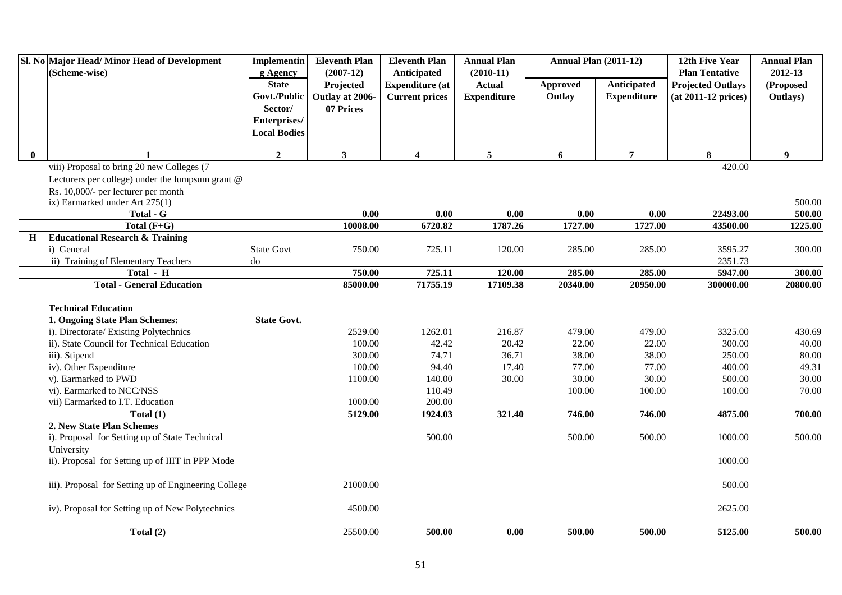|              | Sl. No Major Head/Minor Head of Development<br>(Scheme-wise) | Implementin<br>g Agency                        | <b>Eleventh Plan</b><br>$(2007-12)$ | <b>Eleventh Plan</b><br>Anticipated             | <b>Annual Plan</b><br>$(2010-11)$   | <b>Annual Plan (2011-12)</b> |                                   | 12th Five Year<br><b>Plan Tentative</b>           | <b>Annual Plan</b><br>2012-13 |
|--------------|--------------------------------------------------------------|------------------------------------------------|-------------------------------------|-------------------------------------------------|-------------------------------------|------------------------------|-----------------------------------|---------------------------------------------------|-------------------------------|
|              |                                                              | <b>State</b><br>Govt./Public                   | Projected<br>Outlay at 2006-        | <b>Expenditure</b> (at<br><b>Current prices</b> | <b>Actual</b><br><b>Expenditure</b> | Approved<br>Outlay           | Anticipated<br><b>Expenditure</b> | <b>Projected Outlays</b><br>$(at 2011-12 prices)$ | (Proposed<br>Outlays)         |
|              |                                                              | Sector/<br>Enterprises/<br><b>Local Bodies</b> | 07 Prices                           |                                                 |                                     |                              |                                   |                                                   |                               |
| $\mathbf{0}$ |                                                              | $\overline{2}$                                 | $\mathbf{3}$                        | $\overline{\mathbf{4}}$                         | $5\overline{5}$                     | 6                            | $\overline{7}$                    | 8                                                 | 9                             |
|              | viii) Proposal to bring 20 new Colleges (7                   |                                                |                                     |                                                 |                                     |                              |                                   | 420.00                                            |                               |
|              | Lecturers per college) under the lumpsum grant $@$           |                                                |                                     |                                                 |                                     |                              |                                   |                                                   |                               |
|              | Rs. 10,000/- per lecturer per month                          |                                                |                                     |                                                 |                                     |                              |                                   |                                                   |                               |
|              | ix) Earmarked under Art 275(1)                               |                                                |                                     |                                                 |                                     |                              |                                   |                                                   | 500.00                        |
|              | Total - G                                                    |                                                | 0.00                                | 0.00                                            | 0.00                                | 0.00                         | 0.00                              | 22493.00                                          | 500.00                        |
|              | Total $(F+G)$                                                |                                                | 10008.00                            | $\overline{6720.82}$                            | 1787.26                             | 1727.00                      | 1727.00                           | 43500.00                                          | 1225.00                       |
| H            | <b>Educational Research &amp; Training</b>                   |                                                |                                     |                                                 |                                     |                              |                                   |                                                   |                               |
|              | i) General                                                   | <b>State Govt</b>                              | 750.00                              | 725.11                                          | 120.00                              | 285.00                       | 285.00                            | 3595.27                                           | 300.00                        |
|              | ii) Training of Elementary Teachers                          | do                                             |                                     |                                                 |                                     |                              |                                   | 2351.73                                           |                               |
|              | Total - H                                                    |                                                | 750.00                              | 725.11                                          | 120.00                              | 285.00                       | 285.00                            | 5947.00                                           | 300.00                        |
|              | <b>Total - General Education</b>                             |                                                | 85000.00                            | 71755.19                                        | 17109.38                            | 20340.00                     | 20950.00                          | 300000.00                                         | 20800.00                      |
|              | <b>Technical Education</b>                                   |                                                |                                     |                                                 |                                     |                              |                                   |                                                   |                               |
|              | 1. Ongoing State Plan Schemes:                               | <b>State Govt.</b>                             |                                     |                                                 |                                     |                              |                                   |                                                   |                               |
|              | i). Directorate/ Existing Polytechnics                       |                                                | 2529.00                             | 1262.01                                         | 216.87                              | 479.00                       | 479.00                            | 3325.00                                           | 430.69                        |
|              | ii). State Council for Technical Education                   |                                                | 100.00                              | 42.42                                           | 20.42                               | 22.00                        | 22.00                             | 300.00                                            | 40.00                         |
|              | iii). Stipend                                                |                                                | 300.00                              | 74.71                                           | 36.71                               | 38.00                        | 38.00                             | 250.00                                            | 80.00                         |
|              | iv). Other Expenditure                                       |                                                | 100.00                              | 94.40                                           | 17.40                               | 77.00                        | 77.00                             | 400.00                                            | 49.31                         |
|              | v). Earmarked to PWD                                         |                                                | 1100.00                             | 140.00                                          | 30.00                               | 30.00                        | 30.00                             | 500.00                                            | 30.00                         |
|              | vi). Earmarked to NCC/NSS                                    |                                                |                                     | 110.49                                          |                                     | 100.00                       | 100.00                            | 100.00                                            | 70.00                         |
|              | vii) Earmarked to I.T. Education                             |                                                | 1000.00                             | 200.00                                          |                                     |                              |                                   |                                                   |                               |
|              | Total $(1)$                                                  |                                                | 5129.00                             | 1924.03                                         | 321.40                              | 746.00                       | 746.00                            | 4875.00                                           | 700.00                        |
|              | 2. New State Plan Schemes                                    |                                                |                                     |                                                 |                                     |                              |                                   |                                                   |                               |
|              | i). Proposal for Setting up of State Technical               |                                                |                                     | 500.00                                          |                                     | 500.00                       | 500.00                            | 1000.00                                           | 500.00                        |
|              | University                                                   |                                                |                                     |                                                 |                                     |                              |                                   |                                                   |                               |
|              | ii). Proposal for Setting up of IIIT in PPP Mode             |                                                |                                     |                                                 |                                     |                              |                                   | 1000.00                                           |                               |
|              | iii). Proposal for Setting up of Engineering College         |                                                | 21000.00                            |                                                 |                                     |                              |                                   | 500.00                                            |                               |
|              | iv). Proposal for Setting up of New Polytechnics             |                                                | 4500.00                             |                                                 |                                     |                              |                                   | 2625.00                                           |                               |
|              | Total $(2)$                                                  |                                                | 25500.00                            | 500.00                                          | 0.00                                | 500.00                       | 500.00                            | 5125.00                                           | 500.00                        |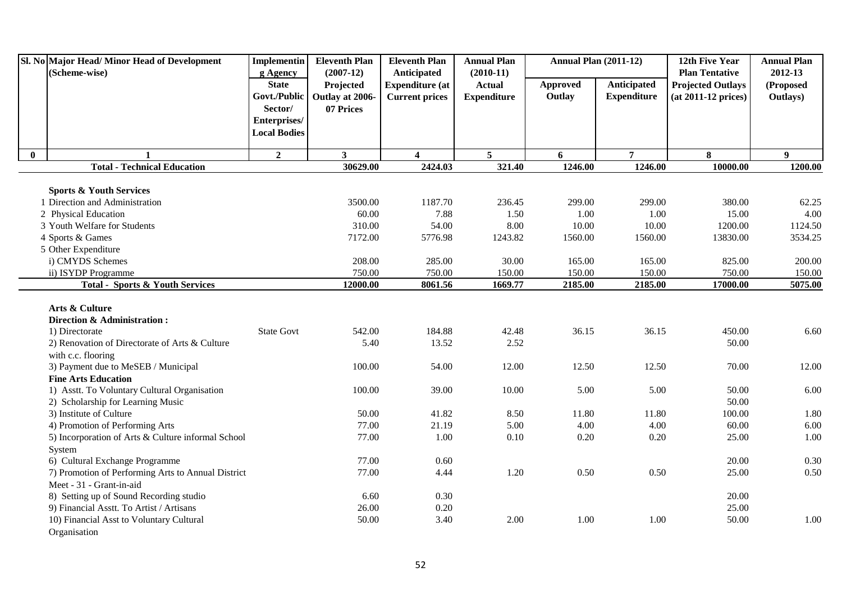|          | Sl. No Major Head/Minor Head of Development               | Implementin              | <b>Eleventh Plan</b>     | <b>Eleventh Plan</b>                  | <b>Annual Plan</b>           | <b>Annual Plan (2011-12)</b> |                    | 12th Five Year                                    | <b>Annual Plan</b>   |
|----------|-----------------------------------------------------------|--------------------------|--------------------------|---------------------------------------|------------------------------|------------------------------|--------------------|---------------------------------------------------|----------------------|
|          | (Scheme-wise)                                             | g Agency<br><b>State</b> | $(2007-12)$<br>Projected | Anticipated<br><b>Expenditure (at</b> | $(2010-11)$<br><b>Actual</b> | Approved                     | Anticipated        | <b>Plan Tentative</b><br><b>Projected Outlays</b> | 2012-13<br>(Proposed |
|          |                                                           | Govt./Public             | Outlay at 2006-          | <b>Current prices</b>                 | <b>Expenditure</b>           | Outlay                       | <b>Expenditure</b> | $(at 2011-12 prices)$                             | Outlays)             |
|          |                                                           | Sector/                  | 07 Prices                |                                       |                              |                              |                    |                                                   |                      |
|          |                                                           | Enterprises/             |                          |                                       |                              |                              |                    |                                                   |                      |
|          |                                                           | <b>Local Bodies</b>      |                          |                                       |                              |                              |                    |                                                   |                      |
|          |                                                           |                          |                          |                                       |                              |                              |                    |                                                   |                      |
| $\bf{0}$ | 1                                                         | $\overline{2}$           | 3 <sup>1</sup>           | $\overline{\mathbf{4}}$               | $5^{\circ}$                  | 6                            | $\overline{7}$     | 8                                                 | $\boldsymbol{9}$     |
|          | <b>Total - Technical Education</b>                        |                          | 30629.00                 | 2424.03                               | 321.40                       | 1246.00                      | 1246.00            | 10000.00                                          | 1200.00              |
|          | <b>Sports &amp; Youth Services</b>                        |                          |                          |                                       |                              |                              |                    |                                                   |                      |
|          | 1 Direction and Administration                            |                          | 3500.00                  | 1187.70                               | 236.45                       | 299.00                       | 299.00             | 380.00                                            | 62.25                |
|          | 2 Physical Education                                      |                          | 60.00                    | 7.88                                  | 1.50                         | 1.00                         | 1.00               | 15.00                                             | 4.00                 |
|          | 3 Youth Welfare for Students                              |                          | 310.00                   | 54.00                                 | 8.00                         | 10.00                        | 10.00              | 1200.00                                           | 1124.50              |
|          | 4 Sports & Games                                          |                          | 7172.00                  | 5776.98                               | 1243.82                      | 1560.00                      | 1560.00            | 13830.00                                          | 3534.25              |
|          | 5 Other Expenditure                                       |                          |                          |                                       |                              |                              |                    |                                                   |                      |
|          | i) CMYDS Schemes                                          |                          | 208.00                   | 285.00                                | 30.00                        | 165.00                       | 165.00             | 825.00                                            | 200.00               |
|          | ii) ISYDP Programme                                       |                          | 750.00                   | 750.00                                | 150.00                       | 150.00                       | 150.00             | 750.00                                            | 150.00               |
|          | <b>Total - Sports &amp; Youth Services</b>                |                          | 12000.00                 | 8061.56                               | 1669.77                      | 2185.00                      | 2185.00            | 17000.00                                          | 5075.00              |
|          |                                                           |                          |                          |                                       |                              |                              |                    |                                                   |                      |
|          | Arts & Culture                                            |                          |                          |                                       |                              |                              |                    |                                                   |                      |
|          | Direction & Administration:                               |                          |                          |                                       |                              |                              |                    |                                                   |                      |
|          | 1) Directorate                                            | <b>State Govt</b>        | 542.00                   | 184.88                                | 42.48                        | 36.15                        | 36.15              | 450.00                                            | 6.60                 |
|          | 2) Renovation of Directorate of Arts & Culture            |                          | 5.40                     | 13.52                                 | 2.52                         |                              |                    | 50.00                                             |                      |
|          | with c.c. flooring<br>3) Payment due to MeSEB / Municipal |                          | 100.00                   | 54.00                                 | 12.00                        | 12.50                        | 12.50              | 70.00                                             | 12.00                |
|          | <b>Fine Arts Education</b>                                |                          |                          |                                       |                              |                              |                    |                                                   |                      |
|          | 1) Asstt. To Voluntary Cultural Organisation              |                          | 100.00                   | 39.00                                 | 10.00                        | 5.00                         | 5.00               | 50.00                                             | 6.00                 |
|          | 2) Scholarship for Learning Music                         |                          |                          |                                       |                              |                              |                    | 50.00                                             |                      |
|          | 3) Institute of Culture                                   |                          | 50.00                    | 41.82                                 | 8.50                         | 11.80                        | 11.80              | 100.00                                            | 1.80                 |
|          | 4) Promotion of Performing Arts                           |                          | 77.00                    | 21.19                                 | 5.00                         | 4.00                         | 4.00               | 60.00                                             | 6.00                 |
|          | 5) Incorporation of Arts & Culture informal School        |                          | 77.00                    | 1.00                                  | 0.10                         | 0.20                         | 0.20               | 25.00                                             | 1.00                 |
|          | System                                                    |                          |                          |                                       |                              |                              |                    |                                                   |                      |
|          | 6) Cultural Exchange Programme                            |                          | 77.00                    | 0.60                                  |                              |                              |                    | 20.00                                             | 0.30                 |
|          | 7) Promotion of Performing Arts to Annual District        |                          | 77.00                    | 4.44                                  | 1.20                         | 0.50                         | 0.50               | 25.00                                             | 0.50                 |
|          | Meet - 31 - Grant-in-aid                                  |                          |                          |                                       |                              |                              |                    |                                                   |                      |
|          | 8) Setting up of Sound Recording studio                   |                          | 6.60                     | 0.30                                  |                              |                              |                    | 20.00                                             |                      |
|          | 9) Financial Asstt. To Artist / Artisans                  |                          | 26.00                    | 0.20                                  |                              |                              |                    | 25.00                                             |                      |
|          | 10) Financial Asst to Voluntary Cultural                  |                          | 50.00                    | 3.40                                  | 2.00                         | 1.00                         | 1.00               | 50.00                                             | 1.00                 |
|          | Organisation                                              |                          |                          |                                       |                              |                              |                    |                                                   |                      |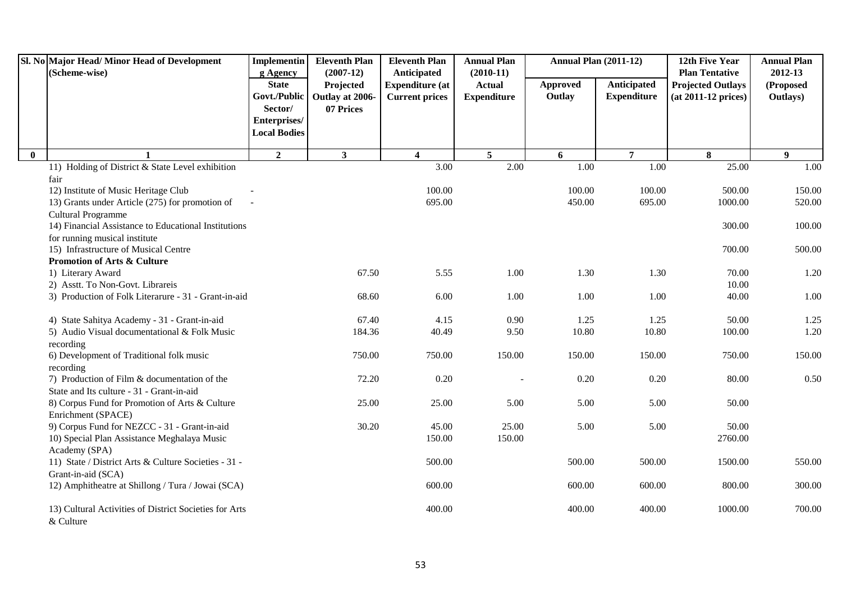|              | Sl. No Major Head/Minor Head of Development<br>(Scheme-wise)          | <b>Implementin</b><br>g Agency | <b>Eleventh Plan</b><br>$(2007-12)$ | <b>Eleventh Plan</b><br>Anticipated | <b>Annual Plan</b><br>$(2010-11)$ | <b>Annual Plan (2011-12)</b> |                    | 12th Five Year<br><b>Plan Tentative</b> | <b>Annual Plan</b><br>2012-13 |
|--------------|-----------------------------------------------------------------------|--------------------------------|-------------------------------------|-------------------------------------|-----------------------------------|------------------------------|--------------------|-----------------------------------------|-------------------------------|
|              |                                                                       | <b>State</b>                   | Projected                           | <b>Expenditure (at</b>              | <b>Actual</b>                     | <b>Approved</b>              | Anticipated        | <b>Projected Outlays</b>                | (Proposed                     |
|              |                                                                       | Govt./Public                   | Outlay at 2006-                     | <b>Current prices</b>               | <b>Expenditure</b>                | Outlay                       | <b>Expenditure</b> | $(at 2011-12 prices)$                   | Outlays)                      |
|              |                                                                       | Sector/                        | 07 Prices                           |                                     |                                   |                              |                    |                                         |                               |
|              |                                                                       | Enterprises/                   |                                     |                                     |                                   |                              |                    |                                         |                               |
|              |                                                                       | <b>Local Bodies</b>            |                                     |                                     |                                   |                              |                    |                                         |                               |
| $\mathbf{0}$ |                                                                       | $\overline{2}$                 | $\mathbf{3}$                        | $\overline{\mathbf{4}}$             | $5\overline{5}$                   | 6                            | $\overline{7}$     | 8                                       | 9                             |
|              | 11) Holding of District & State Level exhibition                      |                                |                                     | 3.00                                | 2.00                              | 1.00                         | 1.00               | 25.00                                   | 1.00                          |
|              | fair                                                                  |                                |                                     |                                     |                                   |                              |                    |                                         |                               |
|              | 12) Institute of Music Heritage Club                                  |                                |                                     | 100.00                              |                                   | 100.00                       | 100.00             | 500.00                                  | 150.00                        |
|              | 13) Grants under Article (275) for promotion of                       |                                |                                     | 695.00                              |                                   | 450.00                       | 695.00             | 1000.00                                 | 520.00                        |
|              | Cultural Programme                                                    |                                |                                     |                                     |                                   |                              |                    |                                         |                               |
|              | 14) Financial Assistance to Educational Institutions                  |                                |                                     |                                     |                                   |                              |                    | 300.00                                  | 100.00                        |
|              | for running musical institute<br>15) Infrastructure of Musical Centre |                                |                                     |                                     |                                   |                              |                    | 700.00                                  | 500.00                        |
|              | <b>Promotion of Arts &amp; Culture</b>                                |                                |                                     |                                     |                                   |                              |                    |                                         |                               |
|              | 1) Literary Award                                                     |                                | 67.50                               | 5.55                                | 1.00                              | 1.30                         | 1.30               | 70.00                                   | 1.20                          |
|              | 2) Asstt. To Non-Govt. Librareis                                      |                                |                                     |                                     |                                   |                              |                    | 10.00                                   |                               |
|              | 3) Production of Folk Literarure - 31 - Grant-in-aid                  |                                | 68.60                               | 6.00                                | 1.00                              | 1.00                         | 1.00               | 40.00                                   | 1.00                          |
|              | 4) State Sahitya Academy - 31 - Grant-in-aid                          |                                | 67.40                               | 4.15                                | 0.90                              | 1.25                         | 1.25               | 50.00                                   | 1.25                          |
|              | 5) Audio Visual documentational & Folk Music                          |                                | 184.36                              | 40.49                               | 9.50                              | 10.80                        | 10.80              | 100.00                                  | 1.20                          |
|              | recording                                                             |                                |                                     |                                     |                                   |                              |                    |                                         |                               |
|              | 6) Development of Traditional folk music                              |                                | 750.00                              | 750.00                              | 150.00                            | 150.00                       | 150.00             | 750.00                                  | 150.00                        |
|              | recording                                                             |                                |                                     |                                     |                                   |                              |                    |                                         |                               |
|              | 7) Production of Film & documentation of the                          |                                | 72.20                               | 0.20                                |                                   | 0.20                         | 0.20               | 80.00                                   | 0.50                          |
|              | State and Its culture - 31 - Grant-in-aid                             |                                |                                     |                                     |                                   |                              |                    |                                         |                               |
|              | 8) Corpus Fund for Promotion of Arts & Culture                        |                                | 25.00                               | 25.00                               | 5.00                              | 5.00                         | 5.00               | 50.00                                   |                               |
|              | Enrichment (SPACE)<br>9) Corpus Fund for NEZCC - 31 - Grant-in-aid    |                                | 30.20                               | 45.00                               | 25.00                             | 5.00                         | 5.00               | 50.00                                   |                               |
|              | 10) Special Plan Assistance Meghalaya Music                           |                                |                                     | 150.00                              | 150.00                            |                              |                    | 2760.00                                 |                               |
|              | Academy (SPA)                                                         |                                |                                     |                                     |                                   |                              |                    |                                         |                               |
|              | 11) State / District Arts & Culture Societies - 31 -                  |                                |                                     | 500.00                              |                                   | 500.00                       | 500.00             | 1500.00                                 | 550.00                        |
|              | Grant-in-aid (SCA)                                                    |                                |                                     |                                     |                                   |                              |                    |                                         |                               |
|              | 12) Amphitheatre at Shillong / Tura / Jowai (SCA)                     |                                |                                     | 600.00                              |                                   | 600.00                       | 600.00             | 800.00                                  | 300.00                        |
|              | 13) Cultural Activities of District Societies for Arts<br>& Culture   |                                |                                     | 400.00                              |                                   | 400.00                       | 400.00             | 1000.00                                 | 700.00                        |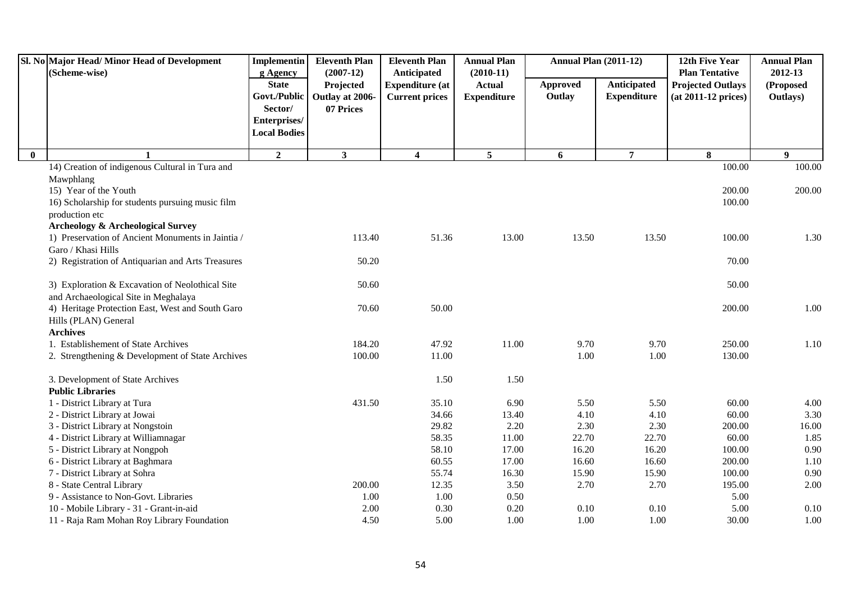|          | Sl. No Major Head/Minor Head of Development<br>(Scheme-wise)       | Implementin<br>g Agency                 | <b>Eleventh Plan</b><br>$(2007-12)$       | <b>Eleventh Plan</b><br>Anticipated             | <b>Annual Plan</b><br>$(2010-11)$   | Annual Plan (2011-12)     |                                   | 12th Five Year<br><b>Plan Tentative</b>           | <b>Annual Plan</b><br>2012-13 |
|----------|--------------------------------------------------------------------|-----------------------------------------|-------------------------------------------|-------------------------------------------------|-------------------------------------|---------------------------|-----------------------------------|---------------------------------------------------|-------------------------------|
|          |                                                                    | <b>State</b><br>Govt./Public<br>Sector/ | Projected<br>Outlay at 2006-<br>07 Prices | <b>Expenditure</b> (at<br><b>Current prices</b> | <b>Actual</b><br><b>Expenditure</b> | <b>Approved</b><br>Outlay | Anticipated<br><b>Expenditure</b> | <b>Projected Outlays</b><br>$(at 2011-12 prices)$ | (Proposed<br>Outlays)         |
|          |                                                                    | Enterprises/<br><b>Local Bodies</b>     |                                           |                                                 |                                     |                           |                                   |                                                   |                               |
| $\bf{0}$ | 1                                                                  | $\overline{2}$                          | 3                                         | $\overline{\mathbf{4}}$                         | 5                                   | 6                         | $\overline{7}$                    | 8                                                 | $\boldsymbol{9}$              |
|          | 14) Creation of indigenous Cultural in Tura and                    |                                         |                                           |                                                 |                                     |                           |                                   | 100.00                                            | 100.00                        |
|          | Mawphlang                                                          |                                         |                                           |                                                 |                                     |                           |                                   |                                                   |                               |
|          | 15) Year of the Youth                                              |                                         |                                           |                                                 |                                     |                           |                                   | 200.00                                            | 200.00                        |
|          | 16) Scholarship for students pursuing music film<br>production etc |                                         |                                           |                                                 |                                     |                           |                                   | 100.00                                            |                               |
|          | <b>Archeology &amp; Archeological Survey</b>                       |                                         |                                           |                                                 |                                     |                           |                                   |                                                   |                               |
|          | 1) Preservation of Ancient Monuments in Jaintia /                  |                                         | 113.40                                    | 51.36                                           | 13.00                               | 13.50                     | 13.50                             | 100.00                                            | 1.30                          |
|          | Garo / Khasi Hills                                                 |                                         |                                           |                                                 |                                     |                           |                                   |                                                   |                               |
|          | 2) Registration of Antiquarian and Arts Treasures                  |                                         | 50.20                                     |                                                 |                                     |                           |                                   | 70.00                                             |                               |
|          | 3) Exploration & Excavation of Neolothical Site                    |                                         | 50.60                                     |                                                 |                                     |                           |                                   | 50.00                                             |                               |
|          | and Archaeological Site in Meghalaya                               |                                         |                                           |                                                 |                                     |                           |                                   |                                                   |                               |
|          | 4) Heritage Protection East, West and South Garo                   |                                         | 70.60                                     | 50.00                                           |                                     |                           |                                   | 200.00                                            | 1.00                          |
|          | Hills (PLAN) General                                               |                                         |                                           |                                                 |                                     |                           |                                   |                                                   |                               |
|          | <b>Archives</b>                                                    |                                         |                                           |                                                 |                                     |                           |                                   |                                                   |                               |
|          | 1. Establishement of State Archives                                |                                         | 184.20                                    | 47.92                                           | 11.00                               | 9.70                      | 9.70                              | 250.00                                            | 1.10                          |
|          | 2. Strengthening & Development of State Archives                   |                                         | 100.00                                    | 11.00                                           |                                     | 1.00                      | 1.00                              | 130.00                                            |                               |
|          | 3. Development of State Archives                                   |                                         |                                           | 1.50                                            | 1.50                                |                           |                                   |                                                   |                               |
|          | <b>Public Libraries</b>                                            |                                         |                                           |                                                 |                                     |                           |                                   |                                                   |                               |
|          | 1 - District Library at Tura                                       |                                         | 431.50                                    | 35.10                                           | 6.90                                | 5.50                      | 5.50                              | 60.00                                             | 4.00                          |
|          | 2 - District Library at Jowai                                      |                                         |                                           | 34.66                                           | 13.40                               | 4.10                      | 4.10                              | 60.00                                             | 3.30                          |
|          | 3 - District Library at Nongstoin                                  |                                         |                                           | 29.82                                           | 2.20                                | 2.30                      | 2.30                              | 200.00                                            | 16.00                         |
|          | 4 - District Library at Williamnagar                               |                                         |                                           | 58.35                                           | 11.00                               | 22.70                     | 22.70                             | 60.00                                             | 1.85                          |
|          | 5 - District Library at Nongpoh                                    |                                         |                                           | 58.10                                           | 17.00                               | 16.20                     | 16.20                             | 100.00                                            | 0.90                          |
|          | 6 - District Library at Baghmara                                   |                                         |                                           | 60.55                                           | 17.00                               | 16.60                     | 16.60                             | 200.00                                            | 1.10                          |
|          | 7 - District Library at Sohra                                      |                                         |                                           | 55.74                                           | 16.30                               | 15.90                     | 15.90                             | 100.00                                            | 0.90                          |
|          | 8 - State Central Library                                          |                                         | 200.00                                    | 12.35                                           | 3.50                                | 2.70                      | 2.70                              | 195.00                                            | 2.00                          |
|          | 9 - Assistance to Non-Govt. Libraries                              |                                         | 1.00                                      | 1.00                                            | 0.50                                |                           |                                   | 5.00                                              |                               |
|          | 10 - Mobile Library - 31 - Grant-in-aid                            |                                         | 2.00                                      | 0.30                                            | 0.20                                | 0.10                      | 0.10                              | 5.00                                              | 0.10                          |
|          | 11 - Raja Ram Mohan Roy Library Foundation                         |                                         | 4.50                                      | 5.00                                            | 1.00                                | 1.00                      | 1.00                              | 30.00                                             | 1.00                          |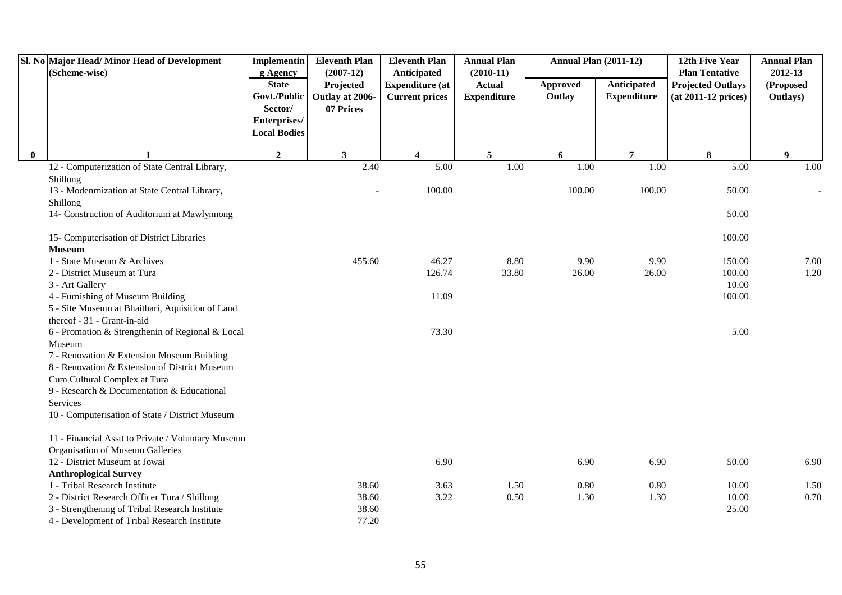|          | Sl. No Major Head/Minor Head of Development<br>(Scheme-wise) | <b>Implementin</b><br>g Agency          | <b>Eleventh Plan</b><br>$(2007-12)$       | <b>Eleventh Plan</b><br>Anticipated             | <b>Annual Plan</b><br>$(2010-11)$   | <b>Annual Plan (2011-12)</b> |                                   | 12th Five Year<br><b>Plan Tentative</b>           | <b>Annual Plan</b><br>2012-13 |
|----------|--------------------------------------------------------------|-----------------------------------------|-------------------------------------------|-------------------------------------------------|-------------------------------------|------------------------------|-----------------------------------|---------------------------------------------------|-------------------------------|
|          |                                                              | <b>State</b><br>Govt./Public<br>Sector/ | Projected<br>Outlay at 2006-<br>07 Prices | <b>Expenditure (at</b><br><b>Current prices</b> | <b>Actual</b><br><b>Expenditure</b> | <b>Approved</b><br>Outlay    | Anticipated<br><b>Expenditure</b> | <b>Projected Outlays</b><br>$(at 2011-12 prices)$ | (Proposed<br>Outlays)         |
|          |                                                              | Enterprises/<br><b>Local Bodies</b>     |                                           |                                                 |                                     |                              |                                   |                                                   |                               |
| $\bf{0}$ |                                                              | $\boldsymbol{2}$                        | $\mathbf{3}$                              | $\overline{\mathbf{4}}$                         | 5                                   | 6                            | $\overline{7}$                    | 8                                                 | 9                             |
|          | 12 - Computerization of State Central Library,               |                                         | 2.40                                      | $\overline{5.00}$                               | 1.00                                | 1.00                         | 1.00                              | 5.00                                              | 1.00                          |
|          | Shillong                                                     |                                         |                                           |                                                 |                                     |                              |                                   |                                                   |                               |
|          | 13 - Modenrnization at State Central Library,                |                                         |                                           | 100.00                                          |                                     | 100.00                       | 100.00                            | 50.00                                             |                               |
|          | Shillong                                                     |                                         |                                           |                                                 |                                     |                              |                                   |                                                   |                               |
|          | 14- Construction of Auditorium at Mawlynnong                 |                                         |                                           |                                                 |                                     |                              |                                   | 50.00                                             |                               |
|          | 15- Computerisation of District Libraries                    |                                         |                                           |                                                 |                                     |                              |                                   | 100.00                                            |                               |
|          | <b>Museum</b>                                                |                                         |                                           |                                                 |                                     |                              |                                   |                                                   |                               |
|          | 1 - State Museum & Archives                                  |                                         | 455.60                                    | 46.27                                           | 8.80                                | 9.90                         | 9.90                              | 150.00                                            | 7.00                          |
|          | 2 - District Museum at Tura                                  |                                         |                                           | 126.74                                          | 33.80                               | 26.00                        | 26.00                             | 100.00                                            | 1.20                          |
|          | 3 - Art Gallery                                              |                                         |                                           |                                                 |                                     |                              |                                   | 10.00                                             |                               |
|          | 4 - Furnishing of Museum Building                            |                                         |                                           | 11.09                                           |                                     |                              |                                   | 100.00                                            |                               |
|          | 5 - Site Museum at Bhaitbari, Aquisition of Land             |                                         |                                           |                                                 |                                     |                              |                                   |                                                   |                               |
|          | thereof - 31 - Grant-in-aid                                  |                                         |                                           |                                                 |                                     |                              |                                   |                                                   |                               |
|          | 6 - Promotion & Strengthenin of Regional & Local             |                                         |                                           | 73.30                                           |                                     |                              |                                   | 5.00                                              |                               |
|          | Museum                                                       |                                         |                                           |                                                 |                                     |                              |                                   |                                                   |                               |
|          | 7 - Renovation & Extension Museum Building                   |                                         |                                           |                                                 |                                     |                              |                                   |                                                   |                               |
|          | 8 - Renovation & Extension of District Museum                |                                         |                                           |                                                 |                                     |                              |                                   |                                                   |                               |
|          | Cum Cultural Complex at Tura                                 |                                         |                                           |                                                 |                                     |                              |                                   |                                                   |                               |
|          | 9 - Research & Documentation & Educational                   |                                         |                                           |                                                 |                                     |                              |                                   |                                                   |                               |
|          | Services                                                     |                                         |                                           |                                                 |                                     |                              |                                   |                                                   |                               |
|          | 10 - Computerisation of State / District Museum              |                                         |                                           |                                                 |                                     |                              |                                   |                                                   |                               |
|          | 11 - Financial Asstt to Private / Voluntary Museum           |                                         |                                           |                                                 |                                     |                              |                                   |                                                   |                               |
|          | Organisation of Museum Galleries                             |                                         |                                           |                                                 |                                     |                              |                                   |                                                   |                               |
|          | 12 - District Museum at Jowai                                |                                         |                                           | 6.90                                            |                                     | 6.90                         | 6.90                              | 50.00                                             | 6.90                          |
|          | <b>Anthroplogical Survey</b>                                 |                                         |                                           |                                                 |                                     |                              |                                   |                                                   |                               |
|          | 1 - Tribal Research Institute                                |                                         | 38.60                                     | 3.63                                            | 1.50                                | 0.80                         | 0.80                              | 10.00                                             | 1.50                          |
|          | 2 - District Research Officer Tura / Shillong                |                                         | 38.60                                     | 3.22                                            | 0.50                                | 1.30                         | 1.30                              | 10.00                                             | 0.70                          |
|          | 3 - Strengthening of Tribal Research Institute               |                                         | 38.60                                     |                                                 |                                     |                              |                                   | 25.00                                             |                               |
|          | 4 - Development of Tribal Research Institute                 |                                         | 77.20                                     |                                                 |                                     |                              |                                   |                                                   |                               |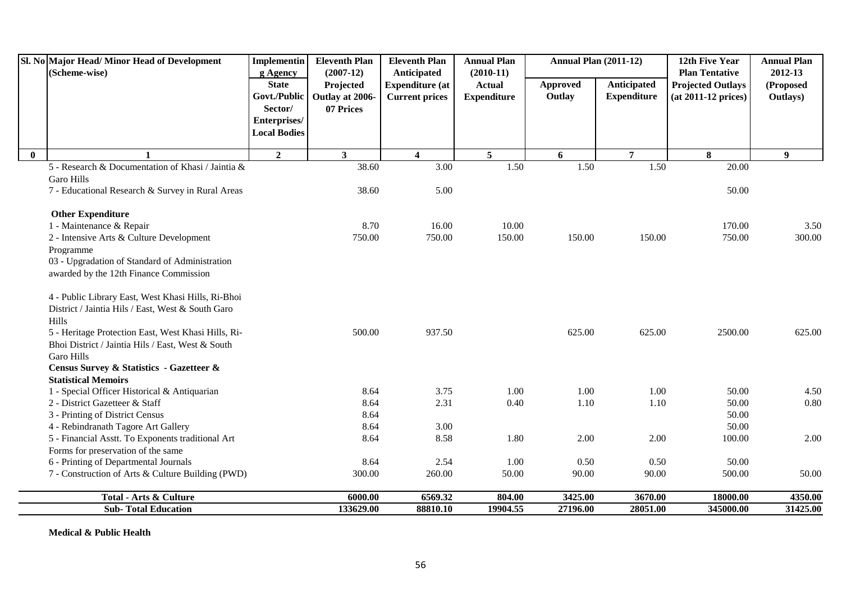|              | Sl. No Major Head/Minor Head of Development<br>(Scheme-wise) | Implementin<br>g Agency | <b>Eleventh Plan</b><br>$(2007-12)$ | <b>Eleventh Plan</b><br>Anticipated | <b>Annual Plan</b><br>$(2010-11)$ | <b>Annual Plan (2011-12)</b> |                    | 12th Five Year<br><b>Plan Tentative</b> | <b>Annual Plan</b><br>2012-13 |
|--------------|--------------------------------------------------------------|-------------------------|-------------------------------------|-------------------------------------|-----------------------------------|------------------------------|--------------------|-----------------------------------------|-------------------------------|
|              |                                                              | <b>State</b>            | Projected                           | <b>Expenditure (at</b>              | <b>Actual</b>                     | Approved                     | Anticipated        | <b>Projected Outlays</b>                | (Proposed                     |
|              |                                                              | Govt./Public            | Outlay at 2006-                     | <b>Current prices</b>               | <b>Expenditure</b>                | Outlay                       | <b>Expenditure</b> | $(at 2011-12 prices)$                   | Outlays)                      |
|              |                                                              | Sector/                 | 07 Prices                           |                                     |                                   |                              |                    |                                         |                               |
|              |                                                              | Enterprises/            |                                     |                                     |                                   |                              |                    |                                         |                               |
|              |                                                              | <b>Local Bodies</b>     |                                     |                                     |                                   |                              |                    |                                         |                               |
| $\mathbf{0}$ |                                                              | $\overline{2}$          | $\mathbf{3}$                        | $\overline{\mathbf{4}}$             | $5\overline{5}$                   | 6                            | $\overline{7}$     | 8                                       | $\boldsymbol{9}$              |
|              | 5 - Research & Documentation of Khasi / Jaintia &            |                         | 38.60                               | $\overline{3.00}$                   | $\overline{1.50}$                 | 1.50                         | 1.50               | 20.00                                   |                               |
|              | <b>Garo Hills</b>                                            |                         |                                     |                                     |                                   |                              |                    |                                         |                               |
|              | 7 - Educational Research & Survey in Rural Areas             |                         | 38.60                               | 5.00                                |                                   |                              |                    | 50.00                                   |                               |
|              | <b>Other Expenditure</b>                                     |                         |                                     |                                     |                                   |                              |                    |                                         |                               |
|              | 1 - Maintenance & Repair                                     |                         | 8.70                                | 16.00                               | 10.00                             |                              |                    | 170.00                                  | 3.50                          |
|              | 2 - Intensive Arts & Culture Development                     |                         | 750.00                              | 750.00                              | 150.00                            | 150.00                       | 150.00             | 750.00                                  | 300.00                        |
|              | Programme                                                    |                         |                                     |                                     |                                   |                              |                    |                                         |                               |
|              | 03 - Upgradation of Standard of Administration               |                         |                                     |                                     |                                   |                              |                    |                                         |                               |
|              | awarded by the 12th Finance Commission                       |                         |                                     |                                     |                                   |                              |                    |                                         |                               |
|              | 4 - Public Library East, West Khasi Hills, Ri-Bhoi           |                         |                                     |                                     |                                   |                              |                    |                                         |                               |
|              | District / Jaintia Hils / East, West & South Garo            |                         |                                     |                                     |                                   |                              |                    |                                         |                               |
|              | Hills                                                        |                         |                                     |                                     |                                   |                              |                    |                                         |                               |
|              | 5 - Heritage Protection East, West Khasi Hills, Ri-          |                         | 500.00                              | 937.50                              |                                   | 625.00                       | 625.00             | 2500.00                                 | 625.00                        |
|              | Bhoi District / Jaintia Hils / East, West & South            |                         |                                     |                                     |                                   |                              |                    |                                         |                               |
|              | <b>Garo Hills</b>                                            |                         |                                     |                                     |                                   |                              |                    |                                         |                               |
|              | Census Survey & Statistics - Gazetteer &                     |                         |                                     |                                     |                                   |                              |                    |                                         |                               |
|              | <b>Statistical Memoirs</b>                                   |                         |                                     |                                     |                                   |                              |                    |                                         |                               |
|              | 1 - Special Officer Historical & Antiquarian                 |                         | 8.64                                | 3.75                                | 1.00                              | 1.00                         | 1.00               | 50.00                                   | 4.50                          |
|              | 2 - District Gazetteer & Staff                               |                         | 8.64                                | 2.31                                | 0.40                              | 1.10                         | 1.10               | 50.00                                   | 0.80                          |
|              | 3 - Printing of District Census                              |                         | 8.64                                |                                     |                                   |                              |                    | 50.00                                   |                               |
|              | 4 - Rebindranath Tagore Art Gallery                          |                         | 8.64                                | 3.00                                |                                   |                              |                    | 50.00                                   |                               |
|              | 5 - Financial Asstt. To Exponents traditional Art            |                         | 8.64                                | 8.58                                | 1.80                              | 2.00                         | 2.00               | 100.00                                  | 2.00                          |
|              | Forms for preservation of the same                           |                         |                                     |                                     |                                   |                              |                    |                                         |                               |
|              | 6 - Printing of Departmental Journals                        |                         | 8.64                                | 2.54                                | 1.00                              | 0.50                         | 0.50               | 50.00                                   |                               |
|              | 7 - Construction of Arts & Culture Building (PWD)            |                         | 300.00                              | 260.00                              | 50.00                             | 90.00                        | 90.00              | 500.00                                  | 50.00                         |
|              | <b>Total - Arts &amp; Culture</b>                            |                         | 6000.00                             | 6569.32                             | 804.00                            | 3425.00                      | 3670.00            | 18000.00                                | 4350.00                       |
|              | <b>Sub-Total Education</b>                                   |                         | 133629.00                           | 88810.10                            | 19904.55                          | 27196.00                     | 28051.00           | 345000.00                               | 31425.00                      |

**Medical & Public Health**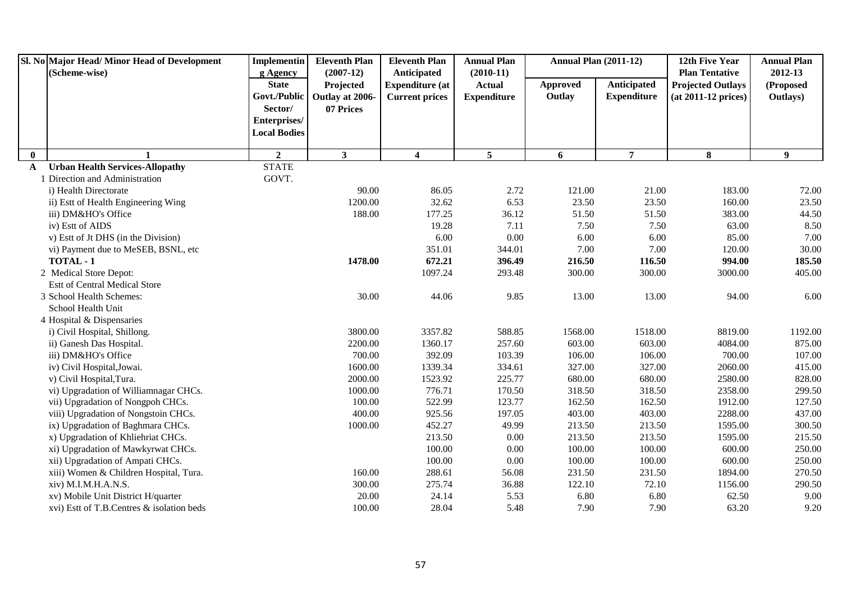|              | Sl. No Major Head/Minor Head of Development | <b>Implementin</b>                  | <b>Eleventh Plan</b> | <b>Eleventh Plan</b>    | <b>Annual Plan</b> | <b>Annual Plan (2011-12)</b> |                    | 12th Five Year           | <b>Annual Plan</b> |
|--------------|---------------------------------------------|-------------------------------------|----------------------|-------------------------|--------------------|------------------------------|--------------------|--------------------------|--------------------|
|              | (Scheme-wise)                               | g Agency                            | $(2007-12)$          | Anticipated             | $(2010-11)$        |                              |                    | <b>Plan Tentative</b>    | 2012-13            |
|              |                                             | <b>State</b>                        | Projected            | <b>Expenditure (at</b>  | <b>Actual</b>      | <b>Approved</b>              | Anticipated        | <b>Projected Outlays</b> | (Proposed          |
|              |                                             | Govt./Public                        | Outlay at 2006-      | <b>Current prices</b>   | <b>Expenditure</b> | Outlay                       | <b>Expenditure</b> | $(at 2011-12 prices)$    | Outlays)           |
|              |                                             | Sector/                             | 07 Prices            |                         |                    |                              |                    |                          |                    |
|              |                                             | Enterprises/<br><b>Local Bodies</b> |                      |                         |                    |                              |                    |                          |                    |
|              |                                             |                                     |                      |                         |                    |                              |                    |                          |                    |
| $\bf{0}$     |                                             | $\overline{2}$                      | 3 <sup>1</sup>       | $\overline{\mathbf{4}}$ | 5                  | 6                            | $\overline{7}$     | 8                        | 9                  |
| $\mathbf{A}$ | <b>Urban Health Services-Allopathy</b>      | <b>STATE</b>                        |                      |                         |                    |                              |                    |                          |                    |
|              | 1 Direction and Administration              | GOVT.                               |                      |                         |                    |                              |                    |                          |                    |
|              | i) Health Directorate                       |                                     | 90.00                | 86.05                   | 2.72               | 121.00                       | 21.00              | 183.00                   | 72.00              |
|              | ii) Estt of Health Engineering Wing         |                                     | 1200.00              | 32.62                   | 6.53               | 23.50                        | 23.50              | 160.00                   | 23.50              |
|              | iii) DM&HO's Office                         |                                     | 188.00               | 177.25                  | 36.12              | 51.50                        | 51.50              | 383.00                   | 44.50              |
|              | iv) Estt of AIDS                            |                                     |                      | 19.28                   | 7.11               | 7.50                         | 7.50               | 63.00                    | 8.50               |
|              | v) Est tof Jt DHS (in the Division)         |                                     |                      | 6.00                    | 0.00               | 6.00                         | 6.00               | 85.00                    | 7.00               |
|              | vi) Payment due to MeSEB, BSNL, etc         |                                     |                      | 351.01                  | 344.01             | 7.00                         | 7.00               | 120.00                   | 30.00              |
|              | TOTAL - 1                                   |                                     | 1478.00              | 672.21                  | 396.49             | 216.50                       | 116.50             | 994.00                   | 185.50             |
|              | 2 Medical Store Depot:                      |                                     |                      | 1097.24                 | 293.48             | 300.00                       | 300.00             | 3000.00                  | 405.00             |
|              | Estt of Central Medical Store               |                                     |                      |                         |                    |                              |                    |                          |                    |
|              | 3 School Health Schemes:                    |                                     | 30.00                | 44.06                   | 9.85               | 13.00                        | 13.00              | 94.00                    | 6.00               |
|              | School Health Unit                          |                                     |                      |                         |                    |                              |                    |                          |                    |
|              | 4 Hospital & Dispensaries                   |                                     |                      |                         |                    |                              |                    |                          |                    |
|              | i) Civil Hospital, Shillong.                |                                     | 3800.00              | 3357.82                 | 588.85             | 1568.00                      | 1518.00            | 8819.00                  | 1192.00            |
|              | ii) Ganesh Das Hospital.                    |                                     | 2200.00              | 1360.17                 | 257.60             | 603.00                       | 603.00             | 4084.00                  | 875.00             |
|              | iii) DM&HO's Office                         |                                     | 700.00               | 392.09                  | 103.39             | 106.00                       | 106.00             | 700.00                   | 107.00             |
|              | iv) Civil Hospital, Jowai.                  |                                     | 1600.00              | 1339.34                 | 334.61             | 327.00                       | 327.00             | 2060.00                  | 415.00             |
|              | v) Civil Hospital, Tura.                    |                                     | 2000.00              | 1523.92                 | 225.77             | 680.00                       | 680.00             | 2580.00                  | 828.00             |
|              | vi) Upgradation of Williamnagar CHCs.       |                                     | 1000.00              | 776.71                  | 170.50             | 318.50                       | 318.50             | 2358.00                  | 299.50             |
|              | vii) Upgradation of Nongpoh CHCs.           |                                     | 100.00               | 522.99                  | 123.77             | 162.50                       | 162.50             | 1912.00                  | 127.50             |
|              | viii) Upgradation of Nongstoin CHCs.        |                                     | 400.00               | 925.56                  | 197.05             | 403.00                       | 403.00             | 2288.00                  | 437.00             |
|              | ix) Upgradation of Baghmara CHCs.           |                                     | 1000.00              | 452.27                  | 49.99              | 213.50                       | 213.50             | 1595.00                  | 300.50             |
|              | x) Upgradation of Khliehriat CHCs.          |                                     |                      | 213.50                  | 0.00               | 213.50                       | 213.50             | 1595.00                  | 215.50             |
|              | xi) Upgradation of Mawkyrwat CHCs.          |                                     |                      | 100.00                  | $0.00\,$           | 100.00                       | 100.00             | 600.00                   | 250.00             |
|              | xii) Upgradation of Ampati CHCs.            |                                     |                      | 100.00                  | 0.00               | 100.00                       | 100.00             | 600.00                   | 250.00             |
|              | xiii) Women & Children Hospital, Tura.      |                                     | 160.00               | 288.61                  | 56.08              | 231.50                       | 231.50             | 1894.00                  | 270.50             |
|              | xiv) M.I.M.H.A.N.S.                         |                                     | 300.00               | 275.74                  | 36.88              | 122.10                       | 72.10              | 1156.00                  | 290.50             |
|              | xv) Mobile Unit District H/quarter          |                                     | 20.00                | 24.14                   | 5.53               | 6.80                         | 6.80               | 62.50                    | 9.00               |
|              | xvi) Estt of T.B.Centres & isolation beds   |                                     | 100.00               | 28.04                   | 5.48               | 7.90                         | 7.90               | 63.20                    | 9.20               |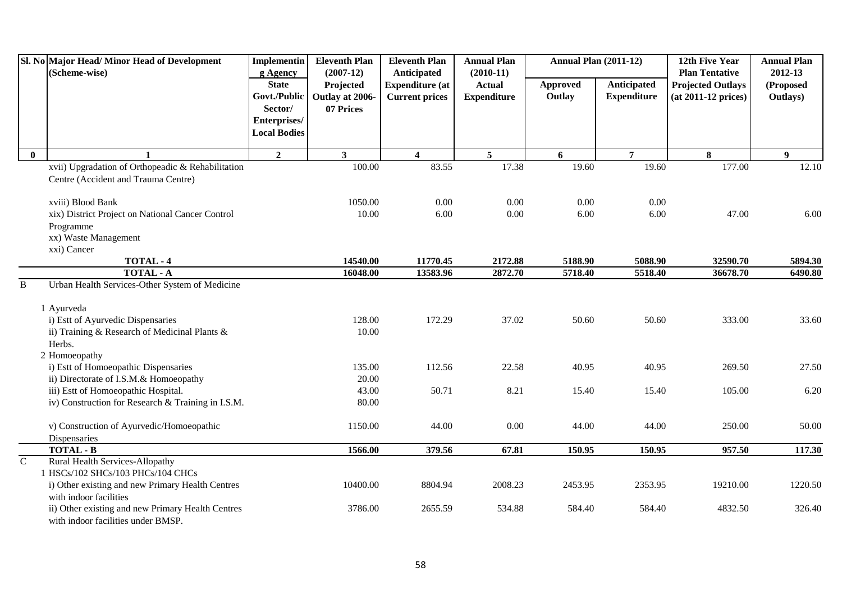|                | Sl. No Major Head/Minor Head of Development<br>(Scheme-wise) | <b>Implementin</b><br>g Agency | <b>Eleventh Plan</b><br>$(2007-12)$ | <b>Eleventh Plan</b><br><b>Anticipated</b> | <b>Annual Plan</b><br>$(2010-11)$ | <b>Annual Plan (2011-12)</b> |                    | 12th Five Year<br><b>Plan Tentative</b> | <b>Annual Plan</b><br>2012-13 |
|----------------|--------------------------------------------------------------|--------------------------------|-------------------------------------|--------------------------------------------|-----------------------------------|------------------------------|--------------------|-----------------------------------------|-------------------------------|
|                |                                                              | <b>State</b>                   | Projected                           | <b>Expenditure (at</b>                     | <b>Actual</b>                     | Approved                     | Anticipated        | <b>Projected Outlays</b>                | (Proposed                     |
|                |                                                              | Govt./Public                   | Outlay at 2006-                     | <b>Current prices</b>                      | <b>Expenditure</b>                | Outlay                       | <b>Expenditure</b> | $(at 2011-12 prices)$                   | Outlays)                      |
|                |                                                              | Sector/                        | 07 Prices                           |                                            |                                   |                              |                    |                                         |                               |
|                |                                                              | Enterprises/                   |                                     |                                            |                                   |                              |                    |                                         |                               |
|                |                                                              | <b>Local Bodies</b>            |                                     |                                            |                                   |                              |                    |                                         |                               |
| $\bf{0}$       | 1                                                            | $\mathbf{2}$                   | 3 <sup>1</sup>                      | $\overline{\mathbf{4}}$                    | $5\overline{5}$                   | 6                            | $\overline{7}$     | 8                                       | 9                             |
|                | xvii) Upgradation of Orthopeadic & Rehabilitation            |                                | 100.00                              | 83.55                                      | 17.38                             | 19.60                        | 19.60              | 177.00                                  | 12.10                         |
|                | Centre (Accident and Trauma Centre)                          |                                |                                     |                                            |                                   |                              |                    |                                         |                               |
|                | xviii) Blood Bank                                            |                                | 1050.00                             | 0.00                                       | 0.00                              | 0.00                         | 0.00               |                                         |                               |
|                | xix) District Project on National Cancer Control             |                                | 10.00                               | 6.00                                       | 0.00                              | 6.00                         | 6.00               | 47.00                                   | 6.00                          |
|                | Programme                                                    |                                |                                     |                                            |                                   |                              |                    |                                         |                               |
|                | xx) Waste Management                                         |                                |                                     |                                            |                                   |                              |                    |                                         |                               |
|                | xxi) Cancer                                                  |                                |                                     |                                            |                                   |                              |                    |                                         |                               |
|                | TOTAL - 4                                                    |                                | 14540.00                            | 11770.45                                   | 2172.88                           | 5188.90                      | 5088.90            | 32590.70                                | 5894.30                       |
|                | <b>TOTAL - A</b>                                             |                                | 16048.00                            | 13583.96                                   | 2872.70                           | 5718.40                      | 5518.40            | 36678.70                                | 6490.80                       |
| $\, {\bf B}$   | Urban Health Services-Other System of Medicine<br>1 Ayurveda |                                |                                     |                                            |                                   |                              |                    |                                         |                               |
|                | i) Estt of Ayurvedic Dispensaries                            |                                | 128.00                              | 172.29                                     | 37.02                             | 50.60                        | 50.60              | 333.00                                  | 33.60                         |
|                | ii) Training & Research of Medicinal Plants &                |                                | 10.00                               |                                            |                                   |                              |                    |                                         |                               |
|                | Herbs.                                                       |                                |                                     |                                            |                                   |                              |                    |                                         |                               |
|                | 2 Homoeopathy                                                |                                |                                     |                                            |                                   |                              |                    |                                         |                               |
|                | i) Estt of Homoeopathic Dispensaries                         |                                | 135.00                              | 112.56                                     | 22.58                             | 40.95                        | 40.95              | 269.50                                  | 27.50                         |
|                | ii) Directorate of I.S.M.& Homoeopathy                       |                                | 20.00                               |                                            |                                   |                              |                    |                                         |                               |
|                | iii) Estt of Homoeopathic Hospital.                          |                                | 43.00                               | 50.71                                      | 8.21                              | 15.40                        | 15.40              | 105.00                                  | 6.20                          |
|                | iv) Construction for Research & Training in I.S.M.           |                                | 80.00                               |                                            |                                   |                              |                    |                                         |                               |
|                | v) Construction of Ayurvedic/Homoeopathic                    |                                | 1150.00                             | 44.00                                      | 0.00                              | 44.00                        | 44.00              | 250.00                                  | 50.00                         |
|                | Dispensaries                                                 |                                |                                     |                                            |                                   |                              |                    |                                         |                               |
| $\overline{C}$ | <b>TOTAL - B</b><br><b>Rural Health Services-Allopathy</b>   |                                | 1566.00                             | 379.56                                     | 67.81                             | 150.95                       | 150.95             | 957.50                                  | 117.30                        |
|                | 1 HSCs/102 SHCs/103 PHCs/104 CHCs                            |                                |                                     |                                            |                                   |                              |                    |                                         |                               |
|                | i) Other existing and new Primary Health Centres             |                                | 10400.00                            | 8804.94                                    | 2008.23                           | 2453.95                      | 2353.95            | 19210.00                                | 1220.50                       |
|                | with indoor facilities                                       |                                |                                     |                                            |                                   |                              |                    |                                         |                               |
|                | ii) Other existing and new Primary Health Centres            |                                | 3786.00                             | 2655.59                                    | 534.88                            | 584.40                       | 584.40             | 4832.50                                 | 326.40                        |
|                | with indoor facilities under BMSP.                           |                                |                                     |                                            |                                   |                              |                    |                                         |                               |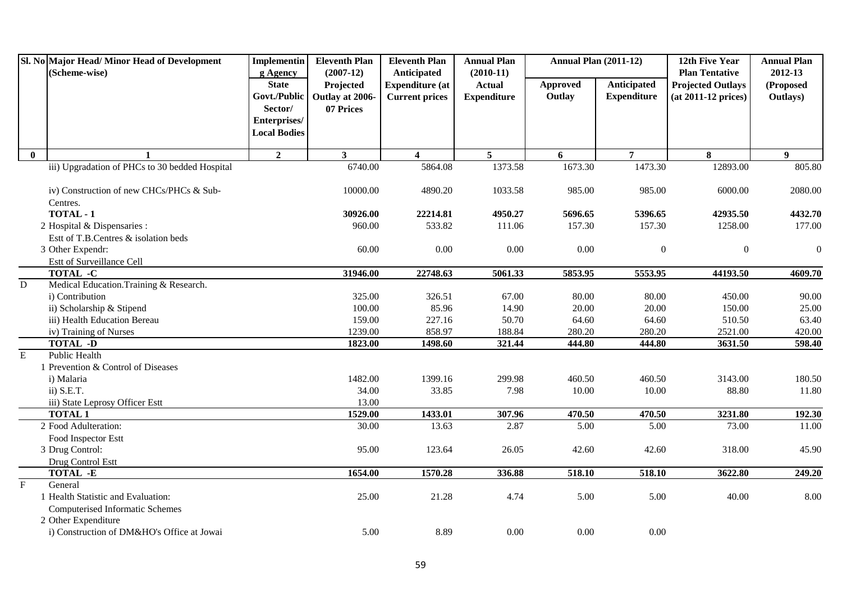|                | Sl. No Major Head/Minor Head of Development    | <b>Implementin</b>       | <b>Eleventh Plan</b>     | <b>Eleventh Plan</b>                  | <b>Annual Plan</b>           | <b>Annual Plan (2011-12)</b> |                    | 12th Five Year                                    | <b>Annual Plan</b>   |
|----------------|------------------------------------------------|--------------------------|--------------------------|---------------------------------------|------------------------------|------------------------------|--------------------|---------------------------------------------------|----------------------|
|                | (Scheme-wise)                                  | g Agency<br><b>State</b> | $(2007-12)$<br>Projected | Anticipated<br><b>Expenditure (at</b> | $(2010-11)$<br><b>Actual</b> | <b>Approved</b>              | <b>Anticipated</b> | <b>Plan Tentative</b><br><b>Projected Outlays</b> | 2012-13<br>(Proposed |
|                |                                                | Govt./Public             | Outlay at 2006-          | <b>Current prices</b>                 | <b>Expenditure</b>           | Outlay                       | <b>Expenditure</b> | (at 2011-12 prices)                               | Outlays)             |
|                |                                                | Sector/                  | 07 Prices                |                                       |                              |                              |                    |                                                   |                      |
|                |                                                | Enterprises/             |                          |                                       |                              |                              |                    |                                                   |                      |
|                |                                                | <b>Local Bodies</b>      |                          |                                       |                              |                              |                    |                                                   |                      |
| $\mathbf{0}$   | $\mathbf{1}$                                   | $\overline{2}$           | 3 <sup>1</sup>           | $\overline{\mathbf{4}}$               | 5 <sup>5</sup>               | 6                            | $\overline{7}$     | 8                                                 | 9 <sup>°</sup>       |
|                | iii) Upgradation of PHCs to 30 bedded Hospital |                          | 6740.00                  | 5864.08                               | 1373.58                      | 1673.30                      | 1473.30            | 12893.00                                          | 805.80               |
|                |                                                |                          |                          |                                       |                              |                              |                    |                                                   |                      |
|                | iv) Construction of new CHCs/PHCs & Sub-       |                          | 10000.00                 | 4890.20                               | 1033.58                      | 985.00                       | 985.00             | 6000.00                                           | 2080.00              |
|                | Centres.                                       |                          |                          |                                       |                              |                              |                    |                                                   |                      |
|                | TOTAL - 1                                      |                          | 30926.00                 | 22214.81                              | 4950.27                      | 5696.65                      | 5396.65            | 42935.50                                          | 4432.70              |
|                | 2 Hospital & Dispensaries :                    |                          | 960.00                   | 533.82                                | 111.06                       | 157.30                       | 157.30             | 1258.00                                           | 177.00               |
|                | Estt of T.B.Centres & isolation beds           |                          |                          |                                       |                              |                              |                    |                                                   |                      |
|                | 3 Other Expendr:                               |                          | 60.00                    | $0.00\,$                              | 0.00                         | 0.00                         | $\boldsymbol{0}$   | $\boldsymbol{0}$                                  | $\boldsymbol{0}$     |
|                | Estt of Surveillance Cell                      |                          |                          |                                       |                              |                              |                    |                                                   |                      |
|                | TOTAL -C                                       |                          | 31946.00                 | 22748.63                              | 5061.33                      | 5853.95                      | 5553.95            | 44193.50                                          | 4609.70              |
| $\overline{D}$ | Medical Education. Training & Research.        |                          |                          |                                       |                              |                              |                    |                                                   |                      |
|                | i) Contribution                                |                          | 325.00                   | 326.51                                | 67.00                        | 80.00                        | 80.00              | 450.00                                            | 90.00                |
|                | ii) Scholarship & Stipend                      |                          | 100.00                   | 85.96                                 | 14.90                        | 20.00                        | 20.00              | 150.00                                            | 25.00                |
|                | iii) Health Education Bereau                   |                          | 159.00                   | 227.16                                | 50.70                        | 64.60                        | 64.60              | 510.50                                            | 63.40                |
|                | iv) Training of Nurses                         |                          | 1239.00                  | 858.97                                | 188.84                       | 280.20                       | 280.20             | 2521.00                                           | 420.00               |
|                | <b>TOTAL -D</b>                                |                          | 1823.00                  | 1498.60                               | 321.44                       | 444.80                       | 444.80             | 3631.50                                           | 598.40               |
| $\mathbf E$    | Public Health                                  |                          |                          |                                       |                              |                              |                    |                                                   |                      |
|                | 1 Prevention & Control of Diseases             |                          |                          |                                       |                              |                              |                    |                                                   |                      |
|                | i) Malaria                                     |                          | 1482.00                  | 1399.16                               | 299.98                       | 460.50                       | 460.50             | 3143.00                                           | 180.50               |
|                | $ii)$ S.E.T.                                   |                          | 34.00                    | 33.85                                 | 7.98                         | 10.00                        | 10.00              | 88.80                                             | 11.80                |
|                | iii) State Leprosy Officer Estt                |                          | 13.00                    |                                       |                              |                              |                    |                                                   |                      |
|                | <b>TOTAL 1</b>                                 |                          | 1529.00                  | 1433.01                               | 307.96                       | 470.50                       | 470.50             | 3231.80                                           | 192.30               |
|                | 2 Food Adulteration:                           |                          | 30.00                    | 13.63                                 | 2.87                         | 5.00                         | 5.00               | 73.00                                             | 11.00                |
|                | Food Inspector Estt                            |                          |                          |                                       |                              |                              |                    |                                                   |                      |
|                | 3 Drug Control:                                |                          | 95.00                    | 123.64                                | 26.05                        | 42.60                        | 42.60              | 318.00                                            | 45.90                |
|                | Drug Control Estt                              |                          |                          |                                       |                              |                              |                    |                                                   |                      |
|                | TOTAL -E                                       |                          | 1654.00                  | 1570.28                               | 336.88                       | 518.10                       | 518.10             | 3622.80                                           | 249.20               |
| $\overline{F}$ | General                                        |                          |                          |                                       |                              |                              |                    |                                                   |                      |
|                | 1 Health Statistic and Evaluation:             |                          | 25.00                    | 21.28                                 | 4.74                         | 5.00                         | 5.00               | 40.00                                             | 8.00                 |
|                | <b>Computerised Informatic Schemes</b>         |                          |                          |                                       |                              |                              |                    |                                                   |                      |
|                | 2 Other Expenditure                            |                          |                          |                                       |                              |                              |                    |                                                   |                      |
|                | i) Construction of DM&HO's Office at Jowai     |                          | 5.00                     | 8.89                                  | 0.00                         | 0.00                         | 0.00               |                                                   |                      |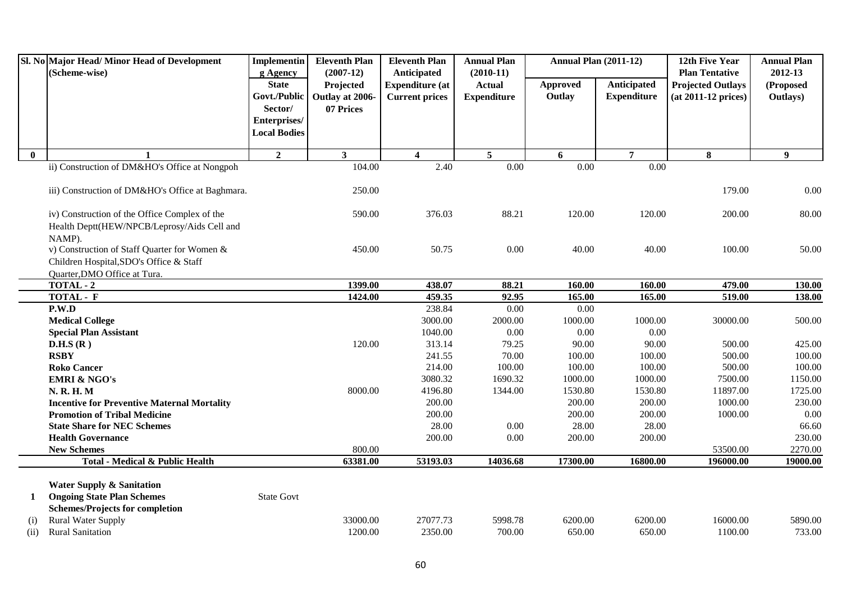|              | Sl. No Major Head/ Minor Head of Development                                                                                                     | Implementin                                    | <b>Eleventh Plan</b>                        | <b>Eleventh Plan</b>                                           | <b>Annual Plan</b>                                 | <b>Annual Plan (2011-12)</b> |                                          | 12th Five Year                                                           | <b>Annual Plan</b>               |
|--------------|--------------------------------------------------------------------------------------------------------------------------------------------------|------------------------------------------------|---------------------------------------------|----------------------------------------------------------------|----------------------------------------------------|------------------------------|------------------------------------------|--------------------------------------------------------------------------|----------------------------------|
|              | (Scheme-wise)                                                                                                                                    | g Agency<br><b>State</b><br>Govt./Public       | $(2007-12)$<br>Projected<br>Outlay at 2006- | Anticipated<br><b>Expenditure (at</b><br><b>Current prices</b> | $(2010-11)$<br><b>Actual</b><br><b>Expenditure</b> | <b>Approved</b><br>Outlay    | <b>Anticipated</b><br><b>Expenditure</b> | <b>Plan Tentative</b><br><b>Projected Outlays</b><br>(at 2011-12 prices) | 2012-13<br>(Proposed<br>Outlays) |
|              |                                                                                                                                                  | Sector/<br>Enterprises/<br><b>Local Bodies</b> | 07 Prices                                   |                                                                |                                                    |                              |                                          |                                                                          |                                  |
| $\mathbf{0}$ | $\mathbf{1}$                                                                                                                                     | $\overline{2}$                                 | $\mathbf{3}$                                | $\overline{\mathbf{4}}$                                        | 5 <sup>5</sup>                                     | 6                            | $\overline{7}$                           | 8                                                                        | 9                                |
|              | ii) Construction of DM&HO's Office at Nongpoh                                                                                                    |                                                | 104.00                                      | 2.40                                                           | 0.00                                               | $\overline{0.00}$            | $\overline{0.00}$                        |                                                                          |                                  |
|              | iii) Construction of DM&HO's Office at Baghmara.                                                                                                 |                                                | 250.00                                      |                                                                |                                                    |                              |                                          | 179.00                                                                   | 0.00                             |
|              | iv) Construction of the Office Complex of the<br>Health Deptt(HEW/NPCB/Leprosy/Aids Cell and                                                     |                                                | 590.00                                      | 376.03                                                         | 88.21                                              | 120.00                       | 120.00                                   | 200.00                                                                   | 80.00                            |
|              | NAMP).<br>v) Construction of Staff Quarter for Women &<br>Children Hospital, SDO's Office & Staff<br>Quarter, DMO Office at Tura.                |                                                | 450.00                                      | 50.75                                                          | 0.00                                               | 40.00                        | 40.00                                    | 100.00                                                                   | 50.00                            |
|              | TOTAL - 2                                                                                                                                        |                                                | 1399.00                                     | 438.07                                                         | 88.21                                              | 160.00                       | 160.00                                   | 479.00                                                                   | 130.00                           |
|              | TOTAL - F                                                                                                                                        |                                                | 1424.00                                     | 459.35                                                         | 92.95                                              | 165.00                       | 165.00                                   | 519.00                                                                   | 138.00                           |
|              | P.W.D                                                                                                                                            |                                                |                                             | 238.84                                                         | 0.00                                               | 0.00                         |                                          |                                                                          |                                  |
|              | <b>Medical College</b>                                                                                                                           |                                                |                                             | 3000.00                                                        | 2000.00                                            | 1000.00                      | 1000.00                                  | 30000.00                                                                 | 500.00                           |
|              | <b>Special Plan Assistant</b>                                                                                                                    |                                                |                                             | 1040.00                                                        | 0.00                                               | 0.00                         | 0.00                                     |                                                                          |                                  |
|              | D.H.S(R)                                                                                                                                         |                                                | 120.00                                      | 313.14                                                         | 79.25                                              | 90.00                        | 90.00                                    | 500.00                                                                   | 425.00                           |
|              | <b>RSBY</b>                                                                                                                                      |                                                |                                             | 241.55                                                         | 70.00                                              | 100.00                       | 100.00                                   | 500.00                                                                   | 100.00                           |
|              | <b>Roko Cancer</b>                                                                                                                               |                                                |                                             | 214.00                                                         | 100.00                                             | 100.00                       | 100.00                                   | 500.00                                                                   | 100.00                           |
|              | <b>EMRI &amp; NGO's</b>                                                                                                                          |                                                |                                             | 3080.32                                                        | 1690.32                                            | 1000.00                      | 1000.00                                  | 7500.00                                                                  | 1150.00                          |
|              | <b>N. R. H. M</b>                                                                                                                                |                                                | 8000.00                                     | 4196.80                                                        | 1344.00                                            | 1530.80                      | 1530.80                                  | 11897.00                                                                 | 1725.00                          |
|              | <b>Incentive for Preventive Maternal Mortality</b>                                                                                               |                                                |                                             | 200.00                                                         |                                                    | 200.00                       | 200.00                                   | 1000.00                                                                  | 230.00                           |
|              | <b>Promotion of Tribal Medicine</b>                                                                                                              |                                                |                                             | 200.00                                                         |                                                    | 200.00                       | 200.00                                   | 1000.00                                                                  | 0.00                             |
|              | <b>State Share for NEC Schemes</b>                                                                                                               |                                                |                                             | 28.00                                                          | 0.00                                               | 28.00                        | 28.00                                    |                                                                          | 66.60                            |
|              | <b>Health Governance</b>                                                                                                                         |                                                |                                             | 200.00                                                         | 0.00                                               | 200.00                       | 200.00                                   |                                                                          | 230.00                           |
|              | <b>New Schemes</b>                                                                                                                               |                                                | 800.00                                      |                                                                |                                                    |                              |                                          | 53500.00                                                                 | 2270.00                          |
|              | Total - Medical & Public Health                                                                                                                  |                                                | 63381.00                                    | 53193.03                                                       | 14036.68                                           | 17300.00                     | 16800.00                                 | 196000.00                                                                | 19000.00                         |
| 1            | <b>Water Supply &amp; Sanitation</b><br><b>Ongoing State Plan Schemes</b><br><b>Schemes/Projects for completion</b><br><b>Rural Water Supply</b> | <b>State Govt</b>                              | 33000.00                                    | 27077.73                                                       | 5998.78                                            | 6200.00                      | 6200.00                                  | 16000.00                                                                 | 5890.00                          |
| (i)<br>(ii)  | <b>Rural Sanitation</b>                                                                                                                          |                                                | 1200.00                                     | 2350.00                                                        | 700.00                                             | 650.00                       | 650.00                                   | 1100.00                                                                  | 733.00                           |
|              |                                                                                                                                                  |                                                |                                             |                                                                |                                                    |                              |                                          |                                                                          |                                  |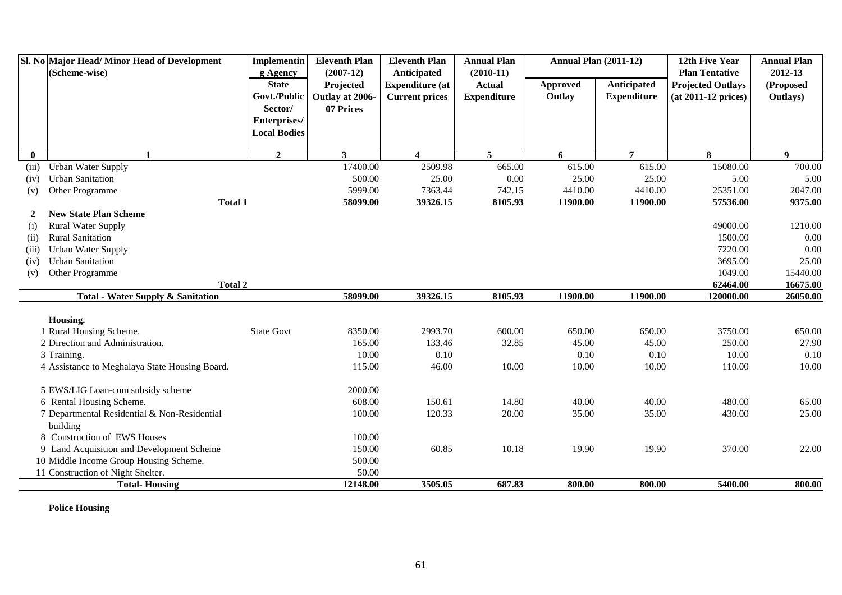| Sl. No Major Head/Minor Head of Development<br>(Scheme-wise) |                                                | <b>Implementin</b><br>g Agency | <b>Eleventh Plan</b><br>$(2007-12)$ | <b>Eleventh Plan</b><br>Anticipated | <b>Annual Plan</b><br>$(2010-11)$ | <b>Annual Plan (2011-12)</b> |                    | 12th Five Year<br><b>Plan Tentative</b> | <b>Annual Plan</b><br>2012-13 |
|--------------------------------------------------------------|------------------------------------------------|--------------------------------|-------------------------------------|-------------------------------------|-----------------------------------|------------------------------|--------------------|-----------------------------------------|-------------------------------|
|                                                              |                                                | <b>State</b>                   | Projected                           | <b>Expenditure</b> (at              | <b>Actual</b>                     | Approved                     | Anticipated        | <b>Projected Outlays</b>                | (Proposed                     |
|                                                              |                                                | Govt./Public                   | Outlay at 2006-                     | <b>Current prices</b>               | <b>Expenditure</b>                | Outlay                       | <b>Expenditure</b> | $(at 2011-12 prices)$                   | Outlays)                      |
|                                                              |                                                | Sector/                        | 07 Prices                           |                                     |                                   |                              |                    |                                         |                               |
|                                                              |                                                | Enterprises/                   |                                     |                                     |                                   |                              |                    |                                         |                               |
|                                                              |                                                | <b>Local Bodies</b>            |                                     |                                     |                                   |                              |                    |                                         |                               |
|                                                              |                                                |                                |                                     |                                     |                                   |                              |                    |                                         |                               |
| $\bf{0}$                                                     | 1                                              | $\overline{2}$                 | $\mathbf{3}$                        | $\overline{\mathbf{4}}$             | 5 <sup>5</sup>                    | 6                            | $\overline{7}$     | 8                                       | 9                             |
| (iii)                                                        | <b>Urban Water Supply</b>                      |                                | 17400.00                            | 2509.98                             | 665.00                            | 615.00                       | 615.00             | 15080.00                                | 700.00                        |
| (iv)                                                         | <b>Urban Sanitation</b>                        |                                | 500.00                              | 25.00                               | $0.00\,$                          | 25.00                        | 25.00              | 5.00                                    | 5.00                          |
| (v)                                                          | Other Programme                                |                                | 5999.00                             | 7363.44                             | 742.15                            | 4410.00                      | 4410.00            | 25351.00                                | 2047.00                       |
|                                                              | <b>Total 1</b>                                 |                                | 58099.00                            | 39326.15                            | 8105.93                           | 11900.00                     | 11900.00           | 57536.00                                | 9375.00                       |
| $\overline{2}$                                               | <b>New State Plan Scheme</b>                   |                                |                                     |                                     |                                   |                              |                    |                                         |                               |
| (i)                                                          | <b>Rural Water Supply</b>                      |                                |                                     |                                     |                                   |                              |                    | 49000.00                                | 1210.00                       |
| (ii)                                                         | <b>Rural Sanitation</b>                        |                                |                                     |                                     |                                   |                              |                    | 1500.00                                 | 0.00                          |
| (iii)                                                        | <b>Urban Water Supply</b>                      |                                |                                     |                                     |                                   |                              |                    | 7220.00                                 | 0.00                          |
| (iv)                                                         | <b>Urban Sanitation</b>                        |                                |                                     |                                     |                                   |                              |                    | 3695.00                                 | 25.00                         |
| (v)                                                          | Other Programme                                |                                |                                     |                                     |                                   |                              |                    | 1049.00                                 | 15440.00                      |
|                                                              | <b>Total 2</b>                                 |                                |                                     |                                     |                                   |                              |                    | 62464.00                                | 16675.00                      |
|                                                              | <b>Total - Water Supply &amp; Sanitation</b>   |                                | 58099.00                            | 39326.15                            | 8105.93                           | 11900.00                     | 11900.00           | 120000.00                               | 26050.00                      |
|                                                              | Housing.                                       |                                |                                     |                                     |                                   |                              |                    |                                         |                               |
|                                                              | 1 Rural Housing Scheme.                        | <b>State Govt</b>              | 8350.00                             | 2993.70                             | 600.00                            | 650.00                       | 650.00             | 3750.00                                 | 650.00                        |
|                                                              | 2 Direction and Administration.                |                                | 165.00                              | 133.46                              | 32.85                             | 45.00                        | 45.00              | 250.00                                  | 27.90                         |
|                                                              | 3 Training.                                    |                                | 10.00                               | 0.10                                |                                   | 0.10                         | 0.10               | 10.00                                   | 0.10                          |
|                                                              | 4 Assistance to Meghalaya State Housing Board. |                                | 115.00                              | 46.00                               | 10.00                             | 10.00                        | 10.00              | 110.00                                  | 10.00                         |
|                                                              | 5 EWS/LIG Loan-cum subsidy scheme              |                                | 2000.00                             |                                     |                                   |                              |                    |                                         |                               |
|                                                              | 6 Rental Housing Scheme.                       |                                | 608.00                              | 150.61                              | 14.80                             | 40.00                        | 40.00              | 480.00                                  | 65.00                         |
|                                                              | 7 Departmental Residential & Non-Residential   |                                | 100.00                              | 120.33                              | 20.00                             | 35.00                        | 35.00              | 430.00                                  | 25.00                         |
|                                                              | building                                       |                                |                                     |                                     |                                   |                              |                    |                                         |                               |
|                                                              | 8 Construction of EWS Houses                   |                                | 100.00                              |                                     |                                   |                              |                    |                                         |                               |
|                                                              | 9 Land Acquisition and Development Scheme      |                                | 150.00                              | 60.85                               | 10.18                             | 19.90                        | 19.90              | 370.00                                  | 22.00                         |
|                                                              | 10 Middle Income Group Housing Scheme.         |                                | 500.00                              |                                     |                                   |                              |                    |                                         |                               |
|                                                              | 11 Construction of Night Shelter.              |                                | 50.00                               |                                     |                                   |                              |                    |                                         |                               |
|                                                              | <b>Total-Housing</b>                           |                                | 12148.00                            | 3505.05                             | 687.83                            | 800.00                       | 800.00             | 5400.00                                 | 800.00                        |

**Police Housing**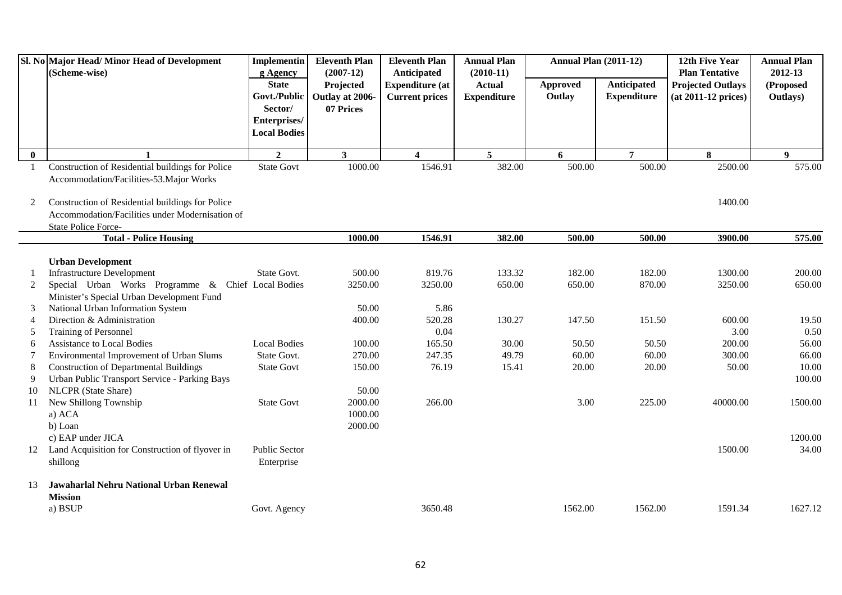|              | Sl. No Major Head/Minor Head of Development<br>(Scheme-wise) | <b>Implementin</b><br>g Agency                                                 | <b>Eleventh Plan</b><br>$(2007-12)$       | <b>Eleventh Plan</b><br>Anticipated             | <b>Annual Plan</b><br>$(2010-11)$   | <b>Annual Plan (2011-12)</b> |                                   | 12th Five Year<br><b>Plan Tentative</b>           | <b>Annual Plan</b><br>2012-13 |
|--------------|--------------------------------------------------------------|--------------------------------------------------------------------------------|-------------------------------------------|-------------------------------------------------|-------------------------------------|------------------------------|-----------------------------------|---------------------------------------------------|-------------------------------|
|              |                                                              | <b>State</b><br>Govt./Public<br>Sector/<br>Enterprises/<br><b>Local Bodies</b> | Projected<br>Outlay at 2006-<br>07 Prices | <b>Expenditure</b> (at<br><b>Current prices</b> | <b>Actual</b><br><b>Expenditure</b> | Approved<br>Outlay           | Anticipated<br><b>Expenditure</b> | <b>Projected Outlays</b><br>$(at 2011-12 prices)$ | (Proposed<br>Outlays)         |
| $\mathbf{0}$ | $\mathbf{1}$                                                 | $\overline{2}$                                                                 | 3 <sup>1</sup>                            | $\overline{\mathbf{4}}$                         | 5                                   | 6                            | $\overline{7}$                    | 8                                                 | $\boldsymbol{9}$              |
| -1           | Construction of Residential buildings for Police             | <b>State Govt</b>                                                              | 1000.00                                   | 1546.91                                         | 382.00                              | 500.00                       | 500.00                            | 2500.00                                           | 575.00                        |
|              | Accommodation/Facilities-53. Major Works                     |                                                                                |                                           |                                                 |                                     |                              |                                   |                                                   |                               |
| 2            | Construction of Residential buildings for Police             |                                                                                |                                           |                                                 |                                     |                              |                                   | 1400.00                                           |                               |
|              | Accommodation/Facilities under Modernisation of              |                                                                                |                                           |                                                 |                                     |                              |                                   |                                                   |                               |
|              | State Police Force-                                          |                                                                                |                                           |                                                 |                                     |                              |                                   |                                                   |                               |
|              | <b>Total - Police Housing</b>                                |                                                                                | 1000.00                                   | 1546.91                                         | 382.00                              | 500.00                       | 500.00                            | 3900.00                                           | 575.00                        |
|              | <b>Urban Development</b>                                     |                                                                                |                                           |                                                 |                                     |                              |                                   |                                                   |                               |
|              | <b>Infrastructure Development</b>                            | State Govt.                                                                    | 500.00                                    | 819.76                                          | 133.32                              | 182.00                       | 182.00                            | 1300.00                                           | 200.00                        |
| 2            | Special Urban Works Programme & Chief Local Bodies           |                                                                                | 3250.00                                   | 3250.00                                         | 650.00                              | 650.00                       | 870.00                            | 3250.00                                           | 650.00                        |
|              | Minister's Special Urban Development Fund                    |                                                                                |                                           |                                                 |                                     |                              |                                   |                                                   |                               |
| 3            | National Urban Information System                            |                                                                                | 50.00                                     | 5.86                                            |                                     |                              |                                   |                                                   |                               |
| 4            | Direction & Administration                                   |                                                                                | 400.00                                    | 520.28                                          | 130.27                              | 147.50                       | 151.50                            | 600.00                                            | 19.50                         |
| 5            | Training of Personnel                                        |                                                                                |                                           | 0.04                                            |                                     |                              |                                   | 3.00                                              | 0.50                          |
| 6            | <b>Assistance to Local Bodies</b>                            | <b>Local Bodies</b>                                                            | 100.00                                    | 165.50                                          | 30.00                               | 50.50                        | 50.50                             | 200.00                                            | 56.00                         |
| 7            | Environmental Improvement of Urban Slums                     | State Govt.                                                                    | 270.00                                    | 247.35                                          | 49.79                               | 60.00                        | 60.00                             | 300.00                                            | 66.00                         |
| 8            | <b>Construction of Departmental Buildings</b>                | <b>State Govt</b>                                                              | 150.00                                    | 76.19                                           | 15.41                               | 20.00                        | 20.00                             | 50.00                                             | 10.00                         |
| 9            | Urban Public Transport Service - Parking Bays                |                                                                                |                                           |                                                 |                                     |                              |                                   |                                                   | 100.00                        |
| 10           | NLCPR (State Share)                                          |                                                                                | 50.00                                     |                                                 |                                     |                              |                                   |                                                   |                               |
| 11           | New Shillong Township                                        | <b>State Govt</b>                                                              | 2000.00                                   | 266.00                                          |                                     | 3.00                         | 225.00                            | 40000.00                                          | 1500.00                       |
|              | a) ACA                                                       |                                                                                | 1000.00                                   |                                                 |                                     |                              |                                   |                                                   |                               |
|              | b) Loan                                                      |                                                                                | 2000.00                                   |                                                 |                                     |                              |                                   |                                                   |                               |
|              | c) EAP under JICA                                            |                                                                                |                                           |                                                 |                                     |                              |                                   |                                                   | 1200.00                       |
| 12           | Land Acquisition for Construction of flyover in              | <b>Public Sector</b>                                                           |                                           |                                                 |                                     |                              |                                   | 1500.00                                           | 34.00                         |
|              | shillong                                                     | Enterprise                                                                     |                                           |                                                 |                                     |                              |                                   |                                                   |                               |
| 13           | Jawaharlal Nehru National Urban Renewal                      |                                                                                |                                           |                                                 |                                     |                              |                                   |                                                   |                               |
|              | <b>Mission</b>                                               |                                                                                |                                           |                                                 |                                     |                              |                                   |                                                   |                               |
|              | a) BSUP                                                      | Govt. Agency                                                                   |                                           | 3650.48                                         |                                     | 1562.00                      | 1562.00                           | 1591.34                                           | 1627.12                       |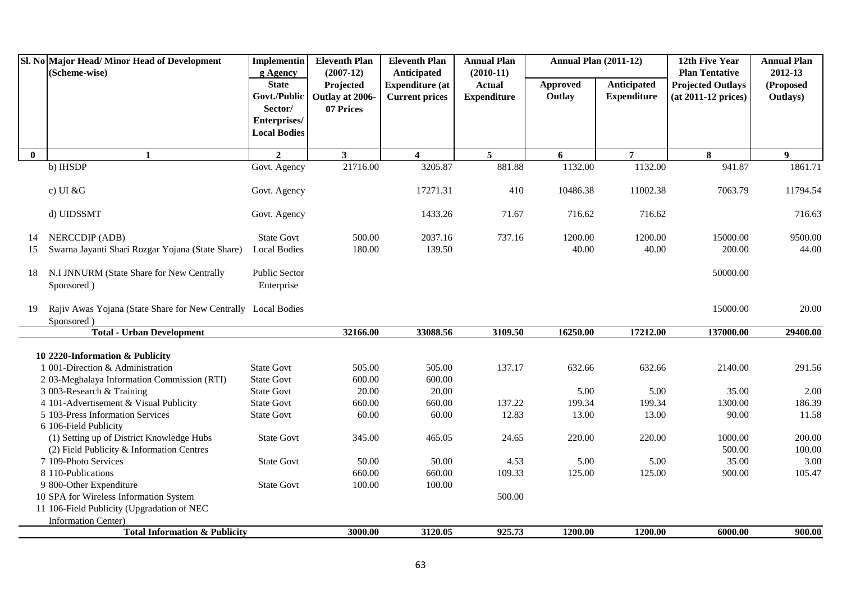| Sl. No Major Head/Minor Head of Development<br>(Scheme-wise) |                                                               | Implementin              | <b>Eleventh Plan</b><br>$(2007-12)$ | <b>Eleventh Plan</b>                  | <b>Annual Plan</b><br>$(2010-11)$ | <b>Annual Plan (2011-12)</b> |                    | 12th Five Year<br><b>Plan Tentative</b> | <b>Annual Plan</b><br>2012-13 |
|--------------------------------------------------------------|---------------------------------------------------------------|--------------------------|-------------------------------------|---------------------------------------|-----------------------------------|------------------------------|--------------------|-----------------------------------------|-------------------------------|
|                                                              |                                                               | g Agency<br><b>State</b> | Projected                           | Anticipated<br><b>Expenditure (at</b> | <b>Actual</b>                     | Approved                     | Anticipated        | <b>Projected Outlays</b>                | (Proposed                     |
|                                                              |                                                               | Govt./Public             | Outlay at 2006-                     | <b>Current prices</b>                 | <b>Expenditure</b>                | Outlay                       | <b>Expenditure</b> | $(at 2011-12 prices)$                   | Outlays)                      |
|                                                              |                                                               | Sector/                  | 07 Prices                           |                                       |                                   |                              |                    |                                         |                               |
|                                                              |                                                               | Enterprises/             |                                     |                                       |                                   |                              |                    |                                         |                               |
|                                                              |                                                               | <b>Local Bodies</b>      |                                     |                                       |                                   |                              |                    |                                         |                               |
| $\bf{0}$                                                     | $\mathbf{1}$                                                  | $\overline{2}$           | 3 <sup>1</sup>                      | 4                                     | $5\overline{5}$                   | 6                            | $\overline{7}$     | 8                                       | 9                             |
|                                                              | b) IHSDP                                                      | Govt. Agency             | 21716.00                            | 3205.87                               | 881.88                            | 1132.00                      | 1132.00            | 941.87                                  | 1861.71                       |
|                                                              | c) UI & $G$                                                   | Govt. Agency             |                                     | 17271.31                              | 410                               | 10486.38                     | 11002.38           | 7063.79                                 | 11794.54                      |
|                                                              | d) UIDSSMT                                                    | Govt. Agency             |                                     | 1433.26                               | 71.67                             | 716.62                       | 716.62             |                                         | 716.63                        |
| 14                                                           | NERCCDIP (ADB)                                                | <b>State Govt</b>        | 500.00                              | 2037.16                               | 737.16                            | 1200.00                      | 1200.00            | 15000.00                                | 9500.00                       |
| 15                                                           | Swarna Jayanti Shari Rozgar Yojana (State Share)              | <b>Local Bodies</b>      | 180.00                              | 139.50                                |                                   | 40.00                        | 40.00              | 200.00                                  | 44.00                         |
| 18                                                           | N.I JNNURM (State Share for New Centrally                     | Public Sector            |                                     |                                       |                                   |                              |                    | 50000.00                                |                               |
|                                                              | Sponsored)                                                    | Enterprise               |                                     |                                       |                                   |                              |                    |                                         |                               |
| 19                                                           | Rajiv Awas Yojana (State Share for New Centrally Local Bodies |                          |                                     |                                       |                                   |                              |                    | 15000.00                                | 20.00                         |
|                                                              | Sponsored)                                                    |                          |                                     |                                       |                                   |                              |                    |                                         |                               |
|                                                              | <b>Total - Urban Development</b>                              |                          | 32166.00                            | 33088.56                              | 3109.50                           | 16250.00                     | 17212.00           | 137000.00                               | 29400.00                      |
|                                                              | 10 2220-Information & Publicity                               |                          |                                     |                                       |                                   |                              |                    |                                         |                               |
|                                                              | 1 001-Direction & Administration                              | <b>State Govt</b>        | 505.00                              | 505.00                                | 137.17                            | 632.66                       | 632.66             | 2140.00                                 | 291.56                        |
|                                                              | 2 03-Meghalaya Information Commission (RTI)                   | <b>State Govt</b>        | 600.00                              | 600.00                                |                                   |                              |                    |                                         |                               |
|                                                              | 3 003-Research & Training                                     | <b>State Govt</b>        | 20.00                               | 20.00                                 |                                   | 5.00                         | 5.00               | 35.00                                   | 2.00                          |
|                                                              | 4 101-Advertisement & Visual Publicity                        | <b>State Govt</b>        | 660.00                              | 660.00                                | 137.22                            | 199.34                       | 199.34             | 1300.00                                 | 186.39                        |
|                                                              | 5 103-Press Information Services                              | <b>State Govt</b>        | 60.00                               | 60.00                                 | 12.83                             | 13.00                        | 13.00              | 90.00                                   | 11.58                         |
|                                                              | 6 106-Field Publicity                                         |                          |                                     |                                       |                                   |                              |                    |                                         |                               |
|                                                              | (1) Setting up of District Knowledge Hubs                     | <b>State Govt</b>        | 345.00                              | 465.05                                | 24.65                             | 220.00                       | 220.00             | 1000.00                                 | 200.00                        |
|                                                              | (2) Field Publicity & Information Centres                     |                          |                                     |                                       |                                   |                              |                    | 500.00                                  | 100.00                        |
|                                                              | 7 109-Photo Services                                          | <b>State Govt</b>        | 50.00                               | 50.00                                 | 4.53                              | 5.00                         | 5.00               | 35.00                                   | 3.00                          |
|                                                              | 8 110-Publications                                            |                          | 660.00                              | 660.00                                | 109.33                            | 125.00                       | 125.00             | 900.00                                  | 105.47                        |
|                                                              | 9 800-Other Expenditure                                       | <b>State Govt</b>        | 100.00                              | 100.00                                |                                   |                              |                    |                                         |                               |
|                                                              | 10 SPA for Wireless Information System                        |                          |                                     |                                       | 500.00                            |                              |                    |                                         |                               |
|                                                              | 11 106-Field Publicity (Upgradation of NEC                    |                          |                                     |                                       |                                   |                              |                    |                                         |                               |
|                                                              | <b>Information Center)</b>                                    |                          |                                     |                                       |                                   |                              |                    |                                         |                               |
|                                                              | <b>Total Information &amp; Publicity</b>                      |                          | 3000.00                             | 3120.05                               | 925.73                            | 1200.00                      | 1200.00            | 6000.00                                 | 900.00                        |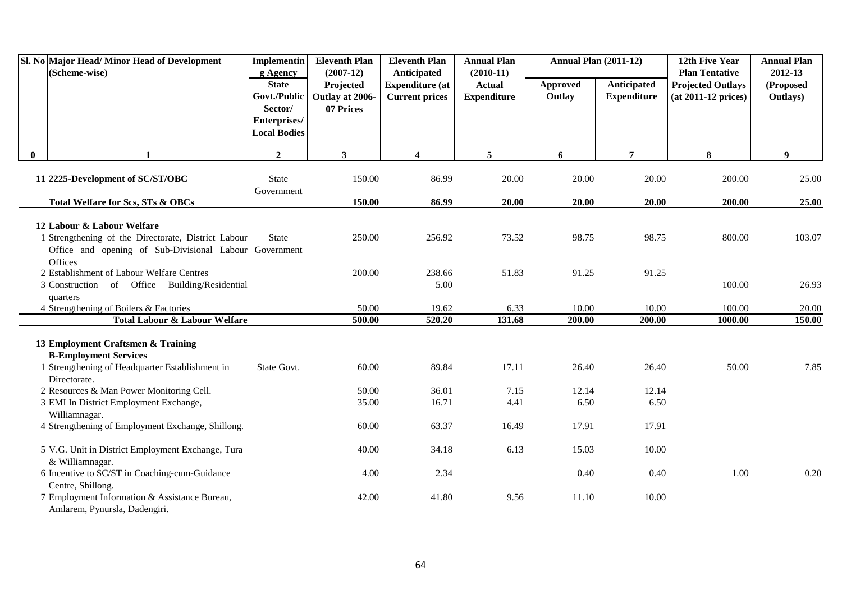| Sl. No Major Head/ Minor Head of Development<br>(Scheme-wise)                                                                                          | Implementin<br>g Agency                 | <b>Eleventh Plan</b><br>$(2007-12)$ | <b>Eleventh Plan</b><br>Anticipated             | <b>Annual Plan</b><br>$(2010-11)$   | <b>Annual Plan (2011-12)</b> |                                   | 12th Five Year<br><b>Plan Tentative</b>           | <b>Annual Plan</b><br>2012-13 |
|--------------------------------------------------------------------------------------------------------------------------------------------------------|-----------------------------------------|-------------------------------------|-------------------------------------------------|-------------------------------------|------------------------------|-----------------------------------|---------------------------------------------------|-------------------------------|
|                                                                                                                                                        | <b>State</b><br>Govt./Public<br>Sector/ | Projected<br>Outlay at 2006-        | <b>Expenditure (at</b><br><b>Current prices</b> | <b>Actual</b><br><b>Expenditure</b> | <b>Approved</b><br>Outlay    | Anticipated<br><b>Expenditure</b> | <b>Projected Outlays</b><br>$(at 2011-12 prices)$ | (Proposed<br>Outlays)         |
|                                                                                                                                                        | Enterprises/<br><b>Local Bodies</b>     | 07 Prices                           |                                                 |                                     |                              |                                   |                                                   |                               |
| $\mathbf{0}$<br>$\mathbf{1}$                                                                                                                           | $\overline{2}$                          | 3 <sup>1</sup>                      | $\overline{\mathbf{4}}$                         | 5 <sup>1</sup>                      | 6                            | $\overline{7}$                    | 8                                                 | 9                             |
| 11 2225-Development of SC/ST/OBC                                                                                                                       | <b>State</b><br>Government              | 150.00                              | 86.99                                           | 20.00                               | 20.00                        | 20.00                             | 200.00                                            | 25.00                         |
| Total Welfare for Scs, STs & OBCs                                                                                                                      |                                         | 150.00                              | 86.99                                           | 20.00                               | 20.00                        | 20.00                             | 200.00                                            | 25.00                         |
| 12 Labour & Labour Welfare<br>1 Strengthening of the Directorate, District Labour<br>Office and opening of Sub-Divisional Labour Government<br>Offices | <b>State</b>                            | 250.00                              | 256.92                                          | 73.52                               | 98.75                        | 98.75                             | 800.00                                            | 103.07                        |
| 2 Establishment of Labour Welfare Centres<br>3 Construction of Office Building/Residential<br>quarters                                                 |                                         | 200.00                              | 238.66<br>5.00                                  | 51.83                               | 91.25                        | 91.25                             | 100.00                                            | 26.93                         |
| 4 Strengthening of Boilers & Factories                                                                                                                 |                                         | 50.00                               | 19.62                                           | 6.33                                | 10.00                        | 10.00                             | 100.00                                            | 20.00                         |
| <b>Total Labour &amp; Labour Welfare</b>                                                                                                               |                                         | 500.00                              | 520.20                                          | 131.68                              | 200.00                       | 200.00                            | 1000.00                                           | 150.00                        |
| 13 Employment Craftsmen & Training<br><b>B-Employment Services</b><br>1 Strengthening of Headquarter Establishment in<br>Directorate.                  | State Govt.                             | 60.00                               | 89.84                                           | 17.11                               | 26.40                        | 26.40                             | 50.00                                             | 7.85                          |
| 2 Resources & Man Power Monitoring Cell.                                                                                                               |                                         | 50.00                               | 36.01                                           | 7.15                                | 12.14                        | 12.14                             |                                                   |                               |
| 3 EMI In District Employment Exchange,<br>Williamnagar.                                                                                                |                                         | 35.00                               | 16.71                                           | 4.41                                | 6.50                         | 6.50                              |                                                   |                               |
| 4 Strengthening of Employment Exchange, Shillong.                                                                                                      |                                         | 60.00                               | 63.37                                           | 16.49                               | 17.91                        | 17.91                             |                                                   |                               |
| 5 V.G. Unit in District Employment Exchange, Tura<br>& Williamnagar.                                                                                   |                                         | 40.00                               | 34.18                                           | 6.13                                | 15.03                        | 10.00                             |                                                   |                               |
| 6 Incentive to SC/ST in Coaching-cum-Guidance<br>Centre, Shillong.                                                                                     |                                         | 4.00                                | 2.34                                            |                                     | 0.40                         | 0.40                              | 1.00                                              | 0.20                          |
| 7 Employment Information & Assistance Bureau,<br>Amlarem, Pynursla, Dadengiri.                                                                         |                                         | 42.00                               | 41.80                                           | 9.56                                | 11.10                        | 10.00                             |                                                   |                               |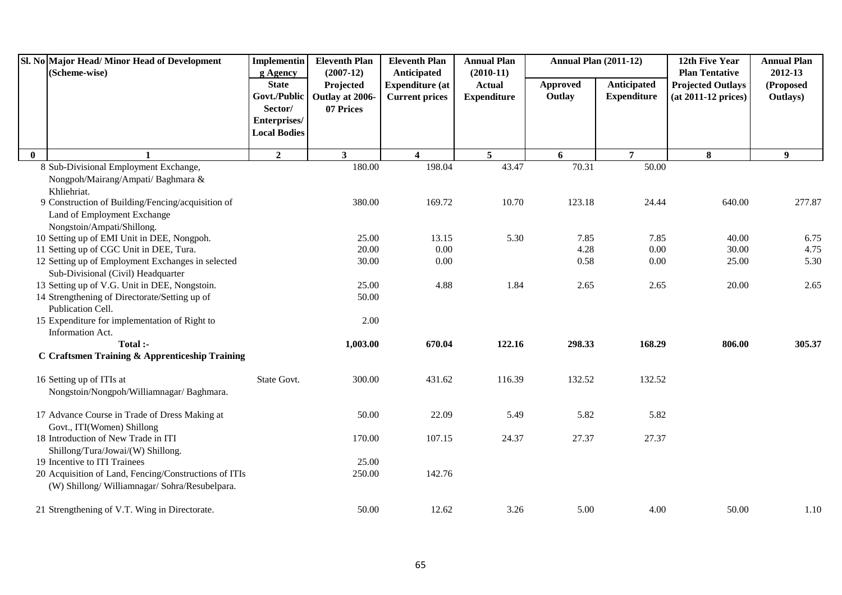| Anticipated<br>Anticipated<br><b>State</b><br><b>Approved</b><br><b>Expenditure</b> (at<br><b>Projected Outlays</b><br>Projected<br><b>Actual</b><br>Govt./Public<br><b>Expenditure</b><br><b>Expenditure</b><br>Outlay<br>Outlay at 2006-<br><b>Current prices</b><br>$(at 2011-12 prices)$ | (Proposed<br>Outlays)          |
|----------------------------------------------------------------------------------------------------------------------------------------------------------------------------------------------------------------------------------------------------------------------------------------------|--------------------------------|
|                                                                                                                                                                                                                                                                                              |                                |
| Sector/<br>07 Prices                                                                                                                                                                                                                                                                         |                                |
| Enterprises/                                                                                                                                                                                                                                                                                 |                                |
| <b>Local Bodies</b>                                                                                                                                                                                                                                                                          |                                |
| $\overline{2}$<br>5 <sup>5</sup><br>$\overline{7}$<br>3 <sup>1</sup><br>8<br>$\mathbf{0}$<br>$\overline{\mathbf{4}}$<br>6                                                                                                                                                                    | $\boldsymbol{9}$               |
| 180.00<br>198.04<br>43.47<br>70.31<br>50.00<br>8 Sub-Divisional Employment Exchange,                                                                                                                                                                                                         |                                |
| Nongpoh/Mairang/Ampati/ Baghmara &                                                                                                                                                                                                                                                           |                                |
| Khliehriat.                                                                                                                                                                                                                                                                                  |                                |
| 9 Construction of Building/Fencing/acquisition of<br>10.70<br>123.18<br>380.00<br>169.72<br>24.44                                                                                                                                                                                            | 277.87<br>640.00               |
| Land of Employment Exchange                                                                                                                                                                                                                                                                  |                                |
| Nongstoin/Ampati/Shillong.                                                                                                                                                                                                                                                                   |                                |
| 10 Setting up of EMI Unit in DEE, Nongpoh.<br>25.00<br>13.15<br>5.30<br>7.85<br>7.85<br>0.00<br>0.00<br>11 Setting up of CGC Unit in DEE, Tura.<br>20.00<br>4.28                                                                                                                             | 40.00<br>6.75<br>30.00<br>4.75 |
| 12 Setting up of Employment Exchanges in selected<br>0.00<br>0.58<br>30.00<br>0.00                                                                                                                                                                                                           | 25.00<br>5.30                  |
| Sub-Divisional (Civil) Headquarter                                                                                                                                                                                                                                                           |                                |
| 1.84<br>13 Setting up of V.G. Unit in DEE, Nongstoin.<br>25.00<br>4.88<br>2.65<br>2.65                                                                                                                                                                                                       | 20.00<br>2.65                  |
| 14 Strengthening of Directorate/Setting up of<br>50.00                                                                                                                                                                                                                                       |                                |
| Publication Cell.                                                                                                                                                                                                                                                                            |                                |
| 15 Expenditure for implementation of Right to<br>2.00                                                                                                                                                                                                                                        |                                |
| Information Act.                                                                                                                                                                                                                                                                             |                                |
| Total :-<br>670.04<br>122.16<br>298.33<br>168.29<br>1,003.00                                                                                                                                                                                                                                 | 806.00<br>305.37               |
| C Craftsmen Training & Apprenticeship Training                                                                                                                                                                                                                                               |                                |
| 16 Setting up of ITIs at<br>State Govt.<br>300.00<br>431.62<br>116.39<br>132.52<br>132.52                                                                                                                                                                                                    |                                |
| Nongstoin/Nongpoh/Williamnagar/ Baghmara.                                                                                                                                                                                                                                                    |                                |
| 17 Advance Course in Trade of Dress Making at<br>50.00<br>22.09<br>5.49<br>5.82<br>5.82                                                                                                                                                                                                      |                                |
| Govt., ITI(Women) Shillong                                                                                                                                                                                                                                                                   |                                |
| 18 Introduction of New Trade in ITI<br>107.15<br>24.37<br>27.37<br>27.37<br>170.00                                                                                                                                                                                                           |                                |
| Shillong/Tura/Jowai/(W) Shillong.                                                                                                                                                                                                                                                            |                                |
| 19 Incentive to ITI Trainees<br>25.00                                                                                                                                                                                                                                                        |                                |
| 20 Acquisition of Land, Fencing/Constructions of ITIs<br>250.00<br>142.76<br>(W) Shillong/Williamnagar/Sohra/Resubelpara.                                                                                                                                                                    |                                |
| 21 Strengthening of V.T. Wing in Directorate.<br>50.00<br>12.62<br>3.26<br>5.00<br>4.00                                                                                                                                                                                                      | 50.00<br>1.10                  |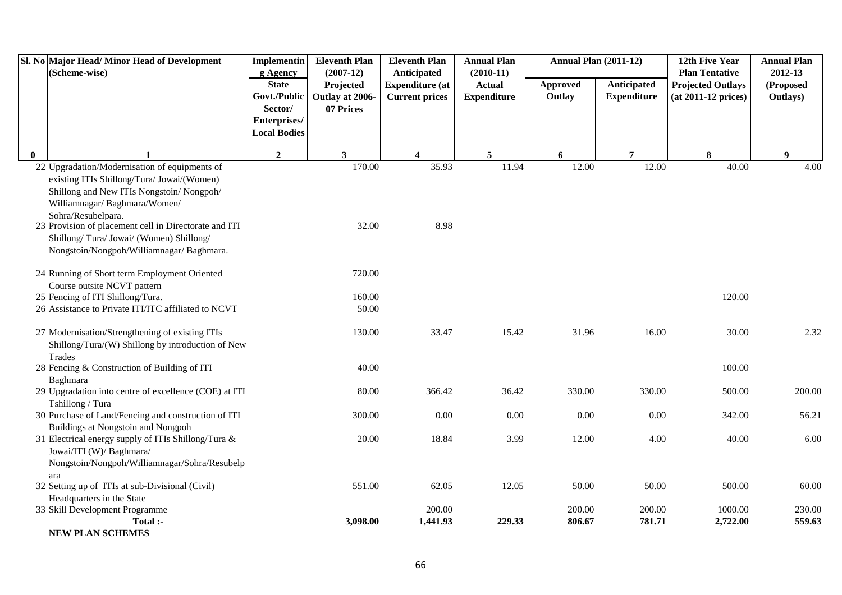|              | Sl. No Major Head/Minor Head of Development<br>(Scheme-wise)                                                                                                                                                                                                                                                                                  | <b>Implementin</b><br>g Agency                                                 | <b>Eleventh Plan</b><br>$(2007-12)$       | <b>Eleventh Plan</b><br>Anticipated             | <b>Annual Plan</b><br><b>Annual Plan (2011-12)</b><br>$(2010-11)$ |                    |                                   | 12th Five Year<br><b>Plan Tentative</b>         | <b>Annual Plan</b><br>2012-13 |
|--------------|-----------------------------------------------------------------------------------------------------------------------------------------------------------------------------------------------------------------------------------------------------------------------------------------------------------------------------------------------|--------------------------------------------------------------------------------|-------------------------------------------|-------------------------------------------------|-------------------------------------------------------------------|--------------------|-----------------------------------|-------------------------------------------------|-------------------------------|
|              |                                                                                                                                                                                                                                                                                                                                               | <b>State</b><br>Govt./Public<br>Sector/<br>Enterprises/<br><b>Local Bodies</b> | Projected<br>Outlay at 2006-<br>07 Prices | <b>Expenditure (at</b><br><b>Current prices</b> | <b>Actual</b><br><b>Expenditure</b>                               | Approved<br>Outlay | Anticipated<br><b>Expenditure</b> | <b>Projected Outlays</b><br>(at 2011-12 prices) | (Proposed<br>Outlays)         |
| $\mathbf{0}$ |                                                                                                                                                                                                                                                                                                                                               | $\overline{2}$                                                                 | $\mathbf{3}$                              | 4                                               | $\overline{5}$                                                    | 6                  | $\overline{7}$                    | 8                                               | $\boldsymbol{q}$              |
|              | 22 Upgradation/Modernisation of equipments of<br>existing ITIs Shillong/Tura/ Jowai/(Women)<br>Shillong and New ITIs Nongstoin/Nongpoh/<br>Williamnagar/Baghmara/Women/<br>Sohra/Resubelpara.<br>23 Provision of placement cell in Directorate and ITI<br>Shillong/Tura/Jowai/ (Women) Shillong/<br>Nongstoin/Nongpoh/Williamnagar/ Baghmara. |                                                                                | 170.00<br>32.00                           | 35.93<br>8.98                                   | 11.94                                                             | 12.00              | 12.00                             | 40.00                                           | 4.00                          |
|              | 24 Running of Short term Employment Oriented                                                                                                                                                                                                                                                                                                  |                                                                                | 720.00                                    |                                                 |                                                                   |                    |                                   |                                                 |                               |
|              | Course outsite NCVT pattern                                                                                                                                                                                                                                                                                                                   |                                                                                |                                           |                                                 |                                                                   |                    |                                   |                                                 |                               |
|              | 25 Fencing of ITI Shillong/Tura.<br>26 Assistance to Private ITI/ITC affiliated to NCVT                                                                                                                                                                                                                                                       |                                                                                | 160.00<br>50.00                           |                                                 |                                                                   |                    |                                   | 120.00                                          |                               |
|              | 27 Modernisation/Strengthening of existing ITIs<br>Shillong/Tura/(W) Shillong by introduction of New<br>Trades                                                                                                                                                                                                                                |                                                                                | 130.00                                    | 33.47                                           | 15.42                                                             | 31.96              | 16.00                             | 30.00                                           | 2.32                          |
|              | 28 Fencing & Construction of Building of ITI<br>Baghmara                                                                                                                                                                                                                                                                                      |                                                                                | 40.00                                     |                                                 |                                                                   |                    |                                   | 100.00                                          |                               |
|              | 29 Upgradation into centre of excellence (COE) at ITI<br>Tshillong / Tura                                                                                                                                                                                                                                                                     |                                                                                | 80.00                                     | 366.42                                          | 36.42                                                             | 330.00             | 330.00                            | 500.00                                          | 200.00                        |
|              | 30 Purchase of Land/Fencing and construction of ITI                                                                                                                                                                                                                                                                                           |                                                                                | 300.00                                    | 0.00                                            | 0.00                                                              | 0.00               | 0.00                              | 342.00                                          | 56.21                         |
|              | Buildings at Nongstoin and Nongpoh<br>31 Electrical energy supply of ITIs Shillong/Tura &<br>Jowai/ITI (W)/ Baghmara/<br>Nongstoin/Nongpoh/Williamnagar/Sohra/Resubelp                                                                                                                                                                        |                                                                                | 20.00                                     | 18.84                                           | 3.99                                                              | 12.00              | 4.00                              | 40.00                                           | 6.00                          |
|              | ara                                                                                                                                                                                                                                                                                                                                           |                                                                                |                                           |                                                 |                                                                   |                    |                                   |                                                 |                               |
|              | 32 Setting up of ITIs at sub-Divisional (Civil)                                                                                                                                                                                                                                                                                               |                                                                                | 551.00                                    | 62.05                                           | 12.05                                                             | 50.00              | 50.00                             | 500.00                                          | 60.00                         |
|              | Headquarters in the State<br>33 Skill Development Programme                                                                                                                                                                                                                                                                                   |                                                                                |                                           | 200.00                                          |                                                                   | 200.00             | 200.00                            | 1000.00                                         | 230.00                        |
|              | Total :-                                                                                                                                                                                                                                                                                                                                      |                                                                                | 3,098.00                                  | 1,441.93                                        | 229.33                                                            | 806.67             | 781.71                            | 2,722.00                                        | 559.63                        |
|              | <b>NEW PLAN SCHEMES</b>                                                                                                                                                                                                                                                                                                                       |                                                                                |                                           |                                                 |                                                                   |                    |                                   |                                                 |                               |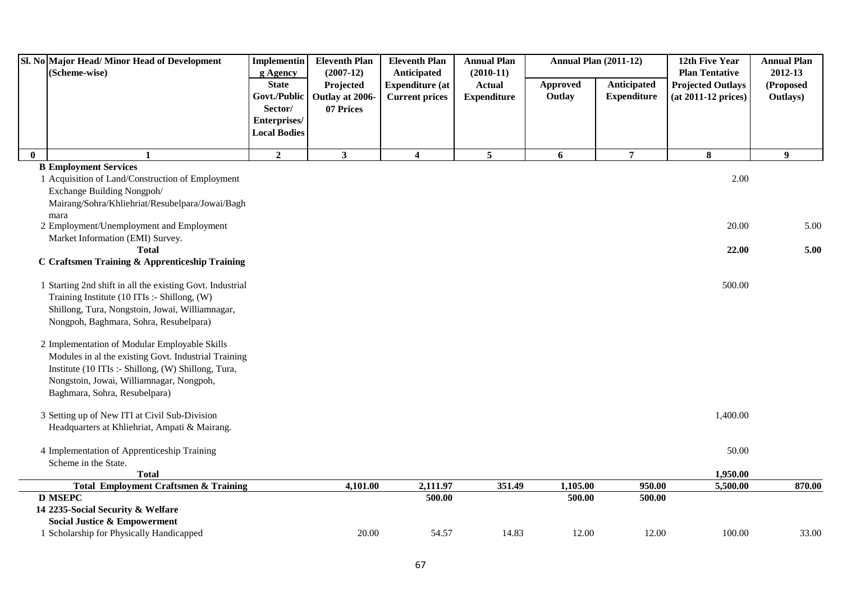| Sl. No Major Head/Minor Head of Development<br>(Scheme-wise)                                                                                                                                                                              | Implementin<br>g Agency                                                        | <b>Eleventh Plan</b><br>$(2007-12)$       | <b>Eleventh Plan</b><br>Anticipated             | <b>Annual Plan</b><br>$(2010-11)$   |                    | <b>Annual Plan (2011-12)</b>      | 12th Five Year<br><b>Plan Tentative</b>         | <b>Annual Plan</b><br>2012-13 |
|-------------------------------------------------------------------------------------------------------------------------------------------------------------------------------------------------------------------------------------------|--------------------------------------------------------------------------------|-------------------------------------------|-------------------------------------------------|-------------------------------------|--------------------|-----------------------------------|-------------------------------------------------|-------------------------------|
|                                                                                                                                                                                                                                           | <b>State</b><br>Govt./Public<br>Sector/<br>Enterprises/<br><b>Local Bodies</b> | Projected<br>Outlay at 2006-<br>07 Prices | <b>Expenditure (at</b><br><b>Current prices</b> | <b>Actual</b><br><b>Expenditure</b> | Approved<br>Outlay | Anticipated<br><b>Expenditure</b> | <b>Projected Outlays</b><br>(at 2011-12 prices) | (Proposed<br>Outlays)         |
| $\mathbf{0}$<br>$\mathbf{1}$                                                                                                                                                                                                              | $\overline{2}$                                                                 | $\overline{\mathbf{3}}$                   | $\overline{\mathbf{4}}$                         | 5                                   | 6                  | $\overline{7}$                    | 8                                               | $\boldsymbol{9}$              |
| <b>B Employment Services</b><br>1 Acquisition of Land/Construction of Employment<br>Exchange Building Nongpoh/<br>Mairang/Sohra/Khliehriat/Resubelpara/Jowai/Bagh                                                                         |                                                                                |                                           |                                                 |                                     |                    |                                   | 2.00                                            |                               |
| mara<br>2 Employment/Unemployment and Employment                                                                                                                                                                                          |                                                                                |                                           |                                                 |                                     |                    |                                   | 20.00                                           | 5.00                          |
| Market Information (EMI) Survey.<br><b>Total</b><br>C Craftsmen Training & Apprenticeship Training                                                                                                                                        |                                                                                |                                           |                                                 |                                     |                    |                                   | 22.00                                           | 5.00                          |
| 1 Starting 2nd shift in all the existing Govt. Industrial<br>Training Institute (10 ITIs :- Shillong, (W)<br>Shillong, Tura, Nongstoin, Jowai, Williamnagar,<br>Nongpoh, Baghmara, Sohra, Resubelpara)                                    |                                                                                |                                           |                                                 |                                     |                    |                                   | 500.00                                          |                               |
| 2 Implementation of Modular Employable Skills<br>Modules in al the existing Govt. Industrial Training<br>Institute (10 ITIs :- Shillong, (W) Shillong, Tura,<br>Nongstoin, Jowai, Williamnagar, Nongpoh,<br>Baghmara, Sohra, Resubelpara) |                                                                                |                                           |                                                 |                                     |                    |                                   |                                                 |                               |
| 3 Setting up of New ITI at Civil Sub-Division<br>Headquarters at Khliehriat, Ampati & Mairang.                                                                                                                                            |                                                                                |                                           |                                                 |                                     |                    |                                   | 1,400.00                                        |                               |
| 4 Implementation of Apprenticeship Training<br>Scheme in the State.                                                                                                                                                                       |                                                                                |                                           |                                                 |                                     |                    |                                   | 50.00                                           |                               |
| <b>Total</b><br><b>Total Employment Craftsmen &amp; Training</b>                                                                                                                                                                          |                                                                                | 4,101.00                                  | 2,111.97                                        | 351.49                              | 1,105.00           | 950.00                            | 1,950.00<br>5,500.00                            | 870.00                        |
| <b>D MSEPC</b><br>14 2235-Social Security & Welfare<br><b>Social Justice &amp; Empowerment</b>                                                                                                                                            |                                                                                |                                           | 500.00                                          |                                     | 500.00             | 500.00                            |                                                 |                               |
| 1 Scholarship for Physically Handicapped                                                                                                                                                                                                  |                                                                                | 20.00                                     | 54.57                                           | 14.83                               | 12.00              | 12.00                             | 100.00                                          | 33.00                         |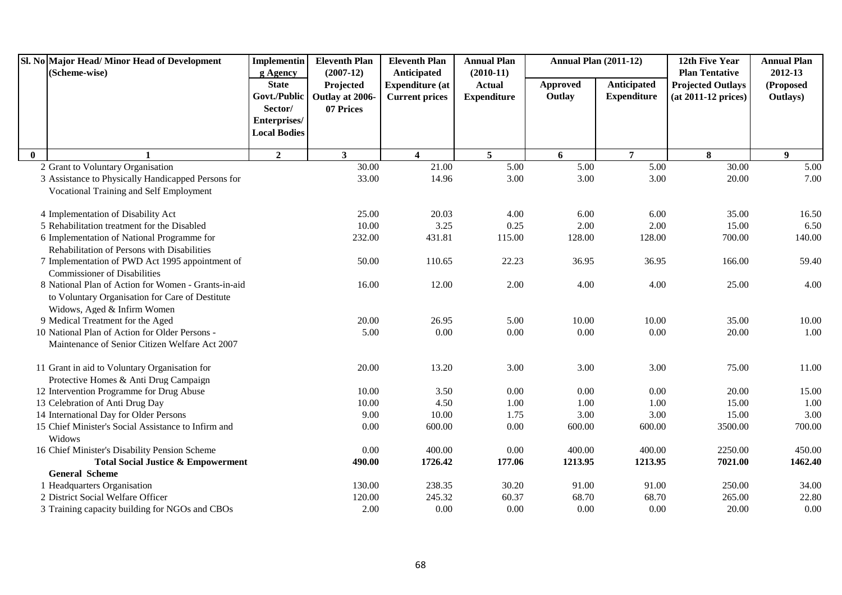| Sl. No Major Head/Minor Head of Development         | <b>Implementin</b>  | <b>Eleventh Plan</b> | <b>Eleventh Plan</b>    | <b>Annual Plan</b> | <b>Annual Plan (2011-12)</b> |                    | 12th Five Year           | <b>Annual Plan</b> |
|-----------------------------------------------------|---------------------|----------------------|-------------------------|--------------------|------------------------------|--------------------|--------------------------|--------------------|
| (Scheme-wise)                                       | g Agency            | $(2007-12)$          | Anticipated             | $(2010-11)$        |                              |                    | <b>Plan Tentative</b>    | 2012-13            |
|                                                     | <b>State</b>        | Projected            | <b>Expenditure (at</b>  | <b>Actual</b>      | <b>Approved</b>              | Anticipated        | <b>Projected Outlays</b> | (Proposed          |
|                                                     | Govt./Public        | Outlay at 2006-      | <b>Current prices</b>   | <b>Expenditure</b> | Outlay                       | <b>Expenditure</b> | $(at 2011-12 prices)$    | Outlays)           |
|                                                     | Sector/             | 07 Prices            |                         |                    |                              |                    |                          |                    |
|                                                     | Enterprises/        |                      |                         |                    |                              |                    |                          |                    |
|                                                     | <b>Local Bodies</b> |                      |                         |                    |                              |                    |                          |                    |
| $\mathbf{0}$                                        | $\overline{2}$      | $\mathbf{3}$         | $\overline{\mathbf{4}}$ | $\overline{5}$     | 6                            | $\overline{7}$     | 8                        | $\boldsymbol{9}$   |
| 2 Grant to Voluntary Organisation                   |                     | 30.00                | 21.00                   | 5.00               | 5.00                         | 5.00               | 30.00                    | 5.00               |
| 3 Assistance to Physically Handicapped Persons for  |                     | 33.00                | 14.96                   | 3.00               | 3.00                         | 3.00               | 20.00                    | 7.00               |
| Vocational Training and Self Employment             |                     |                      |                         |                    |                              |                    |                          |                    |
| 4 Implementation of Disability Act                  |                     | 25.00                | 20.03                   | 4.00               | 6.00                         | 6.00               | 35.00                    | 16.50              |
| 5 Rehabilitation treatment for the Disabled         |                     | 10.00                | 3.25                    | 0.25               | 2.00                         | $2.00\,$           | 15.00                    | 6.50               |
| 6 Implementation of National Programme for          |                     | 232.00               | 431.81                  | 115.00             | 128.00                       | 128.00             | 700.00                   | 140.00             |
| Rehabilitation of Persons with Disabilities         |                     |                      |                         |                    |                              |                    |                          |                    |
| 7 Implementation of PWD Act 1995 appointment of     |                     | 50.00                | 110.65                  | 22.23              | 36.95                        | 36.95              | 166.00                   | 59.40              |
| <b>Commissioner of Disabilities</b>                 |                     |                      |                         |                    |                              |                    |                          |                    |
| 8 National Plan of Action for Women - Grants-in-aid |                     | 16.00                | 12.00                   | 2.00               | 4.00                         | 4.00               | 25.00                    | 4.00               |
| to Voluntary Organisation for Care of Destitute     |                     |                      |                         |                    |                              |                    |                          |                    |
| Widows, Aged & Infirm Women                         |                     |                      |                         |                    |                              |                    |                          |                    |
| 9 Medical Treatment for the Aged                    |                     | 20.00                | 26.95                   | 5.00               | 10.00                        | 10.00              | 35.00                    | 10.00              |
| 10 National Plan of Action for Older Persons -      |                     | 5.00                 | 0.00                    | 0.00               | 0.00                         | 0.00               | 20.00                    | 1.00               |
| Maintenance of Senior Citizen Welfare Act 2007      |                     |                      |                         |                    |                              |                    |                          |                    |
| 11 Grant in aid to Voluntary Organisation for       |                     | 20.00                | 13.20                   | 3.00               | 3.00                         | 3.00               | 75.00                    | 11.00              |
| Protective Homes & Anti Drug Campaign               |                     |                      |                         |                    |                              |                    |                          |                    |
| 12 Intervention Programme for Drug Abuse            |                     | 10.00                | 3.50                    | 0.00               | 0.00                         | 0.00               | 20.00                    | 15.00              |
| 13 Celebration of Anti Drug Day                     |                     | 10.00                | 4.50                    | 1.00               | 1.00                         | 1.00               | 15.00                    | 1.00               |
| 14 International Day for Older Persons              |                     | 9.00                 | 10.00                   | 1.75               | 3.00                         | 3.00               | 15.00                    | 3.00               |
| 15 Chief Minister's Social Assistance to Infirm and |                     | 0.00                 | 600.00                  | 0.00               | 600.00                       | 600.00             | 3500.00                  | 700.00             |
| Widows                                              |                     |                      |                         |                    |                              |                    |                          |                    |
| 16 Chief Minister's Disability Pension Scheme       |                     | 0.00                 | 400.00                  | 0.00               | 400.00                       | 400.00             | 2250.00                  | 450.00             |
| <b>Total Social Justice &amp; Empowerment</b>       |                     | 490.00               | 1726.42                 | 177.06             | 1213.95                      | 1213.95            | 7021.00                  | 1462.40            |
| <b>General Scheme</b>                               |                     |                      |                         |                    |                              |                    |                          |                    |
| 1 Headquarters Organisation                         |                     | 130.00               | 238.35                  | 30.20              | 91.00                        | 91.00              | 250.00                   | 34.00              |
| 2 District Social Welfare Officer                   |                     | 120.00               | 245.32                  | 60.37              | 68.70                        | 68.70              | 265.00                   | 22.80              |
| 3 Training capacity building for NGOs and CBOs      |                     | 2.00                 | 0.00                    | 0.00               | 0.00                         | 0.00               | 20.00                    | 0.00               |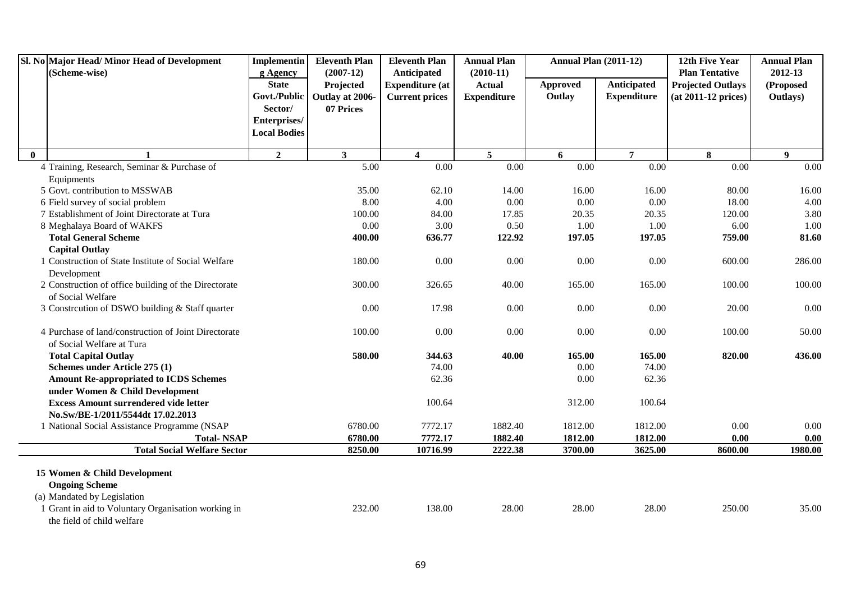|              | Sl. No Major Head/ Minor Head of Development<br>(Scheme-wise)                        | <b>Implementin</b><br>g Agency | <b>Eleventh Plan</b><br>$(2007-12)$ | <b>Eleventh Plan</b><br>Anticipated | <b>Annual Plan</b><br>$(2010-11)$ | Annual Plan (2011-12) |                    | 12th Five Year<br><b>Plan Tentative</b> | <b>Annual Plan</b><br>2012-13 |
|--------------|--------------------------------------------------------------------------------------|--------------------------------|-------------------------------------|-------------------------------------|-----------------------------------|-----------------------|--------------------|-----------------------------------------|-------------------------------|
|              |                                                                                      | <b>State</b>                   | Projected                           | <b>Expenditure</b> (at              | <b>Actual</b>                     | <b>Approved</b>       | Anticipated        | <b>Projected Outlays</b>                | (Proposed                     |
|              |                                                                                      | Govt./Public                   | Outlay at 2006-                     | <b>Current prices</b>               | <b>Expenditure</b>                | Outlay                | <b>Expenditure</b> | $(at 2011-12 prices)$                   | Outlays)                      |
|              |                                                                                      | Sector/                        | 07 Prices                           |                                     |                                   |                       |                    |                                         |                               |
|              |                                                                                      | Enterprises/                   |                                     |                                     |                                   |                       |                    |                                         |                               |
|              |                                                                                      | <b>Local Bodies</b>            |                                     |                                     |                                   |                       |                    |                                         |                               |
| $\mathbf{0}$ |                                                                                      | $\overline{2}$                 | $\mathbf{3}$                        | $\overline{\mathbf{4}}$             | $5\phantom{.0}$                   | 6                     | $\overline{7}$     | 8                                       | $\boldsymbol{9}$              |
|              | 4 Training, Research, Seminar & Purchase of                                          |                                | 5.00                                | 0.00                                | 0.00                              | 0.00                  | 0.00               | 0.00                                    | 0.00                          |
|              | Equipments                                                                           |                                |                                     |                                     |                                   |                       |                    |                                         |                               |
|              | 5 Govt. contribution to MSSWAB                                                       |                                | 35.00                               | 62.10                               | 14.00                             | 16.00                 | 16.00              | 80.00                                   | 16.00                         |
|              | 6 Field survey of social problem                                                     |                                | 8.00                                | 4.00                                | 0.00                              | 0.00                  | 0.00               | 18.00                                   | 4.00                          |
|              | 7 Establishment of Joint Directorate at Tura                                         |                                | 100.00                              | 84.00                               | 17.85                             | 20.35                 | 20.35              | 120.00                                  | 3.80                          |
|              | 8 Meghalaya Board of WAKFS                                                           |                                | 0.00                                | 3.00                                | 0.50                              | 1.00                  | 1.00               | 6.00                                    | 1.00                          |
|              | <b>Total General Scheme</b>                                                          |                                | 400.00                              | 636.77                              | 122.92                            | 197.05                | 197.05             | 759.00                                  | 81.60                         |
|              | <b>Capital Outlay</b>                                                                |                                |                                     |                                     |                                   |                       |                    |                                         |                               |
|              | 1 Construction of State Institute of Social Welfare<br>Development                   |                                | 180.00                              | $0.00\,$                            | 0.00                              | 0.00                  | 0.00               | 600.00                                  | 286.00                        |
|              | 2 Construction of office building of the Directorate<br>of Social Welfare            |                                | 300.00                              | 326.65                              | 40.00                             | 165.00                | 165.00             | 100.00                                  | 100.00                        |
|              | 3 Constrcution of DSWO building & Staff quarter                                      |                                | 0.00                                | 17.98                               | 0.00                              | 0.00                  | 0.00               | 20.00                                   | 0.00                          |
|              | 4 Purchase of land/construction of Joint Directorate<br>of Social Welfare at Tura    |                                | 100.00                              | 0.00                                | 0.00                              | 0.00                  | 0.00               | 100.00                                  | 50.00                         |
|              | <b>Total Capital Outlay</b>                                                          |                                | 580.00                              | 344.63                              | 40.00                             | 165.00                | 165.00             | 820.00                                  | 436.00                        |
|              | Schemes under Article 275 (1)                                                        |                                |                                     | 74.00                               |                                   | 0.00                  | 74.00              |                                         |                               |
|              | <b>Amount Re-appropriated to ICDS Schemes</b><br>under Women & Child Development     |                                |                                     | 62.36                               |                                   | 0.00                  | 62.36              |                                         |                               |
|              | <b>Excess Amount surrendered vide letter</b>                                         |                                |                                     | 100.64                              |                                   | 312.00                | 100.64             |                                         |                               |
|              | No.Sw/BE-1/2011/5544dt 17.02.2013                                                    |                                |                                     |                                     |                                   |                       |                    |                                         |                               |
|              | 1 National Social Assistance Programme (NSAP                                         |                                | 6780.00                             | 7772.17                             | 1882.40                           | 1812.00               | 1812.00            | 0.00                                    | $0.00\,$                      |
|              | <b>Total-NSAP</b>                                                                    |                                | 6780.00                             | 7772.17                             | 1882.40                           | 1812.00               | 1812.00            | 0.00                                    | 0.00                          |
|              | <b>Total Social Welfare Sector</b>                                                   |                                | 8250.00                             | 10716.99                            | 2222.38                           | 3700.00               | 3625.00            | 8600.00                                 | 1980.00                       |
|              | 15 Women & Child Development<br><b>Ongoing Scheme</b><br>(a) Mandated by Legislation |                                |                                     |                                     |                                   |                       |                    |                                         |                               |
|              | 1 Grant in aid to Voluntary Organisation working in<br>the field of child welfare    |                                | 232.00                              | 138.00                              | 28.00                             | 28.00                 | 28.00              | 250.00                                  | 35.00                         |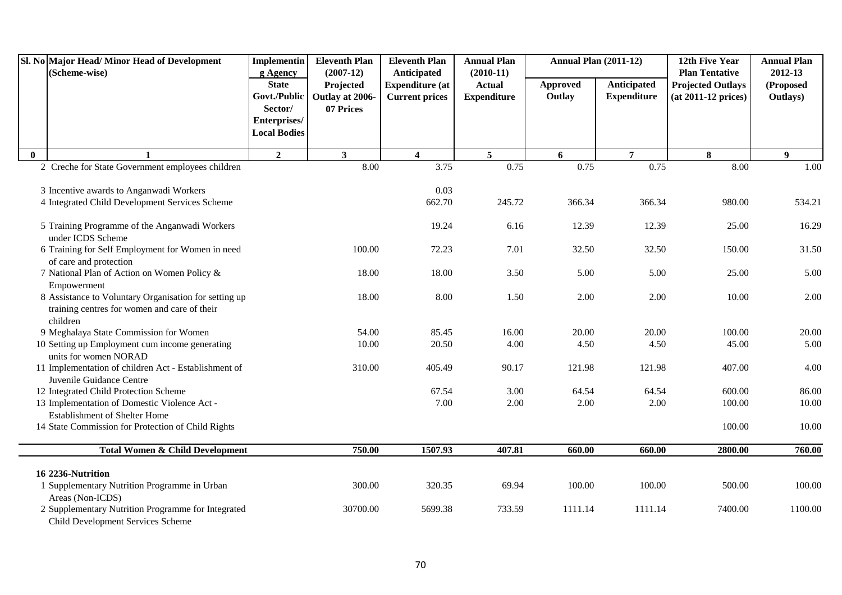|              | Sl. No Major Head/ Minor Head of Development<br>(Scheme-wise)                                                     |                                                | <b>Implementin</b><br><b>Eleventh Plan</b><br><b>Eleventh Plan</b><br>$(2007-12)$<br>Anticipated |                                                 | <b>Annual Plan</b><br>$(2010-11)$   |                    | <b>Annual Plan (2011-12)</b>      | 12th Five Year<br><b>Plan Tentative</b>           | <b>Annual Plan</b><br>2012-13 |
|--------------|-------------------------------------------------------------------------------------------------------------------|------------------------------------------------|--------------------------------------------------------------------------------------------------|-------------------------------------------------|-------------------------------------|--------------------|-----------------------------------|---------------------------------------------------|-------------------------------|
|              |                                                                                                                   | g Agency<br><b>State</b><br>Govt./Public       | Projected<br>Outlay at 2006-                                                                     | <b>Expenditure (at</b><br><b>Current prices</b> | <b>Actual</b><br><b>Expenditure</b> | Approved<br>Outlay | Anticipated<br><b>Expenditure</b> | <b>Projected Outlays</b><br>$(at 2011-12 prices)$ | (Proposed<br>Outlays)         |
|              |                                                                                                                   | Sector/<br>Enterprises/<br><b>Local Bodies</b> | 07 Prices                                                                                        |                                                 |                                     |                    |                                   |                                                   |                               |
| $\mathbf{0}$ | 1                                                                                                                 | $\overline{2}$                                 | $\mathbf{3}$                                                                                     | $\overline{\mathbf{4}}$                         | $5\overline{5}$                     | 6                  | $\overline{7}$                    | 8                                                 | 9                             |
|              | 2 Creche for State Government employees children                                                                  |                                                | 8.00                                                                                             | 3.75                                            | 0.75                                | 0.75               | 0.75                              | 8.00                                              | 1.00                          |
|              | 3 Incentive awards to Anganwadi Workers<br>4 Integrated Child Development Services Scheme                         |                                                |                                                                                                  | 0.03<br>662.70                                  | 245.72                              | 366.34             | 366.34                            | 980.00                                            | 534.21                        |
|              | 5 Training Programme of the Anganwadi Workers<br>under ICDS Scheme                                                |                                                |                                                                                                  | 19.24                                           | 6.16                                | 12.39              | 12.39                             | 25.00                                             | 16.29                         |
|              | 6 Training for Self Employment for Women in need<br>of care and protection                                        |                                                | 100.00                                                                                           | 72.23                                           | 7.01                                | 32.50              | 32.50                             | 150.00                                            | 31.50                         |
|              | 7 National Plan of Action on Women Policy &<br>Empowerment                                                        |                                                | 18.00                                                                                            | 18.00                                           | 3.50                                | 5.00               | 5.00                              | 25.00                                             | 5.00                          |
|              | 8 Assistance to Voluntary Organisation for setting up<br>training centres for women and care of their<br>children |                                                | 18.00                                                                                            | 8.00                                            | 1.50                                | 2.00               | 2.00                              | 10.00                                             | 2.00                          |
|              | 9 Meghalaya State Commission for Women                                                                            |                                                | 54.00                                                                                            | 85.45                                           | 16.00                               | 20.00              | 20.00                             | 100.00                                            | 20.00                         |
|              | 10 Setting up Employment cum income generating<br>units for women NORAD                                           |                                                | 10.00                                                                                            | 20.50                                           | 4.00                                | 4.50               | 4.50                              | 45.00                                             | 5.00                          |
|              | 11 Implementation of children Act - Establishment of<br>Juvenile Guidance Centre                                  |                                                | 310.00                                                                                           | 405.49                                          | 90.17                               | 121.98             | 121.98                            | 407.00                                            | 4.00                          |
|              | 12 Integrated Child Protection Scheme                                                                             |                                                |                                                                                                  | 67.54                                           | 3.00                                | 64.54              | 64.54                             | 600.00                                            | 86.00                         |
|              | 13 Implementation of Domestic Violence Act -<br><b>Establishment of Shelter Home</b>                              |                                                |                                                                                                  | 7.00                                            | 2.00                                | 2.00               | 2.00                              | 100.00                                            | 10.00                         |
|              | 14 State Commission for Protection of Child Rights                                                                |                                                |                                                                                                  |                                                 |                                     |                    |                                   | 100.00                                            | 10.00                         |
|              | <b>Total Women &amp; Child Development</b>                                                                        |                                                | 750.00                                                                                           | 1507.93                                         | 407.81                              | 660.00             | 660.00                            | 2800.00                                           | 760.00                        |
|              | 16 2236-Nutrition                                                                                                 |                                                |                                                                                                  |                                                 |                                     |                    |                                   |                                                   |                               |
|              | 1 Supplementary Nutrition Programme in Urban<br>Areas (Non-ICDS)                                                  |                                                | 300.00                                                                                           | 320.35                                          | 69.94                               | 100.00             | 100.00                            | 500.00                                            | 100.00                        |
|              | 2 Supplementary Nutrition Programme for Integrated<br>Child Development Services Scheme                           |                                                | 30700.00                                                                                         | 5699.38                                         | 733.59                              | 1111.14            | 1111.14                           | 7400.00                                           | 1100.00                       |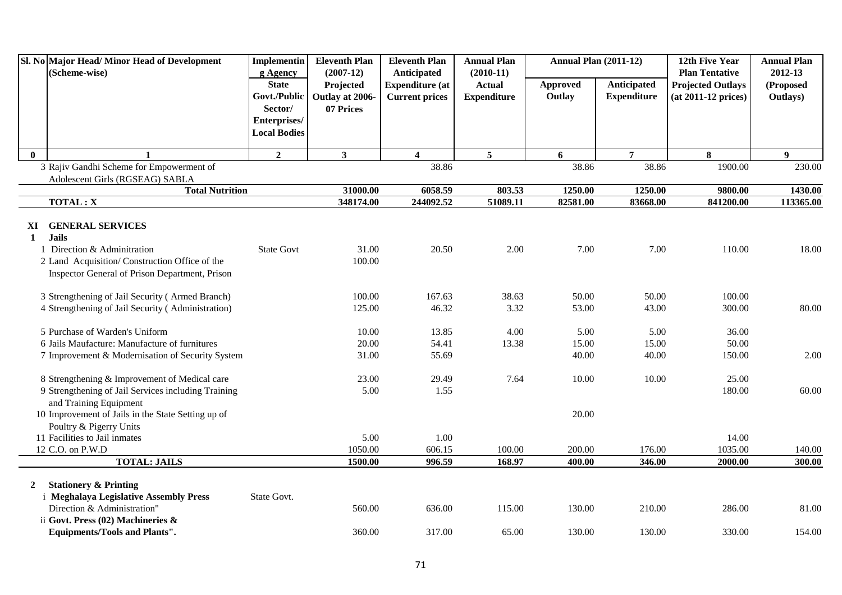|                    | Sl. No Major Head/Minor Head of Development<br>(Scheme-wise)                                                                                                                                    |                                                | <b>Eleventh Plan</b>         | <b>Eleventh Plan</b><br><b>Annual Plan</b><br>$(2007-12)$<br>Anticipated |                                                    | <b>Annual Plan (2011-12)</b> |                                   | 12th Five Year<br><b>Plan Tentative</b>           | <b>Annual Plan</b><br>2012-13 |
|--------------------|-------------------------------------------------------------------------------------------------------------------------------------------------------------------------------------------------|------------------------------------------------|------------------------------|--------------------------------------------------------------------------|----------------------------------------------------|------------------------------|-----------------------------------|---------------------------------------------------|-------------------------------|
|                    |                                                                                                                                                                                                 | g Agency<br><b>State</b><br>Govt./Public       | Projected<br>Outlay at 2006- | <b>Expenditure (at</b><br><b>Current prices</b>                          | $(2010-11)$<br><b>Actual</b><br><b>Expenditure</b> | Approved<br>Outlay           | Anticipated<br><b>Expenditure</b> | <b>Projected Outlays</b><br>$(at 2011-12 prices)$ | (Proposed<br>Outlays)         |
|                    |                                                                                                                                                                                                 | Sector/<br>Enterprises/<br><b>Local Bodies</b> | 07 Prices                    |                                                                          |                                                    |                              |                                   |                                                   |                               |
| $\mathbf{0}$       |                                                                                                                                                                                                 | $\overline{2}$                                 | 3                            | $\boldsymbol{4}$                                                         | 5                                                  | 6                            | $\overline{7}$                    | 8                                                 | $\mathbf{Q}$                  |
|                    | 3 Rajiv Gandhi Scheme for Empowerment of<br>Adolescent Girls (RGSEAG) SABLA                                                                                                                     |                                                |                              | 38.86                                                                    |                                                    | 38.86                        | 38.86                             | 1900.00                                           | 230.00                        |
|                    | <b>Total Nutrition</b>                                                                                                                                                                          |                                                | 31000.00                     | 6058.59                                                                  | 803.53                                             | 1250.00                      | 1250.00                           | 9800.00                                           | 1430.00                       |
|                    | <b>TOTAL: X</b>                                                                                                                                                                                 |                                                | 348174.00                    | 244092.52                                                                | 51089.11                                           | 82581.00                     | 83668.00                          | 841200.00                                         | 113365.00                     |
| XІ<br>$\mathbf{1}$ | <b>GENERAL SERVICES</b><br><b>Jails</b><br>Direction & Adminitration                                                                                                                            | <b>State Govt</b>                              | 31.00                        | 20.50                                                                    | 2.00                                               | 7.00                         | 7.00                              | 110.00                                            | 18.00                         |
|                    | 2 Land Acquisition/ Construction Office of the<br>Inspector General of Prison Department, Prison<br>3 Strengthening of Jail Security (Armed Branch)                                             |                                                | 100.00<br>100.00             | 167.63                                                                   | 38.63                                              | 50.00                        | 50.00                             | 100.00                                            |                               |
|                    | 4 Strengthening of Jail Security (Administration)                                                                                                                                               |                                                | 125.00                       | 46.32                                                                    | 3.32                                               | 53.00                        | 43.00                             | 300.00                                            | 80.00                         |
|                    | 5 Purchase of Warden's Uniform<br>6 Jails Maufacture: Manufacture of furnitures<br>7 Improvement & Modernisation of Security System                                                             |                                                | 10.00<br>20.00<br>31.00      | 13.85<br>54.41<br>55.69                                                  | 4.00<br>13.38                                      | 5.00<br>15.00<br>40.00       | 5.00<br>15.00<br>40.00            | 36.00<br>50.00<br>150.00                          | 2.00                          |
|                    | 8 Strengthening & Improvement of Medical care<br>9 Strengthening of Jail Services including Training<br>and Training Equipment                                                                  |                                                | 23.00<br>5.00                | 29.49<br>1.55                                                            | 7.64                                               | 10.00                        | 10.00                             | 25.00<br>180.00                                   | 60.00                         |
|                    | 10 Improvement of Jails in the State Setting up of<br>Poultry & Pigerry Units                                                                                                                   |                                                |                              |                                                                          |                                                    | 20.00                        |                                   |                                                   |                               |
|                    | 11 Facilities to Jail inmates                                                                                                                                                                   |                                                | 5.00                         | 1.00                                                                     |                                                    |                              |                                   | 14.00                                             |                               |
|                    | 12 C.O. on P.W.D<br><b>TOTAL: JAILS</b>                                                                                                                                                         |                                                | 1050.00<br>1500.00           | 606.15<br>996.59                                                         | 100.00<br>168.97                                   | 200.00<br>400.00             | 176.00<br>346.00                  | 1035.00<br>2000.00                                | 140.00<br>300.00              |
| $\mathbf{2}$       | <b>Stationery &amp; Printing</b><br><i>i</i> Meghalaya Legislative Assembly Press<br>Direction & Administration"<br>ii Govt. Press $(02)$ Machineries &<br><b>Equipments/Tools and Plants".</b> | State Govt.                                    | 560.00<br>360.00             | 636.00<br>317.00                                                         | 115.00<br>65.00                                    | 130.00<br>130.00             | 210.00<br>130.00                  | 286.00<br>330.00                                  | 81.00<br>154.00               |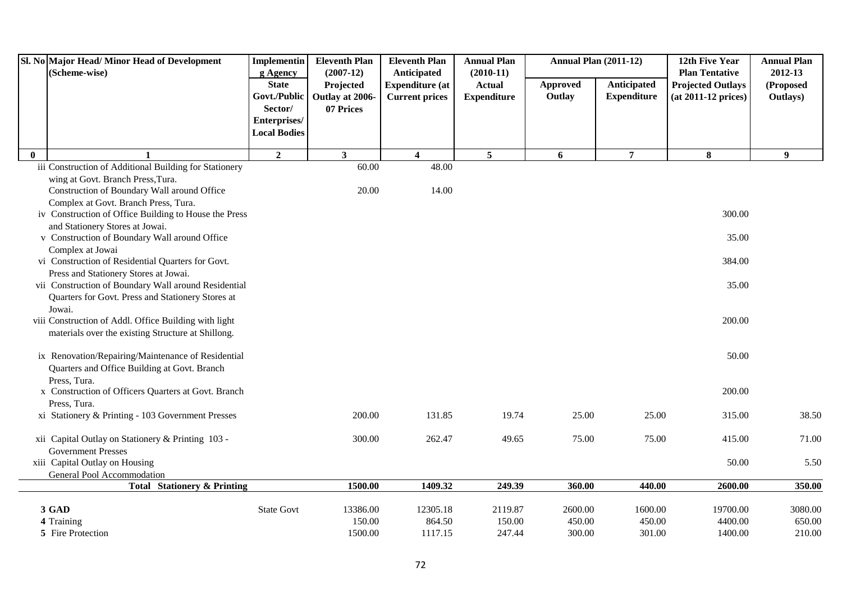|              | Sl. No Major Head/Minor Head of Development<br>(Scheme-wise)      | <b>Implementin</b><br>g Agency | <b>Eleventh Plan</b><br>$(2007-12)$ | <b>Eleventh Plan</b><br>Anticipated | <b>Annual Plan</b><br>$(2010-11)$ |                 | <b>Annual Plan (2011-12)</b> | 12th Five Year<br><b>Plan Tentative</b> | <b>Annual Plan</b><br>2012-13 |
|--------------|-------------------------------------------------------------------|--------------------------------|-------------------------------------|-------------------------------------|-----------------------------------|-----------------|------------------------------|-----------------------------------------|-------------------------------|
|              |                                                                   | <b>State</b>                   | Projected                           | <b>Expenditure</b> (at              | <b>Actual</b>                     | <b>Approved</b> | Anticipated                  | <b>Projected Outlays</b>                | (Proposed                     |
|              |                                                                   | Govt./Public                   | Outlay at 2006-                     | <b>Current prices</b>               | <b>Expenditure</b>                | Outlay          | <b>Expenditure</b>           | $(at 2011-12 prices)$                   | Outlays)                      |
|              |                                                                   | Sector/                        | 07 Prices                           |                                     |                                   |                 |                              |                                         |                               |
|              |                                                                   | Enterprises/                   |                                     |                                     |                                   |                 |                              |                                         |                               |
|              |                                                                   | <b>Local Bodies</b>            |                                     |                                     |                                   |                 |                              |                                         |                               |
| $\mathbf{0}$ |                                                                   | $\overline{2}$                 | $\overline{\mathbf{3}}$             | $\overline{\mathbf{4}}$             | $\overline{5}$                    | 6               | $\overline{7}$               | 8                                       | $\boldsymbol{9}$              |
|              | iii Construction of Additional Building for Stationery            |                                | 60.00                               | 48.00                               |                                   |                 |                              |                                         |                               |
|              | wing at Govt. Branch Press, Tura.                                 |                                |                                     |                                     |                                   |                 |                              |                                         |                               |
|              | Construction of Boundary Wall around Office                       |                                | 20.00                               | 14.00                               |                                   |                 |                              |                                         |                               |
|              | Complex at Govt. Branch Press, Tura.                              |                                |                                     |                                     |                                   |                 |                              |                                         |                               |
|              | iv Construction of Office Building to House the Press             |                                |                                     |                                     |                                   |                 |                              | 300.00                                  |                               |
|              | and Stationery Stores at Jowai.                                   |                                |                                     |                                     |                                   |                 |                              |                                         |                               |
|              | v Construction of Boundary Wall around Office<br>Complex at Jowai |                                |                                     |                                     |                                   |                 |                              | 35.00                                   |                               |
|              | vi Construction of Residential Quarters for Govt.                 |                                |                                     |                                     |                                   |                 |                              | 384.00                                  |                               |
|              | Press and Stationery Stores at Jowai.                             |                                |                                     |                                     |                                   |                 |                              |                                         |                               |
|              | vii Construction of Boundary Wall around Residential              |                                |                                     |                                     |                                   |                 |                              | 35.00                                   |                               |
|              | Quarters for Govt. Press and Stationery Stores at                 |                                |                                     |                                     |                                   |                 |                              |                                         |                               |
|              | Jowai.                                                            |                                |                                     |                                     |                                   |                 |                              |                                         |                               |
|              | viii Construction of Addl. Office Building with light             |                                |                                     |                                     |                                   |                 |                              | 200.00                                  |                               |
|              | materials over the existing Structure at Shillong.                |                                |                                     |                                     |                                   |                 |                              |                                         |                               |
|              |                                                                   |                                |                                     |                                     |                                   |                 |                              |                                         |                               |
|              | ix Renovation/Repairing/Maintenance of Residential                |                                |                                     |                                     |                                   |                 |                              | 50.00                                   |                               |
|              | Quarters and Office Building at Govt. Branch                      |                                |                                     |                                     |                                   |                 |                              |                                         |                               |
|              | Press, Tura.                                                      |                                |                                     |                                     |                                   |                 |                              |                                         |                               |
|              | x Construction of Officers Quarters at Govt. Branch               |                                |                                     |                                     |                                   |                 |                              | 200.00                                  |                               |
|              | Press, Tura.<br>xi Stationery & Printing - 103 Government Presses |                                | 200.00                              | 131.85                              | 19.74                             | 25.00           | 25.00                        | 315.00                                  | 38.50                         |
|              |                                                                   |                                |                                     |                                     |                                   |                 |                              |                                         |                               |
|              | xii Capital Outlay on Stationery & Printing 103 -                 |                                | 300.00                              | 262.47                              | 49.65                             | 75.00           | 75.00                        | 415.00                                  | 71.00                         |
|              | <b>Government Presses</b>                                         |                                |                                     |                                     |                                   |                 |                              |                                         |                               |
|              | xiii Capital Outlay on Housing                                    |                                |                                     |                                     |                                   |                 |                              | 50.00                                   | 5.50                          |
|              | General Pool Accommodation                                        |                                |                                     |                                     |                                   |                 |                              |                                         |                               |
|              | <b>Total Stationery &amp; Printing</b>                            |                                | 1500.00                             | 1409.32                             | 249.39                            | 360.00          | 440.00                       | 2600.00                                 | 350.00                        |
|              | 3 GAD                                                             | <b>State Govt</b>              | 13386.00                            | 12305.18                            | 2119.87                           | 2600.00         | 1600.00                      | 19700.00                                | 3080.00                       |
|              | 4 Training                                                        |                                | 150.00                              | 864.50                              | 150.00                            | 450.00          | 450.00                       | 4400.00                                 | 650.00                        |
|              | 5 Fire Protection                                                 |                                | 1500.00                             | 1117.15                             | 247.44                            | 300.00          | 301.00                       | 1400.00                                 | 210.00                        |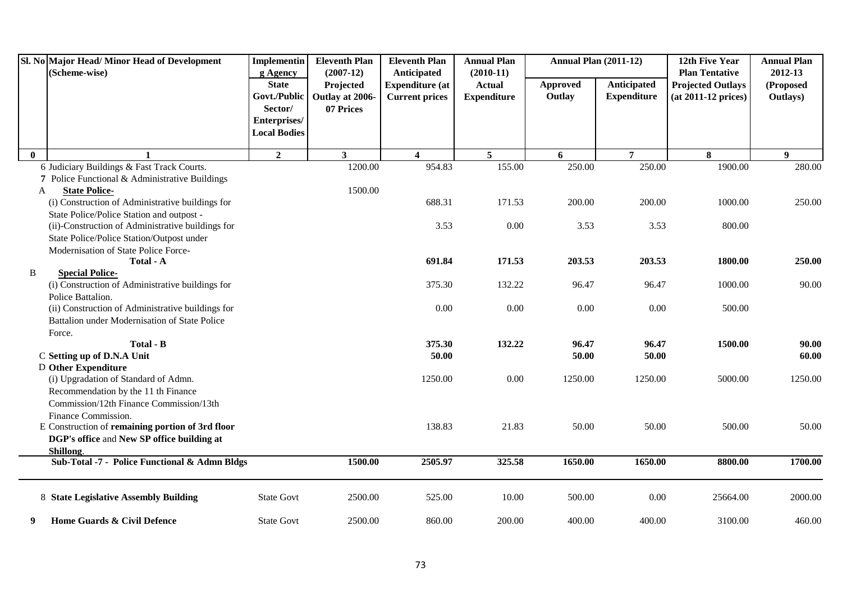|          | Sl. No Major Head/ Minor Head of Development<br>(Scheme-wise) | Implementin<br>g Agency | <b>Eleventh Plan</b><br>$(2007-12)$ | <b>Eleventh Plan</b><br><b>Anticipated</b> | <b>Annual Plan</b><br>$(2010-11)$ | <b>Annual Plan (2011-12)</b> |                    | 12th Five Year<br><b>Plan Tentative</b> | <b>Annual Plan</b><br>2012-13 |
|----------|---------------------------------------------------------------|-------------------------|-------------------------------------|--------------------------------------------|-----------------------------------|------------------------------|--------------------|-----------------------------------------|-------------------------------|
|          |                                                               | <b>State</b>            | Projected                           | <b>Expenditure (at</b>                     | <b>Actual</b>                     | <b>Approved</b>              | Anticipated        | <b>Projected Outlays</b>                | (Proposed                     |
|          |                                                               | Govt./Public            | Outlay at 2006-                     | <b>Current prices</b>                      | <b>Expenditure</b>                | Outlay                       | <b>Expenditure</b> | $(at 2011-12 prices)$                   | Outlays)                      |
|          |                                                               | Sector/                 | 07 Prices                           |                                            |                                   |                              |                    |                                         |                               |
|          |                                                               | Enterprises/            |                                     |                                            |                                   |                              |                    |                                         |                               |
|          |                                                               | <b>Local Bodies</b>     |                                     |                                            |                                   |                              |                    |                                         |                               |
| $\bf{0}$ |                                                               | $\boldsymbol{2}$        | $\mathbf{3}$                        | $\overline{\mathbf{4}}$                    | $\overline{5}$                    | 6                            | $\overline{7}$     | 8                                       | 9                             |
|          | 6 Judiciary Buildings & Fast Track Courts.                    |                         | 1200.00                             | 954.83                                     | 155.00                            | 250.00                       | 250.00             | 1900.00                                 | 280.00                        |
|          | 7 Police Functional & Administrative Buildings                |                         |                                     |                                            |                                   |                              |                    |                                         |                               |
| A        | <b>State Police-</b>                                          |                         | 1500.00                             |                                            |                                   |                              |                    |                                         |                               |
|          | (i) Construction of Administrative buildings for              |                         |                                     | 688.31                                     | 171.53                            | 200.00                       | 200.00             | 1000.00                                 | 250.00                        |
|          | State Police/Police Station and outpost -                     |                         |                                     |                                            |                                   |                              |                    |                                         |                               |
|          | (ii)-Construction of Administrative buildings for             |                         |                                     | 3.53                                       | 0.00                              | 3.53                         | 3.53               | 800.00                                  |                               |
|          | State Police/Police Station/Outpost under                     |                         |                                     |                                            |                                   |                              |                    |                                         |                               |
|          | Modernisation of State Police Force-                          |                         |                                     |                                            |                                   |                              |                    |                                         |                               |
|          | Total - A                                                     |                         |                                     | 691.84                                     | 171.53                            | 203.53                       | 203.53             | 1800.00                                 | 250.00                        |
| B        | <b>Special Police-</b>                                        |                         |                                     |                                            |                                   |                              |                    |                                         |                               |
|          | (i) Construction of Administrative buildings for              |                         |                                     | 375.30                                     | 132.22                            | 96.47                        | 96.47              | 1000.00                                 | 90.00                         |
|          | Police Battalion.                                             |                         |                                     |                                            |                                   |                              |                    |                                         |                               |
|          | (ii) Construction of Administrative buildings for             |                         |                                     | 0.00                                       | 0.00                              | 0.00                         | 0.00               | 500.00                                  |                               |
|          | Battalion under Modernisation of State Police                 |                         |                                     |                                            |                                   |                              |                    |                                         |                               |
|          | Force.<br>Total - B                                           |                         |                                     | 375.30                                     | 132.22                            | 96.47                        | 96.47              | 1500.00                                 | 90.00                         |
|          | C Setting up of D.N.A Unit                                    |                         |                                     | 50.00                                      |                                   | 50.00                        | 50.00              |                                         | 60.00                         |
|          | <b>D</b> Other Expenditure                                    |                         |                                     |                                            |                                   |                              |                    |                                         |                               |
|          | (i) Upgradation of Standard of Admn.                          |                         |                                     | 1250.00                                    | $0.00\,$                          | 1250.00                      | 1250.00            | 5000.00                                 | 1250.00                       |
|          | Recommendation by the 11 th Finance                           |                         |                                     |                                            |                                   |                              |                    |                                         |                               |
|          | Commission/12th Finance Commission/13th                       |                         |                                     |                                            |                                   |                              |                    |                                         |                               |
|          | Finance Commission.                                           |                         |                                     |                                            |                                   |                              |                    |                                         |                               |
|          | E Construction of remaining portion of 3rd floor              |                         |                                     | 138.83                                     | 21.83                             | 50.00                        | 50.00              | 500.00                                  | 50.00                         |
|          | DGP's office and New SP office building at                    |                         |                                     |                                            |                                   |                              |                    |                                         |                               |
|          | Shillong.                                                     |                         |                                     |                                            |                                   |                              |                    |                                         |                               |
|          | Sub-Total -7 - Police Functional & Admn Bldgs                 |                         | 1500.00                             | 2505.97                                    | 325.58                            | 1650.00                      | 1650.00            | 8800.00                                 | 1700.00                       |
|          | 8 State Legislative Assembly Building                         | <b>State Govt</b>       | 2500.00                             | 525.00                                     | 10.00                             | 500.00                       | 0.00               | 25664.00                                | 2000.00                       |
| 9        | Home Guards & Civil Defence                                   | <b>State Govt</b>       | 2500.00                             | 860.00                                     | 200.00                            | 400.00                       | 400.00             | 3100.00                                 | 460.00                        |